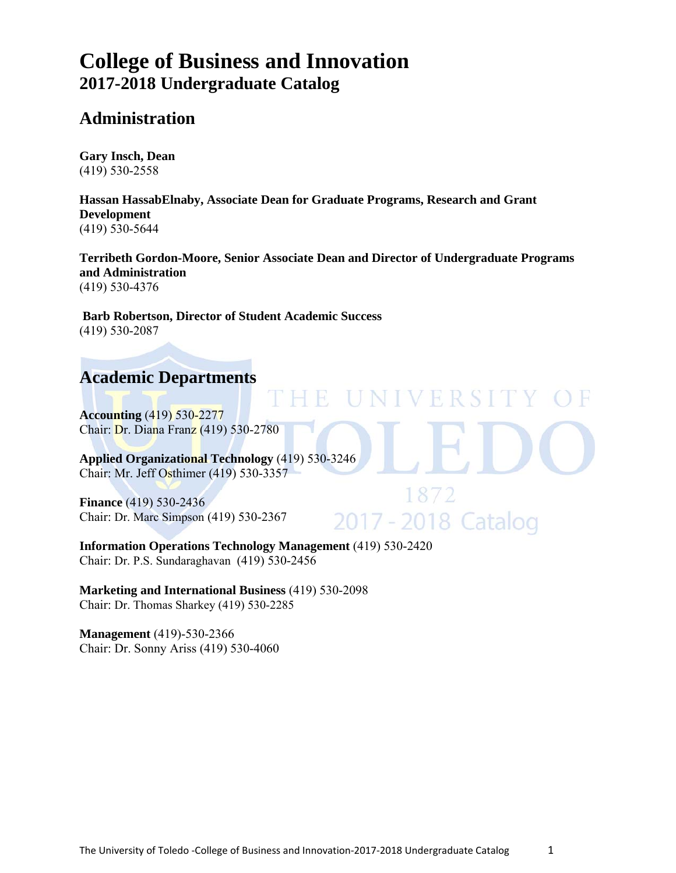# **College of Business and Innovation 2017-2018 Undergraduate Catalog**

# **Administration**

**Gary Insch, Dean**  (419) 530-2558

**Hassan HassabElnaby, Associate Dean for Graduate Programs, Research and Grant Development**  (419) 530-5644

**Terribeth Gordon-Moore, Senior Associate Dean and Director of Undergraduate Programs and Administration** (419) 530-4376

Ħ

UNIVERSIT

1872

2017 - 2018 Catalog

**Barb Robertson, Director of Student Academic Success**  (419) 530-2087

# **Academic Departments**

**Accounting** (419) 530-2277 Chair: Dr. Diana Franz (419) 530-2780

**Applied Organizational Technology** (419) 530-3246 Chair: Mr. Jeff Osthimer (419) 530-3357

**Finance** (419) 530-2436 Chair: Dr. Marc Simpson (419) 530-2367

**Information Operations Technology Management** (419) 530-2420 Chair: Dr. P.S. Sundaraghavan (419) 530-2456

**Marketing and International Business** (419) 530-2098 Chair: Dr. Thomas Sharkey (419) 530-2285

**Management** (419)-530-2366 Chair: Dr. Sonny Ariss (419) 530-4060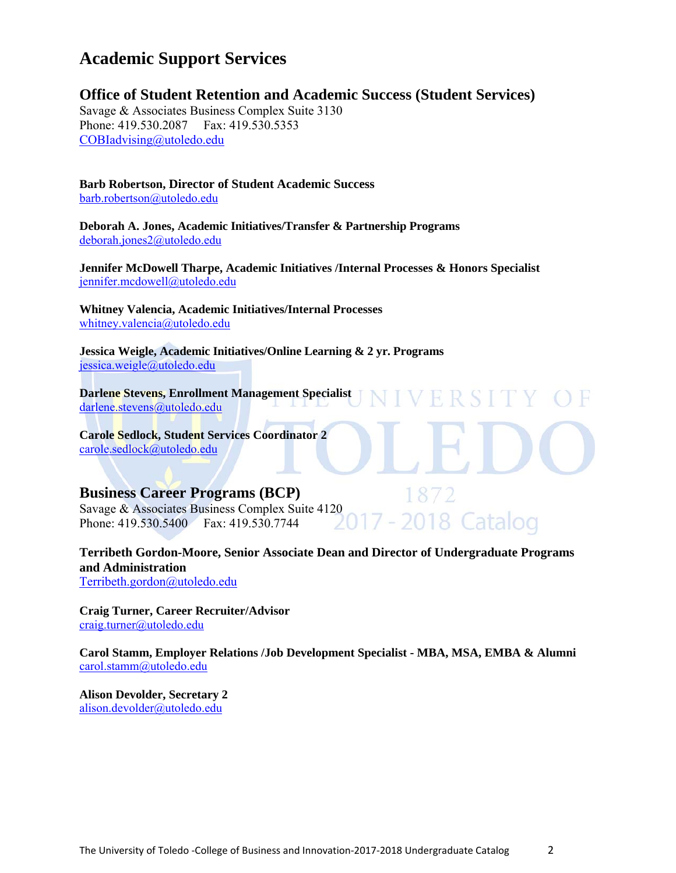# **Academic Support Services**

**Office of Student Retention and Academic Success (Student Services)** 

Savage & Associates Business Complex Suite 3130 Phone: 419.530.2087 Fax: 419.530.5353 COBIadvising@utoledo.edu

**Barb Robertson, Director of Student Academic Success** barb.robertson@utoledo.edu

**Deborah A. Jones, Academic Initiatives/Transfer & Partnership Programs** deborah.jones2@utoledo.edu

**Jennifer McDowell Tharpe, Academic Initiatives /Internal Processes & Honors Specialist** jennifer.mcdowell@utoledo.edu

**Whitney Valencia, Academic Initiatives/Internal Processes**  whitney.valencia@utoledo.edu

**Jessica Weigle, Academic Initiatives/Online Learning & 2 yr. Programs**  jessica.weigle@utoledo.edu

**Darlene Stevens, Enrollment Management Specialist**  darlene.stevens@utoledo.edu

**Carole Sedlock, Student Services Coordinator 2**  carole.sedlock@utoledo.edu

#### **Business Career Programs (BCP)**

Savage & Associates Business Complex Suite 4120 Phone: 419.530.5400 Fax: 419.530.7744

**Terribeth Gordon-Moore, Senior Associate Dean and Director of Undergraduate Programs and Administration**  Terribeth.gordon@utoledo.edu

VERSIT

2018 Catalog

**Craig Turner, Career Recruiter/Advisor**  craig.turner@utoledo.edu

**Carol Stamm, Employer Relations /Job Development Specialist - MBA, MSA, EMBA & Alumni**  carol.stamm@utoledo.edu

**Alison Devolder, Secretary 2**  alison.devolder@utoledo.edu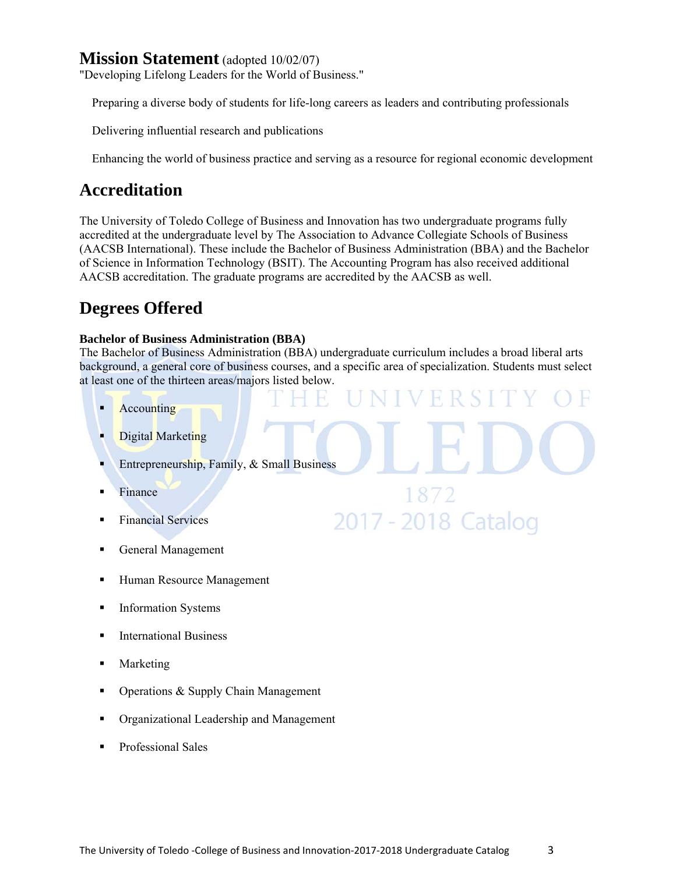# **Mission Statement** (adopted 10/02/07)

"Developing Lifelong Leaders for the World of Business."

Preparing a diverse body of students for life-long careers as leaders and contributing professionals

Delivering influential research and publications

Enhancing the world of business practice and serving as a resource for regional economic development

# **Accreditation**

The University of Toledo College of Business and Innovation has two undergraduate programs fully accredited at the undergraduate level by The Association to Advance Collegiate Schools of Business (AACSB International). These include the Bachelor of Business Administration (BBA) and the Bachelor of Science in Information Technology (BSIT). The Accounting Program has also received additional AACSB accreditation. The graduate programs are accredited by the AACSB as well.

# **Degrees Offered**

#### **Bachelor of Business Administration (BBA)**

The Bachelor of Business Administration (BBA) undergraduate curriculum includes a broad liberal arts background, a general core of business courses, and a specific area of specialization. Students must select at least one of the thirteen areas/majors listed below.

FRS

1872

2017 - 2018 Catalog

- Accounting
- Digital Marketing
- Entrepreneurship, Family, & Small Business
- Finance
- **Financial Services**
- General Management
- **Human Resource Management**
- **Information Systems**
- **International Business**
- Marketing
- Operations & Supply Chain Management
- Organizational Leadership and Management
- Professional Sales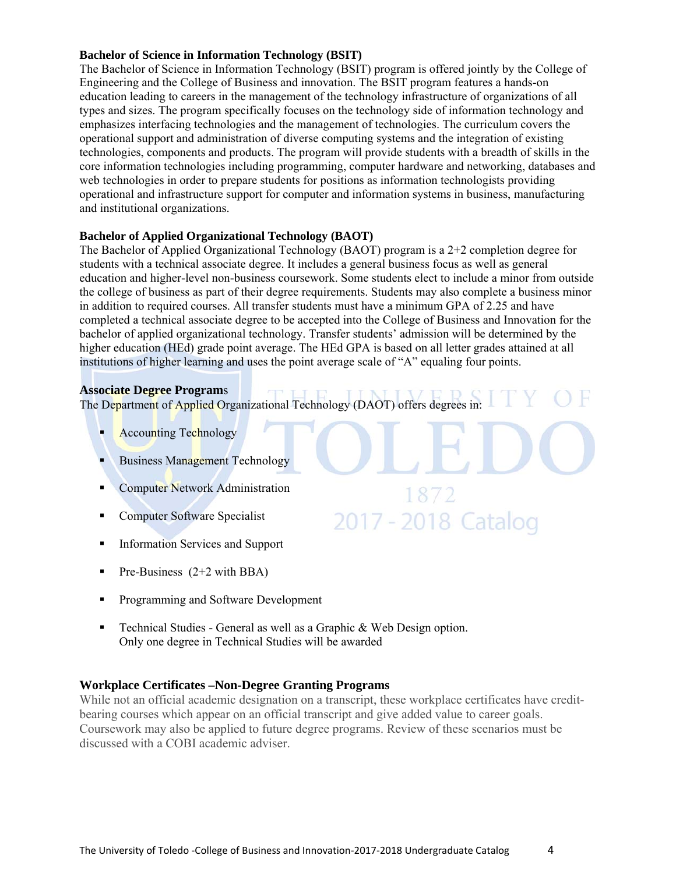#### **Bachelor of Science in Information Technology (BSIT)**

The Bachelor of Science in Information Technology (BSIT) program is offered jointly by the College of Engineering and the College of Business and innovation. The BSIT program features a hands-on education leading to careers in the management of the technology infrastructure of organizations of all types and sizes. The program specifically focuses on the technology side of information technology and emphasizes interfacing technologies and the management of technologies. The curriculum covers the operational support and administration of diverse computing systems and the integration of existing technologies, components and products. The program will provide students with a breadth of skills in the core information technologies including programming, computer hardware and networking, databases and web technologies in order to prepare students for positions as information technologists providing operational and infrastructure support for computer and information systems in business, manufacturing and institutional organizations.

#### **Bachelor of Applied Organizational Technology (BAOT)**

The Bachelor of Applied Organizational Technology (BAOT) program is a 2+2 completion degree for students with a technical associate degree. It includes a general business focus as well as general education and higher-level non-business coursework. Some students elect to include a minor from outside the college of business as part of their degree requirements. Students may also complete a business minor in addition to required courses. All transfer students must have a minimum GPA of 2.25 and have completed a technical associate degree to be accepted into the College of Business and Innovation for the bachelor of applied organizational technology. Transfer students' admission will be determined by the higher education (HEd) grade point average. The HEd GPA is based on all letter grades attained at all institutions of higher learning and uses the point average scale of "A" equaling four points.

1872

2017 - 2018 Catalog

#### **Associate Degree Program**s

The Department of Applied Organizational Technology (DAOT) offers degrees in:

- Accounting Technology
- Business Management Technology
- **Computer Network Administration**
- **Computer Software Specialist**
- **Information Services and Support**
- Pre-Business  $(2+2 \text{ with } BBA)$
- **Programming and Software Development**
- **Technical Studies General as well as a Graphic & Web Design option.** Only one degree in Technical Studies will be awarded

#### **Workplace Certificates –Non-Degree Granting Programs**

While not an official academic designation on a transcript, these workplace certificates have creditbearing courses which appear on an official transcript and give added value to career goals. Coursework may also be applied to future degree programs. Review of these scenarios must be discussed with a COBI academic adviser.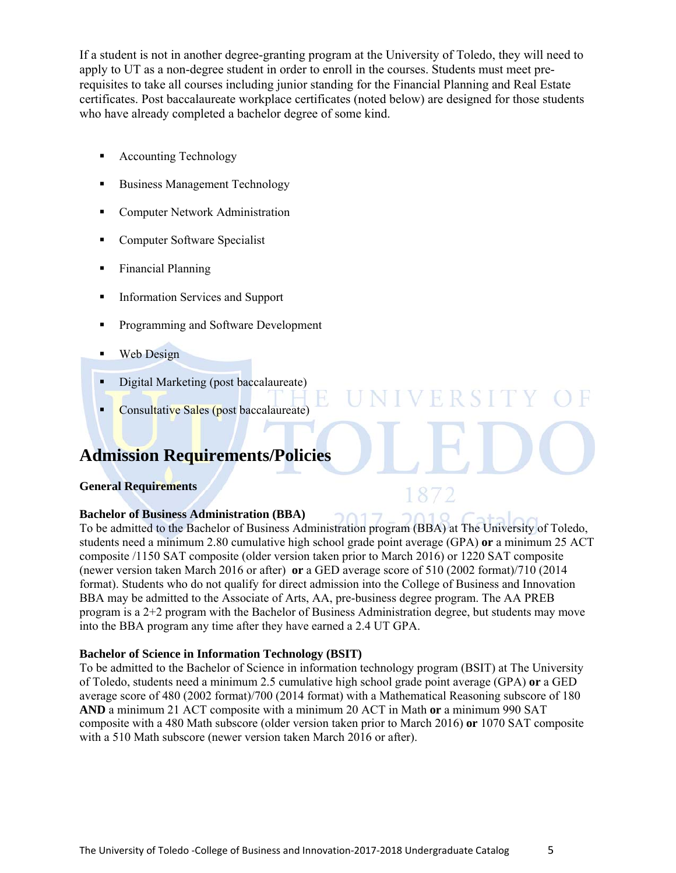If a student is not in another degree-granting program at the University of Toledo, they will need to apply to UT as a non-degree student in order to enroll in the courses. Students must meet prerequisites to take all courses including junior standing for the Financial Planning and Real Estate certificates. Post baccalaureate workplace certificates (noted below) are designed for those students who have already completed a bachelor degree of some kind.

- Accounting Technology
- Business Management Technology
- **Computer Network Administration**
- **Computer Software Specialist**
- Financial Planning
- **Information Services and Support**
- **Programming and Software Development**
- **Web Design**
- Digital Marketing (post baccalaureate)
- Consultative Sales (post baccalaureate)

# **Admission Requirements/Policies**

#### **General Requirements**

#### **Bachelor of Business Administration (BBA)**

To be admitted to the Bachelor of Business Administration program (BBA) at The University of Toledo, students need a minimum 2.80 cumulative high school grade point average (GPA) **or** a minimum 25 ACT composite /1150 SAT composite (older version taken prior to March 2016) or 1220 SAT composite (newer version taken March 2016 or after) **or** a GED average score of 510 (2002 format)/710 (2014 format). Students who do not qualify for direct admission into the College of Business and Innovation BBA may be admitted to the Associate of Arts, AA, pre-business degree program. The AA PREB program is a 2+2 program with the Bachelor of Business Administration degree, but students may move into the BBA program any time after they have earned a 2.4 UT GPA.

**IVERSIT** 

#### **Bachelor of Science in Information Technology (BSIT)**

To be admitted to the Bachelor of Science in information technology program (BSIT) at The University of Toledo, students need a minimum 2.5 cumulative high school grade point average (GPA) **or** a GED average score of 480 (2002 format)/700 (2014 format) with a Mathematical Reasoning subscore of 180 **AND** a minimum 21 ACT composite with a minimum 20 ACT in Math **or** a minimum 990 SAT composite with a 480 Math subscore (older version taken prior to March 2016) **or** 1070 SAT composite with a 510 Math subscore (newer version taken March 2016 or after).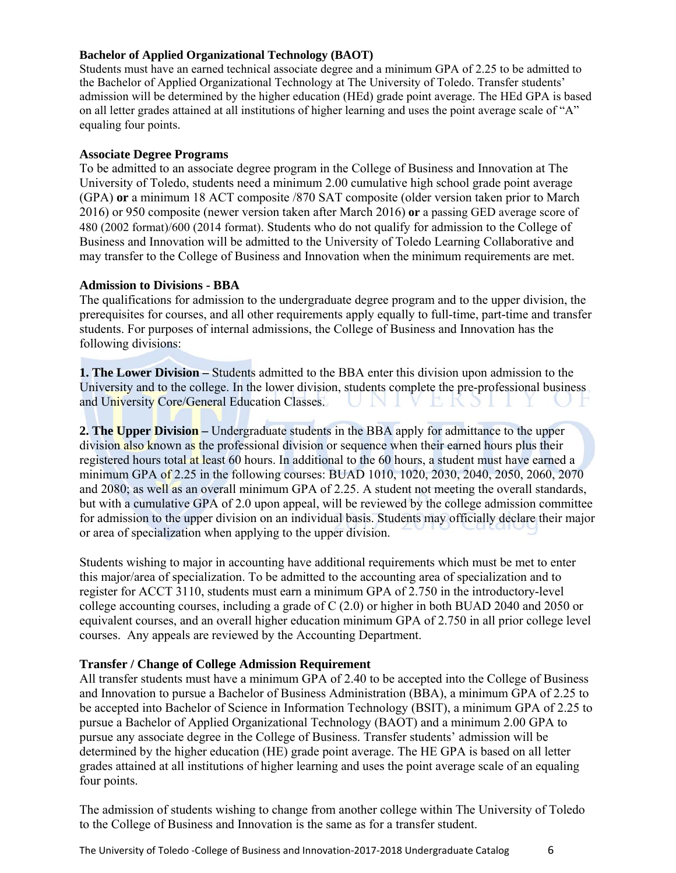#### **Bachelor of Applied Organizational Technology (BAOT)**

Students must have an earned technical associate degree and a minimum GPA of 2.25 to be admitted to the Bachelor of Applied Organizational Technology at The University of Toledo. Transfer students' admission will be determined by the higher education (HEd) grade point average. The HEd GPA is based on all letter grades attained at all institutions of higher learning and uses the point average scale of "A" equaling four points.

#### **Associate Degree Programs**

To be admitted to an associate degree program in the College of Business and Innovation at The University of Toledo, students need a minimum 2.00 cumulative high school grade point average (GPA) **or** a minimum 18 ACT composite /870 SAT composite (older version taken prior to March 2016) or 950 composite (newer version taken after March 2016) **or** a passing GED average score of 480 (2002 format)/600 (2014 format). Students who do not qualify for admission to the College of Business and Innovation will be admitted to the University of Toledo Learning Collaborative and may transfer to the College of Business and Innovation when the minimum requirements are met.

#### **Admission to Divisions - BBA**

The qualifications for admission to the undergraduate degree program and to the upper division, the prerequisites for courses, and all other requirements apply equally to full-time, part-time and transfer students. For purposes of internal admissions, the College of Business and Innovation has the following divisions:

**1. The Lower Division –** Students admitted to the BBA enter this division upon admission to the University and to the college. In the lower division, students complete the pre-professional business and University Core/General Education Classes. UNIVEKSIL

**2. The Upper Division –** Undergraduate students in the BBA apply for admittance to the upper division also known as the professional division or sequence when their earned hours plus their registered hours total at least 60 hours. In additional to the 60 hours, a student must have earned a minimum GPA of 2.25 in the following courses: BUAD 1010, 1020, 2030, 2040, 2050, 2060, 2070 and 2080; as well as an overall minimum GPA of 2.25. A student not meeting the overall standards, but with a cumulative GPA of 2.0 upon appeal, will be reviewed by the college admission committee for admission to the upper division on an individual basis. Students may officially declare their major or area of specialization when applying to the upper division.

Students wishing to major in accounting have additional requirements which must be met to enter this major/area of specialization. To be admitted to the accounting area of specialization and to register for ACCT 3110, students must earn a minimum GPA of 2.750 in the introductory-level college accounting courses, including a grade of C (2.0) or higher in both BUAD 2040 and 2050 or equivalent courses, and an overall higher education minimum GPA of 2.750 in all prior college level courses. Any appeals are reviewed by the Accounting Department.

#### **Transfer / Change of College Admission Requirement**

All transfer students must have a minimum GPA of 2.40 to be accepted into the College of Business and Innovation to pursue a Bachelor of Business Administration (BBA), a minimum GPA of 2.25 to be accepted into Bachelor of Science in Information Technology (BSIT), a minimum GPA of 2.25 to pursue a Bachelor of Applied Organizational Technology (BAOT) and a minimum 2.00 GPA to pursue any associate degree in the College of Business. Transfer students' admission will be determined by the higher education (HE) grade point average. The HE GPA is based on all letter grades attained at all institutions of higher learning and uses the point average scale of an equaling four points.

The admission of students wishing to change from another college within The University of Toledo to the College of Business and Innovation is the same as for a transfer student.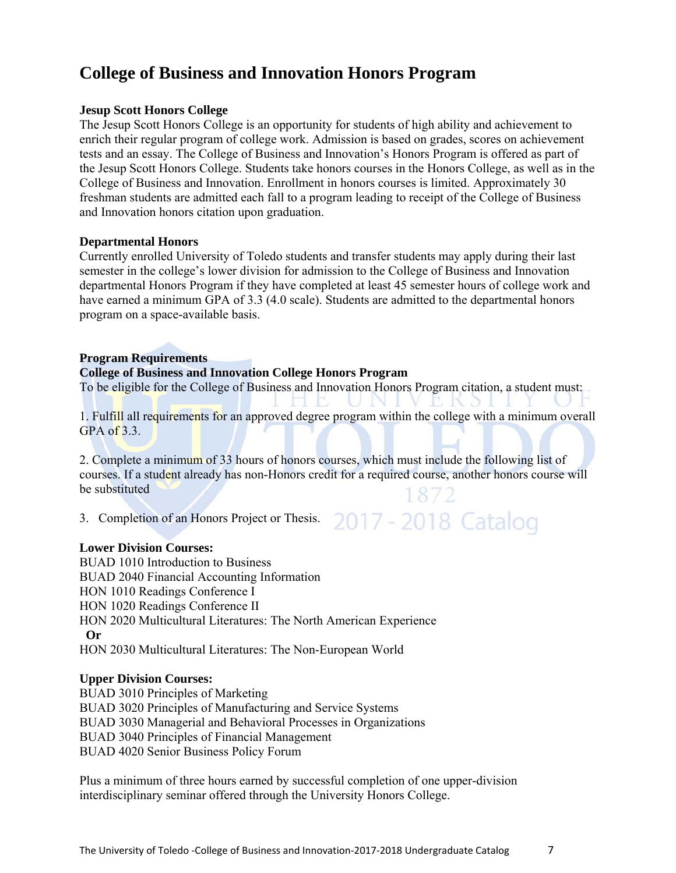# **College of Business and Innovation Honors Program**

#### **Jesup Scott Honors College**

The Jesup Scott Honors College is an opportunity for students of high ability and achievement to enrich their regular program of college work. Admission is based on grades, scores on achievement tests and an essay. The College of Business and Innovation's Honors Program is offered as part of the Jesup Scott Honors College. Students take honors courses in the Honors College, as well as in the College of Business and Innovation. Enrollment in honors courses is limited. Approximately 30 freshman students are admitted each fall to a program leading to receipt of the College of Business and Innovation honors citation upon graduation.

#### **Departmental Honors**

Currently enrolled University of Toledo students and transfer students may apply during their last semester in the college's lower division for admission to the College of Business and Innovation departmental Honors Program if they have completed at least 45 semester hours of college work and have earned a minimum GPA of 3.3 (4.0 scale). Students are admitted to the departmental honors program on a space-available basis.

#### **Program Requirements**

#### **College of Business and Innovation College Honors Program**

To be eligible for the College of Business and Innovation Honors Program citation, a student must:

1. Fulfill all requirements for an approved degree program within the college with a minimum overall  $GPA$  of  $3.3.$ 

2. Complete a minimum of 33 hours of honors courses, which must include the following list of courses. If a student already has non-Honors credit for a required course, another honors course will be substituted

3. Completion of an Honors Project or Thesis. 2017 - 2018 Catalog

#### **Lower Division Courses:**

BUAD 1010 Introduction to Business BUAD 2040 Financial Accounting Information HON 1010 Readings Conference I HON 1020 Readings Conference II HON 2020 Multicultural Literatures: The North American Experience  **Or**  HON 2030 Multicultural Literatures: The Non-European World

#### **Upper Division Courses:**

BUAD 3010 Principles of Marketing BUAD 3020 Principles of Manufacturing and Service Systems BUAD 3030 Managerial and Behavioral Processes in Organizations BUAD 3040 Principles of Financial Management BUAD 4020 Senior Business Policy Forum

Plus a minimum of three hours earned by successful completion of one upper-division interdisciplinary seminar offered through the University Honors College.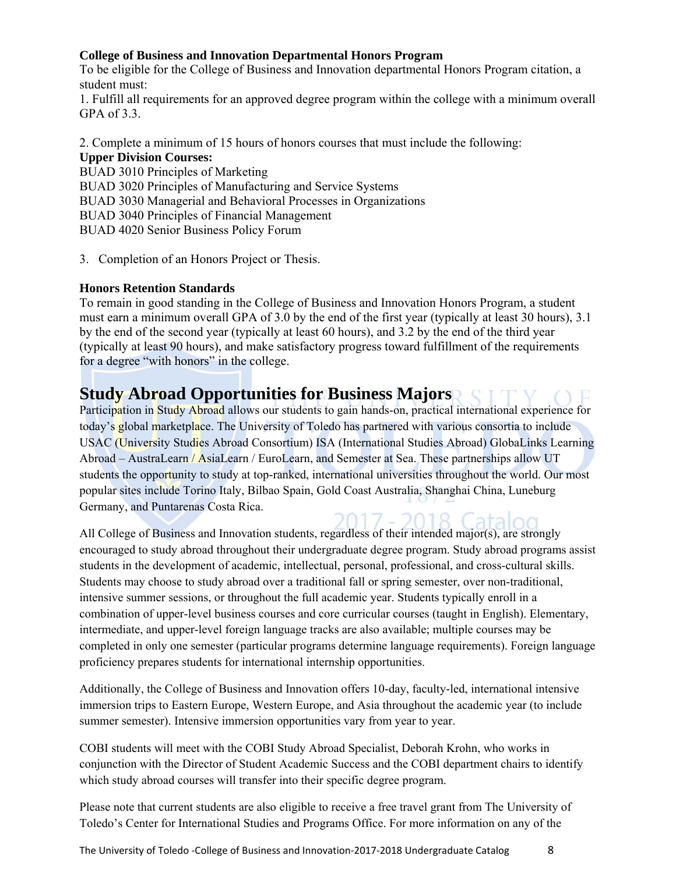#### **College of Business and Innovation Departmental Honors Program**

To be eligible for the College of Business and Innovation departmental Honors Program citation, a student must:

1. Fulfill all requirements for an approved degree program within the college with a minimum overall  $GPA$  of  $3.3$ .

2. Complete a minimum of 15 hours of honors courses that must include the following: **Upper Division Courses:**  BUAD 3010 Principles of Marketing BUAD 3020 Principles of Manufacturing and Service Systems

BUAD 3030 Managerial and Behavioral Processes in Organizations

BUAD 3040 Principles of Financial Management

BUAD 4020 Senior Business Policy Forum

3. Completion of an Honors Project or Thesis.

#### **Honors Retention Standards**

To remain in good standing in the College of Business and Innovation Honors Program, a student must earn a minimum overall GPA of 3.0 by the end of the first year (typically at least 30 hours), 3.1 by the end of the second year (typically at least 60 hours), and 3.2 by the end of the third year (typically at least 90 hours), and make satisfactory progress toward fulfillment of the requirements for a degree "with honors" in the college.

# **Study Abroad Opportunities for Business Majors**

Participation in Study Abroad allows our students to gain hands-on, practical international experience for today's global marketplace. The University of Toledo has partnered with various consortia to include USAC (University Studies Abroad Consortium) ISA (International Studies Abroad) GlobaLinks Learning Abroad – AustraLearn / AsiaLearn / EuroLearn, and Semester at Sea. These partnerships allow UT students the opportunity to study at top-ranked, international universities throughout the world. Our most popular sites include Torino Italy, Bilbao Spain, Gold Coast Australia, Shanghai China, Luneburg Germany, and Puntarenas Costa Rica.

All College of Business and Innovation students, regardless of their intended major(s), are strongly encouraged to study abroad throughout their undergraduate degree program. Study abroad programs assist students in the development of academic, intellectual, personal, professional, and cross-cultural skills. Students may choose to study abroad over a traditional fall or spring semester, over non-traditional, intensive summer sessions, or throughout the full academic year. Students typically enroll in a combination of upper-level business courses and core curricular courses (taught in English). Elementary, intermediate, and upper-level foreign language tracks are also available; multiple courses may be completed in only one semester (particular programs determine language requirements). Foreign language proficiency prepares students for international internship opportunities.

Additionally, the College of Business and Innovation offers 10-day, faculty-led, international intensive immersion trips to Eastern Europe, Western Europe, and Asia throughout the academic year (to include summer semester). Intensive immersion opportunities vary from year to year.

COBI students will meet with the COBI Study Abroad Specialist, Deborah Krohn, who works in conjunction with the Director of Student Academic Success and the COBI department chairs to identify which study abroad courses will transfer into their specific degree program.

Please note that current students are also eligible to receive a free travel grant from The University of Toledo's Center for International Studies and Programs Office. For more information on any of the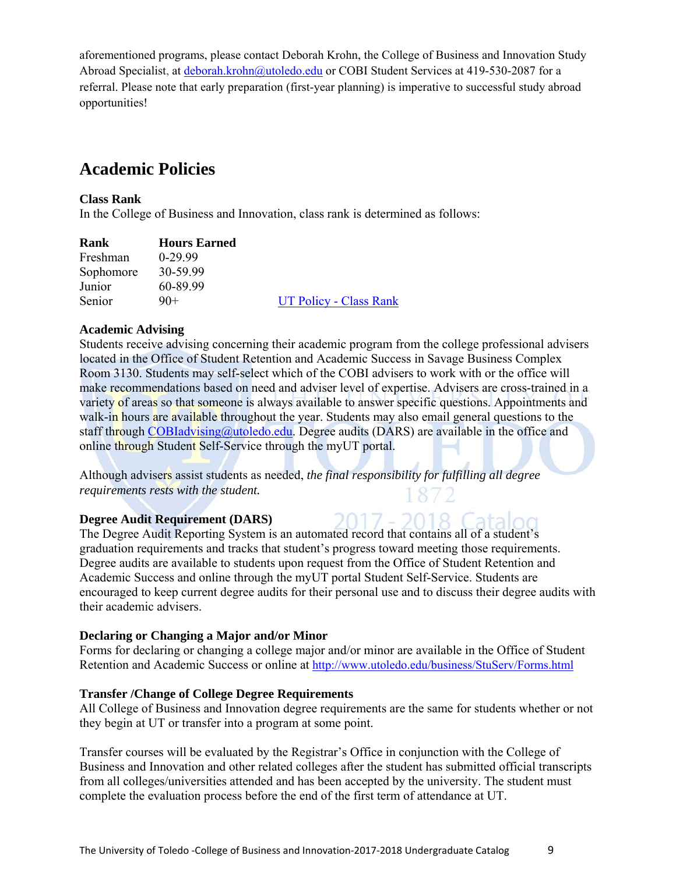aforementioned programs, please contact Deborah Krohn, the College of Business and Innovation Study Abroad Specialist, at deborah.krohn@utoledo.edu or COBI Student Services at 419-530-2087 for a referral. Please note that early preparation (first-year planning) is imperative to successful study abroad opportunities!

# **Academic Policies**

#### **Class Rank**

In the College of Business and Innovation, class rank is determined as follows:

| Rank      | <b>Hours Earned</b> |                               |
|-----------|---------------------|-------------------------------|
| Freshman  | $0-29.99$           |                               |
| Sophomore | 30-59.99            |                               |
| Junior    | 60-89.99            |                               |
| Senior    | $90+$               | <b>UT Policy - Class Rank</b> |

#### **Academic Advising**

Students receive advising concerning their academic program from the college professional advisers located in the Office of Student Retention and Academic Success in Savage Business Complex Room 3130. Students may self-select which of the COBI advisers to work with or the office will make recommendations based on need and adviser level of expertise. Advisers are cross-trained in a variety of areas so that someone is always available to answer specific questions. Appointments and walk-in hours are available throughout the year. Students may also email general questions to the staff through COBIadvising@utoledo.edu. Degree audits (DARS) are available in the office and online through Student Self-Service through the myUT portal.

Although advisers assist students as needed, *the final responsibility for fulfilling all degree requirements rests with the student.* 

#### **Degree Audit Requirement (DARS)**

The Degree Audit Reporting System is an automated record that contains all of a student's graduation requirements and tracks that student's progress toward meeting those requirements. Degree audits are available to students upon request from the Office of Student Retention and Academic Success and online through the myUT portal Student Self-Service. Students are encouraged to keep current degree audits for their personal use and to discuss their degree audits with their academic advisers.

#### **Declaring or Changing a Major and/or Minor**

Forms for declaring or changing a college major and/or minor are available in the Office of Student Retention and Academic Success or online at http://www.utoledo.edu/business/StuServ/Forms.html

#### **Transfer /Change of College Degree Requirements**

All College of Business and Innovation degree requirements are the same for students whether or not they begin at UT or transfer into a program at some point.

Transfer courses will be evaluated by the Registrar's Office in conjunction with the College of Business and Innovation and other related colleges after the student has submitted official transcripts from all colleges/universities attended and has been accepted by the university. The student must complete the evaluation process before the end of the first term of attendance at UT.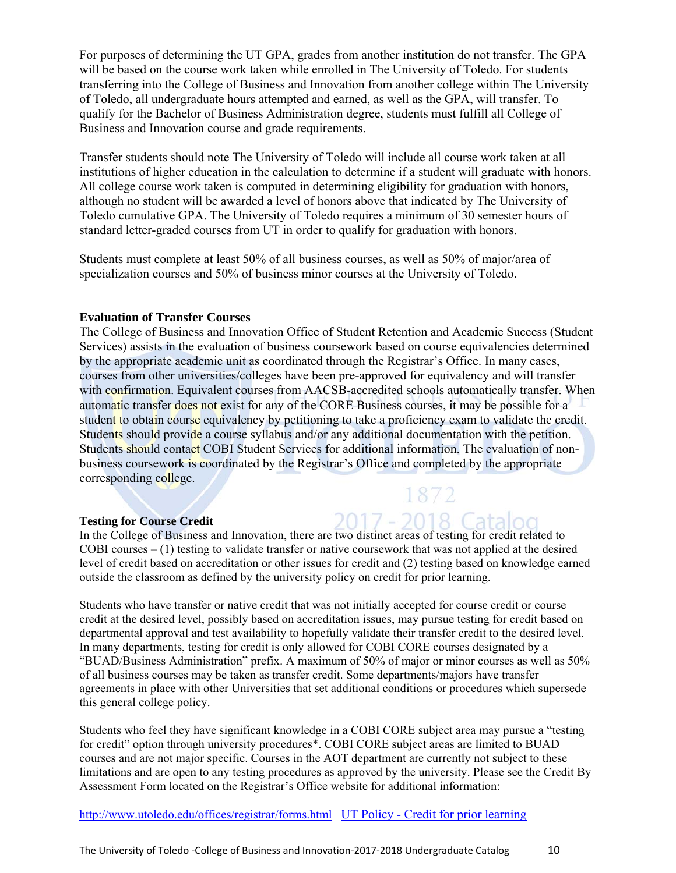For purposes of determining the UT GPA, grades from another institution do not transfer. The GPA will be based on the course work taken while enrolled in The University of Toledo. For students transferring into the College of Business and Innovation from another college within The University of Toledo, all undergraduate hours attempted and earned, as well as the GPA, will transfer. To qualify for the Bachelor of Business Administration degree, students must fulfill all College of Business and Innovation course and grade requirements.

Transfer students should note The University of Toledo will include all course work taken at all institutions of higher education in the calculation to determine if a student will graduate with honors. All college course work taken is computed in determining eligibility for graduation with honors, although no student will be awarded a level of honors above that indicated by The University of Toledo cumulative GPA. The University of Toledo requires a minimum of 30 semester hours of standard letter-graded courses from UT in order to qualify for graduation with honors.

Students must complete at least 50% of all business courses, as well as 50% of major/area of specialization courses and 50% of business minor courses at the University of Toledo.

#### **Evaluation of Transfer Courses**

The College of Business and Innovation Office of Student Retention and Academic Success (Student Services) assists in the evaluation of business coursework based on course equivalencies determined by the appropriate academic unit as coordinated through the Registrar's Office. In many cases, courses from other universities/colleges have been pre-approved for equivalency and will transfer with confirmation. Equivalent courses from AACSB-accredited schools automatically transfer. When automatic transfer does not exist for any of the CORE Business courses, it may be possible for a student to obtain course equivalency by petitioning to take a proficiency exam to validate the credit. Students should provide a course syllabus and/or any additional documentation with the petition. Students should contact COBI Student Services for additional information. The evaluation of nonbusiness coursework is coordinated by the Registrar's Office and completed by the appropriate corresponding college.

#### **Testing for Course Credit**

In the College of Business and Innovation, there are two distinct areas of testing for credit related to COBI courses – (1) testing to validate transfer or native coursework that was not applied at the desired level of credit based on accreditation or other issues for credit and (2) testing based on knowledge earned outside the classroom as defined by the university policy on credit for prior learning.

1872

2017 - 2018 Catalog

Students who have transfer or native credit that was not initially accepted for course credit or course credit at the desired level, possibly based on accreditation issues, may pursue testing for credit based on departmental approval and test availability to hopefully validate their transfer credit to the desired level. In many departments, testing for credit is only allowed for COBI CORE courses designated by a "BUAD/Business Administration" prefix. A maximum of 50% of major or minor courses as well as 50% of all business courses may be taken as transfer credit. Some departments/majors have transfer agreements in place with other Universities that set additional conditions or procedures which supersede this general college policy.

Students who feel they have significant knowledge in a COBI CORE subject area may pursue a "testing for credit" option through university procedures\*. COBI CORE subject areas are limited to BUAD courses and are not major specific. Courses in the AOT department are currently not subject to these limitations and are open to any testing procedures as approved by the university. Please see the Credit By Assessment Form located on the Registrar's Office website for additional information:

http://www.utoledo.edu/offices/registrar/forms.html UT Policy - Credit for prior learning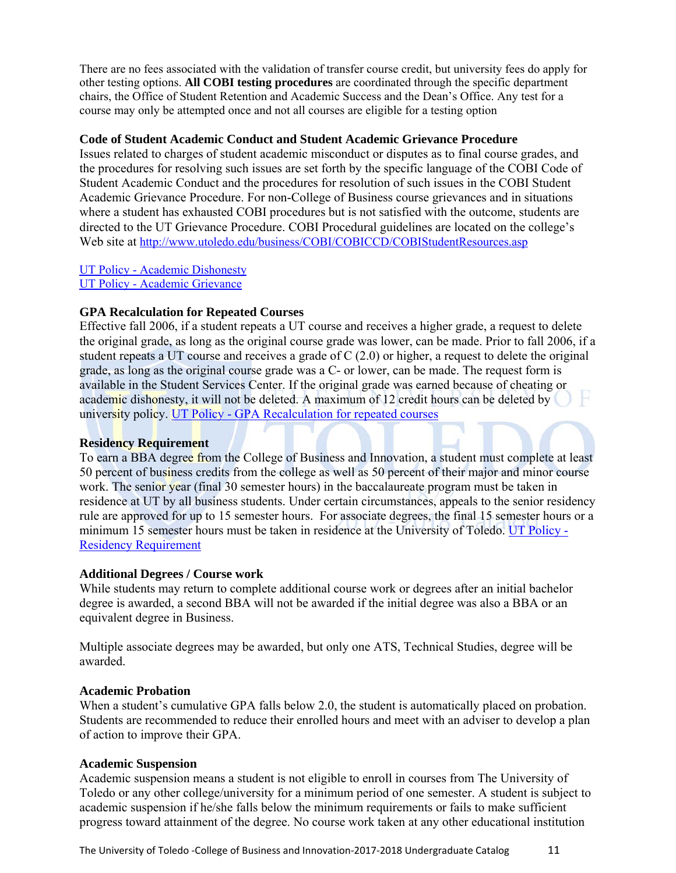There are no fees associated with the validation of transfer course credit, but university fees do apply for other testing options. **All COBI testing procedures** are coordinated through the specific department chairs, the Office of Student Retention and Academic Success and the Dean's Office. Any test for a course may only be attempted once and not all courses are eligible for a testing option

#### **Code of Student Academic Conduct and Student Academic Grievance Procedure**

Issues related to charges of student academic misconduct or disputes as to final course grades, and the procedures for resolving such issues are set forth by the specific language of the COBI Code of Student Academic Conduct and the procedures for resolution of such issues in the COBI Student Academic Grievance Procedure. For non-College of Business course grievances and in situations where a student has exhausted COBI procedures but is not satisfied with the outcome, students are directed to the UT Grievance Procedure. COBI Procedural guidelines are located on the college's Web site at http://www.utoledo.edu/business/COBI/COBICCD/COBIStudentResources.asp

UT Policy - Academic Dishonesty UT Policy - Academic Grievance

#### **GPA Recalculation for Repeated Courses**

Effective fall 2006, if a student repeats a UT course and receives a higher grade, a request to delete the original grade, as long as the original course grade was lower, can be made. Prior to fall 2006, if a student repeats a UT course and receives a grade of C (2.0) or higher, a request to delete the original grade, as long as the original course grade was a C- or lower, can be made. The request form is available in the Student Services Center. If the original grade was earned because of cheating or academic dishonesty, it will not be deleted. A maximum of 12 credit hours can be deleted by university policy. UT Policy - GPA Recalculation for repeated courses

#### **Residency Requirement**

To earn a BBA degree from the College of Business and Innovation, a student must complete at least 50 percent of business credits from the college as well as 50 percent of their major and minor course work. The senior year (final 30 semester hours) in the baccalaureate program must be taken in residence at UT by all business students. Under certain circumstances, appeals to the senior residency rule are approved for up to 15 semester hours. For associate degrees, the final 15 semester hours or a minimum 15 semester hours must be taken in residence at the University of Toledo. UT Policy - Residency Requirement

#### **Additional Degrees / Course work**

While students may return to complete additional course work or degrees after an initial bachelor degree is awarded, a second BBA will not be awarded if the initial degree was also a BBA or an equivalent degree in Business.

Multiple associate degrees may be awarded, but only one ATS, Technical Studies, degree will be awarded.

#### **Academic Probation**

When a student's cumulative GPA falls below 2.0, the student is automatically placed on probation. Students are recommended to reduce their enrolled hours and meet with an adviser to develop a plan of action to improve their GPA.

#### **Academic Suspension**

Academic suspension means a student is not eligible to enroll in courses from The University of Toledo or any other college/university for a minimum period of one semester. A student is subject to academic suspension if he/she falls below the minimum requirements or fails to make sufficient progress toward attainment of the degree. No course work taken at any other educational institution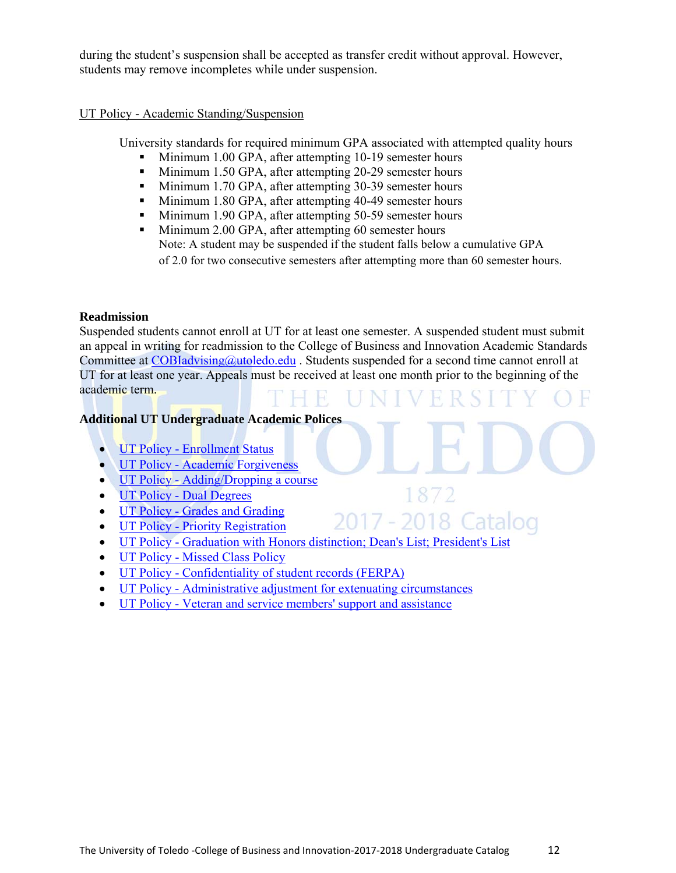during the student's suspension shall be accepted as transfer credit without approval. However, students may remove incompletes while under suspension.

#### UT Policy - Academic Standing/Suspension

University standards for required minimum GPA associated with attempted quality hours

- Minimum 1.00 GPA, after attempting 10-19 semester hours
- Minimum 1.50 GPA, after attempting 20-29 semester hours
- Minimum 1.70 GPA, after attempting 30-39 semester hours
- Minimum 1.80 GPA, after attempting 40-49 semester hours
- Minimum 1.90 GPA, after attempting 50-59 semester hours
- **Minimum 2.00 GPA, after attempting 60 semester hours** Note: A student may be suspended if the student falls below a cumulative GPA of 2.0 for two consecutive semesters after attempting more than 60 semester hours.

#### **Readmission**

Suspended students cannot enroll at UT for at least one semester. A suspended student must submit an appeal in writing for readmission to the College of Business and Innovation Academic Standards Committee at COBIadvising@utoledo.edu. Students suspended for a second time cannot enroll at UT for at least one year. Appeals must be received at least one month prior to the beginning of the academic term.

1872

2017 - 2018 Catalog

#### **Additional UT Undergraduate Academic Polices**

- UT Policy Enrollment Status
- UT Policy Academic Forgiveness
- UT Policy Adding/Dropping a course
- UT Policy Dual Degrees
- UT Policy Grades and Grading
- UT Policy Priority Registration
- UT Policy Graduation with Honors distinction; Dean's List; President's List
- UT Policy Missed Class Policy
- UT Policy Confidentiality of student records (FERPA)
- UT Policy Administrative adjustment for extenuating circumstances
- UT Policy Veteran and service members' support and assistance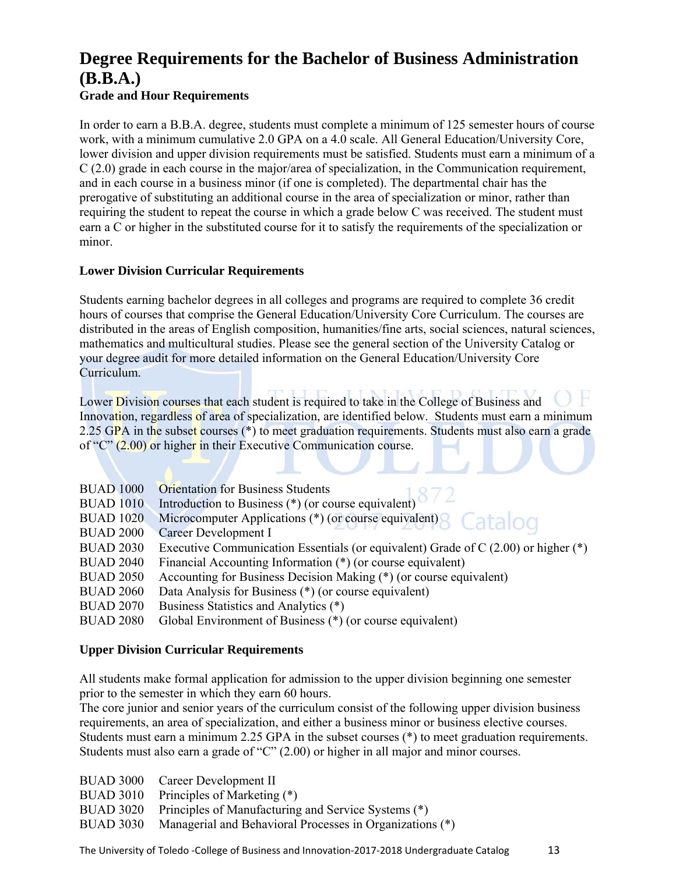# **Degree Requirements for the Bachelor of Business Administration (B.B.A.)**

#### **Grade and Hour Requirements**

In order to earn a B.B.A. degree, students must complete a minimum of 125 semester hours of course work, with a minimum cumulative 2.0 GPA on a 4.0 scale. All General Education/University Core, lower division and upper division requirements must be satisfied. Students must earn a minimum of a C (2.0) grade in each course in the major/area of specialization, in the Communication requirement, and in each course in a business minor (if one is completed). The departmental chair has the prerogative of substituting an additional course in the area of specialization or minor, rather than requiring the student to repeat the course in which a grade below C was received. The student must earn a C or higher in the substituted course for it to satisfy the requirements of the specialization or minor.

#### **Lower Division Curricular Requirements**

Students earning bachelor degrees in all colleges and programs are required to complete 36 credit hours of courses that comprise the General Education/University Core Curriculum. The courses are distributed in the areas of English composition, humanities/fine arts, social sciences, natural sciences, mathematics and multicultural studies. Please see the general section of the University Catalog or your degree audit for more detailed information on the General Education/University Core Curriculum.

Lower Division courses that each student is required to take in the College of Business and Innovation, regardless of area of specialization, are identified below. Students must earn a minimum 2.25 GPA in the subset courses (\*) to meet graduation requirements. Students must also earn a grade of "C" (2.00) or higher in their Executive Communication course.

| <b>BUAD 1000</b> | <b>Orientation for Business Students</b>                                              |
|------------------|---------------------------------------------------------------------------------------|
| <b>BUAD 1010</b> | Introduction to Business (*) (or course equivalent) $8/2$                             |
| <b>BUAD 1020</b> | Microcomputer Applications (*) (or course equivalent) 8 Catalog                       |
| <b>BUAD 2000</b> | Career Development I                                                                  |
| <b>BUAD 2030</b> | Executive Communication Essentials (or equivalent) Grade of $C(2.00)$ or higher $(*)$ |
| <b>BUAD 2040</b> | Financial Accounting Information (*) (or course equivalent)                           |
| <b>BUAD 2050</b> | Accounting for Business Decision Making (*) (or course equivalent)                    |
| <b>BUAD 2060</b> | Data Analysis for Business (*) (or course equivalent)                                 |
| <b>BUAD 2070</b> | Business Statistics and Analytics (*)                                                 |
| <b>BUAD 2080</b> | Global Environment of Business (*) (or course equivalent)                             |

#### **Upper Division Curricular Requirements**

All students make formal application for admission to the upper division beginning one semester prior to the semester in which they earn 60 hours.

The core junior and senior years of the curriculum consist of the following upper division business requirements, an area of specialization, and either a business minor or business elective courses. Students must earn a minimum 2.25 GPA in the subset courses (\*) to meet graduation requirements. Students must also earn a grade of "C" (2.00) or higher in all major and minor courses.

- BUAD 3000 Career Development II
- BUAD 3010 Principles of Marketing (\*)
- BUAD 3020 Principles of Manufacturing and Service Systems (\*)
- BUAD 3030 Managerial and Behavioral Processes in Organizations (\*)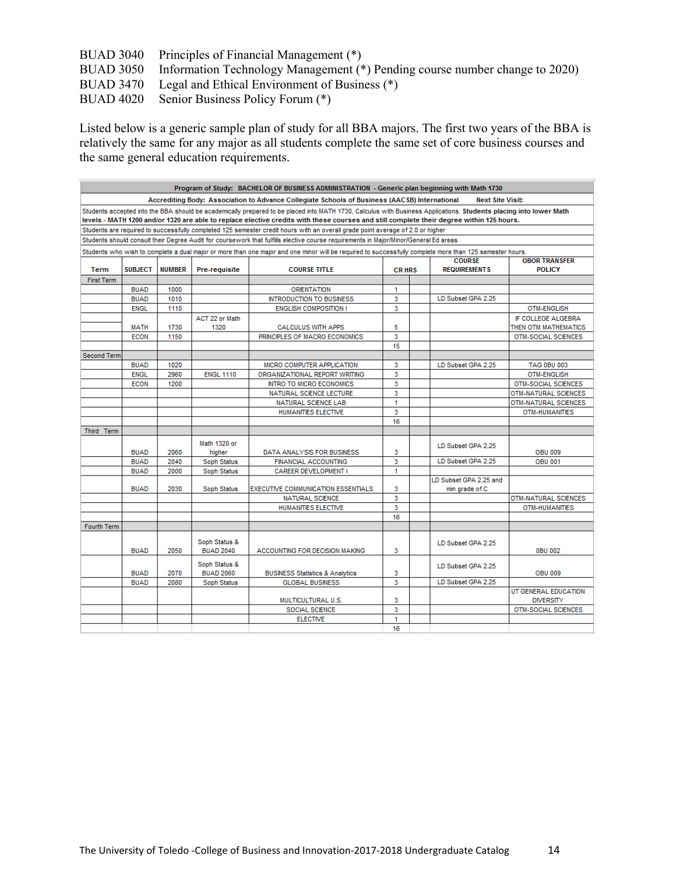BUAD 3040 Principles of Financial Management (\*) BUAD 3050 Information Technology Management (\*) Pending course number change to 2020) BUAD 3470 Legal and Ethical Environment of Business (\*) BUAD 4020 Senior Business Policy Forum (\*)

Listed below is a generic sample plan of study for all BBA majors. The first two years of the BBA is relatively the same for any major as all students complete the same set of core business courses and the same general education requirements.

|                    |                |               |                  | Program of Study: BACHELOR OF BUSINESS ADMINISTRATION - Generic plan beginning with Math 1730                                                                                                                                                                                                                 |               |                         |                            |
|--------------------|----------------|---------------|------------------|---------------------------------------------------------------------------------------------------------------------------------------------------------------------------------------------------------------------------------------------------------------------------------------------------------------|---------------|-------------------------|----------------------------|
|                    |                |               |                  | Accrediting Body: Association to Advance Collegiate Schools of Business (AACSB) International                                                                                                                                                                                                                 |               | <b>Next Site Visit:</b> |                            |
|                    |                |               |                  | Students accepted into the BBA should be academically prepared to be placed into MATH 1730. Calculus with Business Applications. Students placing into lower Math<br>levels - MATH 1200 and/or 1320 are able to replace elective credits with these courses and still complete their degree within 125 hours. |               |                         |                            |
|                    |                |               |                  | Students are required to successfully completed 125 semester credit hours with an overall grade point average of 2.0 or higher                                                                                                                                                                                |               |                         |                            |
|                    |                |               |                  | Students should consult their Degree Audit for coursework that fulfills elective course requirements in Major/Minor/General Ed areas                                                                                                                                                                          |               |                         |                            |
|                    |                |               |                  | Students who wish to complete a dual major or more than one major and one minor will be required to successfully complete more than 125 semester hours.                                                                                                                                                       |               |                         |                            |
|                    |                |               |                  |                                                                                                                                                                                                                                                                                                               |               | <b>COURSE</b>           | <b>OBOR TRANSFER</b>       |
| Term               | <b>SUBJECT</b> | <b>NUMBER</b> | Pre-requisite    | <b>COURSE TITLE</b>                                                                                                                                                                                                                                                                                           | <b>CR HRS</b> | <b>REQUIREMENTS</b>     | <b>POLICY</b>              |
| <b>First Term</b>  |                |               |                  |                                                                                                                                                                                                                                                                                                               |               |                         |                            |
|                    | <b>BUAD</b>    | 1000          |                  | <b>ORIENTATION</b>                                                                                                                                                                                                                                                                                            | 1             |                         |                            |
|                    | <b>BUAD</b>    | 1010          |                  | <b>INTRODUCTION TO BUSINESS</b>                                                                                                                                                                                                                                                                               | 3             | LD Subset GPA 2.25      |                            |
|                    | <b>ENGL</b>    | 1110          |                  | <b>ENGLISH COMPOSITION I</b>                                                                                                                                                                                                                                                                                  | 3             |                         | <b>OTM-ENGLISH</b>         |
|                    |                |               | ACT 22 or Math   |                                                                                                                                                                                                                                                                                                               |               |                         | IF COLLEGE ALGEBRA         |
|                    | <b>MATH</b>    | 1730          | 1320             | <b>CALCULUS WITH APPS</b>                                                                                                                                                                                                                                                                                     | 5             |                         | THEN OTM MATHEMATICS       |
|                    | <b>ECON</b>    | 1150          |                  | PRINCIPLES OF MACRO ECONOMICS                                                                                                                                                                                                                                                                                 | 3             |                         | <b>OTM-SOCIAL SCIENCES</b> |
|                    |                |               |                  |                                                                                                                                                                                                                                                                                                               | 15            |                         |                            |
| <b>Second Term</b> |                |               |                  |                                                                                                                                                                                                                                                                                                               |               |                         |                            |
|                    | <b>BUAD</b>    | 1020          |                  | MICRO COMPUTER APPLICATION                                                                                                                                                                                                                                                                                    | 3             | LD Subset GPA 2.25      | <b>TAG 0BU 003</b>         |
|                    | <b>ENGL</b>    | 2960          | <b>ENGL 1110</b> | ORGANIZATIONAL REPORT WRITING                                                                                                                                                                                                                                                                                 | 3             |                         | <b>OTM-ENGLISH</b>         |
|                    | <b>ECON</b>    | 1200          |                  | <b>INTRO TO MICRO ECONOMICS</b>                                                                                                                                                                                                                                                                               | 3             |                         | <b>OTM-SOCIAL SCIENCES</b> |
|                    |                |               |                  | NATURAL SCIENCE LECTURE                                                                                                                                                                                                                                                                                       | 3             |                         | OTM-NATURAL SCIENCES       |
|                    |                |               |                  | <b>NATURAL SCIENCE LAB</b>                                                                                                                                                                                                                                                                                    | 1             |                         | OTM-NATURAL SCIENCES       |
|                    |                |               |                  | HUMANITIES ELECTIVE                                                                                                                                                                                                                                                                                           | 3             |                         | <b>OTM-HUMANITIES</b>      |
|                    |                |               |                  |                                                                                                                                                                                                                                                                                                               | 16            |                         |                            |
| Third Term         |                |               |                  |                                                                                                                                                                                                                                                                                                               |               |                         |                            |
|                    |                |               | Math 1320 or     |                                                                                                                                                                                                                                                                                                               |               |                         |                            |
|                    | <b>BUAD</b>    | 2060          | higher           | DATA ANALYSIS FOR BUSINESS                                                                                                                                                                                                                                                                                    | 3             | LD Subset GPA 2.25      | <b>OBU 009</b>             |
|                    | <b>BUAD</b>    | 2040          | Soph Status      | <b>FINANCIAL ACCOUNTING</b>                                                                                                                                                                                                                                                                                   | 3             | LD Subset GPA 2.25      | <b>OBU 001</b>             |
|                    | <b>BUAD</b>    | 2000          | Soph Status      | <b>CAREER DEVELOPMENT I</b>                                                                                                                                                                                                                                                                                   | 1             |                         |                            |
|                    |                |               |                  |                                                                                                                                                                                                                                                                                                               |               | LD Subset GPA 2.25 and  |                            |
|                    | <b>BUAD</b>    | 2030          | Soph Status      | <b>EXECUTIVE COMMUNICATION ESSENTIALS</b>                                                                                                                                                                                                                                                                     | 3             | min grade of C          |                            |
|                    |                |               |                  | <b>NATURAL SCIENCE</b>                                                                                                                                                                                                                                                                                        | 3             |                         | OTM-NATURAL SCIENCES       |
|                    |                |               |                  | <b>HUMANITIES ELECTIVE</b>                                                                                                                                                                                                                                                                                    | 3             |                         | OTM-HUMANITIES             |
|                    |                |               |                  |                                                                                                                                                                                                                                                                                                               | 16            |                         |                            |
| <b>Fourth Term</b> |                |               |                  |                                                                                                                                                                                                                                                                                                               |               |                         |                            |
|                    |                |               |                  |                                                                                                                                                                                                                                                                                                               |               |                         |                            |
|                    |                |               | Soph Status &    |                                                                                                                                                                                                                                                                                                               |               | LD Subset GPA 2.25      |                            |
|                    | <b>BUAD</b>    | 2050          | <b>BUAD 2040</b> | ACCOUNTING FOR DECISION MAKING                                                                                                                                                                                                                                                                                | 3             |                         | 0BU 002                    |
|                    |                |               | Soph Status &    |                                                                                                                                                                                                                                                                                                               |               |                         |                            |
|                    | <b>BUAD</b>    | 2070          | <b>BUAD 2060</b> | <b>BUSINESS Statistics &amp; Analytics</b>                                                                                                                                                                                                                                                                    | 3             | LD Subset GPA 2.25      | <b>OBU 009</b>             |
|                    | <b>BUAD</b>    | 2080          | Soph Status      | <b>GLOBAL BUSINESS</b>                                                                                                                                                                                                                                                                                        | 3             | LD Subset GPA 2.25      |                            |
|                    |                |               |                  |                                                                                                                                                                                                                                                                                                               |               |                         | UT GENERAL EDUCATION       |
|                    |                |               |                  | MULTICULTURAL U.S.                                                                                                                                                                                                                                                                                            | 3             |                         | <b>DIVERSITY</b>           |
|                    |                |               |                  | <b>SOCIAL SCIENCE</b>                                                                                                                                                                                                                                                                                         | 3             |                         | <b>OTM-SOCIAL SCIENCES</b> |
|                    |                |               |                  | <b>ELECTIVE</b>                                                                                                                                                                                                                                                                                               | 1             |                         |                            |
|                    |                |               |                  |                                                                                                                                                                                                                                                                                                               | 16            |                         |                            |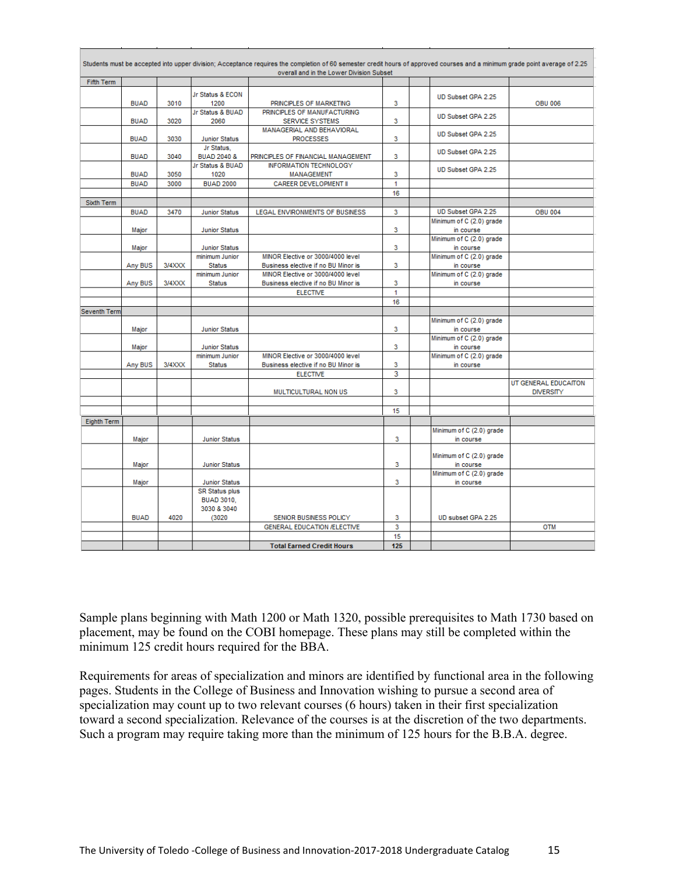|                   |             |        |                          | Students must be accepted into upper division; Acceptance requires the completion of 60 semester credit hours of approved courses and a minimum grade point average of 2.25<br>overall and in the Lower Division Subset |     |                                       |                      |
|-------------------|-------------|--------|--------------------------|-------------------------------------------------------------------------------------------------------------------------------------------------------------------------------------------------------------------------|-----|---------------------------------------|----------------------|
| <b>Fifth Term</b> |             |        |                          |                                                                                                                                                                                                                         |     |                                       |                      |
|                   |             |        | Jr Status & ECON         |                                                                                                                                                                                                                         |     |                                       |                      |
|                   | <b>BUAD</b> | 3010   | 1200                     | PRINCIPLES OF MARKETING                                                                                                                                                                                                 | 3   | UD Subset GPA 2.25                    | <b>OBU 006</b>       |
|                   |             |        | Jr Status & BUAD         | PRINCIPLES OF MANUFACTURING                                                                                                                                                                                             |     |                                       |                      |
|                   | <b>BUAD</b> | 3020   | 2060                     | <b>SERVICE SYSTEMS</b>                                                                                                                                                                                                  | 3   | UD Subset GPA 2.25                    |                      |
|                   |             |        |                          | MANAGERIAL AND BEHAVIORAL                                                                                                                                                                                               |     | UD Subset GPA 2.25                    |                      |
|                   | <b>BUAD</b> | 3030   | <b>Junior Status</b>     | <b>PROCESSES</b>                                                                                                                                                                                                        | 3   |                                       |                      |
|                   |             |        | Jr Status.               |                                                                                                                                                                                                                         |     | UD Subset GPA 2.25                    |                      |
|                   | <b>BUAD</b> | 3040   | <b>BUAD 2040 &amp;</b>   | PRINCIPLES OF FINANCIAL MANAGEMENT                                                                                                                                                                                      | 3   |                                       |                      |
|                   | <b>BUAD</b> | 3050   | Jr Status & BUAD<br>1020 | <b>INFORMATION TECHNOLOGY</b>                                                                                                                                                                                           | 3   | UD Subset GPA 2.25                    |                      |
|                   | <b>BUAD</b> | 3000   | <b>BUAD 2000</b>         | <b>MANAGEMENT</b><br><b>CAREER DEVELOPMENT II</b>                                                                                                                                                                       | 1   |                                       |                      |
|                   |             |        |                          |                                                                                                                                                                                                                         | 16  |                                       |                      |
| Sixth Term        |             |        |                          |                                                                                                                                                                                                                         |     |                                       |                      |
|                   | <b>BUAD</b> | 3470   | <b>Junior Status</b>     | LEGAL ENVIRONMENTS OF BUSINESS                                                                                                                                                                                          | 3   | UD Subset GPA 2.25                    | <b>OBU 004</b>       |
|                   |             |        |                          |                                                                                                                                                                                                                         |     | Minimum of C (2.0) grade              |                      |
|                   | Major       |        | <b>Junior Status</b>     |                                                                                                                                                                                                                         | 3   | in course                             |                      |
|                   |             |        |                          |                                                                                                                                                                                                                         |     | Minimum of C (2.0) grade              |                      |
|                   | Major       |        | <b>Junior Status</b>     |                                                                                                                                                                                                                         | 3   | in course                             |                      |
|                   |             |        | minimum Junior           | MINOR Elective or 3000/4000 level                                                                                                                                                                                       |     | Minimum of C (2.0) grade              |                      |
|                   | Any BUS     | 3/4XXX | <b>Status</b>            | Business elective if no BU Minor is                                                                                                                                                                                     | 3   | in course                             |                      |
|                   |             |        | minimum Junior           | MINOR Elective or 3000/4000 level                                                                                                                                                                                       |     | Minimum of C (2.0) grade              |                      |
|                   | Any BUS     | 3/4XXX | <b>Status</b>            | Business elective if no BU Minor is                                                                                                                                                                                     | 3   | in course                             |                      |
|                   |             |        |                          | <b>ELECTIVE</b>                                                                                                                                                                                                         | 1   |                                       |                      |
|                   |             |        |                          |                                                                                                                                                                                                                         | 16  |                                       |                      |
| Seventh Term      |             |        |                          |                                                                                                                                                                                                                         |     |                                       |                      |
|                   |             |        |                          |                                                                                                                                                                                                                         |     | Minimum of C (2.0) grade              |                      |
|                   | Major       |        | <b>Junior Status</b>     |                                                                                                                                                                                                                         | 3   | in course                             |                      |
|                   | Major       |        | <b>Junior Status</b>     |                                                                                                                                                                                                                         | 3   | Minimum of C (2.0) grade<br>in course |                      |
|                   |             |        | minimum Junior           | MINOR Elective or 3000/4000 level                                                                                                                                                                                       |     | Minimum of C (2.0) grade              |                      |
|                   | Any BUS     | 3/4XXX | <b>Status</b>            | Business elective if no BU Minor is                                                                                                                                                                                     | 3   | in course                             |                      |
|                   |             |        |                          | <b>ELECTIVE</b>                                                                                                                                                                                                         | 3   |                                       |                      |
|                   |             |        |                          |                                                                                                                                                                                                                         |     |                                       | UT GENERAL EDUCAITON |
|                   |             |        |                          | MULTICULTURAL NON US                                                                                                                                                                                                    | 3   |                                       | <b>DIVERSITY</b>     |
|                   |             |        |                          |                                                                                                                                                                                                                         |     |                                       |                      |
|                   |             |        |                          |                                                                                                                                                                                                                         | 15  |                                       |                      |
| Eighth Term       |             |        |                          |                                                                                                                                                                                                                         |     |                                       |                      |
|                   |             |        |                          |                                                                                                                                                                                                                         |     | Minimum of C (2.0) grade              |                      |
|                   | Major       |        | <b>Junior Status</b>     |                                                                                                                                                                                                                         | 3   | in course                             |                      |
|                   |             |        |                          |                                                                                                                                                                                                                         |     |                                       |                      |
|                   |             |        |                          |                                                                                                                                                                                                                         |     | Minimum of C (2.0) grade              |                      |
|                   | Major       |        | <b>Junior Status</b>     |                                                                                                                                                                                                                         | 3   | in course                             |                      |
|                   | Major       |        | <b>Junior Status</b>     |                                                                                                                                                                                                                         | 3   | Minimum of C (2.0) grade<br>in course |                      |
|                   |             |        | <b>SR Status plus</b>    |                                                                                                                                                                                                                         |     |                                       |                      |
|                   |             |        | <b>BUAD 3010.</b>        |                                                                                                                                                                                                                         |     |                                       |                      |
|                   |             |        | 3030 & 3040              |                                                                                                                                                                                                                         |     |                                       |                      |
|                   | <b>BUAD</b> | 4020   | (3020)                   | SENIOR BUSINESS POLICY                                                                                                                                                                                                  | 3   | UD subset GPA 2.25                    |                      |
|                   |             |        |                          | GENERAL EDUCATION /ELECTIVE                                                                                                                                                                                             | 3   |                                       | <b>OTM</b>           |
|                   |             |        |                          |                                                                                                                                                                                                                         | 15  |                                       |                      |
|                   |             |        |                          | <b>Total Earned Credit Hours</b>                                                                                                                                                                                        | 125 |                                       |                      |

Sample plans beginning with Math 1200 or Math 1320, possible prerequisites to Math 1730 based on placement, may be found on the COBI homepage. These plans may still be completed within the minimum 125 credit hours required for the BBA.

Requirements for areas of specialization and minors are identified by functional area in the following pages. Students in the College of Business and Innovation wishing to pursue a second area of specialization may count up to two relevant courses (6 hours) taken in their first specialization toward a second specialization. Relevance of the courses is at the discretion of the two departments. Such a program may require taking more than the minimum of 125 hours for the B.B.A. degree.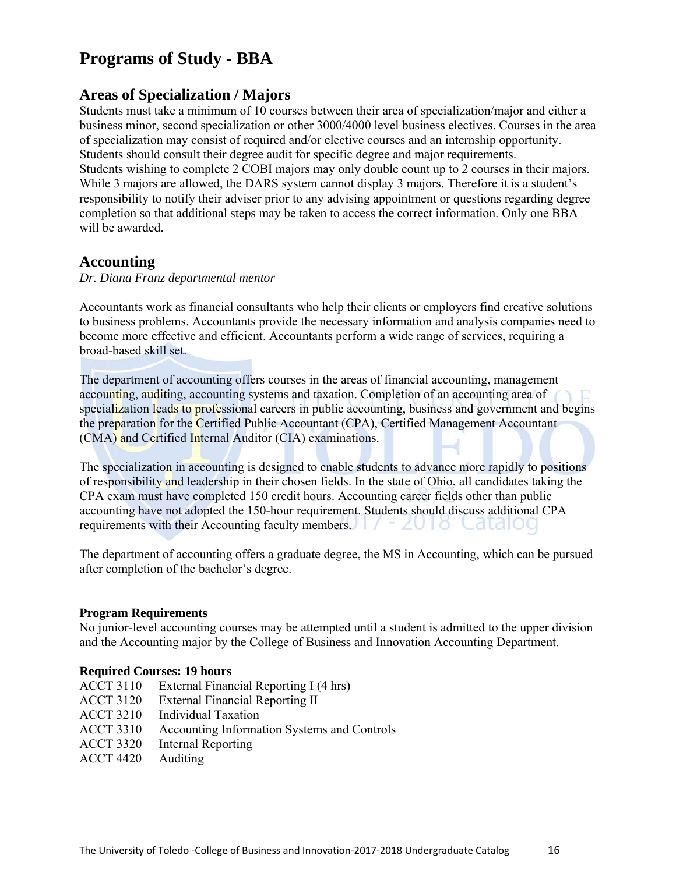# **Programs of Study - BBA**

## **Areas of Specialization / Majors**

Students must take a minimum of 10 courses between their area of specialization/major and either a business minor, second specialization or other 3000/4000 level business electives. Courses in the area of specialization may consist of required and/or elective courses and an internship opportunity. Students should consult their degree audit for specific degree and major requirements. Students wishing to complete 2 COBI majors may only double count up to 2 courses in their majors. While 3 majors are allowed, the DARS system cannot display 3 majors. Therefore it is a student's responsibility to notify their adviser prior to any advising appointment or questions regarding degree completion so that additional steps may be taken to access the correct information. Only one BBA will be awarded

### **Accounting**

#### *Dr. Diana Franz departmental mentor*

Accountants work as financial consultants who help their clients or employers find creative solutions to business problems. Accountants provide the necessary information and analysis companies need to become more effective and efficient. Accountants perform a wide range of services, requiring a broad-based skill set.

The department of accounting offers courses in the areas of financial accounting, management accounting, auditing, accounting systems and taxation. Completion of an accounting area of specialization leads to professional careers in public accounting, business and government and begins the preparation for the Certified Public Accountant (CPA), Certified Management Accountant (CMA) and Certified Internal Auditor (CIA) examinations.

The specialization in accounting is designed to enable students to advance more rapidly to positions of responsibility and leadership in their chosen fields. In the state of Ohio, all candidates taking the CPA exam must have completed 150 credit hours. Accounting career fields other than public accounting have not adopted the 150-hour requirement. Students should discuss additional CPA requirements with their Accounting faculty members.

The department of accounting offers a graduate degree, the MS in Accounting, which can be pursued after completion of the bachelor's degree.

#### **Program Requirements**

No junior-level accounting courses may be attempted until a student is admitted to the upper division and the Accounting major by the College of Business and Innovation Accounting Department.

#### **Required Courses: 19 hours**

- ACCT 3110 External Financial Reporting I (4 hrs)
- ACCT 3120 External Financial Reporting II
- ACCT 3210 Individual Taxation
- ACCT 3310 Accounting Information Systems and Controls
- ACCT 3320 Internal Reporting
- ACCT 4420 Auditing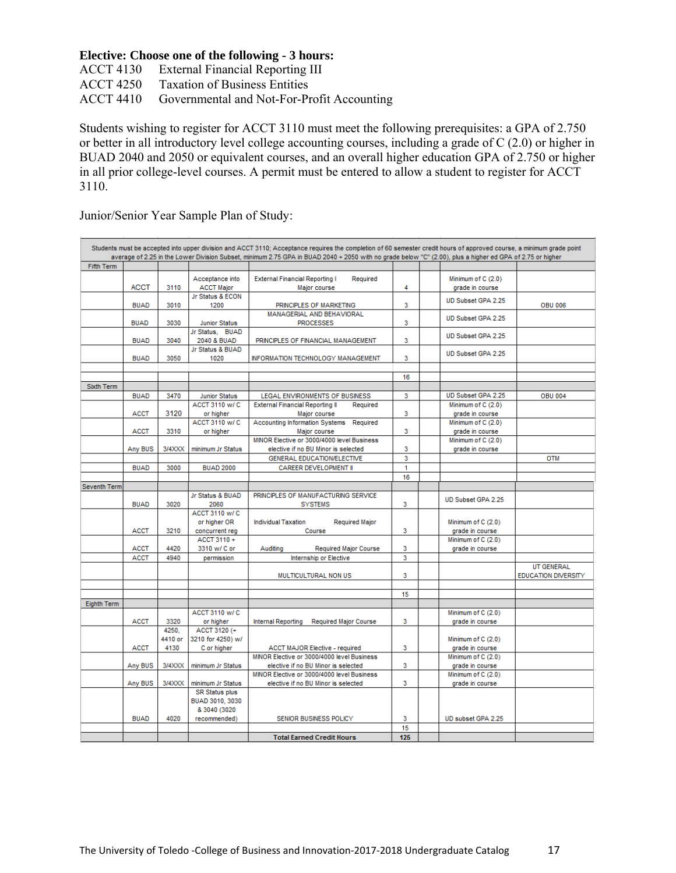#### **Elective: Choose one of the following - 3 hours:**

ACCT 4130 External Financial Reporting III ACCT 4250 Taxation of Business Entities ACCT 4410 Governmental and Not-For-Profit Accounting

Students wishing to register for ACCT 3110 must meet the following prerequisites: a GPA of 2.750 or better in all introductory level college accounting courses, including a grade of C (2.0) or higher in BUAD 2040 and 2050 or equivalent courses, and an overall higher education GPA of 2.750 or higher in all prior college-level courses. A permit must be entered to allow a student to register for ACCT 3110.

Junior/Senior Year Sample Plan of Study:

|                   |             |         |                       | Students must be accepted into upper division and ACCT 3110; Acceptance requires the completion of 60 semester credit hours of approved course, a minimum grade point<br>average of 2.25 in the Lower Division Subset, minimum 2.75 GPA in BUAD 2040 + 2050 with no grade below "C" (2.00), plus a higher ed GPA of 2.75 or higher |     |                                       |                            |
|-------------------|-------------|---------|-----------------------|------------------------------------------------------------------------------------------------------------------------------------------------------------------------------------------------------------------------------------------------------------------------------------------------------------------------------------|-----|---------------------------------------|----------------------------|
| <b>Fifth Term</b> |             |         |                       |                                                                                                                                                                                                                                                                                                                                    |     |                                       |                            |
|                   |             |         |                       |                                                                                                                                                                                                                                                                                                                                    |     |                                       |                            |
|                   |             |         | Acceptance into       | <b>External Financial Reporting I</b><br>Required                                                                                                                                                                                                                                                                                  |     | Minimum of C (2.0)                    |                            |
|                   | <b>ACCT</b> | 3110    | <b>ACCT Major</b>     | Major course                                                                                                                                                                                                                                                                                                                       | 4   | grade in course                       |                            |
|                   |             |         | Jr Status & ECON      |                                                                                                                                                                                                                                                                                                                                    |     | UD Subset GPA 2.25                    |                            |
|                   | <b>BUAD</b> | 3010    | 1200                  | PRINCIPLES OF MARKETING                                                                                                                                                                                                                                                                                                            | 3   |                                       | <b>OBU 006</b>             |
|                   |             |         |                       | MANAGERIAL AND BEHAVIORAL                                                                                                                                                                                                                                                                                                          |     | UD Subset GPA 2.25                    |                            |
|                   | <b>BUAD</b> | 3030    | <b>Junior Status</b>  | <b>PROCESSES</b>                                                                                                                                                                                                                                                                                                                   | 3   |                                       |                            |
|                   |             |         | Jr Status, BUAD       |                                                                                                                                                                                                                                                                                                                                    |     | UD Subset GPA 2.25                    |                            |
|                   | <b>BUAD</b> | 3040    | 2040 & BUAD           | PRINCIPLES OF FINANCIAL MANAGEMENT                                                                                                                                                                                                                                                                                                 | 3   |                                       |                            |
|                   |             |         | Jr Status & BUAD      |                                                                                                                                                                                                                                                                                                                                    |     | UD Subset GPA 2.25                    |                            |
|                   | <b>BUAD</b> | 3050    | 1020                  | INFORMATION TECHNOLOGY MANAGEMENT                                                                                                                                                                                                                                                                                                  | 3   |                                       |                            |
|                   |             |         |                       |                                                                                                                                                                                                                                                                                                                                    |     |                                       |                            |
|                   |             |         |                       |                                                                                                                                                                                                                                                                                                                                    | 16  |                                       |                            |
| Sixth Term        |             |         |                       |                                                                                                                                                                                                                                                                                                                                    |     |                                       |                            |
|                   | <b>BUAD</b> | 3470    | <b>Junior Status</b>  | <b>LEGAL ENVIRONMENTS OF BUSINESS</b>                                                                                                                                                                                                                                                                                              | 3   | UD Subset GPA 2.25                    | <b>OBU 004</b>             |
|                   |             |         | <b>ACCT 3110 w/C</b>  | <b>External Financial Reporting II</b><br>Required                                                                                                                                                                                                                                                                                 |     | Minimum of C (2.0)                    |                            |
|                   | <b>ACCT</b> | 3120    | or higher             | Major course                                                                                                                                                                                                                                                                                                                       | 3   | grade in course                       |                            |
|                   |             |         | ACCT 3110 w/ C        | <b>Accounting Information Systems</b><br>Required                                                                                                                                                                                                                                                                                  |     | Minimum of C (2.0)                    |                            |
|                   | <b>ACCT</b> | 3310    | or higher             | Major course                                                                                                                                                                                                                                                                                                                       | 3   | grade in course                       |                            |
|                   |             |         |                       | MINOR Elective or 3000/4000 level Business                                                                                                                                                                                                                                                                                         |     | Minimum of C (2.0)                    |                            |
|                   | Any BUS     | 3/4XXX  | minimum Jr Status     | elective if no BU Minor is selected                                                                                                                                                                                                                                                                                                | 3   | grade in course                       |                            |
|                   |             |         |                       | GENERAL EDUCATION/ELECTIVE                                                                                                                                                                                                                                                                                                         | 3   |                                       | <b>OTM</b>                 |
|                   | <b>BUAD</b> | 3000    | <b>BUAD 2000</b>      | <b>CAREER DEVELOPMENT II</b>                                                                                                                                                                                                                                                                                                       | 1   |                                       |                            |
|                   |             |         |                       |                                                                                                                                                                                                                                                                                                                                    | 16  |                                       |                            |
| Seventh Term      |             |         |                       |                                                                                                                                                                                                                                                                                                                                    |     |                                       |                            |
|                   |             |         | Jr Status & BUAD      | PRINCIPLES OF MANUFACTURING SERVICE                                                                                                                                                                                                                                                                                                |     | UD Subset GPA 2.25                    |                            |
|                   | <b>BUAD</b> | 3020    | 2060                  | <b>SYSTEMS</b>                                                                                                                                                                                                                                                                                                                     | 3   |                                       |                            |
|                   |             |         | ACCT 3110 w/ C        |                                                                                                                                                                                                                                                                                                                                    |     |                                       |                            |
|                   |             |         | or higher OR          | <b>Individual Taxation</b><br><b>Required Major</b>                                                                                                                                                                                                                                                                                |     | Minimum of C (2.0)                    |                            |
|                   | <b>ACCT</b> | 3210    | concurrent req        | Course                                                                                                                                                                                                                                                                                                                             | 3   | grade in course                       |                            |
|                   |             |         | ACCT 3110 +           |                                                                                                                                                                                                                                                                                                                                    |     | Minimum of C (2.0)                    |                            |
|                   | <b>ACCT</b> | 4420    | 3310 w/ C or          | Auditing<br>Required Major Course                                                                                                                                                                                                                                                                                                  | 3   | grade in course                       |                            |
|                   | <b>ACCT</b> | 4940    | permission            | Internship or Elective                                                                                                                                                                                                                                                                                                             | 3   |                                       |                            |
|                   |             |         |                       |                                                                                                                                                                                                                                                                                                                                    |     |                                       | <b>UT GENERAL</b>          |
|                   |             |         |                       | MULTICULTURAL NON US                                                                                                                                                                                                                                                                                                               | 3   |                                       | <b>EDUCATION DIVERSITY</b> |
|                   |             |         |                       |                                                                                                                                                                                                                                                                                                                                    |     |                                       |                            |
|                   |             |         |                       |                                                                                                                                                                                                                                                                                                                                    | 15  |                                       |                            |
| Eighth Term       |             |         |                       |                                                                                                                                                                                                                                                                                                                                    |     |                                       |                            |
|                   |             |         | <b>ACCT 3110 w/C</b>  |                                                                                                                                                                                                                                                                                                                                    |     | Minimum of C (2.0)                    |                            |
|                   | <b>ACCT</b> | 3320    | or higher             | Internal Reporting<br><b>Required Major Course</b>                                                                                                                                                                                                                                                                                 | 3   | grade in course                       |                            |
|                   |             | 4250.   | ACCT 3120 (+          |                                                                                                                                                                                                                                                                                                                                    |     |                                       |                            |
|                   |             | 4410 or | 3210 for 4250) w/     |                                                                                                                                                                                                                                                                                                                                    |     | Minimum of C (2.0)                    |                            |
|                   | <b>ACCT</b> | 4130    | C or higher           | <b>ACCT MAJOR Elective - required</b>                                                                                                                                                                                                                                                                                              | 3   | grade in course                       |                            |
|                   |             |         |                       | MINOR Elective or 3000/4000 level Business                                                                                                                                                                                                                                                                                         |     | Minimum of C (2.0)                    |                            |
|                   | Any BUS     | 3/4XXX  | minimum Jr Status     | elective if no BU Minor is selected<br>MINOR Elective or 3000/4000 level Business                                                                                                                                                                                                                                                  | 3   | grade in course<br>Minimum of C (2.0) |                            |
|                   |             | 3/4XXX  | minimum Jr Status     |                                                                                                                                                                                                                                                                                                                                    | 3   |                                       |                            |
|                   | Any BUS     |         | <b>SR Status plus</b> | elective if no BU Minor is selected                                                                                                                                                                                                                                                                                                |     | grade in course                       |                            |
|                   |             |         | BUAD 3010, 3030       |                                                                                                                                                                                                                                                                                                                                    |     |                                       |                            |
|                   |             |         | & 3040 (3020          |                                                                                                                                                                                                                                                                                                                                    |     |                                       |                            |
|                   | <b>BUAD</b> | 4020    | recommended)          | SENIOR BUSINESS POLICY                                                                                                                                                                                                                                                                                                             | 3   | UD subset GPA 2.25                    |                            |
|                   |             |         |                       |                                                                                                                                                                                                                                                                                                                                    | 15  |                                       |                            |
|                   |             |         |                       | <b>Total Earned Credit Hours</b>                                                                                                                                                                                                                                                                                                   | 125 |                                       |                            |
|                   |             |         |                       |                                                                                                                                                                                                                                                                                                                                    |     |                                       |                            |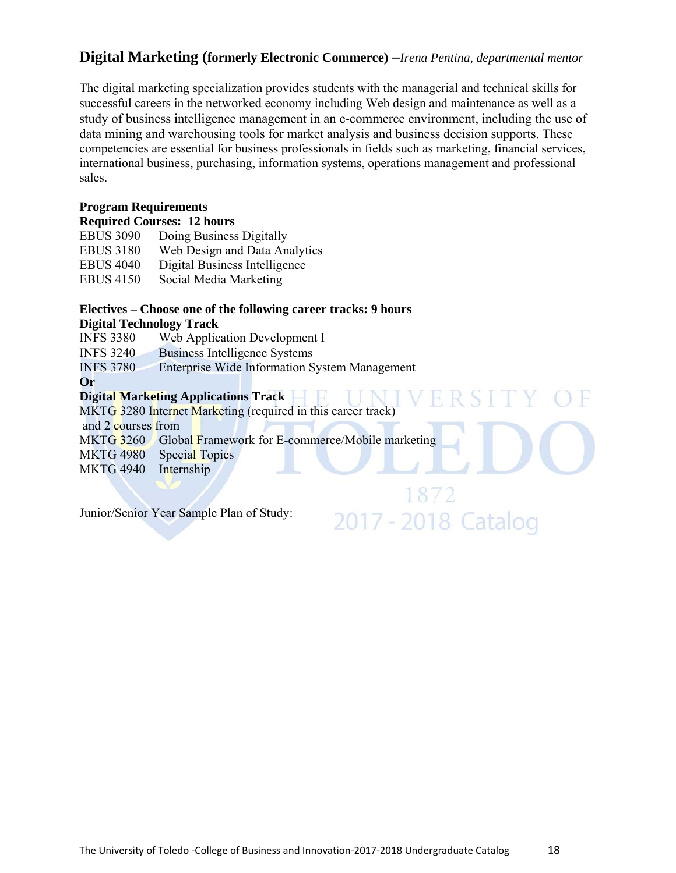# **Digital Marketing (formerly Electronic Commerce) –***Irena Pentina, departmental mentor*

The digital marketing specialization provides students with the managerial and technical skills for successful careers in the networked economy including Web design and maintenance as well as a study of business intelligence management in an e-commerce environment, including the use of data mining and warehousing tools for market analysis and business decision supports. These competencies are essential for business professionals in fields such as marketing, financial services, international business, purchasing, information systems, operations management and professional sales.

1877

2017 - 2018 Catalog

#### **Program Requirements**

|  |  | <b>Required Courses: 12 hours</b> |
|--|--|-----------------------------------|
|--|--|-----------------------------------|

| <b>EBUS 3090</b> | Doing Business Digitally      |
|------------------|-------------------------------|
| <b>EBUS 3180</b> | Web Design and Data Analytics |
| <b>EBUS 4040</b> | Digital Business Intelligence |
| <b>EBUS 4150</b> | Social Media Marketing        |

# **Electives – Choose one of the following career tracks: 9 hours**

**Digital Technology Track** 

INFS 3380 Web Application Development I

INFS 3240 Business Intelligence Systems

INFS 3780 Enterprise Wide Information System Management

**Or** 

#### **Digital Marketing Applications Track**

MKTG 3280 Internet Marketing (required in this career track)

and 2 courses from

- MKTG 3260 Global Framework for E-commerce/Mobile marketing
- MKTG 4980 Special Topics
- MKTG 4940 Internship

Junior/Senior Year Sample Plan of Study: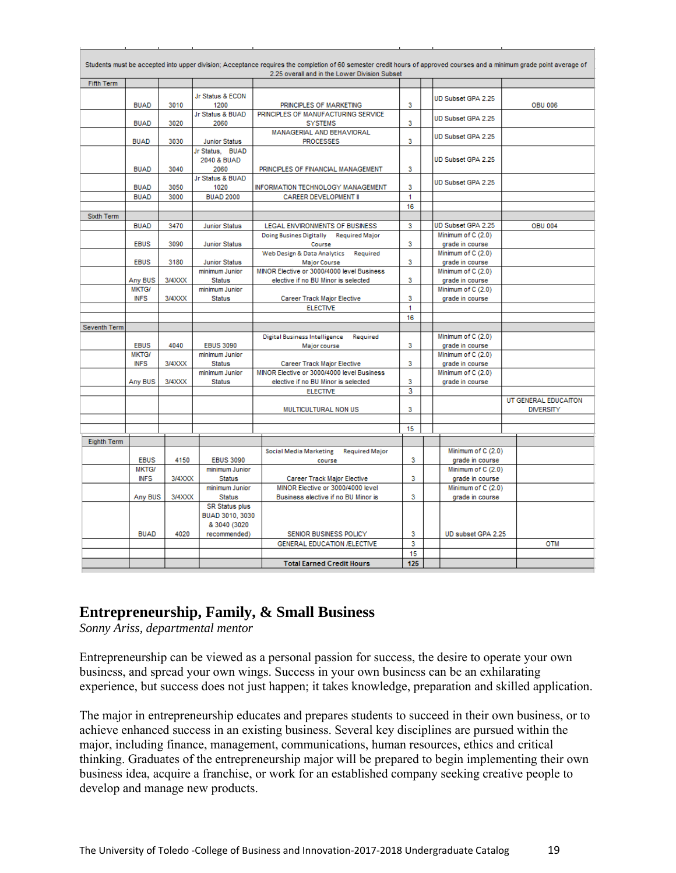|                    |                             |        |                                                          | Students must be accepted into upper division; Acceptance requires the completion of 60 semester credit hours of approved courses and a minimum grade point average of<br>2.25 overall and in the Lower Division Subset |     |                                       |                      |
|--------------------|-----------------------------|--------|----------------------------------------------------------|-------------------------------------------------------------------------------------------------------------------------------------------------------------------------------------------------------------------------|-----|---------------------------------------|----------------------|
| <b>Fifth Term</b>  |                             |        |                                                          |                                                                                                                                                                                                                         |     |                                       |                      |
|                    | <b>BUAD</b>                 | 3010   | Jr Status & ECON<br>1200                                 | PRINCIPLES OF MARKETING                                                                                                                                                                                                 | 3   | UD Subset GPA 2.25                    | <b>OBU 006</b>       |
|                    |                             |        | Jr Status & BUAD                                         | PRINCIPLES OF MANUFACTURING SERVICE                                                                                                                                                                                     |     | UD Subset GPA 2.25                    |                      |
|                    | <b>BUAD</b>                 | 3020   | 2060                                                     | <b>SYSTEMS</b><br>MANAGERIAL AND BEHAVIORAL                                                                                                                                                                             | 3   |                                       |                      |
|                    | <b>BUAD</b>                 | 3030   | <b>Junior Status</b>                                     | <b>PROCESSES</b>                                                                                                                                                                                                        | 3   | UD Subset GPA 2.25                    |                      |
|                    | <b>BUAD</b>                 | 3040   | Jr Status, BUAD<br>2040 & BUAD<br>2060                   | PRINCIPLES OF FINANCIAL MANAGEMENT                                                                                                                                                                                      | 3   | UD Subset GPA 2.25                    |                      |
|                    |                             |        | Jr Status & BUAD                                         |                                                                                                                                                                                                                         |     | UD Subset GPA 2.25                    |                      |
|                    | <b>BUAD</b>                 | 3050   | 1020                                                     | INFORMATION TECHNOLOGY MANAGEMENT                                                                                                                                                                                       | 3   |                                       |                      |
|                    | <b>BUAD</b>                 | 3000   | <b>BUAD 2000</b>                                         | CAREER DEVELOPMENT II                                                                                                                                                                                                   | 1   |                                       |                      |
|                    |                             |        |                                                          |                                                                                                                                                                                                                         | 16  |                                       |                      |
| Sixth Term         |                             |        |                                                          |                                                                                                                                                                                                                         |     |                                       |                      |
|                    | <b>BUAD</b>                 | 3470   | <b>Junior Status</b>                                     | LEGAL ENVIRONMENTS OF BUSINESS                                                                                                                                                                                          | 3   | UD Subset GPA 2.25                    | <b>OBU 004</b>       |
|                    |                             | 3090   |                                                          | <b>Doing Busines Digitally</b><br><b>Required Major</b>                                                                                                                                                                 | 3   | Minimum of C (2.0)                    |                      |
|                    | <b>EBUS</b>                 |        | <b>Junior Status</b>                                     | Course<br>Web Design & Data Analytics Required                                                                                                                                                                          |     | grade in course<br>Minimum of C (2.0) |                      |
|                    | <b>EBUS</b>                 | 3180   | <b>Junior Status</b>                                     | <b>Major Course</b>                                                                                                                                                                                                     | 3   | grade in course                       |                      |
|                    |                             |        | minimum Junior                                           | MINOR Elective or 3000/4000 level Business                                                                                                                                                                              |     | Minimum of C (2.0)                    |                      |
|                    | Any BUS                     | 3/4XXX | <b>Status</b>                                            | elective if no BU Minor is selected                                                                                                                                                                                     | 3   | grade in course                       |                      |
|                    | <b>MKTG/</b>                |        | minimum Junior                                           |                                                                                                                                                                                                                         |     | Minimum of C (2.0)                    |                      |
|                    | <b>INFS</b>                 | 3/4XXX | <b>Status</b>                                            | Career Track Major Elective                                                                                                                                                                                             | 3   | grade in course                       |                      |
|                    |                             |        |                                                          | <b>ELECTIVE</b>                                                                                                                                                                                                         | 1   |                                       |                      |
|                    |                             |        |                                                          |                                                                                                                                                                                                                         | 16  |                                       |                      |
| Seventh Term       |                             |        |                                                          |                                                                                                                                                                                                                         |     |                                       |                      |
|                    |                             |        |                                                          | <b>Digital Business Intelligence</b><br>Required                                                                                                                                                                        |     | Minimum of C (2.0)                    |                      |
|                    | <b>EBUS</b>                 | 4040   | <b>EBUS 3090</b>                                         | Major course                                                                                                                                                                                                            | 3   | grade in course                       |                      |
|                    | <b>MKTG/</b>                |        | minimum Junior                                           |                                                                                                                                                                                                                         | 3   | Minimum of C (2.0)                    |                      |
|                    | <b>INFS</b>                 | 3/4XXX | <b>Status</b><br>minimum Junior                          | <b>Career Track Major Elective</b><br>MINOR Elective or 3000/4000 level Business                                                                                                                                        |     | grade in course<br>Minimum of C (2.0) |                      |
|                    | Any BUS                     | 3/4XXX | <b>Status</b>                                            | elective if no BU Minor is selected                                                                                                                                                                                     | 3   | grade in course                       |                      |
|                    |                             |        |                                                          | <b>ELECTIVE</b>                                                                                                                                                                                                         | 3   |                                       |                      |
|                    |                             |        |                                                          |                                                                                                                                                                                                                         |     |                                       | UT GENERAL EDUCAITON |
|                    |                             |        |                                                          | MULTICULTURAL NON US                                                                                                                                                                                                    | 3   |                                       | <b>DIVERSITY</b>     |
|                    |                             |        |                                                          |                                                                                                                                                                                                                         |     |                                       |                      |
|                    |                             |        |                                                          |                                                                                                                                                                                                                         | 15  |                                       |                      |
| <b>Eighth Term</b> |                             |        |                                                          |                                                                                                                                                                                                                         |     |                                       |                      |
|                    |                             |        |                                                          | Social Media Marketing<br><b>Required Major</b>                                                                                                                                                                         |     | Minimum of C (2.0)                    |                      |
|                    | <b>EBUS</b>                 | 4150   | <b>EBUS 3090</b>                                         | course                                                                                                                                                                                                                  | 3   | grade in course                       |                      |
|                    | <b>MKTG/</b><br><b>INFS</b> | 3/4XXX | minimum Junior<br><b>Status</b>                          | Career Track Major Elective                                                                                                                                                                                             | 3   | Minimum of C (2.0)<br>grade in course |                      |
|                    |                             |        | minimum Junior                                           | MINOR Elective or 3000/4000 level                                                                                                                                                                                       |     | Minimum of C (2.0)                    |                      |
|                    | Any BUS                     | 3/4XXX | <b>Status</b>                                            | Business elective if no BU Minor is                                                                                                                                                                                     | 3   | grade in course                       |                      |
|                    |                             |        | <b>SR Status plus</b><br>BUAD 3010, 3030<br>& 3040 (3020 |                                                                                                                                                                                                                         |     |                                       |                      |
|                    | <b>BUAD</b>                 | 4020   | recommended)                                             | SENIOR BUSINESS POLICY                                                                                                                                                                                                  | 3   | UD subset GPA 2.25                    |                      |
|                    |                             |        |                                                          | GENERAL EDUCATION /ELECTIVE                                                                                                                                                                                             | 3   |                                       | <b>OTM</b>           |
|                    |                             |        |                                                          |                                                                                                                                                                                                                         | 15  |                                       |                      |
|                    |                             |        |                                                          | <b>Total Earned Credit Hours</b>                                                                                                                                                                                        | 125 |                                       |                      |

# **Entrepreneurship, Family, & Small Business**

*Sonny Ariss, departmental mentor* 

Entrepreneurship can be viewed as a personal passion for success, the desire to operate your own business, and spread your own wings. Success in your own business can be an exhilarating experience, but success does not just happen; it takes knowledge, preparation and skilled application.

The major in entrepreneurship educates and prepares students to succeed in their own business, or to achieve enhanced success in an existing business. Several key disciplines are pursued within the major, including finance, management, communications, human resources, ethics and critical thinking. Graduates of the entrepreneurship major will be prepared to begin implementing their own business idea, acquire a franchise, or work for an established company seeking creative people to develop and manage new products.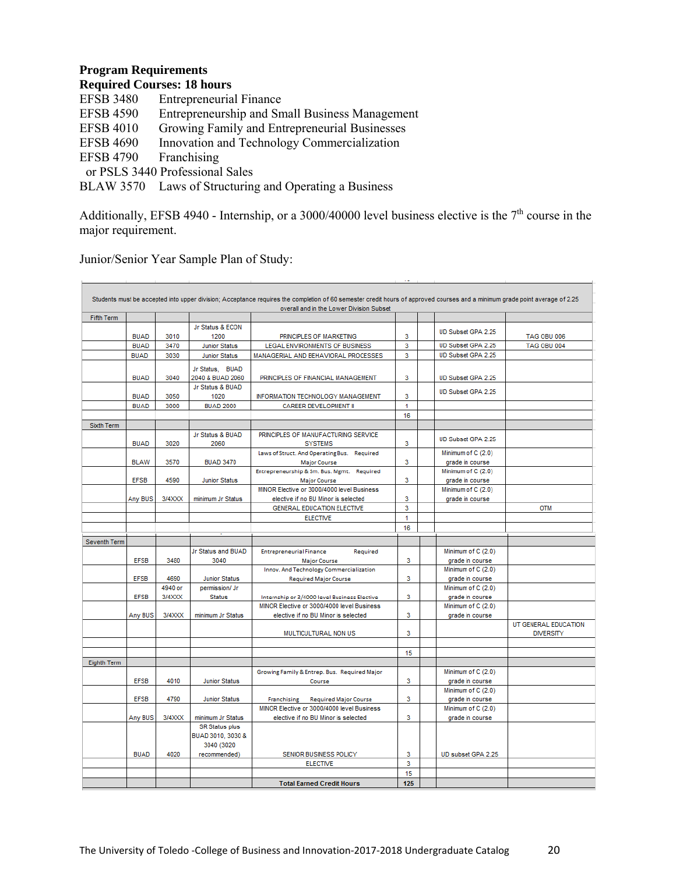#### **Program Requirements**

|  |  | <b>Required Courses: 18 hours</b> |
|--|--|-----------------------------------|
|--|--|-----------------------------------|

| <b>EFSB 3480</b> | <b>Entrepreneurial Finance</b>                         |
|------------------|--------------------------------------------------------|
| <b>EFSB 4590</b> | Entrepreneurship and Small Business Management         |
| <b>EFSB 4010</b> | Growing Family and Entrepreneurial Businesses          |
| <b>EFSB 4690</b> | Innovation and Technology Commercialization            |
| <b>EFSB 4790</b> | Franchising                                            |
|                  | or PSLS 3440 Professional Sales                        |
|                  | BLAW 3570 Laws of Structuring and Operating a Business |
|                  |                                                        |

Additionally, EFSB 4940 - Internship, or a 3000/40000 level business elective is the 7<sup>th</sup> course in the major requirement.

|                   |             |         |                       | overall and in the Lower Division Subset                                                  |         |                                       |                      |
|-------------------|-------------|---------|-----------------------|-------------------------------------------------------------------------------------------|---------|---------------------------------------|----------------------|
| <b>Fifth Term</b> |             |         |                       |                                                                                           |         |                                       |                      |
|                   |             |         | Jr Status & ECON      |                                                                                           |         | UD Subset GPA 2.25                    |                      |
|                   | <b>BUAD</b> | 3010    | 1200                  | PRINCIPLES OF MARKETING                                                                   | 3       |                                       | <b>TAG OBU 006</b>   |
|                   | <b>BUAD</b> | 3470    | <b>Junior Status</b>  | LEGAL ENVIRONMENTS OF BUSINESS                                                            | 3       | UD Subset GPA 2.25                    | TAG OBU 004          |
|                   | <b>BUAD</b> | 3030    | <b>Junior Status</b>  | MANAGERIAL AND BEHAVIORAL PROCESSES                                                       | 3       | UD Subset GPA 2.25                    |                      |
|                   |             |         | Jr Status, BUAD       |                                                                                           |         |                                       |                      |
|                   | <b>BUAD</b> | 3040    | 2040 & BUAD 2060      | PRINCIPLES OF FINANCIAL MANAGEMENT                                                        | 3       | UD Subset GPA 2.25                    |                      |
|                   |             |         | Jr Status & BUAD      |                                                                                           |         | UD Subset GPA 2.25                    |                      |
|                   | <b>BUAD</b> | 3050    | 1020                  | INFORMATION TECHNOLOGY MANAGEMENT                                                         | 3       |                                       |                      |
|                   | <b>BUAD</b> | 3000    | <b>BUAD 2000</b>      | <b>CAREER DEVELOPMENT II</b>                                                              | 1       |                                       |                      |
|                   |             |         |                       |                                                                                           | 16      |                                       |                      |
| Sixth Term        |             |         |                       |                                                                                           |         |                                       |                      |
|                   |             |         | Jr Status & BUAD      | PRINCIPLES OF MANUFACTURING SERVICE                                                       |         | UD Subset GPA 2.25                    |                      |
|                   | <b>BUAD</b> | 3020    | 2060                  | <b>SYSTEMS</b>                                                                            | 3       |                                       |                      |
|                   |             |         |                       | Laws of Struct. And Operating Bus. Required                                               |         | Minimum of C (2.0)                    |                      |
|                   | <b>BLAW</b> | 3570    | <b>BUAD 3470</b>      | <b>Major Course</b>                                                                       | 3       | grade in course                       |                      |
|                   |             |         |                       | Entrepreneurship & Sm. Bus. Mgmt. Required                                                |         | Minimum of C (2.0)                    |                      |
|                   | <b>EFSB</b> | 4590    | <b>Junior Status</b>  | <b>Major Course</b>                                                                       | 3       | grade in course                       |                      |
|                   |             |         |                       | MINOR Elective or 3000/4000 level Business                                                |         | Minimum of C (2.0)                    |                      |
|                   | Any BUS     | 3/4XXX  | minimum Jr Status     | elective if no BU Minor is selected                                                       | 3       | grade in course                       |                      |
|                   |             |         |                       | GENERAL EDUCATION ELECTIVE                                                                | 3       |                                       | <b>OTM</b>           |
|                   |             |         |                       | <b>ELECTIVE</b>                                                                           | 1       |                                       |                      |
|                   |             |         |                       |                                                                                           | 16      |                                       |                      |
| Seventh Term      |             |         |                       |                                                                                           |         |                                       |                      |
|                   |             |         | Jr Status and BUAD    | <b>Entrepreneurial Finance</b><br>Required                                                |         | Minimum of C (2.0)                    |                      |
|                   | <b>EFSB</b> | 3480    | 3040                  | <b>Major Course</b>                                                                       | 3       | grade in course                       |                      |
|                   |             |         |                       | Innov. And Technology Commercialization                                                   |         | Minimum of C (2.0)                    |                      |
|                   | <b>EFSB</b> | 4690    | <b>Junior Status</b>  | <b>Required Major Course</b>                                                              | 3       | grade in course                       |                      |
|                   |             | 4940 or | permission/ Jr        |                                                                                           |         | Minimum of C (2.0)                    |                      |
|                   | <b>EFSB</b> | 3/4XXX  | <b>Status</b>         | Internship or 3/4000 level Business Elective                                              | 3       | grade in course                       |                      |
|                   |             |         |                       | MINOR Elective or 3000/4000 level Business                                                |         | Minimum of C (2.0)                    |                      |
|                   | Any BUS     | 3/4XXX  | minimum Jr Status     | elective if no BU Minor is selected                                                       | 3       | grade in course                       |                      |
|                   |             |         |                       |                                                                                           |         |                                       | UT GENERAL EDUCATION |
|                   |             |         |                       | MULTICULTURAL NON US                                                                      | 3       |                                       | <b>DIVERSITY</b>     |
|                   |             |         |                       |                                                                                           |         |                                       |                      |
|                   |             |         |                       |                                                                                           | 15      |                                       |                      |
| Eighth Term       |             |         |                       |                                                                                           |         |                                       |                      |
|                   |             |         |                       | Growing Family & Entrep. Bus. Required Major                                              |         | Minimum of C (2.0)                    |                      |
|                   | <b>EFSB</b> | 4010    | <b>Junior Status</b>  | Course                                                                                    | 3       | grade in course                       |                      |
|                   | <b>EFSB</b> | 4790    | <b>Junior Status</b>  |                                                                                           | 3       | Minimum of C (2.0)                    |                      |
|                   |             |         |                       | <b>Required Major Course</b><br>Franchising<br>MINOR Elective or 3000/4000 level Business |         | grade in course                       |                      |
|                   | Any BUS     | 3/4XXX  | minimum Jr Status     | elective if no BU Minor is selected                                                       | 3       | Minimum of C (2.0)<br>grade in course |                      |
|                   |             |         | <b>SR Status plus</b> |                                                                                           |         |                                       |                      |
|                   |             |         | BUAD 3010, 3030 &     |                                                                                           |         |                                       |                      |
|                   |             |         |                       |                                                                                           |         |                                       |                      |
|                   |             |         |                       |                                                                                           |         |                                       |                      |
|                   |             |         | 3040 (3020            |                                                                                           |         |                                       |                      |
|                   | <b>BUAD</b> | 4020    | recommended)          | SENIOR BUSINESS POLICY                                                                    | 3       | UD subset GPA 2.25                    |                      |
|                   |             |         |                       | <b>ELECTIVE</b>                                                                           | 3<br>15 |                                       |                      |

Junior/Senior Year Sample Plan of Study: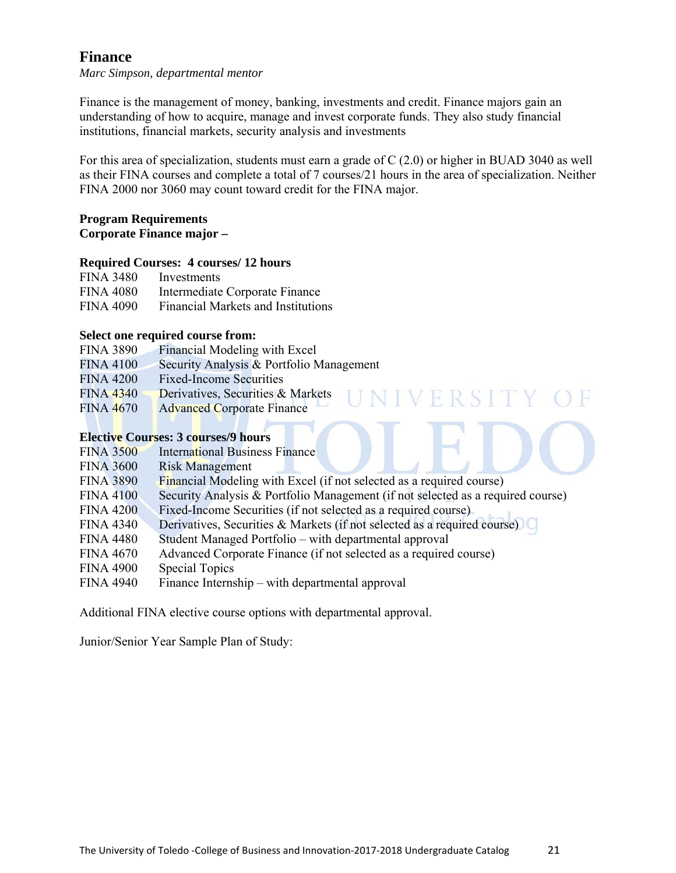# **Finance**

*Marc Simpson, departmental mentor* 

Finance is the management of money, banking, investments and credit. Finance majors gain an understanding of how to acquire, manage and invest corporate funds. They also study financial institutions, financial markets, security analysis and investments

For this area of specialization, students must earn a grade of C (2.0) or higher in BUAD 3040 as well as their FINA courses and complete a total of 7 courses/21 hours in the area of specialization. Neither FINA 2000 nor 3060 may count toward credit for the FINA major.

#### **Program Requirements Corporate Finance major –**

#### **Required Courses: 4 courses/ 12 hours**

| <b>FINA 3480</b> | Investments                               |
|------------------|-------------------------------------------|
| <b>FINA 4080</b> | Intermediate Corporate Finance            |
| <b>FINA 4090</b> | <b>Financial Markets and Institutions</b> |

#### **Select one required course from:**

| <b>FINA 3890</b> | Financial Modeling with Excel            |
|------------------|------------------------------------------|
| <b>FINA 4100</b> | Security Analysis & Portfolio Management |
| <b>FINA 4200</b> | <b>Fixed-Income Securities</b>           |
| <b>FINA 4340</b> | Derivatives, Securities & Markets        |

FINA 4670 Advanced Corporate Finance

# **Elective Courses: 3 courses/9 hours**

| <b>FINA 3500</b> | <b>International Business Finance</b>                                           |
|------------------|---------------------------------------------------------------------------------|
| <b>FINA 3600</b> | <b>Risk Management</b>                                                          |
| <b>FINA 3890</b> | <b>Financial Modeling with Excel (if not selected as a required course)</b>     |
| <b>FINA 4100</b> | Security Analysis & Portfolio Management (if not selected as a required course) |
| <b>FINA 4200</b> | Fixed-Income Securities (if not selected as a required course)                  |
| <b>FINA 4340</b> | Derivatives, Securities & Markets (if not selected as a required course)        |
| <b>FINA 4480</b> | Student Managed Portfolio – with departmental approval                          |
| <b>FINA 4670</b> | Advanced Corporate Finance (if not selected as a required course)               |
| <b>FINA 4900</b> | <b>Special Topics</b>                                                           |
| <b>FINA 4940</b> | Finance Internship – with departmental approval                                 |
|                  |                                                                                 |

Additional FINA elective course options with departmental approval.

Junior/Senior Year Sample Plan of Study: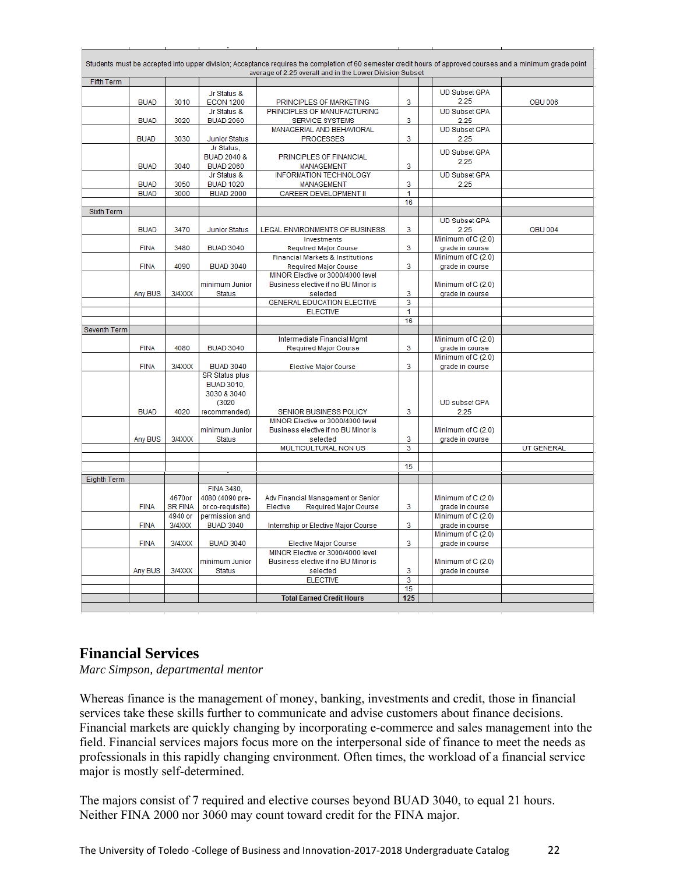| Fifth Term<br><b>UD Subset GPA</b><br>Jr Status &<br>2.25<br>3<br><b>BUAD</b><br>3010<br><b>ECON 1200</b><br>PRINCIPLES OF MARKETING<br><b>OBU 006</b><br>PRINCIPLES OF MANUFACTURING<br><b>UD Subset GPA</b><br>Jr Status &<br><b>BUAD</b><br>3020<br><b>BUAD 2060</b><br>3<br><b>SERVICE SYSTEMS</b><br>2.25<br><b>UD Subset GPA</b><br>MANAGERIAL AND BEHAVIORAL<br><b>BUAD</b><br>3030<br>Junior Status<br><b>PROCESSES</b><br>3<br>2.25<br>Jr Status,<br><b>UD Subset GPA</b><br><b>BUAD 2040 &amp;</b><br>PRINCIPLES OF FINANCIAL<br>2.25<br><b>BUAD</b><br>3040<br><b>BUAD 2060</b><br>3<br><b>MANAGEMENT</b><br><b>INFORMATION TECHNOLOGY</b><br><b>UD Subset GPA</b><br>Jr Status &<br><b>BUAD</b><br>3050<br><b>BUAD 1020</b><br>MANAGEMENT<br>3<br>2.25<br><b>BUAD</b><br>3000<br><b>BUAD 2000</b><br>CAREER DEVELOPMENT II<br>1<br>16<br>Sixth Term<br><b>UD Subset GPA</b><br>3<br><b>BUAD</b><br>3470<br>2.25<br><b>OBU 004</b><br><b>Junior Status</b><br>LEGAL ENVIRONMENTS OF BUSINESS<br>Minimum of C (2.0)<br>Investments<br><b>FINA</b><br>3480<br>3<br><b>BUAD 3040</b><br>grade in course<br><b>Required Major Course</b><br>Minimum of C (2.0)<br><b>Financial Markets &amp; Institutions</b><br>4090<br><b>BUAD 3040</b><br>3<br><b>FINA</b><br>grade in course<br><b>Required Major Course</b><br>MINOR Elective or 3000/4000 level<br>Minimum of C (2.0)<br>minimum Junior<br>Business elective if no BU Minor is<br>3/4XXX<br>3<br>Any BUS<br><b>Status</b><br>selected<br>grade in course<br><b>GENERAL EDUCATION ELECTIVE</b><br>3<br><b>ELECTIVE</b><br>1<br>16<br>Seventh Term<br>Intermediate Financial Mgmt<br>Minimum of C (2.0)<br><b>FINA</b><br>3<br>4080<br><b>BUAD 3040</b><br>Required Major Course<br>grade in course<br>Minimum of C (2.0)<br><b>FINA</b><br>3/4XXX<br><b>BUAD 3040</b><br>3<br>grade in course<br><b>Elective Major Course</b><br><b>SR Status plus</b><br><b>BUAD 3010.</b><br>3030 & 3040<br>(3020)<br><b>UD subset GPA</b><br><b>BUAD</b><br>4020<br>3<br>2.25<br>recommended)<br>SENIOR BUSINESS POLICY<br>MINOR Elective or 3000/4000 level<br>minimum Junior<br>Business elective if no BU Minor is<br>Minimum of C (2.0)<br>3/4XXX<br>3<br>Any BUS<br>Status<br>selected<br>grade in course<br>3<br>MULTICULTURAL NON US<br><b>UT GENERAL</b><br>15<br>Eighth Term<br><b>FINA 3480,</b><br>4670or<br>4080 (4090 pre-<br>Minimum of C (2.0)<br>Adv Financial Management or Senior<br><b>SR FINA</b><br><b>FINA</b><br>or co-requisite)<br>Elective<br><b>Required Major Course</b><br>3<br>grade in course<br>4940 or<br>Minimum of C (2.0)<br>permission and<br>3/4XXX<br>3<br><b>FINA</b><br><b>BUAD 3040</b><br>Internship or Elective Major Course<br>grade in course<br>Minimum of C (2.0)<br><b>FINA</b><br>3/4XXX<br><b>BUAD 3040</b><br>3<br>grade in course<br>Elective Major Course<br>MINOR Elective or 3000/4000 level<br>minimum Junior<br>Business elective if no BU Minor is<br>Minimum of C (2.0)<br>3/4XXX<br>3<br>Any BUS<br><b>Status</b><br>selected<br>grade in course<br>$\overline{\mathbf{3}}$<br><b>ELECTIVE</b><br>15<br><b>Total Earned Credit Hours</b><br>125 |  |  | Students must be accepted into upper division; Acceptance requires the completion of 60 semester credit hours of approved courses and a minimum grade point<br>average of 2.25 overall and in the Lower Division Subset |  |  |
|-------------------------------------------------------------------------------------------------------------------------------------------------------------------------------------------------------------------------------------------------------------------------------------------------------------------------------------------------------------------------------------------------------------------------------------------------------------------------------------------------------------------------------------------------------------------------------------------------------------------------------------------------------------------------------------------------------------------------------------------------------------------------------------------------------------------------------------------------------------------------------------------------------------------------------------------------------------------------------------------------------------------------------------------------------------------------------------------------------------------------------------------------------------------------------------------------------------------------------------------------------------------------------------------------------------------------------------------------------------------------------------------------------------------------------------------------------------------------------------------------------------------------------------------------------------------------------------------------------------------------------------------------------------------------------------------------------------------------------------------------------------------------------------------------------------------------------------------------------------------------------------------------------------------------------------------------------------------------------------------------------------------------------------------------------------------------------------------------------------------------------------------------------------------------------------------------------------------------------------------------------------------------------------------------------------------------------------------------------------------------------------------------------------------------------------------------------------------------------------------------------------------------------------------------------------------------------------------------------------------------------------------------------------------------------------------------------------------------------------------------------------------------------------------------------------------------------------------------------------------------------------------------------------------------------------------------------------------------------------------------------------------------------------------------------------------------------------------------------------------------------------------------------------|--|--|-------------------------------------------------------------------------------------------------------------------------------------------------------------------------------------------------------------------------|--|--|
|                                                                                                                                                                                                                                                                                                                                                                                                                                                                                                                                                                                                                                                                                                                                                                                                                                                                                                                                                                                                                                                                                                                                                                                                                                                                                                                                                                                                                                                                                                                                                                                                                                                                                                                                                                                                                                                                                                                                                                                                                                                                                                                                                                                                                                                                                                                                                                                                                                                                                                                                                                                                                                                                                                                                                                                                                                                                                                                                                                                                                                                                                                                                                             |  |  |                                                                                                                                                                                                                         |  |  |
|                                                                                                                                                                                                                                                                                                                                                                                                                                                                                                                                                                                                                                                                                                                                                                                                                                                                                                                                                                                                                                                                                                                                                                                                                                                                                                                                                                                                                                                                                                                                                                                                                                                                                                                                                                                                                                                                                                                                                                                                                                                                                                                                                                                                                                                                                                                                                                                                                                                                                                                                                                                                                                                                                                                                                                                                                                                                                                                                                                                                                                                                                                                                                             |  |  |                                                                                                                                                                                                                         |  |  |
|                                                                                                                                                                                                                                                                                                                                                                                                                                                                                                                                                                                                                                                                                                                                                                                                                                                                                                                                                                                                                                                                                                                                                                                                                                                                                                                                                                                                                                                                                                                                                                                                                                                                                                                                                                                                                                                                                                                                                                                                                                                                                                                                                                                                                                                                                                                                                                                                                                                                                                                                                                                                                                                                                                                                                                                                                                                                                                                                                                                                                                                                                                                                                             |  |  |                                                                                                                                                                                                                         |  |  |
|                                                                                                                                                                                                                                                                                                                                                                                                                                                                                                                                                                                                                                                                                                                                                                                                                                                                                                                                                                                                                                                                                                                                                                                                                                                                                                                                                                                                                                                                                                                                                                                                                                                                                                                                                                                                                                                                                                                                                                                                                                                                                                                                                                                                                                                                                                                                                                                                                                                                                                                                                                                                                                                                                                                                                                                                                                                                                                                                                                                                                                                                                                                                                             |  |  |                                                                                                                                                                                                                         |  |  |
|                                                                                                                                                                                                                                                                                                                                                                                                                                                                                                                                                                                                                                                                                                                                                                                                                                                                                                                                                                                                                                                                                                                                                                                                                                                                                                                                                                                                                                                                                                                                                                                                                                                                                                                                                                                                                                                                                                                                                                                                                                                                                                                                                                                                                                                                                                                                                                                                                                                                                                                                                                                                                                                                                                                                                                                                                                                                                                                                                                                                                                                                                                                                                             |  |  |                                                                                                                                                                                                                         |  |  |
|                                                                                                                                                                                                                                                                                                                                                                                                                                                                                                                                                                                                                                                                                                                                                                                                                                                                                                                                                                                                                                                                                                                                                                                                                                                                                                                                                                                                                                                                                                                                                                                                                                                                                                                                                                                                                                                                                                                                                                                                                                                                                                                                                                                                                                                                                                                                                                                                                                                                                                                                                                                                                                                                                                                                                                                                                                                                                                                                                                                                                                                                                                                                                             |  |  |                                                                                                                                                                                                                         |  |  |
|                                                                                                                                                                                                                                                                                                                                                                                                                                                                                                                                                                                                                                                                                                                                                                                                                                                                                                                                                                                                                                                                                                                                                                                                                                                                                                                                                                                                                                                                                                                                                                                                                                                                                                                                                                                                                                                                                                                                                                                                                                                                                                                                                                                                                                                                                                                                                                                                                                                                                                                                                                                                                                                                                                                                                                                                                                                                                                                                                                                                                                                                                                                                                             |  |  |                                                                                                                                                                                                                         |  |  |
|                                                                                                                                                                                                                                                                                                                                                                                                                                                                                                                                                                                                                                                                                                                                                                                                                                                                                                                                                                                                                                                                                                                                                                                                                                                                                                                                                                                                                                                                                                                                                                                                                                                                                                                                                                                                                                                                                                                                                                                                                                                                                                                                                                                                                                                                                                                                                                                                                                                                                                                                                                                                                                                                                                                                                                                                                                                                                                                                                                                                                                                                                                                                                             |  |  |                                                                                                                                                                                                                         |  |  |
|                                                                                                                                                                                                                                                                                                                                                                                                                                                                                                                                                                                                                                                                                                                                                                                                                                                                                                                                                                                                                                                                                                                                                                                                                                                                                                                                                                                                                                                                                                                                                                                                                                                                                                                                                                                                                                                                                                                                                                                                                                                                                                                                                                                                                                                                                                                                                                                                                                                                                                                                                                                                                                                                                                                                                                                                                                                                                                                                                                                                                                                                                                                                                             |  |  |                                                                                                                                                                                                                         |  |  |
|                                                                                                                                                                                                                                                                                                                                                                                                                                                                                                                                                                                                                                                                                                                                                                                                                                                                                                                                                                                                                                                                                                                                                                                                                                                                                                                                                                                                                                                                                                                                                                                                                                                                                                                                                                                                                                                                                                                                                                                                                                                                                                                                                                                                                                                                                                                                                                                                                                                                                                                                                                                                                                                                                                                                                                                                                                                                                                                                                                                                                                                                                                                                                             |  |  |                                                                                                                                                                                                                         |  |  |
|                                                                                                                                                                                                                                                                                                                                                                                                                                                                                                                                                                                                                                                                                                                                                                                                                                                                                                                                                                                                                                                                                                                                                                                                                                                                                                                                                                                                                                                                                                                                                                                                                                                                                                                                                                                                                                                                                                                                                                                                                                                                                                                                                                                                                                                                                                                                                                                                                                                                                                                                                                                                                                                                                                                                                                                                                                                                                                                                                                                                                                                                                                                                                             |  |  |                                                                                                                                                                                                                         |  |  |
|                                                                                                                                                                                                                                                                                                                                                                                                                                                                                                                                                                                                                                                                                                                                                                                                                                                                                                                                                                                                                                                                                                                                                                                                                                                                                                                                                                                                                                                                                                                                                                                                                                                                                                                                                                                                                                                                                                                                                                                                                                                                                                                                                                                                                                                                                                                                                                                                                                                                                                                                                                                                                                                                                                                                                                                                                                                                                                                                                                                                                                                                                                                                                             |  |  |                                                                                                                                                                                                                         |  |  |
|                                                                                                                                                                                                                                                                                                                                                                                                                                                                                                                                                                                                                                                                                                                                                                                                                                                                                                                                                                                                                                                                                                                                                                                                                                                                                                                                                                                                                                                                                                                                                                                                                                                                                                                                                                                                                                                                                                                                                                                                                                                                                                                                                                                                                                                                                                                                                                                                                                                                                                                                                                                                                                                                                                                                                                                                                                                                                                                                                                                                                                                                                                                                                             |  |  |                                                                                                                                                                                                                         |  |  |
|                                                                                                                                                                                                                                                                                                                                                                                                                                                                                                                                                                                                                                                                                                                                                                                                                                                                                                                                                                                                                                                                                                                                                                                                                                                                                                                                                                                                                                                                                                                                                                                                                                                                                                                                                                                                                                                                                                                                                                                                                                                                                                                                                                                                                                                                                                                                                                                                                                                                                                                                                                                                                                                                                                                                                                                                                                                                                                                                                                                                                                                                                                                                                             |  |  |                                                                                                                                                                                                                         |  |  |
|                                                                                                                                                                                                                                                                                                                                                                                                                                                                                                                                                                                                                                                                                                                                                                                                                                                                                                                                                                                                                                                                                                                                                                                                                                                                                                                                                                                                                                                                                                                                                                                                                                                                                                                                                                                                                                                                                                                                                                                                                                                                                                                                                                                                                                                                                                                                                                                                                                                                                                                                                                                                                                                                                                                                                                                                                                                                                                                                                                                                                                                                                                                                                             |  |  |                                                                                                                                                                                                                         |  |  |
|                                                                                                                                                                                                                                                                                                                                                                                                                                                                                                                                                                                                                                                                                                                                                                                                                                                                                                                                                                                                                                                                                                                                                                                                                                                                                                                                                                                                                                                                                                                                                                                                                                                                                                                                                                                                                                                                                                                                                                                                                                                                                                                                                                                                                                                                                                                                                                                                                                                                                                                                                                                                                                                                                                                                                                                                                                                                                                                                                                                                                                                                                                                                                             |  |  |                                                                                                                                                                                                                         |  |  |
|                                                                                                                                                                                                                                                                                                                                                                                                                                                                                                                                                                                                                                                                                                                                                                                                                                                                                                                                                                                                                                                                                                                                                                                                                                                                                                                                                                                                                                                                                                                                                                                                                                                                                                                                                                                                                                                                                                                                                                                                                                                                                                                                                                                                                                                                                                                                                                                                                                                                                                                                                                                                                                                                                                                                                                                                                                                                                                                                                                                                                                                                                                                                                             |  |  |                                                                                                                                                                                                                         |  |  |
|                                                                                                                                                                                                                                                                                                                                                                                                                                                                                                                                                                                                                                                                                                                                                                                                                                                                                                                                                                                                                                                                                                                                                                                                                                                                                                                                                                                                                                                                                                                                                                                                                                                                                                                                                                                                                                                                                                                                                                                                                                                                                                                                                                                                                                                                                                                                                                                                                                                                                                                                                                                                                                                                                                                                                                                                                                                                                                                                                                                                                                                                                                                                                             |  |  |                                                                                                                                                                                                                         |  |  |
|                                                                                                                                                                                                                                                                                                                                                                                                                                                                                                                                                                                                                                                                                                                                                                                                                                                                                                                                                                                                                                                                                                                                                                                                                                                                                                                                                                                                                                                                                                                                                                                                                                                                                                                                                                                                                                                                                                                                                                                                                                                                                                                                                                                                                                                                                                                                                                                                                                                                                                                                                                                                                                                                                                                                                                                                                                                                                                                                                                                                                                                                                                                                                             |  |  |                                                                                                                                                                                                                         |  |  |
|                                                                                                                                                                                                                                                                                                                                                                                                                                                                                                                                                                                                                                                                                                                                                                                                                                                                                                                                                                                                                                                                                                                                                                                                                                                                                                                                                                                                                                                                                                                                                                                                                                                                                                                                                                                                                                                                                                                                                                                                                                                                                                                                                                                                                                                                                                                                                                                                                                                                                                                                                                                                                                                                                                                                                                                                                                                                                                                                                                                                                                                                                                                                                             |  |  |                                                                                                                                                                                                                         |  |  |
|                                                                                                                                                                                                                                                                                                                                                                                                                                                                                                                                                                                                                                                                                                                                                                                                                                                                                                                                                                                                                                                                                                                                                                                                                                                                                                                                                                                                                                                                                                                                                                                                                                                                                                                                                                                                                                                                                                                                                                                                                                                                                                                                                                                                                                                                                                                                                                                                                                                                                                                                                                                                                                                                                                                                                                                                                                                                                                                                                                                                                                                                                                                                                             |  |  |                                                                                                                                                                                                                         |  |  |
|                                                                                                                                                                                                                                                                                                                                                                                                                                                                                                                                                                                                                                                                                                                                                                                                                                                                                                                                                                                                                                                                                                                                                                                                                                                                                                                                                                                                                                                                                                                                                                                                                                                                                                                                                                                                                                                                                                                                                                                                                                                                                                                                                                                                                                                                                                                                                                                                                                                                                                                                                                                                                                                                                                                                                                                                                                                                                                                                                                                                                                                                                                                                                             |  |  |                                                                                                                                                                                                                         |  |  |
|                                                                                                                                                                                                                                                                                                                                                                                                                                                                                                                                                                                                                                                                                                                                                                                                                                                                                                                                                                                                                                                                                                                                                                                                                                                                                                                                                                                                                                                                                                                                                                                                                                                                                                                                                                                                                                                                                                                                                                                                                                                                                                                                                                                                                                                                                                                                                                                                                                                                                                                                                                                                                                                                                                                                                                                                                                                                                                                                                                                                                                                                                                                                                             |  |  |                                                                                                                                                                                                                         |  |  |
|                                                                                                                                                                                                                                                                                                                                                                                                                                                                                                                                                                                                                                                                                                                                                                                                                                                                                                                                                                                                                                                                                                                                                                                                                                                                                                                                                                                                                                                                                                                                                                                                                                                                                                                                                                                                                                                                                                                                                                                                                                                                                                                                                                                                                                                                                                                                                                                                                                                                                                                                                                                                                                                                                                                                                                                                                                                                                                                                                                                                                                                                                                                                                             |  |  |                                                                                                                                                                                                                         |  |  |
|                                                                                                                                                                                                                                                                                                                                                                                                                                                                                                                                                                                                                                                                                                                                                                                                                                                                                                                                                                                                                                                                                                                                                                                                                                                                                                                                                                                                                                                                                                                                                                                                                                                                                                                                                                                                                                                                                                                                                                                                                                                                                                                                                                                                                                                                                                                                                                                                                                                                                                                                                                                                                                                                                                                                                                                                                                                                                                                                                                                                                                                                                                                                                             |  |  |                                                                                                                                                                                                                         |  |  |
|                                                                                                                                                                                                                                                                                                                                                                                                                                                                                                                                                                                                                                                                                                                                                                                                                                                                                                                                                                                                                                                                                                                                                                                                                                                                                                                                                                                                                                                                                                                                                                                                                                                                                                                                                                                                                                                                                                                                                                                                                                                                                                                                                                                                                                                                                                                                                                                                                                                                                                                                                                                                                                                                                                                                                                                                                                                                                                                                                                                                                                                                                                                                                             |  |  |                                                                                                                                                                                                                         |  |  |
|                                                                                                                                                                                                                                                                                                                                                                                                                                                                                                                                                                                                                                                                                                                                                                                                                                                                                                                                                                                                                                                                                                                                                                                                                                                                                                                                                                                                                                                                                                                                                                                                                                                                                                                                                                                                                                                                                                                                                                                                                                                                                                                                                                                                                                                                                                                                                                                                                                                                                                                                                                                                                                                                                                                                                                                                                                                                                                                                                                                                                                                                                                                                                             |  |  |                                                                                                                                                                                                                         |  |  |
|                                                                                                                                                                                                                                                                                                                                                                                                                                                                                                                                                                                                                                                                                                                                                                                                                                                                                                                                                                                                                                                                                                                                                                                                                                                                                                                                                                                                                                                                                                                                                                                                                                                                                                                                                                                                                                                                                                                                                                                                                                                                                                                                                                                                                                                                                                                                                                                                                                                                                                                                                                                                                                                                                                                                                                                                                                                                                                                                                                                                                                                                                                                                                             |  |  |                                                                                                                                                                                                                         |  |  |
|                                                                                                                                                                                                                                                                                                                                                                                                                                                                                                                                                                                                                                                                                                                                                                                                                                                                                                                                                                                                                                                                                                                                                                                                                                                                                                                                                                                                                                                                                                                                                                                                                                                                                                                                                                                                                                                                                                                                                                                                                                                                                                                                                                                                                                                                                                                                                                                                                                                                                                                                                                                                                                                                                                                                                                                                                                                                                                                                                                                                                                                                                                                                                             |  |  |                                                                                                                                                                                                                         |  |  |
|                                                                                                                                                                                                                                                                                                                                                                                                                                                                                                                                                                                                                                                                                                                                                                                                                                                                                                                                                                                                                                                                                                                                                                                                                                                                                                                                                                                                                                                                                                                                                                                                                                                                                                                                                                                                                                                                                                                                                                                                                                                                                                                                                                                                                                                                                                                                                                                                                                                                                                                                                                                                                                                                                                                                                                                                                                                                                                                                                                                                                                                                                                                                                             |  |  |                                                                                                                                                                                                                         |  |  |
|                                                                                                                                                                                                                                                                                                                                                                                                                                                                                                                                                                                                                                                                                                                                                                                                                                                                                                                                                                                                                                                                                                                                                                                                                                                                                                                                                                                                                                                                                                                                                                                                                                                                                                                                                                                                                                                                                                                                                                                                                                                                                                                                                                                                                                                                                                                                                                                                                                                                                                                                                                                                                                                                                                                                                                                                                                                                                                                                                                                                                                                                                                                                                             |  |  |                                                                                                                                                                                                                         |  |  |
|                                                                                                                                                                                                                                                                                                                                                                                                                                                                                                                                                                                                                                                                                                                                                                                                                                                                                                                                                                                                                                                                                                                                                                                                                                                                                                                                                                                                                                                                                                                                                                                                                                                                                                                                                                                                                                                                                                                                                                                                                                                                                                                                                                                                                                                                                                                                                                                                                                                                                                                                                                                                                                                                                                                                                                                                                                                                                                                                                                                                                                                                                                                                                             |  |  |                                                                                                                                                                                                                         |  |  |
|                                                                                                                                                                                                                                                                                                                                                                                                                                                                                                                                                                                                                                                                                                                                                                                                                                                                                                                                                                                                                                                                                                                                                                                                                                                                                                                                                                                                                                                                                                                                                                                                                                                                                                                                                                                                                                                                                                                                                                                                                                                                                                                                                                                                                                                                                                                                                                                                                                                                                                                                                                                                                                                                                                                                                                                                                                                                                                                                                                                                                                                                                                                                                             |  |  |                                                                                                                                                                                                                         |  |  |
|                                                                                                                                                                                                                                                                                                                                                                                                                                                                                                                                                                                                                                                                                                                                                                                                                                                                                                                                                                                                                                                                                                                                                                                                                                                                                                                                                                                                                                                                                                                                                                                                                                                                                                                                                                                                                                                                                                                                                                                                                                                                                                                                                                                                                                                                                                                                                                                                                                                                                                                                                                                                                                                                                                                                                                                                                                                                                                                                                                                                                                                                                                                                                             |  |  |                                                                                                                                                                                                                         |  |  |
|                                                                                                                                                                                                                                                                                                                                                                                                                                                                                                                                                                                                                                                                                                                                                                                                                                                                                                                                                                                                                                                                                                                                                                                                                                                                                                                                                                                                                                                                                                                                                                                                                                                                                                                                                                                                                                                                                                                                                                                                                                                                                                                                                                                                                                                                                                                                                                                                                                                                                                                                                                                                                                                                                                                                                                                                                                                                                                                                                                                                                                                                                                                                                             |  |  |                                                                                                                                                                                                                         |  |  |
|                                                                                                                                                                                                                                                                                                                                                                                                                                                                                                                                                                                                                                                                                                                                                                                                                                                                                                                                                                                                                                                                                                                                                                                                                                                                                                                                                                                                                                                                                                                                                                                                                                                                                                                                                                                                                                                                                                                                                                                                                                                                                                                                                                                                                                                                                                                                                                                                                                                                                                                                                                                                                                                                                                                                                                                                                                                                                                                                                                                                                                                                                                                                                             |  |  |                                                                                                                                                                                                                         |  |  |
|                                                                                                                                                                                                                                                                                                                                                                                                                                                                                                                                                                                                                                                                                                                                                                                                                                                                                                                                                                                                                                                                                                                                                                                                                                                                                                                                                                                                                                                                                                                                                                                                                                                                                                                                                                                                                                                                                                                                                                                                                                                                                                                                                                                                                                                                                                                                                                                                                                                                                                                                                                                                                                                                                                                                                                                                                                                                                                                                                                                                                                                                                                                                                             |  |  |                                                                                                                                                                                                                         |  |  |
|                                                                                                                                                                                                                                                                                                                                                                                                                                                                                                                                                                                                                                                                                                                                                                                                                                                                                                                                                                                                                                                                                                                                                                                                                                                                                                                                                                                                                                                                                                                                                                                                                                                                                                                                                                                                                                                                                                                                                                                                                                                                                                                                                                                                                                                                                                                                                                                                                                                                                                                                                                                                                                                                                                                                                                                                                                                                                                                                                                                                                                                                                                                                                             |  |  |                                                                                                                                                                                                                         |  |  |
|                                                                                                                                                                                                                                                                                                                                                                                                                                                                                                                                                                                                                                                                                                                                                                                                                                                                                                                                                                                                                                                                                                                                                                                                                                                                                                                                                                                                                                                                                                                                                                                                                                                                                                                                                                                                                                                                                                                                                                                                                                                                                                                                                                                                                                                                                                                                                                                                                                                                                                                                                                                                                                                                                                                                                                                                                                                                                                                                                                                                                                                                                                                                                             |  |  |                                                                                                                                                                                                                         |  |  |
|                                                                                                                                                                                                                                                                                                                                                                                                                                                                                                                                                                                                                                                                                                                                                                                                                                                                                                                                                                                                                                                                                                                                                                                                                                                                                                                                                                                                                                                                                                                                                                                                                                                                                                                                                                                                                                                                                                                                                                                                                                                                                                                                                                                                                                                                                                                                                                                                                                                                                                                                                                                                                                                                                                                                                                                                                                                                                                                                                                                                                                                                                                                                                             |  |  |                                                                                                                                                                                                                         |  |  |
|                                                                                                                                                                                                                                                                                                                                                                                                                                                                                                                                                                                                                                                                                                                                                                                                                                                                                                                                                                                                                                                                                                                                                                                                                                                                                                                                                                                                                                                                                                                                                                                                                                                                                                                                                                                                                                                                                                                                                                                                                                                                                                                                                                                                                                                                                                                                                                                                                                                                                                                                                                                                                                                                                                                                                                                                                                                                                                                                                                                                                                                                                                                                                             |  |  |                                                                                                                                                                                                                         |  |  |
|                                                                                                                                                                                                                                                                                                                                                                                                                                                                                                                                                                                                                                                                                                                                                                                                                                                                                                                                                                                                                                                                                                                                                                                                                                                                                                                                                                                                                                                                                                                                                                                                                                                                                                                                                                                                                                                                                                                                                                                                                                                                                                                                                                                                                                                                                                                                                                                                                                                                                                                                                                                                                                                                                                                                                                                                                                                                                                                                                                                                                                                                                                                                                             |  |  |                                                                                                                                                                                                                         |  |  |
|                                                                                                                                                                                                                                                                                                                                                                                                                                                                                                                                                                                                                                                                                                                                                                                                                                                                                                                                                                                                                                                                                                                                                                                                                                                                                                                                                                                                                                                                                                                                                                                                                                                                                                                                                                                                                                                                                                                                                                                                                                                                                                                                                                                                                                                                                                                                                                                                                                                                                                                                                                                                                                                                                                                                                                                                                                                                                                                                                                                                                                                                                                                                                             |  |  |                                                                                                                                                                                                                         |  |  |
|                                                                                                                                                                                                                                                                                                                                                                                                                                                                                                                                                                                                                                                                                                                                                                                                                                                                                                                                                                                                                                                                                                                                                                                                                                                                                                                                                                                                                                                                                                                                                                                                                                                                                                                                                                                                                                                                                                                                                                                                                                                                                                                                                                                                                                                                                                                                                                                                                                                                                                                                                                                                                                                                                                                                                                                                                                                                                                                                                                                                                                                                                                                                                             |  |  |                                                                                                                                                                                                                         |  |  |
|                                                                                                                                                                                                                                                                                                                                                                                                                                                                                                                                                                                                                                                                                                                                                                                                                                                                                                                                                                                                                                                                                                                                                                                                                                                                                                                                                                                                                                                                                                                                                                                                                                                                                                                                                                                                                                                                                                                                                                                                                                                                                                                                                                                                                                                                                                                                                                                                                                                                                                                                                                                                                                                                                                                                                                                                                                                                                                                                                                                                                                                                                                                                                             |  |  |                                                                                                                                                                                                                         |  |  |
|                                                                                                                                                                                                                                                                                                                                                                                                                                                                                                                                                                                                                                                                                                                                                                                                                                                                                                                                                                                                                                                                                                                                                                                                                                                                                                                                                                                                                                                                                                                                                                                                                                                                                                                                                                                                                                                                                                                                                                                                                                                                                                                                                                                                                                                                                                                                                                                                                                                                                                                                                                                                                                                                                                                                                                                                                                                                                                                                                                                                                                                                                                                                                             |  |  |                                                                                                                                                                                                                         |  |  |
|                                                                                                                                                                                                                                                                                                                                                                                                                                                                                                                                                                                                                                                                                                                                                                                                                                                                                                                                                                                                                                                                                                                                                                                                                                                                                                                                                                                                                                                                                                                                                                                                                                                                                                                                                                                                                                                                                                                                                                                                                                                                                                                                                                                                                                                                                                                                                                                                                                                                                                                                                                                                                                                                                                                                                                                                                                                                                                                                                                                                                                                                                                                                                             |  |  |                                                                                                                                                                                                                         |  |  |
|                                                                                                                                                                                                                                                                                                                                                                                                                                                                                                                                                                                                                                                                                                                                                                                                                                                                                                                                                                                                                                                                                                                                                                                                                                                                                                                                                                                                                                                                                                                                                                                                                                                                                                                                                                                                                                                                                                                                                                                                                                                                                                                                                                                                                                                                                                                                                                                                                                                                                                                                                                                                                                                                                                                                                                                                                                                                                                                                                                                                                                                                                                                                                             |  |  |                                                                                                                                                                                                                         |  |  |
|                                                                                                                                                                                                                                                                                                                                                                                                                                                                                                                                                                                                                                                                                                                                                                                                                                                                                                                                                                                                                                                                                                                                                                                                                                                                                                                                                                                                                                                                                                                                                                                                                                                                                                                                                                                                                                                                                                                                                                                                                                                                                                                                                                                                                                                                                                                                                                                                                                                                                                                                                                                                                                                                                                                                                                                                                                                                                                                                                                                                                                                                                                                                                             |  |  |                                                                                                                                                                                                                         |  |  |
|                                                                                                                                                                                                                                                                                                                                                                                                                                                                                                                                                                                                                                                                                                                                                                                                                                                                                                                                                                                                                                                                                                                                                                                                                                                                                                                                                                                                                                                                                                                                                                                                                                                                                                                                                                                                                                                                                                                                                                                                                                                                                                                                                                                                                                                                                                                                                                                                                                                                                                                                                                                                                                                                                                                                                                                                                                                                                                                                                                                                                                                                                                                                                             |  |  |                                                                                                                                                                                                                         |  |  |
|                                                                                                                                                                                                                                                                                                                                                                                                                                                                                                                                                                                                                                                                                                                                                                                                                                                                                                                                                                                                                                                                                                                                                                                                                                                                                                                                                                                                                                                                                                                                                                                                                                                                                                                                                                                                                                                                                                                                                                                                                                                                                                                                                                                                                                                                                                                                                                                                                                                                                                                                                                                                                                                                                                                                                                                                                                                                                                                                                                                                                                                                                                                                                             |  |  |                                                                                                                                                                                                                         |  |  |
|                                                                                                                                                                                                                                                                                                                                                                                                                                                                                                                                                                                                                                                                                                                                                                                                                                                                                                                                                                                                                                                                                                                                                                                                                                                                                                                                                                                                                                                                                                                                                                                                                                                                                                                                                                                                                                                                                                                                                                                                                                                                                                                                                                                                                                                                                                                                                                                                                                                                                                                                                                                                                                                                                                                                                                                                                                                                                                                                                                                                                                                                                                                                                             |  |  |                                                                                                                                                                                                                         |  |  |
|                                                                                                                                                                                                                                                                                                                                                                                                                                                                                                                                                                                                                                                                                                                                                                                                                                                                                                                                                                                                                                                                                                                                                                                                                                                                                                                                                                                                                                                                                                                                                                                                                                                                                                                                                                                                                                                                                                                                                                                                                                                                                                                                                                                                                                                                                                                                                                                                                                                                                                                                                                                                                                                                                                                                                                                                                                                                                                                                                                                                                                                                                                                                                             |  |  |                                                                                                                                                                                                                         |  |  |
|                                                                                                                                                                                                                                                                                                                                                                                                                                                                                                                                                                                                                                                                                                                                                                                                                                                                                                                                                                                                                                                                                                                                                                                                                                                                                                                                                                                                                                                                                                                                                                                                                                                                                                                                                                                                                                                                                                                                                                                                                                                                                                                                                                                                                                                                                                                                                                                                                                                                                                                                                                                                                                                                                                                                                                                                                                                                                                                                                                                                                                                                                                                                                             |  |  |                                                                                                                                                                                                                         |  |  |
|                                                                                                                                                                                                                                                                                                                                                                                                                                                                                                                                                                                                                                                                                                                                                                                                                                                                                                                                                                                                                                                                                                                                                                                                                                                                                                                                                                                                                                                                                                                                                                                                                                                                                                                                                                                                                                                                                                                                                                                                                                                                                                                                                                                                                                                                                                                                                                                                                                                                                                                                                                                                                                                                                                                                                                                                                                                                                                                                                                                                                                                                                                                                                             |  |  |                                                                                                                                                                                                                         |  |  |
|                                                                                                                                                                                                                                                                                                                                                                                                                                                                                                                                                                                                                                                                                                                                                                                                                                                                                                                                                                                                                                                                                                                                                                                                                                                                                                                                                                                                                                                                                                                                                                                                                                                                                                                                                                                                                                                                                                                                                                                                                                                                                                                                                                                                                                                                                                                                                                                                                                                                                                                                                                                                                                                                                                                                                                                                                                                                                                                                                                                                                                                                                                                                                             |  |  |                                                                                                                                                                                                                         |  |  |
|                                                                                                                                                                                                                                                                                                                                                                                                                                                                                                                                                                                                                                                                                                                                                                                                                                                                                                                                                                                                                                                                                                                                                                                                                                                                                                                                                                                                                                                                                                                                                                                                                                                                                                                                                                                                                                                                                                                                                                                                                                                                                                                                                                                                                                                                                                                                                                                                                                                                                                                                                                                                                                                                                                                                                                                                                                                                                                                                                                                                                                                                                                                                                             |  |  |                                                                                                                                                                                                                         |  |  |

### **Financial Services**

*Marc Simpson, departmental mentor* 

Whereas finance is the management of money, banking, investments and credit, those in financial services take these skills further to communicate and advise customers about finance decisions. Financial markets are quickly changing by incorporating e-commerce and sales management into the field. Financial services majors focus more on the interpersonal side of finance to meet the needs as professionals in this rapidly changing environment. Often times, the workload of a financial service major is mostly self-determined.

The majors consist of 7 required and elective courses beyond BUAD 3040, to equal 21 hours. Neither FINA 2000 nor 3060 may count toward credit for the FINA major.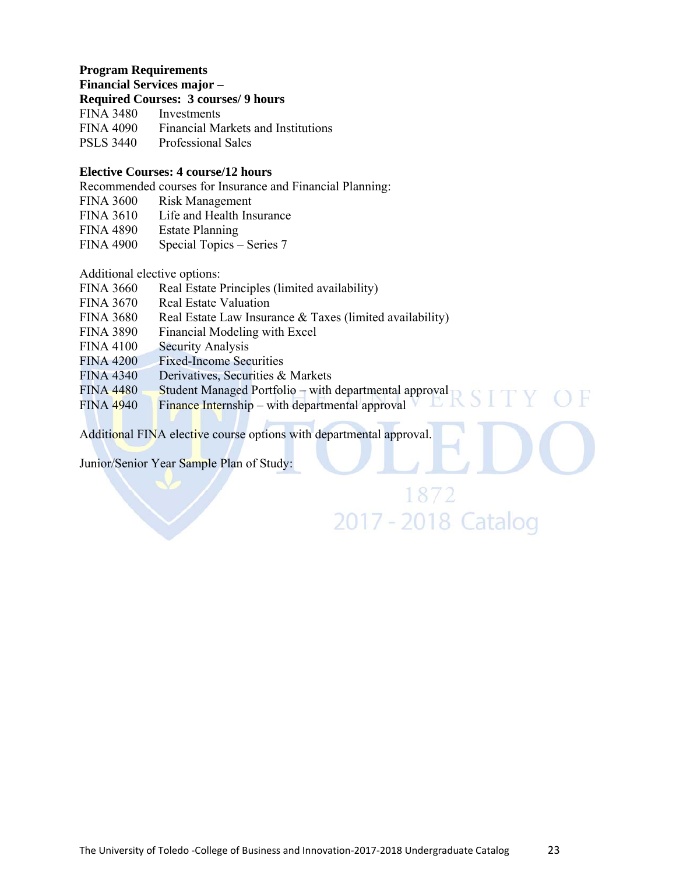#### **Program Requirements**

**Financial Services major –** 

#### **Required Courses: 3 courses/ 9 hours**

| <b>FINA 3480</b> | Investments                               |
|------------------|-------------------------------------------|
| <b>FINA 4090</b> | <b>Financial Markets and Institutions</b> |
| <b>PSLS 3440</b> | <b>Professional Sales</b>                 |

#### **Elective Courses: 4 course/12 hours**

Recommended courses for Insurance and Financial Planning:

FINA 3600 Risk Management

FINA 3610 Life and Health Insurance

FINA 4890 Estate Planning

FINA 4900 Special Topics – Series 7

Additional elective options:

| <b>FINA 3660</b> | Real Estate Principles (limited availability)            |
|------------------|----------------------------------------------------------|
| <b>FINA 3670</b> | <b>Real Estate Valuation</b>                             |
| <b>FINA 3680</b> | Real Estate Law Insurance & Taxes (limited availability) |
| <b>FINA 3890</b> | Financial Modeling with Excel                            |
| <b>FINA 4100</b> | <b>Security Analysis</b>                                 |
| <b>FINA 4200</b> | <b>Fixed-Income Securities</b>                           |
| <b>FINA 4340</b> | Derivatives, Securities & Markets                        |
| <b>FINA 4480</b> | Student Managed Portfolio – with departmental approval   |
| <b>FINA 4940</b> | Finance Internship – with departmental approval          |
|                  |                                                          |

Additional FINA elective course options with departmental approval.

Junior/Senior Year Sample Plan of Study:

1872 2017 - 2018 Catalog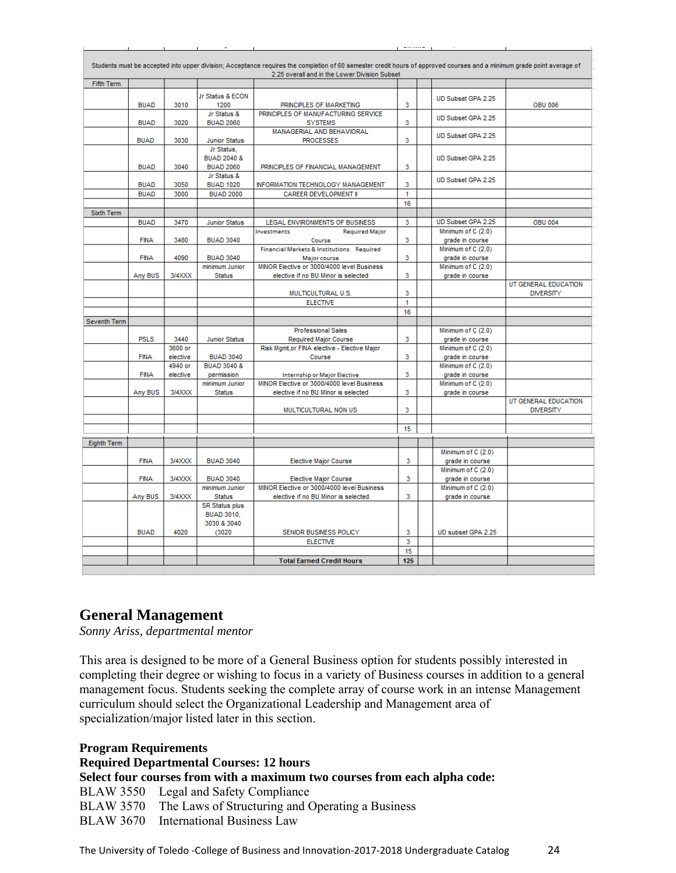|                    |             |          |                                 | Students must be accepted into upper division; Acceptance requires the completion of 60 semester credit hours of approved courses and a minimum grade point average of |     |                    |                      |
|--------------------|-------------|----------|---------------------------------|------------------------------------------------------------------------------------------------------------------------------------------------------------------------|-----|--------------------|----------------------|
|                    |             |          |                                 | 2.25 overall and in the Lower Division Subset                                                                                                                          |     |                    |                      |
| Fifth Term         |             |          |                                 |                                                                                                                                                                        |     |                    |                      |
|                    |             |          | Jr Status & ECON                |                                                                                                                                                                        |     | UD Subset GPA 2.25 |                      |
|                    | <b>BUAD</b> | 3010     | 1200                            | PRINCIPLES OF MARKETING                                                                                                                                                | 3   |                    | <b>OBU 006</b>       |
|                    | <b>BUAD</b> | 3020     | Jr Status &<br><b>BUAD 2060</b> | PRINCIPLES OF MANUFACTURING SERVICE                                                                                                                                    | 3   | UD Subset GPA 2.25 |                      |
|                    |             |          |                                 | <b>SYSTEMS</b><br>MANAGERIAL AND BEHAVIORAL                                                                                                                            |     |                    |                      |
|                    | <b>BUAD</b> | 3030     | <b>Junior Status</b>            | <b>PROCESSES</b>                                                                                                                                                       | 3   | UD Subset GPA 2.25 |                      |
|                    |             |          | Jr Status.                      |                                                                                                                                                                        |     |                    |                      |
|                    |             |          | <b>BUAD 2040 &amp;</b>          |                                                                                                                                                                        |     | UD Subset GPA 2.25 |                      |
|                    | <b>BUAD</b> | 3040     | <b>BUAD 2060</b>                | PRINCIPLES OF FINANCIAL MANAGEMENT                                                                                                                                     | 3   |                    |                      |
|                    |             |          | Jr Status &                     |                                                                                                                                                                        |     | UD Subset GPA 2.25 |                      |
|                    | <b>BUAD</b> | 3050     | <b>BUAD 1020</b>                | INFORMATION TECHNOLOGY MANAGEMENT                                                                                                                                      | 3   |                    |                      |
|                    | <b>BUAD</b> | 3000     | <b>BUAD 2000</b>                | <b>CAREER DEVELOPMENT II</b>                                                                                                                                           | 1   |                    |                      |
|                    |             |          |                                 |                                                                                                                                                                        | 16  |                    |                      |
| Sixth Term         |             |          |                                 |                                                                                                                                                                        |     |                    |                      |
|                    | <b>BUAD</b> | 3470     | <b>Junior Status</b>            | LEGAL ENVIRONMENTS OF BUSINESS                                                                                                                                         | 3   | UD Subset GPA 2.25 | <b>OBU 004</b>       |
|                    |             |          |                                 | Investments<br><b>Required Major</b>                                                                                                                                   |     | Minimum of C (2.0) |                      |
|                    | <b>FINA</b> | 3480     | <b>BUAD 3040</b>                | Course                                                                                                                                                                 | 3   | grade in course    |                      |
|                    |             |          |                                 | Financial Markets & Institutions Required                                                                                                                              |     | Minimum of C (2.0) |                      |
|                    | <b>FINA</b> | 4090     | <b>BUAD 3040</b>                | Major course                                                                                                                                                           | 3   | grade in course    |                      |
|                    |             |          | minimum Junior                  | MINOR Elective or 3000/4000 level Business                                                                                                                             |     | Minimum of C (2.0) |                      |
|                    | Any BUS     | 3/4XXX   | <b>Status</b>                   | elective if no BU Minor is selected                                                                                                                                    | 3   | grade in course    | UT GENERAL EDUCATION |
|                    |             |          |                                 | MULTICULTURAL U.S.                                                                                                                                                     | 3   |                    | <b>DIVERSITY</b>     |
|                    |             |          |                                 | <b>ELECTIVE</b>                                                                                                                                                        | 1   |                    |                      |
|                    |             |          |                                 |                                                                                                                                                                        | 16  |                    |                      |
| Seventh Term       |             |          |                                 |                                                                                                                                                                        |     |                    |                      |
|                    |             |          |                                 | <b>Professional Sales</b>                                                                                                                                              |     | Minimum of C (2.0) |                      |
|                    | <b>PSLS</b> | 3440     | <b>Junior Status</b>            | <b>Required Major Course</b>                                                                                                                                           | 3   | grade in course    |                      |
|                    |             | 3600 or  |                                 | Risk Mgmt, or FINA elective - Elective Major                                                                                                                           |     | Minimum of C (2.0) |                      |
|                    | <b>FINA</b> | elective | <b>BUAD 3040</b>                | Course                                                                                                                                                                 | 3   | grade in course    |                      |
|                    |             | 4940 or  | <b>BUAD 3040 &amp;</b>          |                                                                                                                                                                        |     | Minimum of C (2.0) |                      |
|                    | <b>FINA</b> | elective | permission                      | <b>Internship or Major Elective</b>                                                                                                                                    | 3   | grade in course    |                      |
|                    |             |          | minimum Junior                  | MINOR Elective or 3000/4000 level Business                                                                                                                             |     | Minimum of C (2.0) |                      |
|                    | Any BUS     | 3/4XXX   | <b>Status</b>                   | elective if no BU Minor is selected                                                                                                                                    | 3   | grade in course    |                      |
|                    |             |          |                                 |                                                                                                                                                                        |     |                    | UT GENERAL EDUCATION |
|                    |             |          |                                 | MULTICULTURAL NON US                                                                                                                                                   | 3   |                    | <b>DIVERSITY</b>     |
|                    |             |          |                                 |                                                                                                                                                                        |     |                    |                      |
|                    |             |          |                                 |                                                                                                                                                                        | 15  |                    |                      |
| <b>Eighth Term</b> |             |          |                                 |                                                                                                                                                                        |     |                    |                      |
|                    |             |          |                                 |                                                                                                                                                                        |     | Minimum of C (2.0) |                      |
|                    | <b>FINA</b> | 3/4XXX   | <b>BUAD 3040</b>                | <b>Elective Major Course</b>                                                                                                                                           | 3   | grade in course    |                      |
|                    |             |          |                                 |                                                                                                                                                                        |     | Minimum of C (2.0) |                      |
|                    | <b>FINA</b> | 3/4XXX   | <b>BUAD 3040</b>                | <b>Elective Major Course</b>                                                                                                                                           | 3   | grade in course    |                      |
|                    |             |          | minimum Junior                  | MINOR Elective or 3000/4000 level Business                                                                                                                             |     | Minimum of C (2.0) |                      |
|                    | Any BUS     | 3/4XXX   | <b>Status</b>                   | elective if no BU Minor is selected                                                                                                                                    | 3   | grade in course    |                      |
|                    |             |          | <b>SR Status plus</b>           |                                                                                                                                                                        |     |                    |                      |
|                    |             |          | <b>BUAD 3010.</b>               |                                                                                                                                                                        |     |                    |                      |
|                    | <b>BUAD</b> | 4020     | 3030 & 3040<br>(3020)           | SENIOR BUSINESS POLICY                                                                                                                                                 | 3   | UD subset GPA 2.25 |                      |
|                    |             |          |                                 | <b>ELECTIVE</b>                                                                                                                                                        | 3   |                    |                      |
|                    |             |          |                                 |                                                                                                                                                                        | 15  |                    |                      |
|                    |             |          |                                 | <b>Total Earned Credit Hours</b>                                                                                                                                       | 125 |                    |                      |
|                    |             |          |                                 |                                                                                                                                                                        |     |                    |                      |

# **General Management**

*Sonny Ariss, departmental mentor* 

This area is designed to be more of a General Business option for students possibly interested in completing their degree or wishing to focus in a variety of Business courses in addition to a general management focus. Students seeking the complete array of course work in an intense Management curriculum should select the Organizational Leadership and Management area of specialization/major listed later in this section.

**Program Requirements Required Departmental Courses: 12 hours Select four courses from with a maximum two courses from each alpha code:**  BLAW 3550 Legal and Safety Compliance BLAW 3570 The Laws of Structuring and Operating a Business BLAW 3670 International Business Law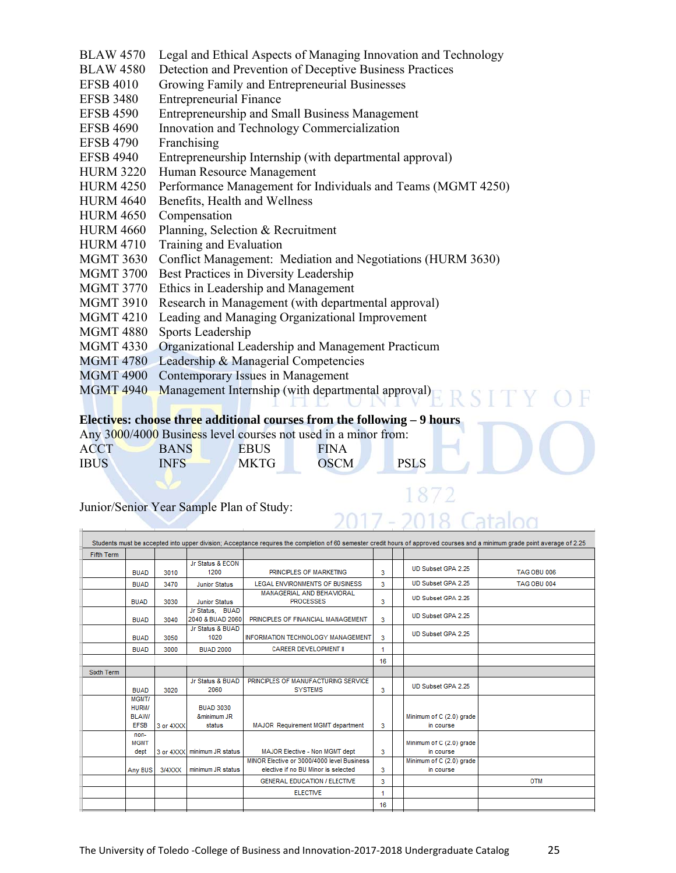- BLAW 4570 Legal and Ethical Aspects of Managing Innovation and Technology
- BLAW 4580 Detection and Prevention of Deceptive Business Practices
- EFSB 4010 Growing Family and Entrepreneurial Businesses
- EFSB 3480 Entrepreneurial Finance
- EFSB 4590 Entrepreneurship and Small Business Management
- EFSB 4690 Innovation and Technology Commercialization
- EFSB 4790 Franchising
- EFSB 4940 Entrepreneurship Internship (with departmental approval)
- HURM 3220 Human Resource Management
- HURM 4250 Performance Management for Individuals and Teams (MGMT 4250)
- HURM 4640 Benefits, Health and Wellness
- HURM 4650 Compensation
- HURM 4660 Planning, Selection & Recruitment
- HURM 4710 Training and Evaluation
- MGMT 3630 Conflict Management: Mediation and Negotiations (HURM 3630)
- MGMT 3700 Best Practices in Diversity Leadership
- MGMT 3770 Ethics in Leadership and Management
- MGMT 3910 Research in Management (with departmental approval)
- MGMT 4210 Leading and Managing Organizational Improvement
- MGMT 4880 Sports Leadership
- MGMT 4330 Organizational Leadership and Management Practicum
- MGMT 4780 Leadership & Managerial Competencies
- MGMT 4900 Contemporary Issues in Management
- MGMT 4940 Management Internship (with departmental approval)

#### **Electives: choose three additional courses from the following – 9 hours**

|             |             | Any 3000/4000 Business level courses not used in a minor from: |             |             |
|-------------|-------------|----------------------------------------------------------------|-------------|-------------|
| ACCT        | <b>BANS</b> | <b>EBUS</b>                                                    | <b>FINA</b> |             |
| <b>IBUS</b> | <b>INFS</b> | MKTG.                                                          | <b>OSCM</b> | <b>PSLS</b> |

ka kabu

#### Junior/Senior Year Sample Plan of Study:

|                   |                                                      |           |                                           | Students must be accepted into upper division; Acceptance requires the completion of 60 semester credit hours of approved courses and a minimum grade point average of 2.25 |    |                                       |             |
|-------------------|------------------------------------------------------|-----------|-------------------------------------------|-----------------------------------------------------------------------------------------------------------------------------------------------------------------------------|----|---------------------------------------|-------------|
| <b>Fifth Term</b> |                                                      |           |                                           |                                                                                                                                                                             |    |                                       |             |
|                   | <b>BUAD</b>                                          | 3010      | Jr Status & ECON<br>1200                  | PRINCIPLES OF MARKETING                                                                                                                                                     | 3  | UD Subset GPA 2.25                    | TAG OBU 006 |
|                   | <b>BUAD</b>                                          | 3470      | <b>Junior Status</b>                      | LEGAL ENVIRONMENTS OF BUSINESS                                                                                                                                              | 3  | UD Subset GPA 2.25                    | TAG OBU 004 |
|                   | <b>BUAD</b>                                          | 3030      | <b>Junior Status</b>                      | <b>MANAGERIAL AND BEHAVIORAL</b><br><b>PROCESSES</b>                                                                                                                        | 3  | UD Subset GPA 2.25                    |             |
|                   | <b>BUAD</b>                                          | 3040      | Jr Status, BUAD<br>2040 & BUAD 2060       | PRINCIPLES OF FINANCIAL MANAGEMENT                                                                                                                                          | 3  | UD Subset GPA 2.25                    |             |
|                   | <b>BUAD</b>                                          | 3050      | Jr Status & BUAD<br>1020                  | INFORMATION TECHNOLOGY MANAGEMENT                                                                                                                                           | 3  | UD Subset GPA 2.25                    |             |
|                   | <b>BUAD</b>                                          | 3000      | <b>BUAD 2000</b>                          | <b>CAREER DEVELOPMENT II</b>                                                                                                                                                | 4  |                                       |             |
|                   |                                                      |           |                                           |                                                                                                                                                                             | 16 |                                       |             |
| <b>Sixth Term</b> |                                                      |           |                                           |                                                                                                                                                                             |    |                                       |             |
|                   | <b>BUAD</b>                                          | 3020      | Jr Status & BUAD<br>2060                  | PRINCIPLES OF MANUFACTURING SERVICE<br><b>SYSTEMS</b>                                                                                                                       | 3  | UD Subset GPA 2.25                    |             |
|                   | MGMT/<br><b>HURM/</b><br><b>BLAW/</b><br><b>EFSB</b> | 3 or 4XXX | <b>BUAD 3030</b><br>&minimum JR<br>status | <b>MAJOR</b> Requirement MGMT department                                                                                                                                    | 3  | Minimum of C (2.0) grade<br>in course |             |
|                   | non-<br><b>MGMT</b><br>dept                          |           | 3 or 4XXX minimum JR status               | MAJOR Elective - Non MGMT dept                                                                                                                                              | 3  | Minimum of C (2.0) grade<br>in course |             |
|                   | Any BUS                                              | 3/4XXX    | minimum JR status                         | MINOR Elective or 3000/4000 level Business<br>elective if no BU Minor is selected                                                                                           | 3  | Minimum of C (2.0) grade<br>in course |             |
|                   |                                                      |           |                                           | <b>GENERAL EDUCATION / ELECTIVE</b>                                                                                                                                         | 3  |                                       | <b>OTM</b>  |
|                   |                                                      |           |                                           | <b>ELECTIVE</b>                                                                                                                                                             |    |                                       |             |
|                   |                                                      |           |                                           |                                                                                                                                                                             | 16 |                                       |             |
|                   |                                                      |           |                                           |                                                                                                                                                                             |    |                                       |             |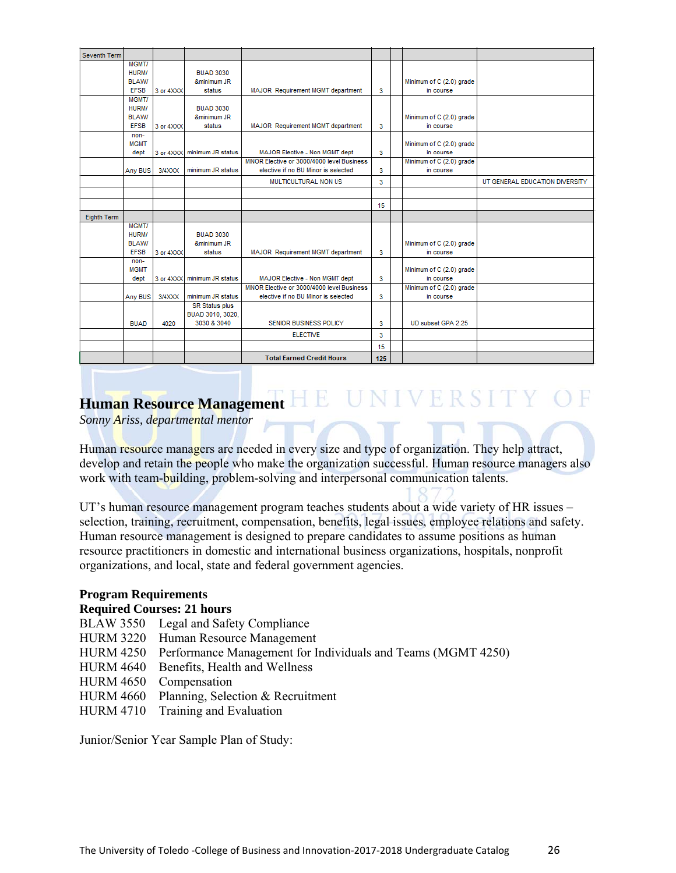| Seventh Term |                       |           |                             |                                            |     |                          |                                |
|--------------|-----------------------|-----------|-----------------------------|--------------------------------------------|-----|--------------------------|--------------------------------|
|              | MGMT/                 |           |                             |                                            |     |                          |                                |
|              | HURM/                 |           | <b>BUAD 3030</b>            |                                            |     |                          |                                |
|              | <b>BLAW/</b>          |           | &minimum JR                 |                                            |     | Minimum of C (2.0) grade |                                |
|              | <b>EFSB</b>           | 3 or 4XXX | status                      | MAJOR Requirement MGMT department          | 3   | in course                |                                |
|              | MGMT/<br><b>HURM/</b> |           | <b>BUAD 3030</b>            |                                            |     |                          |                                |
|              | <b>BLAW/</b>          |           | &minimum JR                 |                                            |     | Minimum of C (2.0) grade |                                |
|              | <b>EFSB</b>           | 3 or 4XXX | status                      | MAJOR Requirement MGMT department          | 3   | in course                |                                |
|              | non-                  |           |                             |                                            |     |                          |                                |
|              | <b>MGMT</b>           |           |                             |                                            |     | Minimum of C (2.0) grade |                                |
|              | dept                  |           | 3 or 4XXX minimum JR status | MAJOR Elective - Non MGMT dept             | 3   | in course                |                                |
|              |                       |           |                             | MINOR Elective or 3000/4000 level Business |     | Minimum of C (2.0) grade |                                |
|              | Any BUS               | $3/4$ XXX | minimum JR status           | elective if no BU Minor is selected        | 3   | in course                |                                |
|              |                       |           |                             | MULTICULTURAL NON US                       | 3   |                          | UT GENERAL EDUCATION DIVERSITY |
|              |                       |           |                             |                                            |     |                          |                                |
|              |                       |           |                             |                                            | 15  |                          |                                |
| Eighth Term  |                       |           |                             |                                            |     |                          |                                |
|              | MGMT/                 |           |                             |                                            |     |                          |                                |
|              | <b>HURM/</b>          |           | <b>BUAD 3030</b>            |                                            |     |                          |                                |
|              | <b>BLAW/</b>          |           | &minimum JR                 |                                            |     | Minimum of C (2.0) grade |                                |
|              | <b>EFSB</b>           | 3 or 4XXX | status                      | MAJOR Requirement MGMT department          | 3   | in course                |                                |
|              | non-<br><b>MGMT</b>   |           |                             |                                            |     | Minimum of C (2.0) grade |                                |
|              | dept                  |           | 3 or 4XXX minimum JR status | MAJOR Elective - Non MGMT dept             | 3   | in course                |                                |
|              |                       |           |                             | MINOR Elective or 3000/4000 level Business |     | Minimum of C (2.0) grade |                                |
|              | Any BUS               | 3/4XXX    | minimum JR status           | elective if no BU Minor is selected        | 3   | in course                |                                |
|              |                       |           | <b>SR Status plus</b>       |                                            |     |                          |                                |
|              |                       |           | BUAD 3010, 3020,            |                                            |     |                          |                                |
|              | <b>BUAD</b>           | 4020      | 3030 & 3040                 | SENIOR BUSINESS POLICY                     | 3   | UD subset GPA 2.25       |                                |
|              |                       |           |                             | <b>ELECTIVE</b>                            | 3   |                          |                                |
|              |                       |           |                             |                                            | 15  |                          |                                |
|              |                       |           |                             | <b>Total Earned Credit Hours</b>           | 125 |                          |                                |

# E UNIVERSITY OF **Human Resource Management**

*Sonny Ariss, departmental mentor* 

Human resource managers are needed in every size and type of organization. They help attract, develop and retain the people who make the organization successful. Human resource managers also work with team-building, problem-solving and interpersonal communication talents.

UT's human resource management program teaches students about a wide variety of HR issues – selection, training, recruitment, compensation, benefits, legal issues, employee relations and safety. Human resource management is designed to prepare candidates to assume positions as human resource practitioners in domestic and international business organizations, hospitals, nonprofit organizations, and local, state and federal government agencies.

#### **Program Requirements**

#### **Required Courses: 21 hours**

- BLAW 3550 Legal and Safety Compliance
- HURM 3220 Human Resource Management
- HURM 4250 Performance Management for Individuals and Teams (MGMT 4250)
- HURM 4640 Benefits, Health and Wellness
- HURM 4650 Compensation
- HURM 4660 Planning, Selection & Recruitment
- HURM 4710 Training and Evaluation

Junior/Senior Year Sample Plan of Study: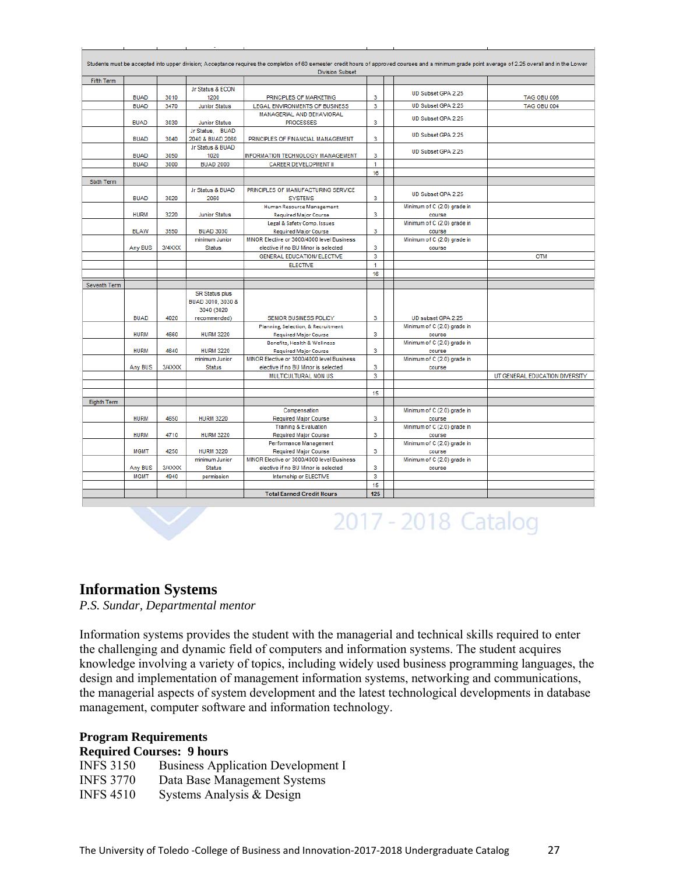|                    |             |        |                       | <b>Division Subset</b>                     |                         | Students must be accepted into upper division; Acceptance requires the completion of 60 semester credit hours of approved courses and a minimum grade point average of 2.25 overall and in the Lower |                                |
|--------------------|-------------|--------|-----------------------|--------------------------------------------|-------------------------|------------------------------------------------------------------------------------------------------------------------------------------------------------------------------------------------------|--------------------------------|
| <b>Fifth Term</b>  |             |        |                       |                                            |                         |                                                                                                                                                                                                      |                                |
|                    |             |        | Jr Status & ECON      |                                            |                         | UD Subset GPA 2.25                                                                                                                                                                                   |                                |
|                    | <b>BUAD</b> | 3010   | 1200                  | PRINCIPLES OF MARKETING                    | 3                       |                                                                                                                                                                                                      | <b>TAG OBU 006</b>             |
|                    | <b>BUAD</b> | 3470   | <b>Junior Status</b>  | LEGAL ENVIRONMENTS OF BUSINESS             | 3                       | UD Subset GPA 2.25                                                                                                                                                                                   | <b>TAG OBU 004</b>             |
|                    |             |        |                       | MANAGERIAL AND BEHAVIORAL                  |                         | UD Subset GPA 2.25                                                                                                                                                                                   |                                |
|                    | <b>BUAD</b> | 3030   | <b>Junior Status</b>  | <b>PROCESSES</b>                           | 3                       |                                                                                                                                                                                                      |                                |
|                    |             |        | Jr Status, BUAD       |                                            |                         | UD Subset GPA 2.25                                                                                                                                                                                   |                                |
|                    | <b>BUAD</b> | 3040   | 2040 & BUAD 2060      | PRINCIPLES OF FINANCIAL MANAGEMENT         | 3                       |                                                                                                                                                                                                      |                                |
|                    |             |        | Jr Status & BUAD      |                                            |                         | UD Subset GPA 2.25                                                                                                                                                                                   |                                |
|                    | <b>BUAD</b> | 3050   | 1020                  | INFORMATION TECHNOLOGY MANAGEMENT          | 3                       |                                                                                                                                                                                                      |                                |
|                    | <b>BUAD</b> | 3000   | <b>BUAD 2000</b>      | <b>CAREER DEVELOPMENT II</b>               | 1                       |                                                                                                                                                                                                      |                                |
|                    |             |        |                       |                                            | 16                      |                                                                                                                                                                                                      |                                |
| <b>Sixth Term</b>  |             |        |                       |                                            |                         |                                                                                                                                                                                                      |                                |
|                    |             |        | Jr Status & BUAD      | PRINCIPLES OF MANUFACTURING SERVICE        |                         | UD Subset GPA 2.25                                                                                                                                                                                   |                                |
|                    | <b>BUAD</b> | 3020   | 2060                  | <b>SYSTEMS</b>                             | 3                       |                                                                                                                                                                                                      |                                |
|                    |             |        |                       | Human Resource Management                  |                         | Minimum of C (2.0) grade in                                                                                                                                                                          |                                |
|                    | <b>HURM</b> | 3220   | <b>Junior Status</b>  | <b>Required Major Course</b>               | 3                       | course                                                                                                                                                                                               |                                |
|                    |             |        |                       | Legal & Safety Comp. Issues                |                         | Minimum of C (2.0) grade in                                                                                                                                                                          |                                |
|                    | <b>BLAW</b> | 3550   | <b>BUAD 3030</b>      | <b>Required Major Course</b>               | 3                       | course                                                                                                                                                                                               |                                |
|                    |             |        | minimum Junior        | MINOR Elective or 3000/4000 level Business |                         | Minimum of C (2.0) grade in                                                                                                                                                                          |                                |
|                    | Any BUS     | 3/4XXX | <b>Status</b>         | elective if no BU Minor is selected        | 3                       | course                                                                                                                                                                                               |                                |
|                    |             |        |                       | <b>GENERAL EDUCATION/ ELECTIVE</b>         | $\overline{\mathbf{3}}$ |                                                                                                                                                                                                      | <b>OTM</b>                     |
|                    |             |        |                       | <b>ELECTIVE</b>                            | 1                       |                                                                                                                                                                                                      |                                |
|                    |             |        |                       |                                            | 16                      |                                                                                                                                                                                                      |                                |
| Seventh Term       |             |        |                       |                                            |                         |                                                                                                                                                                                                      |                                |
|                    |             |        | <b>SR Status plus</b> |                                            |                         |                                                                                                                                                                                                      |                                |
|                    |             |        | BUAD 3010, 3030 &     |                                            |                         |                                                                                                                                                                                                      |                                |
|                    |             |        | 3040 (3020            |                                            |                         |                                                                                                                                                                                                      |                                |
|                    | <b>BUAD</b> |        |                       |                                            |                         |                                                                                                                                                                                                      |                                |
|                    |             | 4020   | recommended)          | SENIOR BUSINESS POLICY                     | 3                       | UD subset GPA 2.25                                                                                                                                                                                   |                                |
|                    |             |        |                       | Planning, Selection, & Recruitment         |                         | Minimum of C (2.0) grade in                                                                                                                                                                          |                                |
|                    | <b>HURM</b> | 4660   | <b>HURM 3220</b>      | <b>Required Major Course</b>               | 3                       | course                                                                                                                                                                                               |                                |
|                    |             |        |                       | Benefits, Health & Wellness                |                         | Minimum of C (2.0) grade in                                                                                                                                                                          |                                |
|                    | <b>HURM</b> | 4640   | <b>HURM 3220</b>      | <b>Required Major Course</b>               | 3                       | course                                                                                                                                                                                               |                                |
|                    |             |        | minimum Junior        | MINOR Elective or 3000/4000 level Business |                         | Minimum of C (2.0) grade in                                                                                                                                                                          |                                |
|                    | Any BUS     | 3/4XXX | <b>Status</b>         | elective if no BU Minor is selected        | 3                       | course                                                                                                                                                                                               |                                |
|                    |             |        |                       | MULTICULTURAL NON US                       | 3                       |                                                                                                                                                                                                      | UT GENERAL EDUCATION DIVERSITY |
|                    |             |        |                       |                                            |                         |                                                                                                                                                                                                      |                                |
|                    |             |        |                       |                                            | 15                      |                                                                                                                                                                                                      |                                |
| <b>Eighth Term</b> |             |        |                       |                                            |                         |                                                                                                                                                                                                      |                                |
|                    |             |        |                       | Compensation                               |                         | Minimum of C (2.0) grade in                                                                                                                                                                          |                                |
|                    | <b>HURM</b> | 4650   | <b>HURM 3220</b>      | <b>Required Major Course</b>               | 3                       | course                                                                                                                                                                                               |                                |
|                    |             |        |                       | <b>Training &amp; Evaluation</b>           |                         | Minimum of C (2.0) grade in                                                                                                                                                                          |                                |
|                    | <b>HURM</b> | 4710   | <b>HURM 3220</b>      | <b>Required Major Course</b>               | 3                       | course                                                                                                                                                                                               |                                |
|                    |             |        |                       | Performance Management                     |                         | Minimum of C (2.0) grade in                                                                                                                                                                          |                                |
|                    | <b>MGMT</b> | 4250   | <b>HURM 3220</b>      | <b>Required Major Course</b>               | 3                       | course                                                                                                                                                                                               |                                |
|                    |             |        | minimum Junior        | MINOR Elective or 3000/4000 level Business |                         | Minimum of C (2.0) grade in                                                                                                                                                                          |                                |
|                    | Any BUS     | 3/4XXX | <b>Status</b>         | elective if no BU Minor is selected        | 3                       | course                                                                                                                                                                                               |                                |
|                    | <b>MGMT</b> | 4940   | permission            | Internship or ELECTIVE                     | 3                       |                                                                                                                                                                                                      |                                |
|                    |             |        |                       | <b>Total Earned Credit Hours</b>           | 15<br>125               |                                                                                                                                                                                                      |                                |

# 2017 - 2018 Catalog

# **Information Systems**

*P.S. Sundar, Departmental mentor* 

Information systems provides the student with the managerial and technical skills required to enter the challenging and dynamic field of computers and information systems. The student acquires knowledge involving a variety of topics, including widely used business programming languages, the design and implementation of management information systems, networking and communications, the managerial aspects of system development and the latest technological developments in database management, computer software and information technology.

#### **Program Requirements**

#### **Required Courses: 9 hours**

- INFS 3150 Business Application Development I
- INFS 3770 Data Base Management Systems
- INFS 4510 Systems Analysis & Design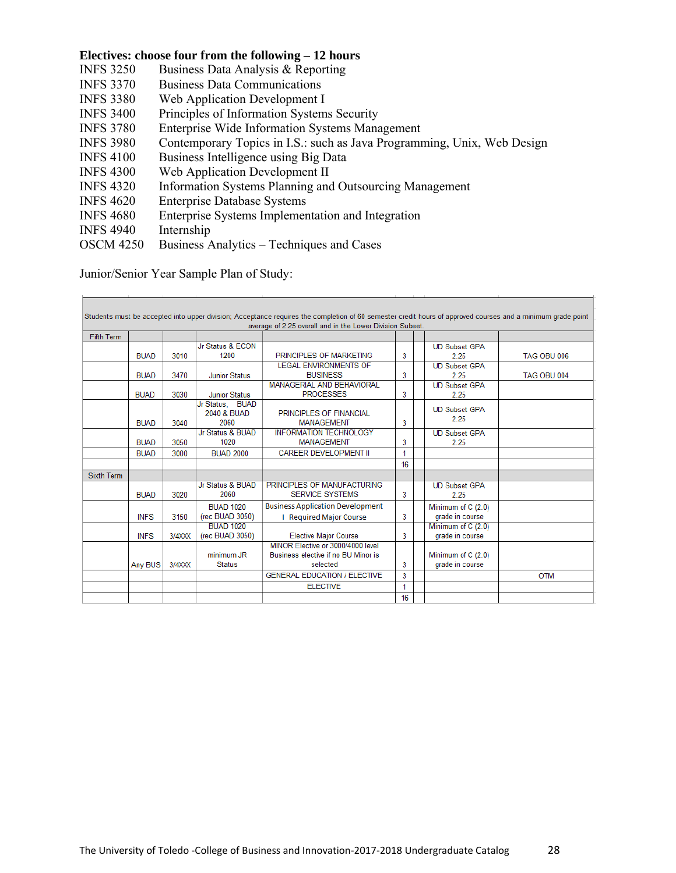#### **Electives: choose four from the following – 12 hours**

- INFS 3250 Business Data Analysis & Reporting
- INFS 3370 Business Data Communications
- INFS 3380 Web Application Development I
- INFS 3400 Principles of Information Systems Security
- INFS 3780 Enterprise Wide Information Systems Management
- INFS 3980 Contemporary Topics in I.S.: such as Java Programming, Unix, Web Design
- INFS 4100 Business Intelligence using Big Data
- INFS 4300 Web Application Development II
- INFS 4320 Information Systems Planning and Outsourcing Management
- INFS 4620 Enterprise Database Systems
- INFS 4680 Enterprise Systems Implementation and Integration
- INFS 4940 Internship
- OSCM 4250 Business Analytics Techniques and Cases

Junior/Senior Year Sample Plan of Study:

|                   |             |           |                      | Students must be accepted into upper division; Acceptance requires the completion of 60 semester credit hours of approved courses and a minimum grade point |    |                      |             |
|-------------------|-------------|-----------|----------------------|-------------------------------------------------------------------------------------------------------------------------------------------------------------|----|----------------------|-------------|
|                   |             |           |                      | average of 2.25 overall and in the Lower Division Subset.                                                                                                   |    |                      |             |
| <b>Fifth Term</b> |             |           |                      |                                                                                                                                                             |    |                      |             |
|                   |             |           | Jr Status & ECON     |                                                                                                                                                             |    | <b>UD Subset GPA</b> |             |
|                   | <b>BUAD</b> | 3010      | 1200                 | PRINCIPLES OF MARKETING                                                                                                                                     | 3  | 2.25                 | TAG OBU 006 |
|                   |             |           |                      | <b>LEGAL ENVIRONMENTS OF</b>                                                                                                                                |    | <b>UD Subset GPA</b> |             |
|                   | <b>BUAD</b> | 3470      | <b>Junior Status</b> | <b>BUSINESS</b>                                                                                                                                             | 3  | 2.25                 | TAG OBU 004 |
|                   |             |           |                      | <b>MANAGERIAL AND BEHAVIORAL</b>                                                                                                                            |    | <b>UD Subset GPA</b> |             |
|                   | <b>BUAD</b> | 3030      | <b>Junior Status</b> | <b>PROCESSES</b>                                                                                                                                            | 3  | 2.25                 |             |
|                   |             |           | Jr Status, BUAD      |                                                                                                                                                             |    | <b>UD Subset GPA</b> |             |
|                   |             |           | 2040 & BUAD          | PRINCIPLES OF FINANCIAL                                                                                                                                     |    | 2.25                 |             |
|                   | <b>BUAD</b> | 3040      | 2060                 | <b>MANAGEMENT</b>                                                                                                                                           | 3  |                      |             |
|                   |             |           | Jr Status & BUAD     | <b>INFORMATION TECHNOLOGY</b>                                                                                                                               |    | <b>UD Subset GPA</b> |             |
|                   | <b>BUAD</b> | 3050      | 1020                 | <b>MANAGEMENT</b>                                                                                                                                           | 3  | 2.25                 |             |
|                   | <b>BUAD</b> | 3000      | <b>BUAD 2000</b>     | <b>CAREER DEVELOPMENT II</b>                                                                                                                                | 1  |                      |             |
|                   |             |           |                      |                                                                                                                                                             | 16 |                      |             |
| <b>Sixth Term</b> |             |           |                      |                                                                                                                                                             |    |                      |             |
|                   |             |           | Jr Status & BUAD     | PRINCIPLES OF MANUFACTURING                                                                                                                                 |    | <b>UD Subset GPA</b> |             |
|                   | <b>BUAD</b> | 3020      | 2060                 | <b>SERVICE SYSTEMS</b>                                                                                                                                      | 3  | 2.25                 |             |
|                   |             |           | <b>BUAD 1020</b>     | <b>Business Application Development</b>                                                                                                                     |    | Minimum of C (2.0)   |             |
|                   | <b>INFS</b> | 3150      | (rec BUAD 3050)      | <b>I</b> Required Major Course                                                                                                                              | 3  | grade in course      |             |
|                   |             |           | <b>BUAD 1020</b>     |                                                                                                                                                             |    | Minimum of C (2.0)   |             |
|                   | <b>INFS</b> | $3/4$ XXX | (rec BUAD 3050)      | <b>Elective Major Course</b>                                                                                                                                | 3  | grade in course      |             |
|                   |             |           |                      | MINOR Elective or 3000/4000 level                                                                                                                           |    |                      |             |
|                   |             |           | minimum JR           | Business elective if no BU Minor is                                                                                                                         |    | Minimum of C (2.0)   |             |
|                   | Any BUS     | 3/4XXX    | <b>Status</b>        | selected                                                                                                                                                    | 3  | grade in course      |             |
|                   |             |           |                      | <b>GENERAL EDUCATION / ELECTIVE</b>                                                                                                                         | 3  |                      | <b>OTM</b>  |
|                   |             |           |                      | <b>ELECTIVE</b>                                                                                                                                             | 1  |                      |             |
|                   |             |           |                      |                                                                                                                                                             | 16 |                      |             |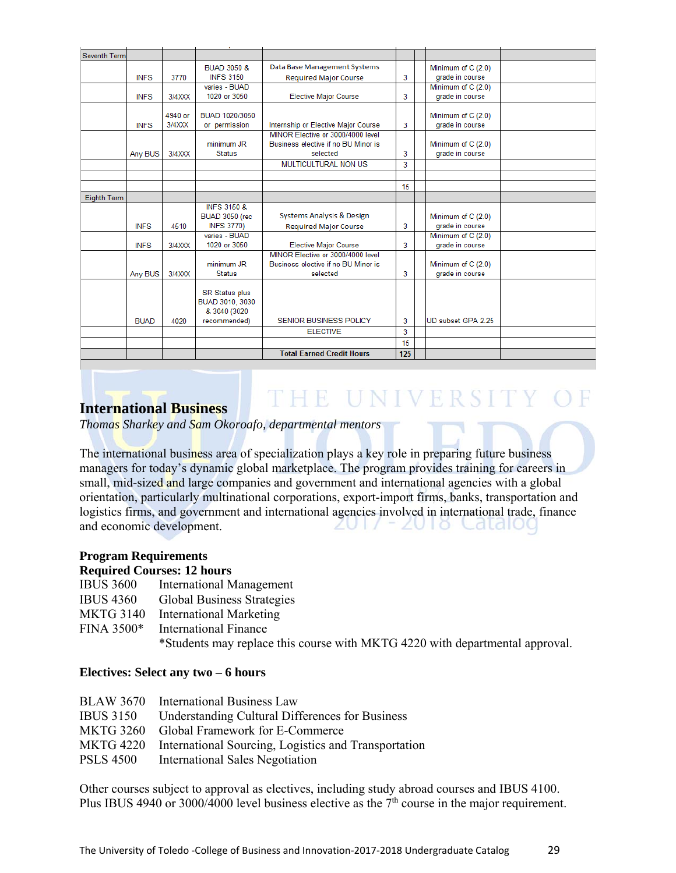| Seventh Term       |             |         |                                            |                                                                          |     |                                       |  |
|--------------------|-------------|---------|--------------------------------------------|--------------------------------------------------------------------------|-----|---------------------------------------|--|
|                    |             |         | <b>BUAD 3050 &amp;</b>                     | Data Base Management Systems                                             |     | Minimum of C (2.0)                    |  |
|                    | <b>INFS</b> | 3770    | <b>INFS 3150</b>                           | <b>Required Major Course</b>                                             | 3   | grade in course                       |  |
|                    |             |         | varies - BUAD                              |                                                                          |     | Minimum of C (2.0)                    |  |
|                    | <b>INFS</b> | 3/4XXX  | 1020 or 3050                               | <b>Elective Major Course</b>                                             | 3   | grade in course                       |  |
|                    |             |         |                                            |                                                                          |     |                                       |  |
|                    |             | 4940 or | BUAD 1020/3050                             |                                                                          |     | Minimum of C (2.0)                    |  |
|                    | <b>INFS</b> | 3/4XXX  | or permission                              | Internship or Elective Major Course<br>MINOR Elective or 3000/4000 level | 3   | grade in course                       |  |
|                    |             |         | minimum JR                                 | Business elective if no BU Minor is                                      |     | Minimum of C (2.0)                    |  |
|                    | Any BUS     | 3/4XXX  | <b>Status</b>                              | selected                                                                 | 3   | grade in course                       |  |
|                    |             |         |                                            | <b>MULTICULTURAL NON US</b>                                              | 3   |                                       |  |
|                    |             |         |                                            |                                                                          |     |                                       |  |
|                    |             |         |                                            |                                                                          |     |                                       |  |
|                    |             |         |                                            |                                                                          | 15  |                                       |  |
| <b>Eighth Term</b> |             |         |                                            |                                                                          |     |                                       |  |
|                    |             |         | <b>INFS 3150 &amp;</b>                     | <b>Systems Analysis &amp; Design</b>                                     |     |                                       |  |
|                    | <b>INFS</b> | 4510    | <b>BUAD 3050 (rec</b><br><b>INFS 3770)</b> |                                                                          | 3   | Minimum of C (2.0)<br>grade in course |  |
|                    |             |         | varies - BUAD                              | <b>Required Major Course</b>                                             |     | Minimum of C (2.0)                    |  |
|                    | <b>INFS</b> | 3/4XXX  | 1020 or 3050                               | <b>Elective Major Course</b>                                             | 3   | grade in course                       |  |
|                    |             |         |                                            | MINOR Elective or 3000/4000 level                                        |     |                                       |  |
|                    |             |         | minimum JR                                 | Business elective if no BU Minor is                                      |     | Minimum of C (2.0)                    |  |
|                    | Any BUS     | 3/4XXX  | <b>Status</b>                              | selected                                                                 | 3   | grade in course                       |  |
|                    |             |         |                                            |                                                                          |     |                                       |  |
|                    |             |         | <b>SR Status plus</b>                      |                                                                          |     |                                       |  |
|                    |             |         | BUAD 3010, 3030                            |                                                                          |     |                                       |  |
|                    |             |         | & 3040 (3020                               |                                                                          |     |                                       |  |
|                    | <b>BUAD</b> | 4020    | recommended)                               | <b>SENIOR BUSINESS POLICY</b>                                            | 3   | UD subset GPA 2.25                    |  |
|                    |             |         |                                            | <b>ELECTIVE</b>                                                          | 3   |                                       |  |
|                    |             |         |                                            |                                                                          | 15  |                                       |  |
|                    |             |         |                                            | <b>Total Earned Credit Hours</b>                                         | 125 |                                       |  |

# THE UNIVERSITY OF

*Thomas Sharkey and Sam Okoroafo, departmental mentors* 

The international business area of specialization plays a key role in preparing future business managers for today's dynamic global marketplace. The program provides training for careers in small, mid-sized and large companies and government and international agencies with a global orientation, particularly multinational corporations, export-import firms, banks, transportation and logistics firms, and government and international agencies involved in international trade, finance and economic development. 2017 - 2018 Caldiog

#### **Program Requirements**

#### **Required Courses: 12 hours**

**International Business** 

- IBUS 3600 International Management
- IBUS 4360 Global Business Strategies
- MKTG 3140 International Marketing
- FINA 3500\* International Finance

\*Students may replace this course with MKTG 4220 with departmental approval.

#### **Electives: Select any two – 6 hours**

| BLAW 3670 International Business Law                           |
|----------------------------------------------------------------|
| <b>Understanding Cultural Differences for Business</b>         |
| <b>MKTG 3260</b><br>Global Framework for E-Commerce            |
| MKTG 4220 International Sourcing, Logistics and Transportation |
| <b>International Sales Negotiation</b>                         |
|                                                                |

Other courses subject to approval as electives, including study abroad courses and IBUS 4100. Plus IBUS 4940 or 3000/4000 level business elective as the  $7<sup>th</sup>$  course in the major requirement.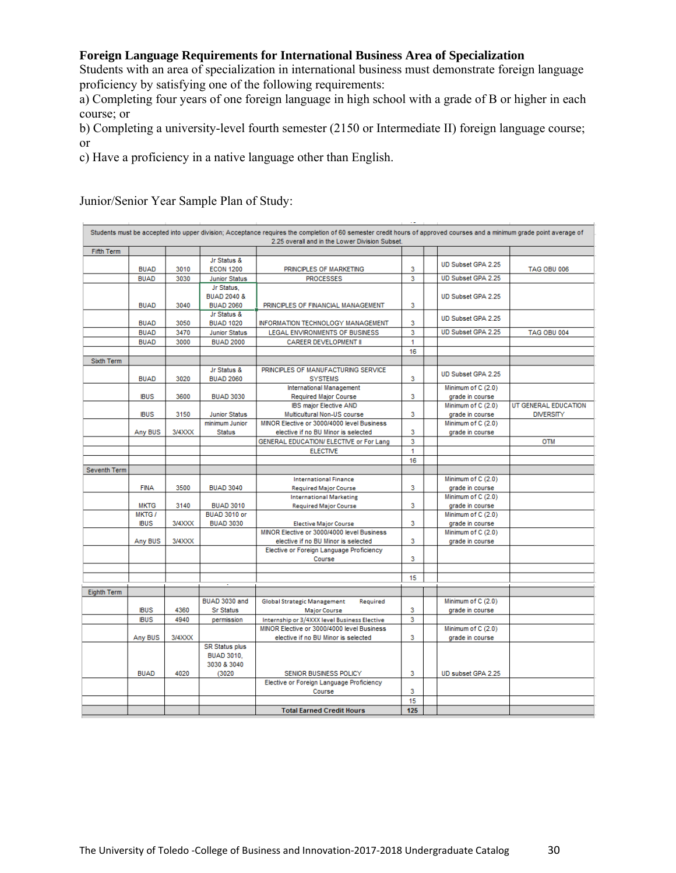#### **Foreign Language Requirements for International Business Area of Specialization**

Students with an area of specialization in international business must demonstrate foreign language proficiency by satisfying one of the following requirements:

a) Completing four years of one foreign language in high school with a grade of B or higher in each course; or

b) Completing a university-level fourth semester (2150 or Intermediate II) foreign language course; or

c) Have a proficiency in a native language other than English.

Junior/Senior Year Sample Plan of Study:

|                   |                             |        |                                         | Students must be accepted into upper division; Acceptance requires the completion of 60 semester credit hours of approved courses and a minimum grade point average of |     |                                       |                      |
|-------------------|-----------------------------|--------|-----------------------------------------|------------------------------------------------------------------------------------------------------------------------------------------------------------------------|-----|---------------------------------------|----------------------|
|                   |                             |        |                                         | 2.25 overall and in the Lower Division Subset.                                                                                                                         |     |                                       |                      |
| <b>Fifth Term</b> |                             |        |                                         |                                                                                                                                                                        |     |                                       |                      |
|                   | <b>BUAD</b>                 | 3010   | Jr Status &<br><b>ECON 1200</b>         | PRINCIPLES OF MARKETING                                                                                                                                                | 3   | UD Subset GPA 2.25                    | <b>TAG OBU 006</b>   |
|                   | <b>BUAD</b>                 | 3030   | <b>Junior Status</b>                    | <b>PROCESSES</b>                                                                                                                                                       | 3   | UD Subset GPA 2.25                    |                      |
|                   |                             |        | Jr Status                               |                                                                                                                                                                        |     |                                       |                      |
|                   |                             |        | <b>BUAD 2040 &amp;</b>                  |                                                                                                                                                                        |     | UD Subset GPA 2.25                    |                      |
|                   | <b>BUAD</b>                 | 3040   | <b>BUAD 2060</b>                        | PRINCIPLES OF FINANCIAL MANAGEMENT                                                                                                                                     | 3   |                                       |                      |
|                   |                             |        | Jr Status &                             |                                                                                                                                                                        |     | UD Subset GPA 2.25                    |                      |
|                   | <b>BUAD</b>                 | 3050   | <b>BUAD 1020</b>                        | INFORMATION TECHNOLOGY MANAGEMENT                                                                                                                                      | 3   |                                       |                      |
|                   | <b>BUAD</b>                 | 3470   | <b>Junior Status</b>                    | LEGAL ENVIRONMENTS OF BUSINESS                                                                                                                                         | 3   | UD Subset GPA 2.25                    | TAG OBU 004          |
|                   | <b>BUAD</b>                 | 3000   | <b>BUAD 2000</b>                        | CAREER DEVELOPMENT II                                                                                                                                                  | 1   |                                       |                      |
|                   |                             |        |                                         |                                                                                                                                                                        | 16  |                                       |                      |
| Sixth Term        |                             |        |                                         |                                                                                                                                                                        |     |                                       |                      |
|                   |                             |        | Jr Status &                             | PRINCIPLES OF MANUFACTURING SERVICE                                                                                                                                    |     | UD Subset GPA 2.25                    |                      |
|                   | <b>BUAD</b>                 | 3020   | <b>BUAD 2060</b>                        | <b>SYSTEMS</b>                                                                                                                                                         | 3   |                                       |                      |
|                   | <b>IBUS</b>                 | 3600   |                                         | International Management                                                                                                                                               |     | Minimum of C (2.0)                    |                      |
|                   |                             |        | <b>BUAD 3030</b>                        | <b>Required Major Course</b><br><b>IBS major Elective AND</b>                                                                                                          | 3   | grade in course<br>Minimum of C (2.0) | UT GENERAL EDUCATION |
|                   | <b>IBUS</b>                 | 3150   | <b>Junior Status</b>                    | Multicultural Non-US course                                                                                                                                            | 3   | grade in course                       | <b>DIVERSITY</b>     |
|                   |                             |        | minimum Junior                          | MINOR Elective or 3000/4000 level Business                                                                                                                             |     | Minimum of C (2.0)                    |                      |
|                   | Any BUS                     | 3/4XXX | <b>Status</b>                           | elective if no BU Minor is selected                                                                                                                                    | 3   | grade in course                       |                      |
|                   |                             |        |                                         | GENERAL EDUCATION/ ELECTIVE or For Lang                                                                                                                                | 3   |                                       | <b>OTM</b>           |
|                   |                             |        |                                         | <b>ELECTIVE</b>                                                                                                                                                        | 1   |                                       |                      |
|                   |                             |        |                                         |                                                                                                                                                                        | 16  |                                       |                      |
| Seventh Term      |                             |        |                                         |                                                                                                                                                                        |     |                                       |                      |
|                   |                             |        |                                         | <b>International Finance</b>                                                                                                                                           |     | Minimum of C (2.0)                    |                      |
|                   | <b>FINA</b>                 | 3500   | <b>BUAD 3040</b>                        | <b>Required Major Course</b>                                                                                                                                           | 3   | grade in course                       |                      |
|                   |                             |        |                                         | <b>International Marketing</b>                                                                                                                                         |     | Minimum of C (2.0)                    |                      |
|                   | <b>MKTG</b>                 | 3140   | <b>BUAD 3010</b>                        | <b>Required Major Course</b>                                                                                                                                           | 3   | grade in course                       |                      |
|                   | <b>MKTG/</b><br><b>IBUS</b> | 3/4XXX | <b>BUAD 3010 or</b><br><b>BUAD 3030</b> | <b>Elective Major Course</b>                                                                                                                                           | 3   | Minimum of C (2.0)<br>grade in course |                      |
|                   |                             |        |                                         | MINOR Elective or 3000/4000 level Business                                                                                                                             |     | Minimum of C (2.0)                    |                      |
|                   | Any BUS                     | 3/4XXX |                                         | elective if no BU Minor is selected                                                                                                                                    | 3   | grade in course                       |                      |
|                   |                             |        |                                         | Elective or Foreign Language Proficiency                                                                                                                               |     |                                       |                      |
|                   |                             |        |                                         | Course                                                                                                                                                                 | 3   |                                       |                      |
|                   |                             |        |                                         |                                                                                                                                                                        |     |                                       |                      |
|                   |                             |        |                                         |                                                                                                                                                                        | 15  |                                       |                      |
| Eighth Term       |                             |        |                                         |                                                                                                                                                                        |     |                                       |                      |
|                   |                             |        | BUAD 3030 and                           | Global Strategic Management<br>Required                                                                                                                                |     | Minimum of C (2.0)                    |                      |
|                   | <b>IBUS</b>                 | 4360   | <b>Sr Status</b>                        | Major Course                                                                                                                                                           | 3   | grade in course                       |                      |
|                   | <b>IBUS</b>                 | 4940   | permission                              | Internship or 3/4XXX level Business Elective                                                                                                                           | 3   |                                       |                      |
|                   |                             |        |                                         | MINOR Elective or 3000/4000 level Business                                                                                                                             |     | Minimum of C (2.0)                    |                      |
|                   | Any BUS                     | 3/4XXX |                                         | elective if no BU Minor is selected                                                                                                                                    | 3   | grade in course                       |                      |
|                   |                             |        | <b>SR Status plus</b>                   |                                                                                                                                                                        |     |                                       |                      |
|                   |                             |        | <b>BUAD 3010.</b>                       |                                                                                                                                                                        |     |                                       |                      |
|                   |                             |        | 3030 & 3040                             |                                                                                                                                                                        |     |                                       |                      |
|                   | <b>BUAD</b>                 | 4020   | (3020)                                  | SENIOR BUSINESS POLICY                                                                                                                                                 | 3   | UD subset GPA 2.25                    |                      |
|                   |                             |        |                                         | Elective or Foreign Language Proficiency                                                                                                                               | 3   |                                       |                      |
|                   |                             |        |                                         | Course                                                                                                                                                                 | 15  |                                       |                      |
|                   |                             |        |                                         | <b>Total Earned Credit Hours</b>                                                                                                                                       | 125 |                                       |                      |
|                   |                             |        |                                         |                                                                                                                                                                        |     |                                       |                      |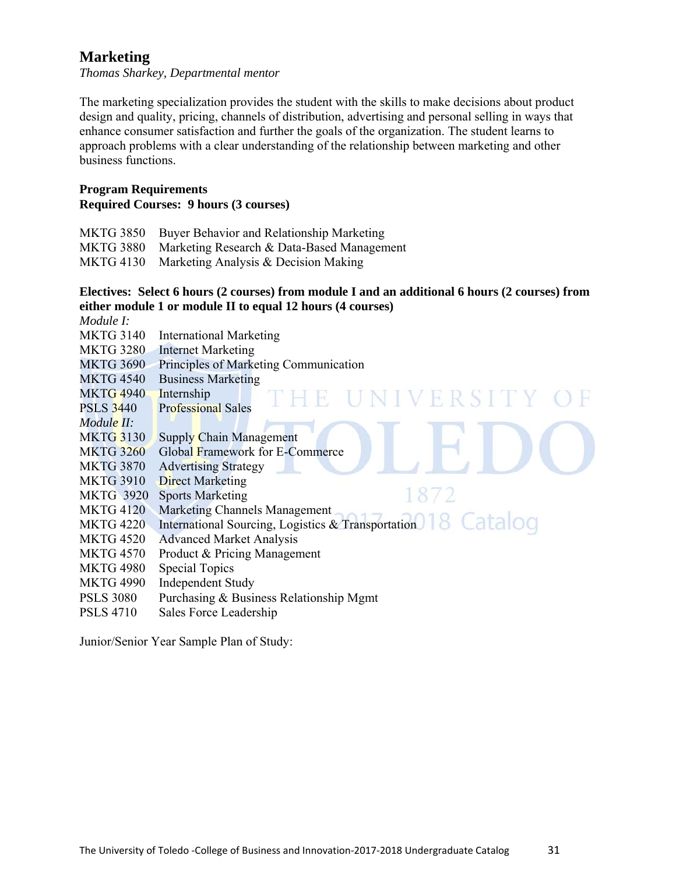# **Marketing**

*Thomas Sharkey, Departmental mentor* 

The marketing specialization provides the student with the skills to make decisions about product design and quality, pricing, channels of distribution, advertising and personal selling in ways that enhance consumer satisfaction and further the goals of the organization. The student learns to approach problems with a clear understanding of the relationship between marketing and other business functions.

#### **Program Requirements Required Courses: 9 hours (3 courses)**

| MKTG 3850 Buyer Behavior and Relationship Marketing  |
|------------------------------------------------------|
| MKTG 3880 Marketing Research & Data-Based Management |
| MKTG 4130 Marketing Analysis & Decision Making       |

#### **Electives: Select 6 hours (2 courses) from module I and an additional 6 hours (2 courses) from either module 1 or module II to equal 12 hours (4 courses)**

*Module I:*  MKTG 3140 International Marketing MKTG 3280 Internet Marketing MKTG 3690 Principles of Marketing Communication MKTG 4540 Business Marketing MKTG 4940 Internship NIVERSITY PSLS 3440 Professional Sales *Module II:*  MKTG 3130 Supply Chain Management MKTG 3260 Global Framework for E-Commerce MKTG 3870 Advertising Strategy MKTG 3910 Direct Marketing 1872 MKTG 3920 Sports Marketing MKTG 4120 Marketing Channels Management MKTG 4120 Marketing Channels Management<br>MKTG 4220 International Sourcing, Logistics & Transportation 8 Catalog MKTG 4520 Advanced Market Analysis MKTG 4570 Product & Pricing Management MKTG 4980 Special Topics MKTG 4990 Independent Study PSLS 3080 Purchasing & Business Relationship Mgmt PSLS 4710 Sales Force Leadership

Junior/Senior Year Sample Plan of Study: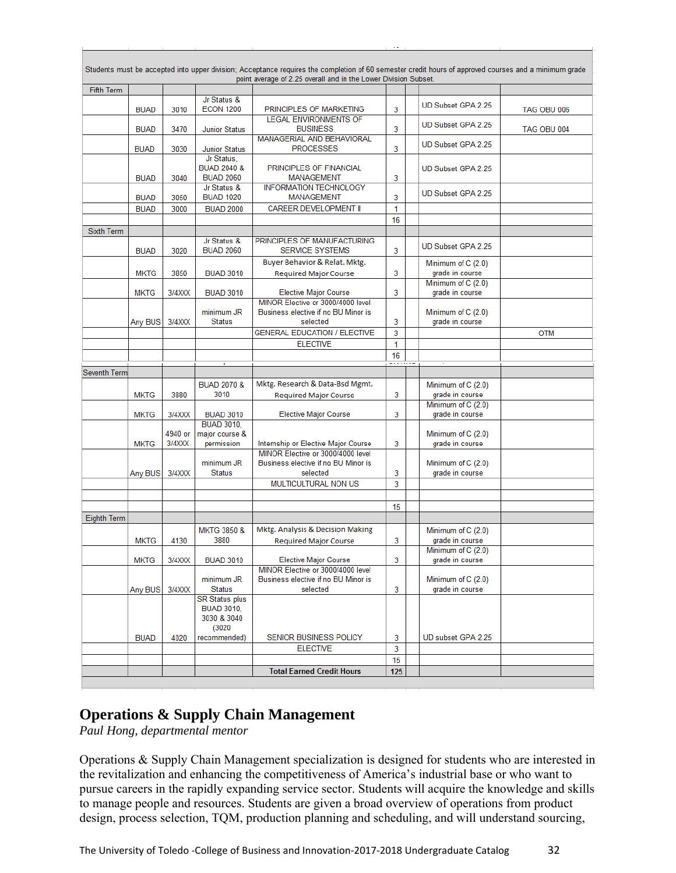|                    |             |         |                                    | Students must be accepted into upper division; Acceptance requires the completion of 60 semester credit hours of approved courses and a minimum grade |        |                                       |             |
|--------------------|-------------|---------|------------------------------------|-------------------------------------------------------------------------------------------------------------------------------------------------------|--------|---------------------------------------|-------------|
|                    |             |         |                                    | point average of 2.25 overall and in the Lower Division Subset.                                                                                       |        |                                       |             |
| <b>Fifth Term</b>  |             |         | Jr Status &                        |                                                                                                                                                       |        |                                       |             |
|                    | <b>BUAD</b> | 3010    | <b>ECON 1200</b>                   | PRINCIPLES OF MARKETING                                                                                                                               | 3      | UD Subset GPA 2.25                    | TAG OBU 006 |
|                    |             |         |                                    | <b>LEGAL ENVIRONMENTS OF</b>                                                                                                                          |        |                                       |             |
|                    | <b>BUAD</b> | 3470    | <b>Junior Status</b>               | <b>BUSINESS</b>                                                                                                                                       | 3      | UD Subset GPA 2.25                    | TAG OBU 004 |
|                    |             |         |                                    | <b>MANAGERIAL AND BEHAVIORAL</b><br><b>PROCESSES</b>                                                                                                  |        | UD Subset GPA 2.25                    |             |
|                    | <b>BUAD</b> | 3030    | <b>Junior Status</b><br>Jr Status, |                                                                                                                                                       | 3      |                                       |             |
|                    |             |         | <b>BUAD 2040 &amp;</b>             | PRINCIPLES OF FINANCIAL                                                                                                                               |        | UD Subset GPA 2.25                    |             |
|                    | <b>BUAD</b> | 3040    | <b>BUAD 2060</b>                   | <b>MANAGEMENT</b>                                                                                                                                     | 3      |                                       |             |
|                    |             |         | Jr Status &                        | <b>INFORMATION TECHNOLOGY</b>                                                                                                                         |        | UD Subset GPA 2.25                    |             |
|                    | <b>BUAD</b> | 3050    | <b>BUAD 1020</b>                   | <b>MANAGEMENT</b>                                                                                                                                     | 3      |                                       |             |
|                    | <b>BUAD</b> | 3000    | <b>BUAD 2000</b>                   | <b>CAREER DEVELOPMENT II</b>                                                                                                                          | 1      |                                       |             |
|                    |             |         |                                    |                                                                                                                                                       | 16     |                                       |             |
| <b>Sixth Term</b>  |             |         | Jr Status &                        | PRINCIPLES OF MANUFACTURING                                                                                                                           |        |                                       |             |
|                    | <b>BUAD</b> | 3020    | <b>BUAD 2060</b>                   | <b>SERVICE SYSTEMS</b>                                                                                                                                | 3      | UD Subset GPA 2.25                    |             |
|                    |             |         |                                    | Buyer Behavior & Relat. Mktg.                                                                                                                         |        | Minimum of C (2.0)                    |             |
|                    | <b>MKTG</b> | 3850    | <b>BUAD 3010</b>                   | <b>Required Major Course</b>                                                                                                                          | 3      | grade in course                       |             |
|                    |             |         |                                    |                                                                                                                                                       |        | Minimum of C (2.0)                    |             |
|                    | <b>MKTG</b> | 3/4XXX  | <b>BUAD 3010</b>                   | <b>Elective Major Course</b><br>MINOR Elective or 3000/4000 level                                                                                     | 3      | grade in course                       |             |
|                    |             |         | minimum JR                         | Business elective if no BU Minor is                                                                                                                   |        | Minimum of C (2.0)                    |             |
|                    | Any BUS     | 3/4XXX  | <b>Status</b>                      | selected                                                                                                                                              | 3      | grade in course                       |             |
|                    |             |         |                                    | <b>GENERAL EDUCATION / ELECTIVE</b>                                                                                                                   | 3      |                                       | <b>OTM</b>  |
|                    |             |         |                                    | <b>ELECTIVE</b>                                                                                                                                       | 1      |                                       |             |
|                    |             |         |                                    |                                                                                                                                                       | 16     |                                       |             |
|                    |             |         |                                    |                                                                                                                                                       | ------ |                                       |             |
| Seventh Term       |             |         |                                    |                                                                                                                                                       |        |                                       |             |
|                    |             |         | <b>BUAD 2070 &amp;</b><br>3010     | Mktg. Research & Data-Bsd Mgmt.                                                                                                                       | 3      | Minimum of C (2.0)                    |             |
|                    | <b>MKTG</b> | 3880    |                                    | <b>Required Major Course</b>                                                                                                                          |        | grade in course<br>Minimum of C (2.0) |             |
|                    | <b>MKTG</b> | 3/4XXX  | <b>BUAD 3010</b>                   | <b>Elective Major Course</b>                                                                                                                          | 3      | grade in course                       |             |
|                    |             |         | <b>BUAD 3010,</b>                  |                                                                                                                                                       |        |                                       |             |
|                    |             | 4940 or | major course &                     |                                                                                                                                                       |        | Minimum of $C(2.0)$                   |             |
|                    | <b>MKTG</b> | 3/4XXX  | permission                         | Internship or Elective Major Course<br>MINOR Elective or 3000/4000 level                                                                              | 3      | grade in course                       |             |
|                    |             |         | minimum JR                         | Business elective if no BU Minor is                                                                                                                   |        | Minimum of C (2.0)                    |             |
|                    | Any BUS     | 3/4XXX  | <b>Status</b>                      | selected                                                                                                                                              | 3      | grade in course                       |             |
|                    |             |         |                                    | MULTICULTURAL NON US                                                                                                                                  | 3      |                                       |             |
|                    |             |         |                                    |                                                                                                                                                       |        |                                       |             |
|                    |             |         |                                    |                                                                                                                                                       | 15     |                                       |             |
| <b>Eighth Term</b> |             |         |                                    |                                                                                                                                                       |        |                                       |             |
|                    |             |         | <b>MKTG 3850 &amp;</b>             | Mktg. Analysis & Decision Making                                                                                                                      |        | Minimum of C (2.0)                    |             |
|                    | <b>MKTG</b> | 4130    | 3880                               | <b>Required Major Course</b>                                                                                                                          | 3      | grade in course                       |             |
|                    |             |         |                                    |                                                                                                                                                       |        | Minimum of C (2.0)                    |             |
|                    | <b>MKTG</b> | 3/4XXX  | <b>BUAD 3010</b>                   | <b>Elective Major Course</b><br>MINOR Elective or 3000/4000 level                                                                                     | 3      | grade in course                       |             |
|                    |             |         | minimum JR                         | Business elective if no BU Minor is                                                                                                                   |        | Minimum of C (2.0)                    |             |
|                    | Any BUS     | 3/4XXX  | <b>Status</b>                      | selected                                                                                                                                              | 3      | grade in course                       |             |
|                    |             |         | <b>SR Status plus</b>              |                                                                                                                                                       |        |                                       |             |
|                    |             |         | <b>BUAD 3010,</b>                  |                                                                                                                                                       |        |                                       |             |
|                    |             |         | 3030 & 3040<br>(3020)              |                                                                                                                                                       |        |                                       |             |
|                    | <b>BUAD</b> | 4020    | recommended)                       | SENIOR BUSINESS POLICY                                                                                                                                | 3      | UD subset GPA 2.25                    |             |
|                    |             |         |                                    | <b>ELECTIVE</b>                                                                                                                                       | 3      |                                       |             |
|                    |             |         |                                    |                                                                                                                                                       | 15     |                                       |             |
|                    |             |         |                                    | <b>Total Earned Credit Hours</b>                                                                                                                      | 125    |                                       |             |
|                    |             |         |                                    |                                                                                                                                                       |        |                                       |             |
|                    |             |         |                                    |                                                                                                                                                       |        |                                       |             |

# **Operations & Supply Chain Management**

*Paul Hong, departmental mentor* 

Operations & Supply Chain Management specialization is designed for students who are interested in the revitalization and enhancing the competitiveness of America's industrial base or who want to pursue careers in the rapidly expanding service sector. Students will acquire the knowledge and skills to manage people and resources. Students are given a broad overview of operations from product design, process selection, TQM, production planning and scheduling, and will understand sourcing,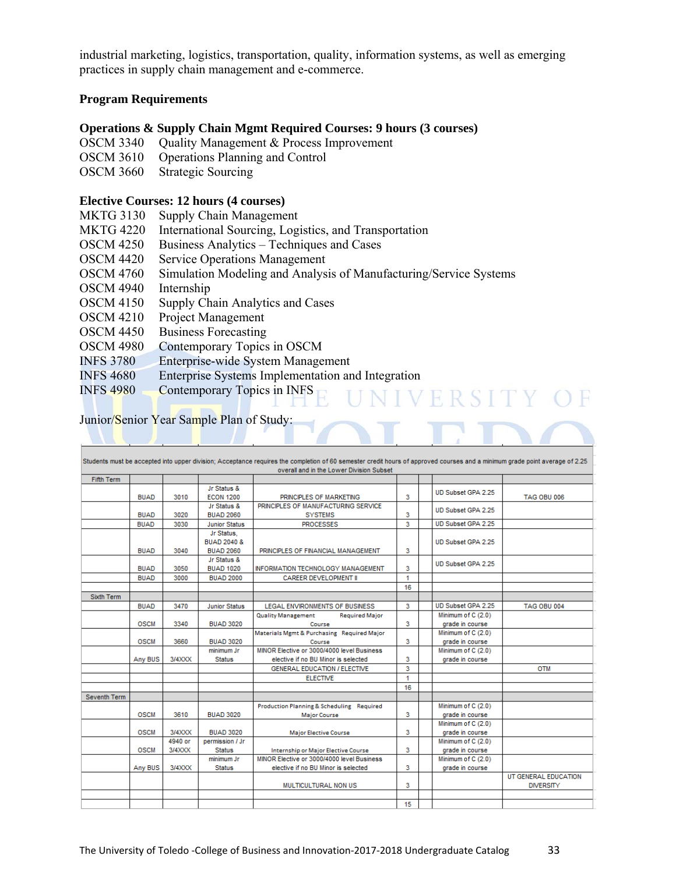industrial marketing, logistics, transportation, quality, information systems, as well as emerging practices in supply chain management and e-commerce.

#### **Program Requirements**

#### **Operations & Supply Chain Mgmt Required Courses: 9 hours (3 courses)**

- OSCM 3340 Quality Management & Process Improvement
- OSCM 3610 Operations Planning and Control
- OSCM 3660 Strategic Sourcing

#### **Elective Courses: 12 hours (4 courses)**

- MKTG 3130 Supply Chain Management
- MKTG 4220 International Sourcing, Logistics, and Transportation
- OSCM 4250 Business Analytics Techniques and Cases
- OSCM 4420 Service Operations Management
- OSCM 4760 Simulation Modeling and Analysis of Manufacturing/Service Systems
- OSCM 4940 Internship
- OSCM 4150 Supply Chain Analytics and Cases
- OSCM 4210 Project Management
- OSCM 4450 Business Forecasting
- OSCM 4980 Contemporary Topics in OSCM
- INFS 3780 Enterprise-wide System Management
- INFS 4680 Enterprise Systems Implementation and Integration
- INFS 4980 Contemporary Topics in INFS

#### Junior/Senior Year Sample Plan of Study:

|                   |             |         |                                                          | overall and in the Lower Division Subset                                          |    |                                       |                                          |
|-------------------|-------------|---------|----------------------------------------------------------|-----------------------------------------------------------------------------------|----|---------------------------------------|------------------------------------------|
| <b>Fifth Term</b> |             |         |                                                          |                                                                                   |    |                                       |                                          |
|                   | <b>BUAD</b> | 3010    | Jr Status &<br><b>ECON 1200</b>                          | PRINCIPLES OF MARKETING                                                           | 3  | UD Subset GPA 2.25                    | TAG OBU 006                              |
|                   | <b>BUAD</b> | 3020    | Jr Status &<br><b>BUAD 2060</b>                          | PRINCIPLES OF MANUFACTURING SERVICE<br><b>SYSTEMS</b>                             | 3  | UD Subset GPA 2.25                    |                                          |
|                   | <b>BUAD</b> | 3030    | <b>Junior Status</b>                                     | <b>PROCESSES</b>                                                                  | 3  | UD Subset GPA 2.25                    |                                          |
|                   | <b>BUAD</b> | 3040    | Jr Status,<br><b>BUAD 2040 &amp;</b><br><b>BUAD 2060</b> | PRINCIPLES OF FINANCIAL MANAGEMENT                                                | 3  | UD Subset GPA 2.25                    |                                          |
|                   | <b>BUAD</b> | 3050    | Jr Status &<br><b>BUAD 1020</b>                          | INFORMATION TECHNOLOGY MANAGEMENT                                                 | 3  | UD Subset GPA 2.25                    |                                          |
|                   | <b>BUAD</b> | 3000    | <b>BUAD 2000</b>                                         | <b>CAREER DEVELOPMENT II</b>                                                      | 1  |                                       |                                          |
|                   |             |         |                                                          |                                                                                   | 16 |                                       |                                          |
| Sixth Term        |             |         |                                                          |                                                                                   |    |                                       |                                          |
|                   | <b>BUAD</b> | 3470    | <b>Junior Status</b>                                     | <b>LEGAL ENVIRONMENTS OF BUSINESS</b>                                             | 3  | UD Subset GPA 2.25                    | <b>TAG OBU 004</b>                       |
|                   | <b>OSCM</b> | 3340    | <b>BUAD 3020</b>                                         | <b>Quality Management</b><br><b>Required Major</b><br>Course                      | 3  | Minimum of C (2.0)<br>grade in course |                                          |
|                   | <b>OSCM</b> | 3660    | <b>BUAD 3020</b>                                         | Materials Mgmt & Purchasing Required Major<br>Course                              | 3  | Minimum of C (2.0)<br>grade in course |                                          |
|                   | Any BUS     | 3/4XXX  | minimum Jr<br><b>Status</b>                              | MINOR Elective or 3000/4000 level Business<br>elective if no BU Minor is selected | 3  | Minimum of C (2.0)<br>grade in course |                                          |
|                   |             |         |                                                          | GENERAL EDUCATION / ELECTIVE                                                      | 3  |                                       | <b>OTM</b>                               |
|                   |             |         |                                                          | <b>ELECTIVE</b>                                                                   | 1  |                                       |                                          |
|                   |             |         |                                                          |                                                                                   | 16 |                                       |                                          |
| Seventh Term      |             |         |                                                          |                                                                                   |    |                                       |                                          |
|                   | <b>OSCM</b> | 3610    | <b>BUAD 3020</b>                                         | Production Planning & Scheduling Required<br><b>Major Course</b>                  | 3  | Minimum of C (2.0)<br>grade in course |                                          |
|                   | <b>OSCM</b> | 3/4XXX  | <b>BUAD 3020</b>                                         | <b>Major Elective Course</b>                                                      | 3  | Minimum of C (2.0)<br>grade in course |                                          |
|                   |             | 4940 or | permission / Jr                                          |                                                                                   |    | Minimum of C (2.0)                    |                                          |
|                   | <b>OSCM</b> | 3/4XXX  | <b>Status</b>                                            | Internship or Major Elective Course                                               | 3  | grade in course                       |                                          |
|                   | Any BUS     | 3/4XXX  | minimum Jr<br><b>Status</b>                              | MINOR Elective or 3000/4000 level Business<br>elective if no BU Minor is selected | 3  | Minimum of C (2.0)<br>grade in course |                                          |
|                   |             |         |                                                          | MULTICULTURAL NON US                                                              | 3  |                                       | UT GENERAL EDUCATION<br><b>DIVERSITY</b> |
|                   |             |         |                                                          |                                                                                   | 15 |                                       |                                          |

NIVERSITY OF

T E DI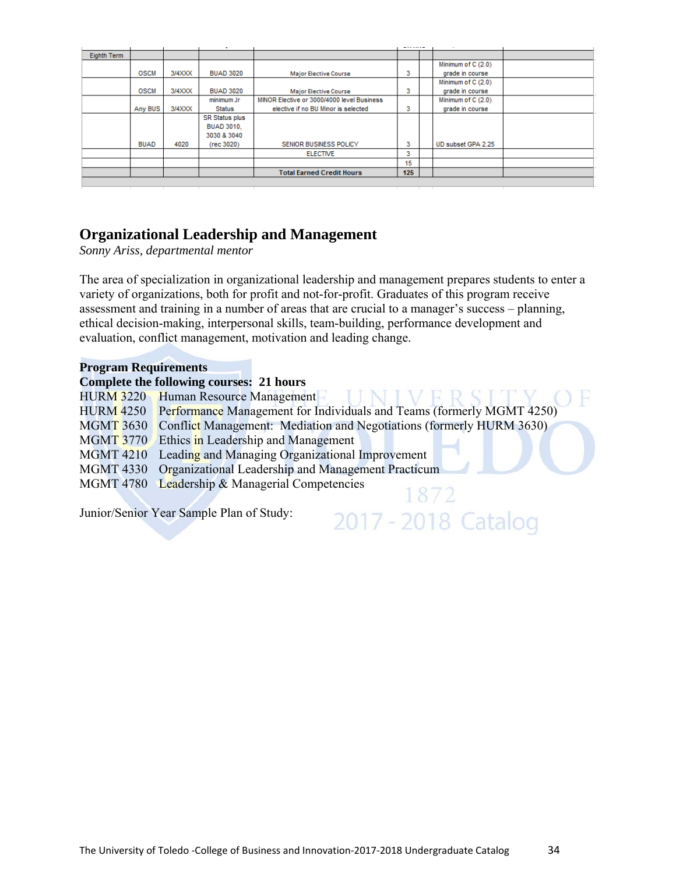| Eighth Term |             |        |                       |                                            |     |                    |  |
|-------------|-------------|--------|-----------------------|--------------------------------------------|-----|--------------------|--|
|             |             |        |                       |                                            |     | Minimum of C (2.0) |  |
|             | <b>OSCM</b> | 3/4XXX | <b>BUAD 3020</b>      | <b>Major Elective Course</b>               | 3   | grade in course    |  |
|             |             |        |                       |                                            |     | Minimum of C (2.0) |  |
|             | <b>OSCM</b> | 3/4XXX | <b>BUAD 3020</b>      | <b>Major Elective Course</b>               | 3   | grade in course    |  |
|             |             |        | minimum Jr            | MINOR Elective or 3000/4000 level Business |     | Minimum of C (2.0) |  |
|             | Any BUS     | 3/4XXX | Status                | elective if no BU Minor is selected        | 3   | grade in course    |  |
|             |             |        | <b>SR Status plus</b> |                                            |     |                    |  |
|             |             |        | <b>BUAD 3010.</b>     |                                            |     |                    |  |
|             |             |        | 3030 & 3040           |                                            |     |                    |  |
|             | <b>BUAD</b> | 4020   | (rec 3020)            | SENIOR BUSINESS POLICY                     | 3   | UD subset GPA 2.25 |  |
|             |             |        |                       | <b>ELECTIVE</b>                            | 3   |                    |  |
|             |             |        |                       |                                            | 15  |                    |  |
|             |             |        |                       | <b>Total Earned Credit Hours</b>           | 125 |                    |  |
|             |             |        |                       |                                            |     |                    |  |

# **Organizational Leadership and Management**

*Sonny Ariss, departmental mentor* 

The area of specialization in organizational leadership and management prepares students to enter a variety of organizations, both for profit and not-for-profit. Graduates of this program receive assessment and training in a number of areas that are crucial to a manager's success – planning, ethical decision-making, interpersonal skills, team-building, performance development and evaluation, conflict management, motivation and leading change.

#### **Program Requirements**

|  |                  | Complete the following courses: 21 hours                                        |
|--|------------------|---------------------------------------------------------------------------------|
|  |                  | HURM 3220 Human Resource Management                                             |
|  |                  | HURM 4250 Performance Management for Individuals and Teams (formerly MGMT 4250) |
|  | <b>MGMT 3630</b> | Conflict Management: Mediation and Negotiations (formerly HURM 3630)            |
|  |                  | MGMT 3770 Ethics in Leadership and Management                                   |
|  | <b>MGMT 4210</b> | Leading and Managing Organizational Improvement                                 |
|  |                  | MGMT 4330 Organizational Leadership and Management Practicum                    |
|  |                  | MGMT 4780 Leadership & Managerial Competencies                                  |
|  |                  |                                                                                 |

2017 - 2018 Catalog

Junior/Senior Year Sample Plan of Study: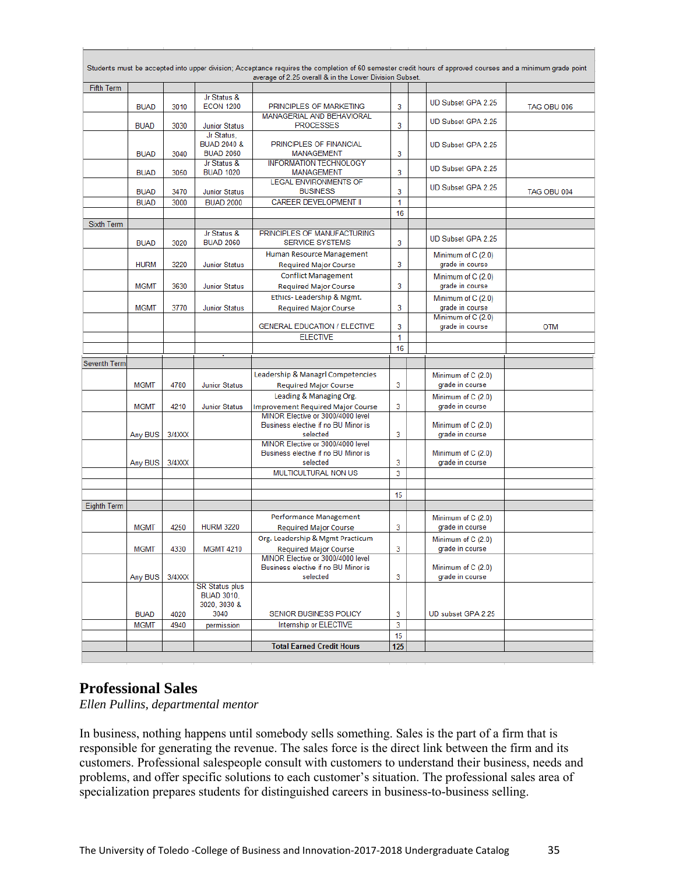|                    |                            |              |                                                          |                                                                                      |        |                                       | Students must be accepted into upper division; Acceptance requires the completion of 60 semester credit hours of approved courses and a minimum grade point |
|--------------------|----------------------------|--------------|----------------------------------------------------------|--------------------------------------------------------------------------------------|--------|---------------------------------------|-------------------------------------------------------------------------------------------------------------------------------------------------------------|
| <b>Fifth Term</b>  |                            |              |                                                          | average of 2.25 overall & in the Lower Division Subset.                              |        |                                       |                                                                                                                                                             |
|                    |                            |              | Jr Status &                                              |                                                                                      |        |                                       |                                                                                                                                                             |
|                    | <b>BUAD</b>                | 3010         | <b>ECON 1200</b>                                         | PRINCIPLES OF MARKETING                                                              | 3      | UD Subset GPA 2.25                    | TAG OBU 006                                                                                                                                                 |
|                    | <b>BUAD</b>                | 3030         | <b>Junior Status</b>                                     | MANAGERIAL AND BEHAVIORAL<br><b>PROCESSES</b>                                        | 3      | UD Subset GPA 2.25                    |                                                                                                                                                             |
|                    | <b>BUAD</b>                | 3040         | Jr Status,<br><b>BUAD 2040 &amp;</b><br><b>BUAD 2060</b> | PRINCIPLES OF FINANCIAL<br><b>MANAGEMENT</b>                                         | 3      | UD Subset GPA 2.25                    |                                                                                                                                                             |
|                    | <b>BUAD</b>                | 3050         | Jr Status &<br><b>BUAD 1020</b>                          | <b>INFORMATION TECHNOLOGY</b><br><b>MANAGEMENT</b>                                   | 3      | UD Subset GPA 2.25                    |                                                                                                                                                             |
|                    | <b>BUAD</b>                | 3470         | <b>Junior Status</b>                                     | <b>LEGAL ENVIRONMENTS OF</b><br><b>BUSINESS</b>                                      | 3      | UD Subset GPA 2.25                    | TAG OBU 004                                                                                                                                                 |
|                    | <b>BUAD</b>                | 3000         | <b>BUAD 2000</b>                                         | CAREER DEVELOPMENT II                                                                | 1      |                                       |                                                                                                                                                             |
|                    |                            |              |                                                          |                                                                                      | 16     |                                       |                                                                                                                                                             |
| <b>Sixth Term</b>  |                            |              |                                                          |                                                                                      |        |                                       |                                                                                                                                                             |
|                    | <b>BUAD</b>                | 3020         | Jr Status &<br><b>BUAD 2060</b>                          | PRINCIPLES OF MANUFACTURING<br><b>SERVICE SYSTEMS</b>                                | 3      | UD Subset GPA 2.25                    |                                                                                                                                                             |
|                    |                            |              |                                                          | Human Resource Management                                                            |        | Minimum of C (2.0)                    |                                                                                                                                                             |
|                    | <b>HURM</b>                | 3220         | <b>Junior Status</b>                                     | <b>Required Major Course</b>                                                         | 3      | grade in course                       |                                                                                                                                                             |
|                    | <b>MGMT</b>                | 3630         | <b>Junior Status</b>                                     | <b>Conflict Management</b><br><b>Required Major Course</b>                           | 3      | Minimum of C (2.0)<br>grade in course |                                                                                                                                                             |
|                    |                            |              |                                                          | Ethics-Leadership & Mgmt.                                                            |        | Minimum of C (2.0)                    |                                                                                                                                                             |
|                    | <b>MGMT</b>                | 3770         | <b>Junior Status</b>                                     | <b>Required Major Course</b>                                                         | 3      | grade in course                       |                                                                                                                                                             |
|                    |                            |              |                                                          |                                                                                      |        | Minimum of C (2.0)                    |                                                                                                                                                             |
|                    |                            |              |                                                          | <b>GENERAL EDUCATION / ELECTIVE</b>                                                  | 3      | grade in course                       | OTM                                                                                                                                                         |
|                    |                            |              |                                                          | <b>ELECTIVE</b>                                                                      | 1      |                                       |                                                                                                                                                             |
|                    |                            |              |                                                          |                                                                                      | 16     |                                       |                                                                                                                                                             |
| Seventh Term       |                            |              |                                                          |                                                                                      |        |                                       |                                                                                                                                                             |
|                    |                            |              |                                                          |                                                                                      |        |                                       |                                                                                                                                                             |
|                    |                            |              |                                                          | Leadership & Managrl Competencies                                                    |        | Minimum of C (2.0)                    |                                                                                                                                                             |
|                    | <b>MGMT</b>                | 4780         | <b>Junior Status</b>                                     | <b>Required Major Course</b>                                                         | 3      | grade in course                       |                                                                                                                                                             |
|                    |                            |              |                                                          | Leading & Managing Org.                                                              |        | Minimum of C (2.0)                    |                                                                                                                                                             |
|                    | <b>MGMT</b>                | 4210         | <b>Junior Status</b>                                     | <b>Improvement Required Major Course</b>                                             | 3      | grade in course                       |                                                                                                                                                             |
|                    |                            | 3/4XXX       |                                                          | MINOR Elective or 3000/4000 level<br>Business elective if no BU Minor is<br>selected | 3      | Minimum of C (2.0)                    |                                                                                                                                                             |
|                    | Any BUS                    |              |                                                          | MINOR Elective or 3000/4000 level                                                    |        | grade in course                       |                                                                                                                                                             |
|                    |                            |              |                                                          | Business elective if no BU Minor is                                                  |        | Minimum of C (2.0)                    |                                                                                                                                                             |
|                    | Any BUS                    | 3/4XXX       |                                                          | selected                                                                             | 3      | grade in course                       |                                                                                                                                                             |
|                    |                            |              |                                                          | MULTICULTURAL NON US                                                                 | 3      |                                       |                                                                                                                                                             |
|                    |                            |              |                                                          |                                                                                      |        |                                       |                                                                                                                                                             |
| <b>Eighth Term</b> |                            |              |                                                          |                                                                                      | 15     |                                       |                                                                                                                                                             |
|                    |                            |              |                                                          | Performance Management                                                               |        |                                       |                                                                                                                                                             |
|                    | <b>MGMT</b>                | 4250         | <b>HURM 3220</b>                                         | <b>Required Major Course</b>                                                         | 3      | Minimum of C (2.0)<br>grade in course |                                                                                                                                                             |
|                    |                            |              |                                                          | Org. Leadership & Mgmt Practicum                                                     |        | Minimum of C (2.0)                    |                                                                                                                                                             |
|                    | <b>MGMT</b>                | 4330         | <b>MGMT 4210</b>                                         | <b>Required Major Course</b>                                                         | 3      | grade in course                       |                                                                                                                                                             |
|                    |                            |              |                                                          | MINOR Elective or 3000/4000 level                                                    |        |                                       |                                                                                                                                                             |
|                    |                            | 3/4XXX       |                                                          | Business elective if no BU Minor is<br>selected                                      | 3      | Minimum of C (2.0)<br>grade in course |                                                                                                                                                             |
|                    | Any BUS                    |              | <b>SR Status plus</b><br><b>BUAD 3010,</b>               |                                                                                      |        |                                       |                                                                                                                                                             |
|                    |                            |              | 3020, 3030 &                                             |                                                                                      |        |                                       |                                                                                                                                                             |
|                    | <b>BUAD</b><br><b>MGMT</b> | 4020<br>4940 | 3040<br>permission                                       | SENIOR BUSINESS POLICY<br>Internship or ELECTIVE                                     | 3<br>3 | UD subset GPA 2.25                    |                                                                                                                                                             |
|                    |                            |              |                                                          |                                                                                      | 15     |                                       |                                                                                                                                                             |
|                    |                            |              |                                                          | <b>Total Earned Credit Hours</b>                                                     | 125    |                                       |                                                                                                                                                             |

### **Professional Sales**

*Ellen Pullins, departmental mentor* 

In business, nothing happens until somebody sells something. Sales is the part of a firm that is responsible for generating the revenue. The sales force is the direct link between the firm and its customers. Professional salespeople consult with customers to understand their business, needs and problems, and offer specific solutions to each customer's situation. The professional sales area of specialization prepares students for distinguished careers in business-to-business selling.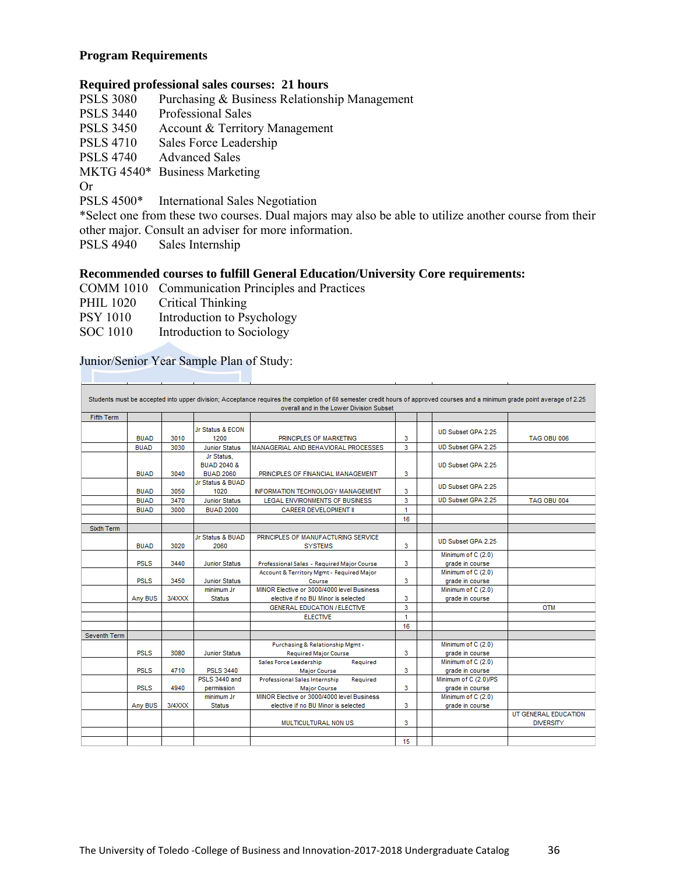#### **Program Requirements**

#### **Required professional sales courses: 21 hours**

| <b>PSLS 3080</b> | Purchasing & Business Relationship Management |
|------------------|-----------------------------------------------|
| <b>PSLS 3440</b> | <b>Professional Sales</b>                     |
| <b>PSLS 3450</b> | Account & Territory Management                |
| <b>PSLS 4710</b> | Sales Force Leadership                        |

PSLS 4740 Advanced Sales

MKTG 4540\* Business Marketing

Or

PSLS 4500\* International Sales Negotiation

\*Select one from these two courses. Dual majors may also be able to utilize another course from their other major. Consult an adviser for more information.<br>PSLS 4940 Sales Internship

Sales Internship

#### **Recommended courses to fulfill General Education/University Core requirements:**

COMM 1010 Communication Principles and Practices

PHIL 1020 Critical Thinking

PSY 1010 Introduction to Psychology

SOC 1010 Introduction to Sociology

#### Junior/Senior Year Sample Plan of Study:

|              |             |        |                                                          | Students must be accepted into upper division; Acceptance requires the completion of 60 semester credit hours of approved courses and a minimum grade point average of 2.25<br>overall and in the Lower Division Subset |                      |                                          |                                          |
|--------------|-------------|--------|----------------------------------------------------------|-------------------------------------------------------------------------------------------------------------------------------------------------------------------------------------------------------------------------|----------------------|------------------------------------------|------------------------------------------|
| Fifth Term   |             |        |                                                          |                                                                                                                                                                                                                         |                      |                                          |                                          |
|              | <b>BUAD</b> | 3010   | Jr Status & ECON<br>1200                                 | PRINCIPLES OF MARKETING                                                                                                                                                                                                 | 3                    | UD Subset GPA 2.25                       | <b>TAG OBU 006</b>                       |
|              | <b>BUAD</b> | 3030   | <b>Junior Status</b>                                     | MANAGERIAL AND BEHAVIORAL PROCESSES                                                                                                                                                                                     | 3                    | UD Subset GPA 2.25                       |                                          |
|              | <b>BUAD</b> | 3040   | Jr Status,<br><b>BUAD 2040 &amp;</b><br><b>BUAD 2060</b> | PRINCIPLES OF FINANCIAL MANAGEMENT                                                                                                                                                                                      | 3                    | UD Subset GPA 2.25                       |                                          |
|              | <b>BUAD</b> | 3050   | Jr Status & BUAD<br>1020                                 | INFORMATION TECHNOLOGY MANAGEMENT                                                                                                                                                                                       | 3                    | UD Subset GPA 2.25                       |                                          |
|              | <b>BUAD</b> | 3470   | <b>Junior Status</b>                                     | LEGAL ENVIRONMENTS OF BUSINESS                                                                                                                                                                                          | 3                    | UD Subset GPA 2.25                       | TAG OBU 004                              |
|              | <b>BUAD</b> | 3000   | <b>BUAD 2000</b>                                         | <b>CAREER DEVELOPMENT II</b>                                                                                                                                                                                            | $\blacktriangleleft$ |                                          |                                          |
|              |             |        |                                                          |                                                                                                                                                                                                                         | 16                   |                                          |                                          |
| Sixth Term   |             |        |                                                          |                                                                                                                                                                                                                         |                      |                                          |                                          |
|              | <b>BUAD</b> | 3020   | Jr Status & BUAD<br>2060                                 | PRINCIPLES OF MANUFACTURING SERVICE<br><b>SYSTEMS</b>                                                                                                                                                                   | 3                    | UD Subset GPA 2.25                       |                                          |
|              | <b>PSLS</b> | 3440   | <b>Junior Status</b>                                     | Professional Sales - Required Major Course                                                                                                                                                                              | 3                    | Minimum of C (2.0)<br>grade in course    |                                          |
|              | <b>PSLS</b> | 3450   | <b>Junior Status</b>                                     | Account & Territory Mgmt - Required Major<br>Course                                                                                                                                                                     | 3                    | Minimum of C (2.0)<br>grade in course    |                                          |
|              | Any BUS     | 3/4XXX | minimum Jr<br><b>Status</b>                              | MINOR Elective or 3000/4000 level Business<br>elective if no BU Minor is selected                                                                                                                                       | 3                    | Minimum of C (2.0)<br>grade in course    |                                          |
|              |             |        |                                                          | <b>GENERAL EDUCATION / ELECTIVE</b>                                                                                                                                                                                     | 3                    |                                          | <b>OTM</b>                               |
|              |             |        |                                                          | <b>ELECTIVE</b>                                                                                                                                                                                                         | 1                    |                                          |                                          |
|              |             |        |                                                          |                                                                                                                                                                                                                         | 16                   |                                          |                                          |
| Seventh Term |             |        |                                                          |                                                                                                                                                                                                                         |                      |                                          |                                          |
|              | <b>PSLS</b> | 3080   | <b>Junior Status</b>                                     | Purchasing & Relationship Mgmt -<br><b>Required Major Course</b>                                                                                                                                                        | 3                    | Minimum of C (2.0)<br>grade in course    |                                          |
|              | <b>PSLS</b> | 4710   | <b>PSLS 3440</b>                                         | Sales Force Leadership<br>Required<br><b>Major Course</b>                                                                                                                                                               | 3                    | Minimum of C (2.0)<br>grade in course    |                                          |
|              | <b>PSLS</b> | 4940   | PSLS 3440 and<br>permission                              | Professional Sales Internship<br>Required<br><b>Major Course</b>                                                                                                                                                        | 3                    | Minimum of C (2.0)/PS<br>grade in course |                                          |
|              |             |        | minimum Jr.                                              | MINOR Elective or 3000/4000 level Business                                                                                                                                                                              |                      | Minimum of C (2.0)                       |                                          |
|              | Any BUS     | 3/4XXX | <b>Status</b>                                            | elective if no BU Minor is selected                                                                                                                                                                                     | 3                    | grade in course                          |                                          |
|              |             |        |                                                          | MULTICULTURAL NON US                                                                                                                                                                                                    | 3                    |                                          | UT GENERAL EDUCATION<br><b>DIVERSITY</b> |
|              |             |        |                                                          |                                                                                                                                                                                                                         |                      |                                          |                                          |
|              |             |        |                                                          |                                                                                                                                                                                                                         | 15                   |                                          |                                          |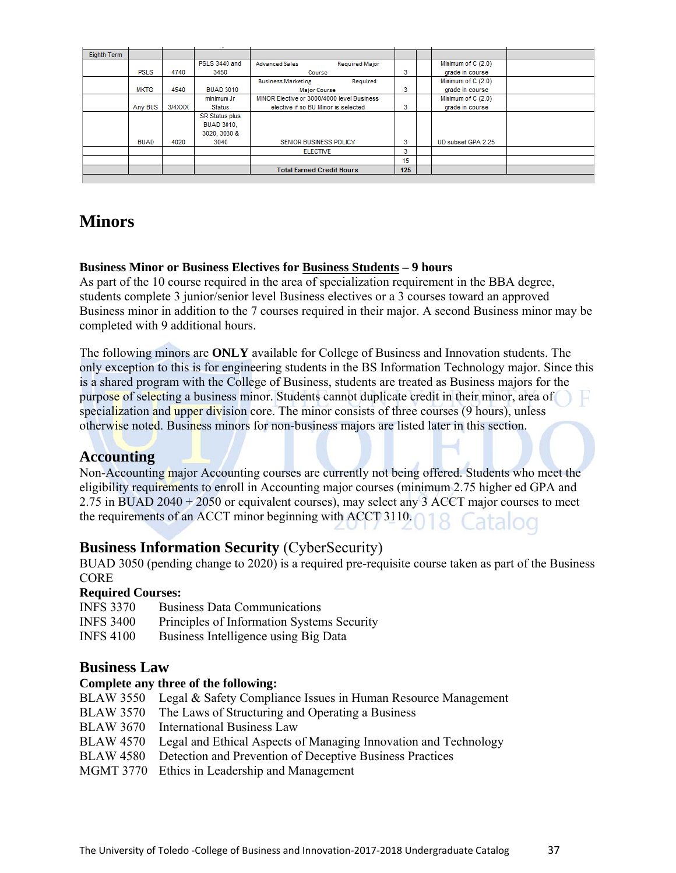| Eighth Term |             |        |                       |                                            |                       |     |                    |  |
|-------------|-------------|--------|-----------------------|--------------------------------------------|-----------------------|-----|--------------------|--|
|             |             |        | PSLS 3440 and         | <b>Advanced Sales</b>                      | <b>Required Major</b> |     | Minimum of C (2.0) |  |
|             | <b>PSLS</b> | 4740   | 3450                  | Course                                     |                       | 3   | grade in course    |  |
|             |             |        |                       | <b>Business Marketing</b>                  | Required              |     | Minimum of C (2.0) |  |
|             | <b>MKTG</b> | 4540   | <b>BUAD 3010</b>      | <b>Major Course</b>                        |                       | 3   | grade in course    |  |
|             |             |        | minimum Jr            | MINOR Elective or 3000/4000 level Business |                       |     | Minimum of C (2.0) |  |
|             | Any BUS     | 3/4XXX | <b>Status</b>         | elective if no BU Minor is selected        |                       | 3   | grade in course    |  |
|             |             |        | <b>SR Status plus</b> |                                            |                       |     |                    |  |
|             |             |        | <b>BUAD 3010.</b>     |                                            |                       |     |                    |  |
|             |             |        | 3020, 3030 &          |                                            |                       |     |                    |  |
|             | <b>BUAD</b> | 4020   | 3040                  | SENIOR BUSINESS POLICY                     |                       | 3   | UD subset GPA 2.25 |  |
|             |             |        |                       | <b>ELECTIVE</b>                            |                       | 3   |                    |  |
|             |             |        |                       |                                            |                       | 15  |                    |  |
|             |             |        |                       | <b>Total Earned Credit Hours</b>           |                       | 125 |                    |  |
|             |             |        |                       |                                            |                       |     |                    |  |

# **Minors**

#### **Business Minor or Business Electives for Business Students – 9 hours**

As part of the 10 course required in the area of specialization requirement in the BBA degree, students complete 3 junior/senior level Business electives or a 3 courses toward an approved Business minor in addition to the 7 courses required in their major. A second Business minor may be completed with 9 additional hours.

The following minors are **ONLY** available for College of Business and Innovation students. The only exception to this is for engineering students in the BS Information Technology major. Since this is a shared program with the College of Business, students are treated as Business majors for the purpose of selecting a business minor. Students cannot duplicate credit in their minor, area of specialization and upper division core. The minor consists of three courses (9 hours), unless otherwise noted. Business minors for non-business majors are listed later in this section.

#### **Accounting**

Non-Accounting major Accounting courses are currently not being offered. Students who meet the eligibility requirements to enroll in Accounting major courses (minimum 2.75 higher ed GPA and 2.75 in BUAD 2040 + 2050 or equivalent courses), may select any 3 ACCT major courses to meet the requirements of an ACCT minor beginning with ACCT 3110. Catalog

### **Business Information Security** (CyberSecurity)

BUAD 3050 (pending change to 2020) is a required pre-requisite course taken as part of the Business CORE

#### **Required Courses:**

| <b>INFS 3370</b> | <b>Business Data Communications</b>        |
|------------------|--------------------------------------------|
| <b>INFS 3400</b> | Principles of Information Systems Security |
| <b>INFS 4100</b> | Business Intelligence using Big Data       |

#### **Business Law**

#### **Complete any three of the following:**

- BLAW 3550 Legal & Safety Compliance Issues in Human Resource Management
- BLAW 3570 The Laws of Structuring and Operating a Business
- BLAW 3670 International Business Law
- BLAW 4570 Legal and Ethical Aspects of Managing Innovation and Technology
- BLAW 4580 Detection and Prevention of Deceptive Business Practices
- MGMT 3770 Ethics in Leadership and Management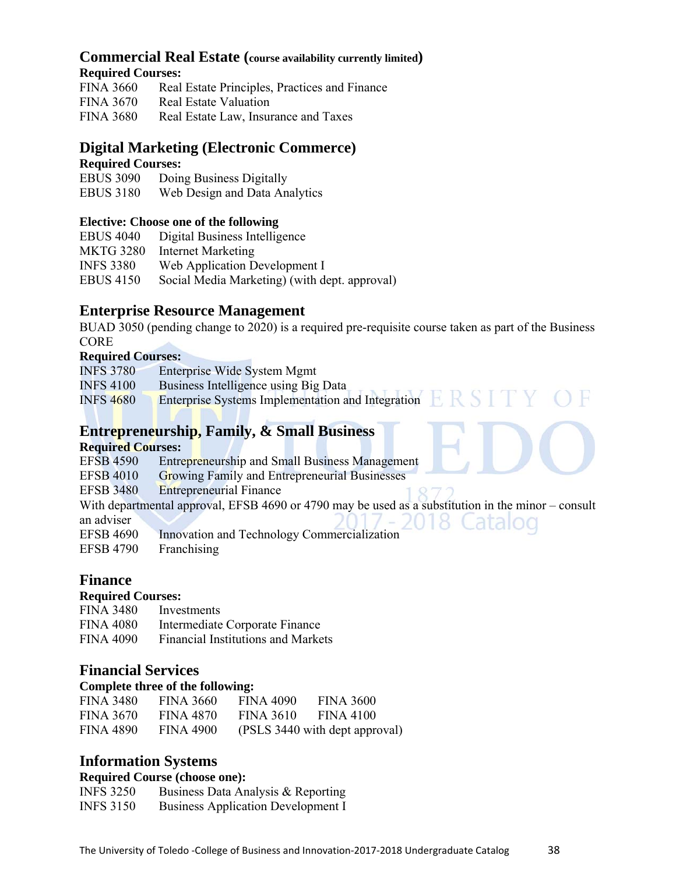#### **Commercial Real Estate (course availability currently limited) Required Courses:**

| <b>FINA 3660</b> | Real Estate Principles, Practices and Finance |
|------------------|-----------------------------------------------|
| <b>FINA 3670</b> | <b>Real Estate Valuation</b>                  |
| <b>FINA 3680</b> | Real Estate Law, Insurance and Taxes          |

# **Digital Marketing (Electronic Commerce)**

#### **Required Courses:**

EBUS 3090 Doing Business Digitally

EBUS 3180 Web Design and Data Analytics

#### **Elective: Choose one of the following**

| <b>EBUS 4040</b> | Digital Business Intelligence                 |
|------------------|-----------------------------------------------|
| <b>MKTG 3280</b> | <b>Internet Marketing</b>                     |
| <b>INFS 3380</b> | Web Application Development I                 |
| <b>EBUS 4150</b> | Social Media Marketing) (with dept. approval) |

**Enterprise Resource Management**<br>BUAD 3050 (pending change to 2020) is a required pre-requisite course taken as part of the Business CORE

#### **Required Courses:**

INFS 3780 Enterprise Wide System Mgmt

- INFS 4100 Business Intelligence using Big Data
- INFS 4680 Enterprise Systems Implementation and Integration  $ERS I'Y$

# **Entrepreneurship, Family, & Small Business**

#### **Required Courses:**

| <b>EFSB 4590</b> | <b>Entrepreneurship and Small Business Management</b>                                                |
|------------------|------------------------------------------------------------------------------------------------------|
| <b>EFSB 4010</b> | <b>Growing Family and Entrepreneurial Businesses</b>                                                 |
| <b>EFSB 3480</b> | <b>Entrepreneurial Finance</b>                                                                       |
|                  | With departmental approval, EFSB 4690 or 4790 may be used as a substitution in the minor $-$ consult |
| an adviser       | $-2018$ Catalog                                                                                      |
| <b>EFSB 4690</b> | Innovation and Technology Commercialization                                                          |
| <b>EFSB 4790</b> | Franchising                                                                                          |
|                  |                                                                                                      |

### **Finance**

#### **Required Courses:**

| <b>FINA 3480</b> | Investments                               |
|------------------|-------------------------------------------|
| <b>FINA 4080</b> | Intermediate Corporate Finance            |
| FINA 4090        | <b>Financial Institutions and Markets</b> |

#### **Financial Services**

#### **Complete three of the following:**

| <b>FINA 3480</b> | <b>FINA 3660</b> | FINA 4090        | <b>FINA 3600</b>               |
|------------------|------------------|------------------|--------------------------------|
| <b>FINA 3670</b> | <b>FINA 4870</b> | <b>FINA 3610</b> | FINA 4100                      |
| <b>FINA 4890</b> | <b>FINA 4900</b> |                  | (PSLS 3440 with dept approval) |

### **Information Systems**

#### **Required Course (choose one):**

| <b>INFS 3250</b> | Business Data Analysis & Reporting        |
|------------------|-------------------------------------------|
| <b>INFS 3150</b> | <b>Business Application Development I</b> |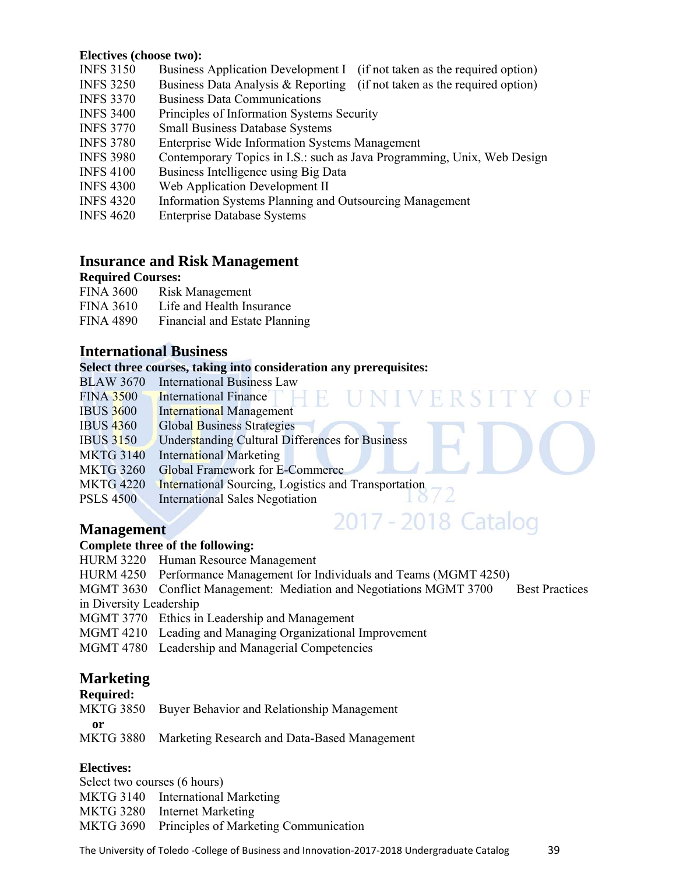#### **Electives (choose two):**

- INFS 3150 Business Application Development I (if not taken as the required option)
- INFS 3250 Business Data Analysis & Reporting (if not taken as the required option)
- INFS 3370 Business Data Communications
- INFS 3400 Principles of Information Systems Security
- INFS 3770 Small Business Database Systems
- INFS 3780 Enterprise Wide Information Systems Management
- INFS 3980 Contemporary Topics in I.S.: such as Java Programming, Unix, Web Design
- INFS 4100 Business Intelligence using Big Data
- INFS 4300 Web Application Development II
- INFS 4320 Information Systems Planning and Outsourcing Management
- INFS 4620 Enterprise Database Systems

#### **Insurance and Risk Management**

#### **Required Courses:**

| <b>FINA 3600</b> | Risk Management               |
|------------------|-------------------------------|
| <b>FINA 3610</b> | Life and Health Insurance     |
| <b>FINA 4890</b> | Financial and Estate Planning |

#### **International Business**

#### **Select three courses, taking into consideration any prerequisites:**

- BLAW 3670 International Business Law
- VIVERSITY OF FINA 3500 International Finance IBUS 3600 International Management IBUS 4360 Global Business Strategies IBUS 3150 Understanding Cultural Differences for Business MKTG 3140 International Marketing MKTG 3260 Global Framework for E-Commerce MKTG 4220 International Sourcing, Logistics and Transportation<br>PSI S 4500 International Sales Negotiation PSLS 4500 International Sales Negotiation

2017 - 2018 Catalog

#### **Management**

#### **Complete three of the following:**

- HURM 3220 Human Resource Management
- HURM 4250 Performance Management for Individuals and Teams (MGMT 4250)
- MGMT 3630 Conflict Management: Mediation and Negotiations MGMT 3700 Best Practices in Diversity Leadership
- MGMT 3770 Ethics in Leadership and Management
- MGMT 4210 Leading and Managing Organizational Improvement
- MGMT 4780 Leadership and Managerial Competencies

### **Marketing**

#### **Required:**

MKTG 3850 Buyer Behavior and Relationship Management

**or** 

- 
- MKTG 3880 Marketing Research and Data-Based Management

#### **Electives:**

Select two courses (6 hours) MKTG 3140 International Marketing MKTG 3280 Internet Marketing MKTG 3690 Principles of Marketing Communication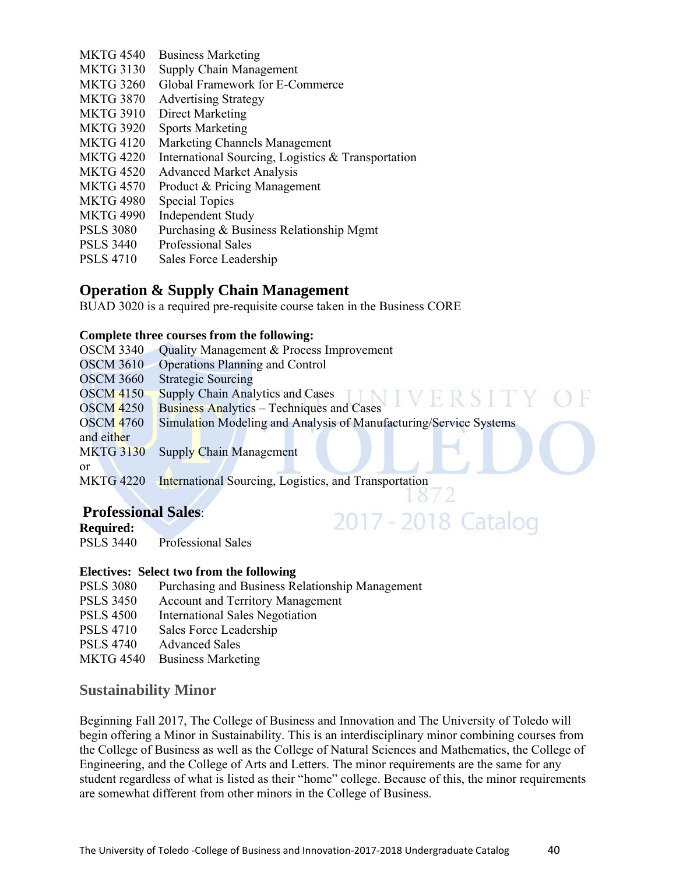- MKTG 4540 Business Marketing
- MKTG 3130 Supply Chain Management
- MKTG 3260 Global Framework for E-Commerce
- MKTG 3870 Advertising Strategy
- MKTG 3910 Direct Marketing
- MKTG 3920 Sports Marketing
- MKTG 4120 Marketing Channels Management
- MKTG 4220 International Sourcing, Logistics & Transportation
- MKTG 4520 Advanced Market Analysis
- MKTG 4570 Product & Pricing Management
- MKTG 4980 Special Topics
- MKTG 4990 Independent Study
- PSLS 3080 Purchasing & Business Relationship Mgmt
- PSLS 3440 Professional Sales
- PSLS 4710 Sales Force Leadership

#### **Operation & Supply Chain Management**

BUAD 3020 is a required pre-requisite course taken in the Business CORE

#### **Complete three courses from the following:**

| <b>OSCM 3340</b> | Quality Management & Process Improvement                          |
|------------------|-------------------------------------------------------------------|
| <b>OSCM 3610</b> | <b>Operations Planning and Control</b>                            |
| <b>OSCM 3660</b> | <b>Strategic Sourcing</b>                                         |
| <b>OSCM 4150</b> | <b>Supply Chain Analytics and Cases</b>                           |
| <b>OSCM 4250</b> | <b>Business Analytics - Techniques and Cases</b>                  |
| <b>OSCM 4760</b> | Simulation Modeling and Analysis of Manufacturing/Service Systems |
| and either       |                                                                   |
| <b>MKTG 3130</b> | Supply Chain Management                                           |
| or               |                                                                   |
| <b>MKTG 4220</b> | International Sourcing, Logistics, and Transportation             |
|                  |                                                                   |

2017 - 2018 Catalog

### **Professional Sales**:

**Required:**  PSLS 3440 Professional Sales

#### **Electives: Select two from the following**

- PSLS 3080 Purchasing and Business Relationship Management
- PSLS 3450 Account and Territory Management
- PSLS 4500 International Sales Negotiation
- PSLS 4710 Sales Force Leadership
- PSLS 4740 Advanced Sales
- MKTG 4540 Business Marketing

#### **Sustainability Minor**

Beginning Fall 2017, The College of Business and Innovation and The University of Toledo will begin offering a Minor in Sustainability. This is an interdisciplinary minor combining courses from the College of Business as well as the College of Natural Sciences and Mathematics, the College of Engineering, and the College of Arts and Letters. The minor requirements are the same for any student regardless of what is listed as their "home" college. Because of this, the minor requirements are somewhat different from other minors in the College of Business.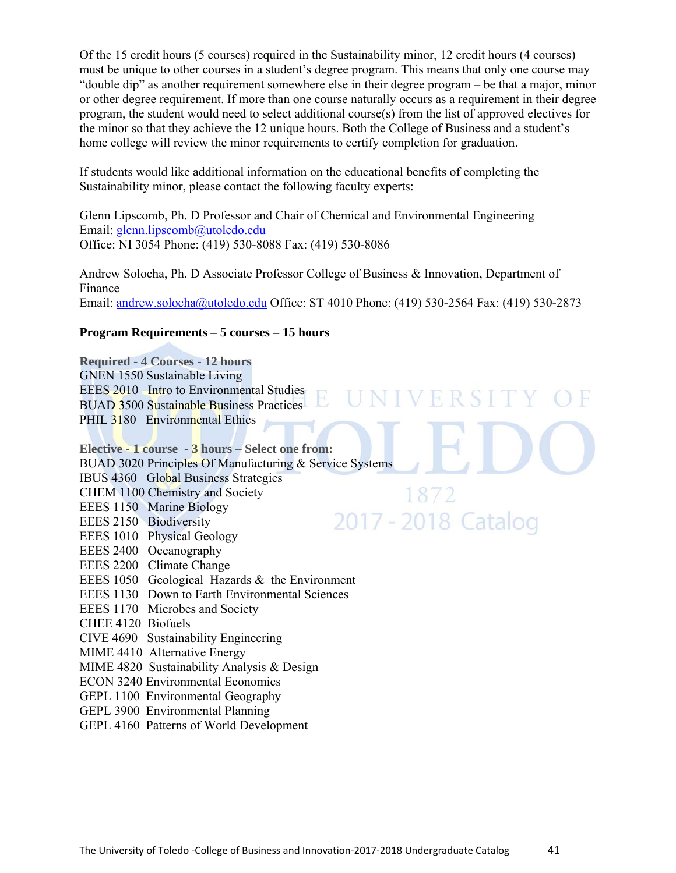Of the 15 credit hours (5 courses) required in the Sustainability minor, 12 credit hours (4 courses) must be unique to other courses in a student's degree program. This means that only one course may "double dip" as another requirement somewhere else in their degree program – be that a major, minor or other degree requirement. If more than one course naturally occurs as a requirement in their degree program, the student would need to select additional course(s) from the list of approved electives for the minor so that they achieve the 12 unique hours. Both the College of Business and a student's home college will review the minor requirements to certify completion for graduation.

If students would like additional information on the educational benefits of completing the Sustainability minor, please contact the following faculty experts:

Glenn Lipscomb, Ph. D Professor and Chair of Chemical and Environmental Engineering Email: glenn.lipscomb@utoledo.edu Office: NI 3054 Phone: (419) 530-8088 Fax: (419) 530-8086

Andrew Solocha, Ph. D Associate Professor College of Business & Innovation, Department of Finance Email: andrew.solocha@utoledo.edu Office: ST 4010 Phone: (419) 530-2564 Fax: (419) 530-2873

**NIVERSITY** 

#### **Program Requirements – 5 courses – 15 hours**

**Required - 4 Courses - 12 hours**  GNEN 1550 Sustainable Living EEES 2010 Intro to Environmental Studies BUAD 3500 Sustainable Business Practices PHIL 3180 Environmental Ethics

**Elective - 1 course - 3 hours – Select one from:** BUAD 3020 Principles Of Manufacturing & Service Systems IBUS 4360 Global Business Strategies CHEM 1100 Chemistry and Society 1872 EEES 1150 Marine Biology 2017 - 2018 Catalog EEES 2150 Biodiversity EEES 1010 Physical Geology EEES 2400 Oceanography EEES 2200 Climate Change EEES 1050 Geological Hazards & the Environment EEES 1130 Down to Earth Environmental Sciences EEES 1170 Microbes and Society CHEE 4120 Biofuels CIVE 4690 Sustainability Engineering MIME 4410 Alternative Energy MIME 4820 Sustainability Analysis & Design ECON 3240 Environmental Economics GEPL 1100 Environmental Geography GEPL 3900 Environmental Planning GEPL 4160 Patterns of World Development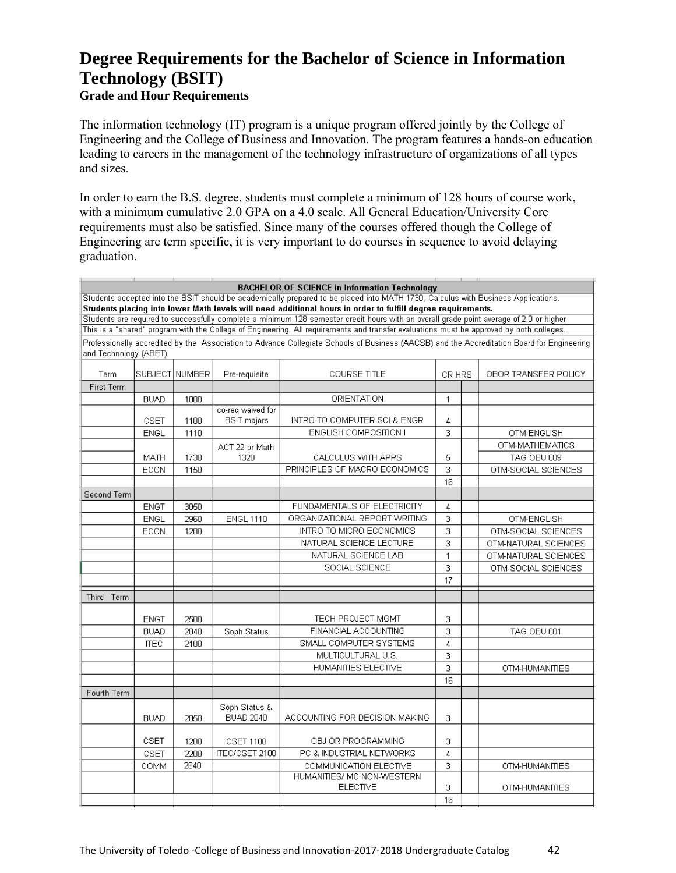# **Degree Requirements for the Bachelor of Science in Information Technology (BSIT)**

#### **Grade and Hour Requirements**

The information technology (IT) program is a unique program offered jointly by the College of Engineering and the College of Business and Innovation. The program features a hands-on education leading to careers in the management of the technology infrastructure of organizations of all types and sizes.

In order to earn the B.S. degree, students must complete a minimum of 128 hours of course work, with a minimum cumulative 2.0 GPA on a 4.0 scale. All General Education/University Core requirements must also be satisfied. Since many of the courses offered though the College of Engineering are term specific, it is very important to do courses in sequence to avoid delaying graduation.

| $\mathbf{1}$ and $\mathbf{1}$<br><b>BACHELOR OF SCIENCE in Information Technology</b>                                                                                                                                                            |                                                                                   |      |                                         |                                                                                                                                            |                |  |                      |
|--------------------------------------------------------------------------------------------------------------------------------------------------------------------------------------------------------------------------------------------------|-----------------------------------------------------------------------------------|------|-----------------------------------------|--------------------------------------------------------------------------------------------------------------------------------------------|----------------|--|----------------------|
| Students accepted into the BSIT should be academically prepared to be placed into MATH 1730, Calculus with Business Applications.<br>Students placing into lower Math levels will need additional hours in order to fulfill degree requirements. |                                                                                   |      |                                         |                                                                                                                                            |                |  |                      |
| Students are required to successfully complete a minimum 128 semester credit hours with an overall grade point average of 2.0 or higher                                                                                                          |                                                                                   |      |                                         |                                                                                                                                            |                |  |                      |
|                                                                                                                                                                                                                                                  |                                                                                   |      |                                         | This is a "shared" program with the College of Engineering. All requirements and transfer evaluations must be approved by both colleges.   |                |  |                      |
| and Technology (ABET)                                                                                                                                                                                                                            |                                                                                   |      |                                         | Professionally accredited by the Association to Advance Collegiate Schools of Business (AACSB) and the Accreditation Board for Engineering |                |  |                      |
| Term                                                                                                                                                                                                                                             | SUBJECT NUMBER<br>Pre-requisite<br>COURSE TITLE<br>CR HRS<br>OBOR TRANSFER POLICY |      |                                         |                                                                                                                                            |                |  |                      |
| First Term                                                                                                                                                                                                                                       |                                                                                   |      |                                         |                                                                                                                                            |                |  |                      |
|                                                                                                                                                                                                                                                  | <b>BUAD</b>                                                                       | 1000 |                                         | ORIENTATION                                                                                                                                | $\mathbf{1}$   |  |                      |
|                                                                                                                                                                                                                                                  | CSET                                                                              | 1100 | co-req waived for<br><b>BSIT</b> majors | INTRO TO COMPUTER SCI & ENGR                                                                                                               | 4              |  |                      |
|                                                                                                                                                                                                                                                  | <b>ENGL</b>                                                                       | 1110 |                                         | <b>ENGLISH COMPOSITION I</b>                                                                                                               | 3              |  | OTM-ENGLISH          |
|                                                                                                                                                                                                                                                  |                                                                                   |      | ACT 22 or Math                          |                                                                                                                                            |                |  | OTM-MATHEMATICS      |
|                                                                                                                                                                                                                                                  | <b>MATH</b>                                                                       | 1730 | 1320                                    | CALCULUS WITH APPS                                                                                                                         | 5              |  | TAG OBU 009          |
|                                                                                                                                                                                                                                                  | ECON                                                                              | 1150 |                                         | PRINCIPLES OF MACRO ECONOMICS                                                                                                              | 3              |  | OTM-SOCIAL SCIENCES  |
|                                                                                                                                                                                                                                                  |                                                                                   |      |                                         |                                                                                                                                            | 16             |  |                      |
| Second Term                                                                                                                                                                                                                                      |                                                                                   |      |                                         |                                                                                                                                            |                |  |                      |
|                                                                                                                                                                                                                                                  | <b>ENGT</b>                                                                       | 3050 |                                         | FUNDAMENTALS OF ELECTRICITY                                                                                                                | 4              |  |                      |
|                                                                                                                                                                                                                                                  | <b>ENGL</b>                                                                       | 2960 | <b>ENGL 1110</b>                        | ORGANIZATIONAL REPORT WRITING                                                                                                              | 3              |  | OTM-ENGLISH          |
|                                                                                                                                                                                                                                                  | ECON                                                                              | 1200 |                                         | INTRO TO MICRO ECONOMICS                                                                                                                   | 3              |  | OTM-SOCIAL SCIENCES  |
|                                                                                                                                                                                                                                                  |                                                                                   |      |                                         | NATURAL SCIENCE LECTURE                                                                                                                    | 3              |  | OTM-NATURAL SCIENCES |
|                                                                                                                                                                                                                                                  |                                                                                   |      |                                         | NATURAL SCIENCE LAB                                                                                                                        | $\mathbf{1}$   |  | OTM-NATURAL SCIENCES |
|                                                                                                                                                                                                                                                  |                                                                                   |      |                                         | SOCIAL SCIENCE                                                                                                                             | 3              |  | OTM-SOCIAL SCIENCES  |
|                                                                                                                                                                                                                                                  |                                                                                   |      |                                         |                                                                                                                                            | 17             |  |                      |
| Third Term                                                                                                                                                                                                                                       |                                                                                   |      |                                         |                                                                                                                                            |                |  |                      |
|                                                                                                                                                                                                                                                  |                                                                                   |      |                                         |                                                                                                                                            |                |  |                      |
|                                                                                                                                                                                                                                                  | <b>ENGT</b>                                                                       | 2500 |                                         | TECH PROJECT MGMT                                                                                                                          | 3              |  |                      |
|                                                                                                                                                                                                                                                  | <b>BUAD</b>                                                                       | 2040 | Soph Status                             | FINANCIAL ACCOUNTING                                                                                                                       | 3              |  | TAG OBU 001          |
|                                                                                                                                                                                                                                                  | <b>ITEC</b>                                                                       | 2100 |                                         | SMALL COMPUTER SYSTEMS                                                                                                                     | $\overline{4}$ |  |                      |
|                                                                                                                                                                                                                                                  |                                                                                   |      |                                         | MULTICULTURAL U.S.                                                                                                                         | 3              |  |                      |
|                                                                                                                                                                                                                                                  |                                                                                   |      |                                         | HUMANITIES ELECTIVE                                                                                                                        | 3              |  | OTM-HUMANITIES       |
|                                                                                                                                                                                                                                                  |                                                                                   |      |                                         |                                                                                                                                            | 16             |  |                      |
| Fourth Term                                                                                                                                                                                                                                      |                                                                                   |      |                                         |                                                                                                                                            |                |  |                      |
|                                                                                                                                                                                                                                                  |                                                                                   |      | Soph Status &                           |                                                                                                                                            |                |  |                      |
|                                                                                                                                                                                                                                                  | <b>BUAD</b>                                                                       | 2050 | <b>BUAD 2040</b>                        | ACCOUNTING FOR DECISION MAKING                                                                                                             | з              |  |                      |
|                                                                                                                                                                                                                                                  | CSET                                                                              | 1200 | CSET 1100                               | OBJ OR PROGRAMMING                                                                                                                         | 3              |  |                      |
|                                                                                                                                                                                                                                                  | CSET                                                                              | 2200 | ITEC/CSET 2100                          | PC & INDUSTRIAL NETWORKS                                                                                                                   | 4              |  |                      |
|                                                                                                                                                                                                                                                  | COMM                                                                              | 2840 |                                         | COMMUNICATION ELECTIVE                                                                                                                     | 3              |  | OTM-HUMANITIES       |
|                                                                                                                                                                                                                                                  |                                                                                   |      |                                         | HUMANITIES/ MC NON-WESTERN                                                                                                                 |                |  |                      |
|                                                                                                                                                                                                                                                  |                                                                                   |      |                                         | <b>ELECTIVE</b>                                                                                                                            | 3              |  | OTM-HUMANITIES       |
|                                                                                                                                                                                                                                                  |                                                                                   |      |                                         |                                                                                                                                            | 16             |  |                      |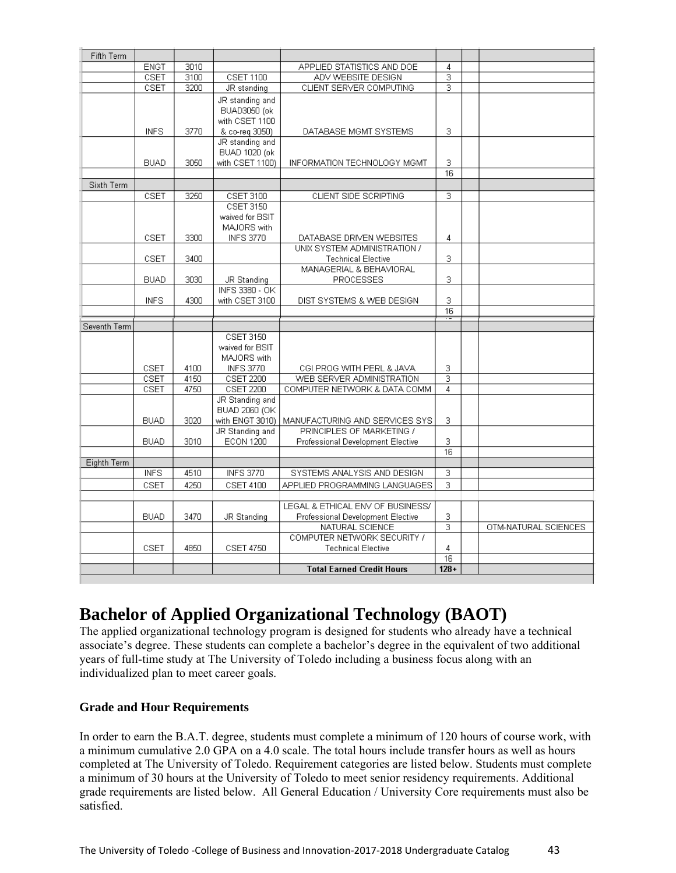| Fifth Term   |             |      |                                                                            |                                                             |                           |                      |
|--------------|-------------|------|----------------------------------------------------------------------------|-------------------------------------------------------------|---------------------------|----------------------|
|              | <b>ENGT</b> | 3010 |                                                                            | APPLIED STATISTICS AND DOE                                  | 4                         |                      |
|              | CSET        | 3100 | <b>CSET 1100</b>                                                           | ADV WEBSITE DESIGN                                          | $\overline{\overline{3}}$ |                      |
|              | CSET        | 3200 | JR standing                                                                | CLIENT SERVER COMPUTING                                     | 3                         |                      |
|              | INFS.       | 3770 | JR standing and<br><b>BUAD3050</b> (ok<br>with CSET 1100<br>& co-reg 3050) | DATABASE MGMT SYSTEMS                                       | з                         |                      |
|              |             |      | JR standing and                                                            |                                                             |                           |                      |
|              | <b>BUAD</b> | 3050 | <b>BUAD 1020 (ok</b><br>with CSET 1100)                                    | INFORMATION TECHNOLOGY MGMT                                 | 3                         |                      |
|              |             |      |                                                                            |                                                             | $\overline{16}$           |                      |
| Sixth Term   |             |      |                                                                            |                                                             |                           |                      |
|              | CSET        | 3250 | CSET 3100                                                                  | CLIENT SIDE SCRIPTING                                       | 3                         |                      |
|              | CSET        | 3300 | CSET 3150<br>waived for BSIT<br>MAJORS with<br><b>INFS 3770</b>            | DATABASE DRIVEN WEBSITES                                    | 4                         |                      |
|              |             |      |                                                                            | UNIX SYSTEM ADMINISTRATION /                                |                           |                      |
|              | CSET        | 3400 |                                                                            | <b>Technical Elective</b>                                   | 3                         |                      |
|              |             |      |                                                                            | MANAGERIAL & BEHAVIORAL                                     |                           |                      |
|              | <b>BUAD</b> | 3030 | JR Standing                                                                | PROCESSES                                                   | 3                         |                      |
|              | INFS        | 4300 | INFS 3380 - OK<br>with CSET 3100                                           | DIST SYSTEMS & WEB DESIGN                                   | 3                         |                      |
|              |             |      |                                                                            |                                                             | $\overline{16}$<br>.      |                      |
| Seventh Term |             |      |                                                                            |                                                             |                           |                      |
|              | CSET        | 4100 | CSET 3150<br>waived for BSIT<br>MAJORS with<br><b>INFS 3770</b>            | CGI PROG WITH PERL & JAVA                                   | з                         |                      |
|              | CSET        | 4150 | CSET 2200                                                                  | WEB SERVER ADMINISTRATION                                   | з                         |                      |
|              | CSET        | 4750 | <b>CSET 2200</b>                                                           | COMPUTER NETWORK & DATA COMM                                | 4                         |                      |
|              | <b>BUAD</b> | 3020 | JR Standing and<br>BUAD 2060 (OK<br>with ENGT 3010)                        | MANUFACTURING AND SERVICES SYS<br>PRINCIPLES OF MARKETING / | 3                         |                      |
|              | <b>BUAD</b> | 3010 | JR Standing and<br><b>ECON 1200</b>                                        | Professional Development Elective                           | 3                         |                      |
|              |             |      |                                                                            |                                                             | 16                        |                      |
| Eighth Term  |             |      |                                                                            |                                                             |                           |                      |
|              | <b>INFS</b> | 4510 | <b>INFS 3770</b>                                                           | SYSTEMS ANALYSIS AND DESIGN                                 | 3                         |                      |
|              | CSET        | 4250 | CSET 4100                                                                  | APPLIED PROGRAMMING LANGUAGES                               | 3                         |                      |
|              |             |      |                                                                            |                                                             |                           |                      |
|              | <b>BUAD</b> | 3470 |                                                                            | LEGAL & ETHICAL ENV OF BUSINESS/                            | З                         |                      |
|              |             |      | <b>JR Standing</b>                                                         | Professional Development Elective<br>NATURAL SCIENCE        | з                         | OTM-NATURAL SCIENCES |
|              |             |      |                                                                            | COMPUTER NETWORK SECURITY /                                 |                           |                      |
|              |             |      |                                                                            |                                                             |                           |                      |
|              | CSET        | 4850 | <b>CSET 4750</b>                                                           | <b>Technical Elective</b>                                   | 4                         |                      |
|              |             |      |                                                                            | <b>Total Earned Credit Hours</b>                            | 16<br>$128 +$             |                      |

# **Bachelor of Applied Organizational Technology (BAOT)**

The applied organizational technology program is designed for students who already have a technical associate's degree. These students can complete a bachelor's degree in the equivalent of two additional years of full-time study at The University of Toledo including a business focus along with an individualized plan to meet career goals.

#### **Grade and Hour Requirements**

In order to earn the B.A.T. degree, students must complete a minimum of 120 hours of course work, with a minimum cumulative 2.0 GPA on a 4.0 scale. The total hours include transfer hours as well as hours completed at The University of Toledo. Requirement categories are listed below. Students must complete a minimum of 30 hours at the University of Toledo to meet senior residency requirements. Additional grade requirements are listed below. All General Education / University Core requirements must also be satisfied.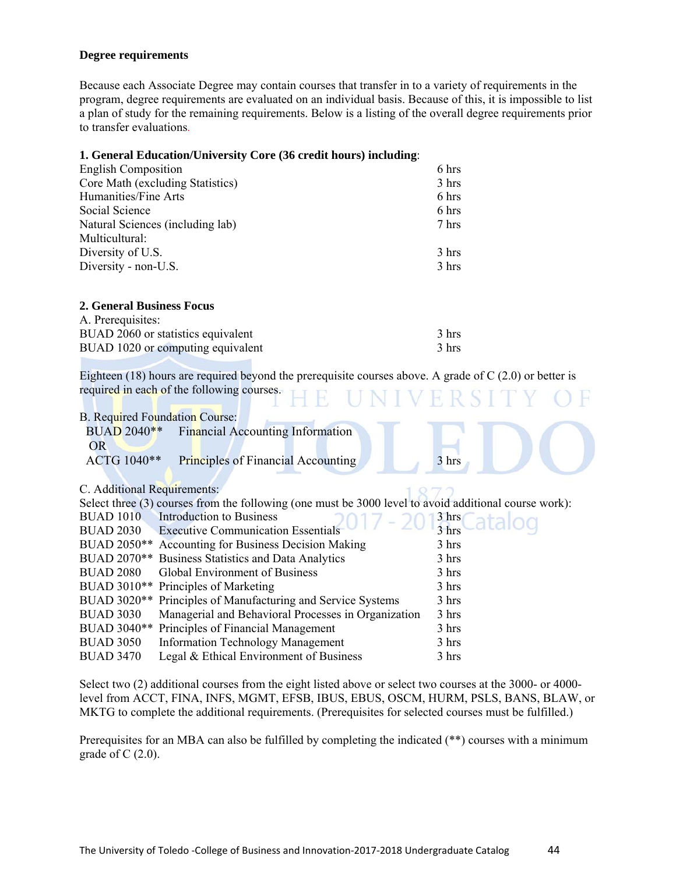#### **Degree requirements**

Because each Associate Degree may contain courses that transfer in to a variety of requirements in the program, degree requirements are evaluated on an individual basis. Because of this, it is impossible to list a plan of study for the remaining requirements. Below is a listing of the overall degree requirements prior to transfer evaluations.

#### **1. General Education/University Core (36 credit hours) including**:

| <b>English Composition</b>       | 6 hrs |
|----------------------------------|-------|
| Core Math (excluding Statistics) | 3 hrs |
| Humanities/Fine Arts             | 6 hrs |
| Social Science                   | 6 hrs |
| Natural Sciences (including lab) | 7 hrs |
| Multicultural:                   |       |
| Diversity of U.S.                | 3 hrs |
| Diversity - non-U.S.             | 3 hrs |
|                                  |       |

#### **2. General Business Focus**

| A. Prerequisites:                  |       |
|------------------------------------|-------|
| BUAD 2060 or statistics equivalent | 3 hrs |
| BUAD 1020 or computing equivalent  | 3 hrs |

Eighteen (18) hours are required beyond the prerequisite courses above. A grade of C (2.0) or better is required in each of the following courses. LIE IINIVERSITY OF

|                             | <b>B.</b> Required Foundation Course:                                                                 |                                               |  |  |
|-----------------------------|-------------------------------------------------------------------------------------------------------|-----------------------------------------------|--|--|
| $BUAD 2040**$               | <b>Financial Accounting Information</b>                                                               |                                               |  |  |
| <b>OR</b>                   |                                                                                                       |                                               |  |  |
| ACTG 1040**                 | Principles of Financial Accounting                                                                    | 3 hrs                                         |  |  |
|                             |                                                                                                       |                                               |  |  |
| C. Additional Requirements: |                                                                                                       |                                               |  |  |
|                             | Select three (3) courses from the following (one must be 3000 level to avoid additional course work): |                                               |  |  |
| <b>BUAD 1010</b>            | Introduction to Business                                                                              |                                               |  |  |
| <b>BUAD 2030</b>            | <b>Executive Communication Essentials</b>                                                             | $\frac{3 \text{ hrs}}{3 \text{ hrs}}$ Catalog |  |  |
|                             | BUAD 2050 <sup>**</sup> Accounting for Business Decision Making                                       | 3 hrs                                         |  |  |
| BUAD 2070**                 | <b>Business Statistics and Data Analytics</b>                                                         | 3 hrs                                         |  |  |
| <b>BUAD 2080</b>            | Global Environment of Business                                                                        | 3 hrs                                         |  |  |
|                             | BUAD 3010 <sup>**</sup> Principles of Marketing                                                       | 3 hrs                                         |  |  |
| BUAD 3020**                 | Principles of Manufacturing and Service Systems                                                       | 3 hrs                                         |  |  |
| <b>BUAD 3030</b>            | Managerial and Behavioral Processes in Organization                                                   | 3 hrs                                         |  |  |
| BUAD 3040**                 | Principles of Financial Management                                                                    | 3 hrs                                         |  |  |
| <b>BUAD 3050</b>            | <b>Information Technology Management</b><br>3 hrs                                                     |                                               |  |  |
| <b>BUAD 3470</b>            | Legal & Ethical Environment of Business                                                               | 3 hrs                                         |  |  |
|                             |                                                                                                       |                                               |  |  |

Select two (2) additional courses from the eight listed above or select two courses at the 3000- or 4000 level from ACCT, FINA, INFS, MGMT, EFSB, IBUS, EBUS, OSCM, HURM, PSLS, BANS, BLAW, or MKTG to complete the additional requirements. (Prerequisites for selected courses must be fulfilled.)

Prerequisites for an MBA can also be fulfilled by completing the indicated (\*\*) courses with a minimum grade of  $C(2.0)$ .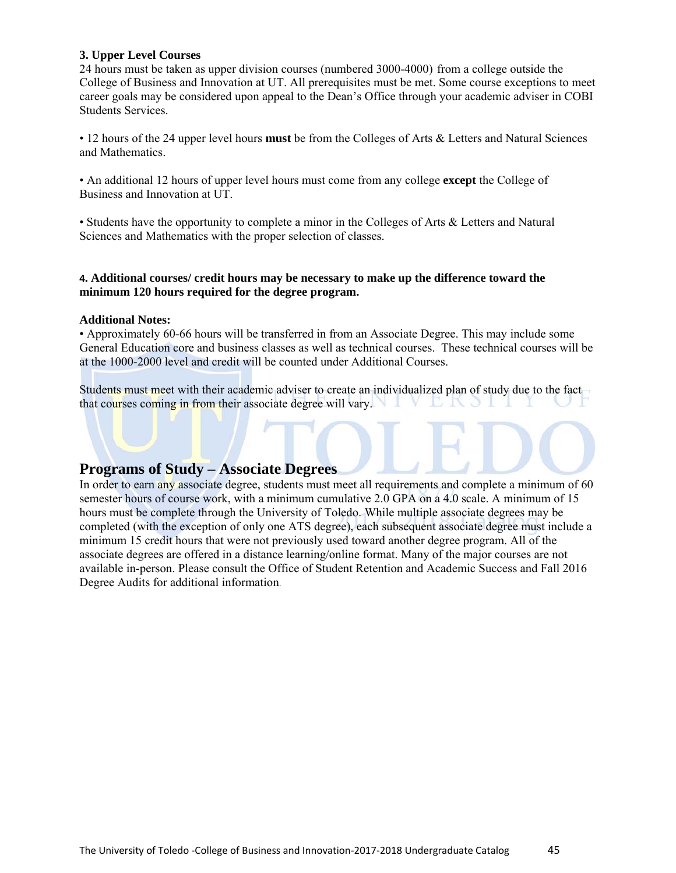#### **3. Upper Level Courses**

24 hours must be taken as upper division courses (numbered 3000-4000) from a college outside the College of Business and Innovation at UT. All prerequisites must be met. Some course exceptions to meet career goals may be considered upon appeal to the Dean's Office through your academic adviser in COBI Students Services.

• 12 hours of the 24 upper level hours **must** be from the Colleges of Arts & Letters and Natural Sciences and Mathematics.

• An additional 12 hours of upper level hours must come from any college **except** the College of Business and Innovation at UT.

• Students have the opportunity to complete a minor in the Colleges of Arts & Letters and Natural Sciences and Mathematics with the proper selection of classes.

#### **4. Additional courses/ credit hours may be necessary to make up the difference toward the minimum 120 hours required for the degree program.**

#### **Additional Notes:**

• Approximately 60-66 hours will be transferred in from an Associate Degree. This may include some General Education core and business classes as well as technical courses. These technical courses will be at the 1000-2000 level and credit will be counted under Additional Courses.

Students must meet with their academic adviser to create an individualized plan of study due to the fact that courses coming in from their associate degree will vary. **EAOI** 

#### **Programs of Study – Associate Degrees**

In order to earn any associate degree, students must meet all requirements and complete a minimum of 60 semester hours of course work, with a minimum cumulative 2.0 GPA on a 4.0 scale. A minimum of 15 hours must be complete through the University of Toledo. While multiple associate degrees may be completed (with the exception of only one ATS degree), each subsequent associate degree must include a minimum 15 credit hours that were not previously used toward another degree program. All of the associate degrees are offered in a distance learning/online format. Many of the major courses are not available in-person. Please consult the Office of Student Retention and Academic Success and Fall 2016 Degree Audits for additional information.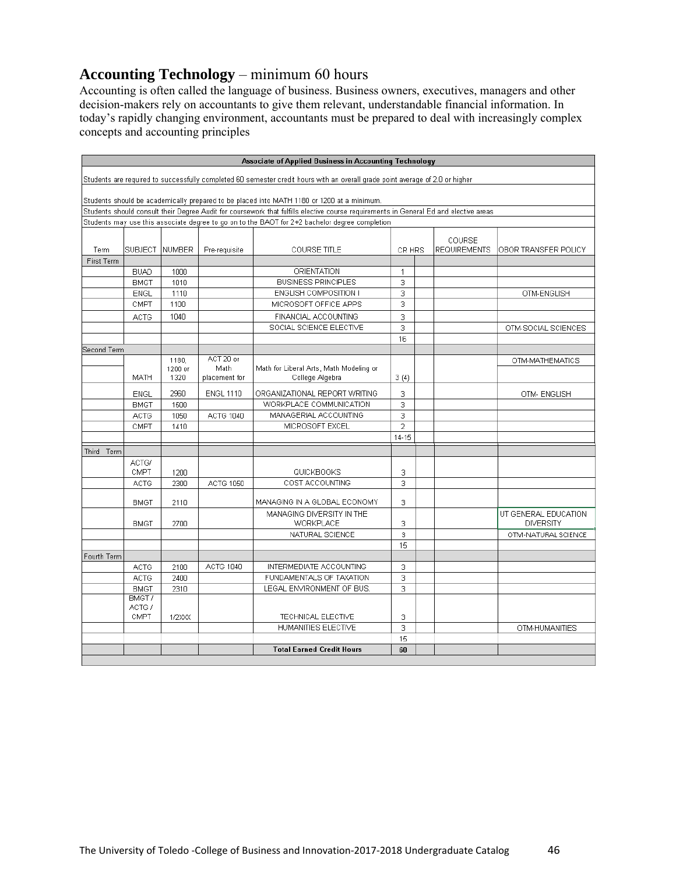# **Accounting Technology** – minimum 60 hours

Accounting is often called the language of business. Business owners, executives, managers and other decision-makers rely on accountants to give them relevant, understandable financial information. In today's rapidly changing environment, accountants must be prepared to deal with increasingly complex concepts and accounting principles

|             | <b>Associate of Applied Business in Accounting Technology</b> |               |                  |                                                                                                                                       |                |  |                               |                      |
|-------------|---------------------------------------------------------------|---------------|------------------|---------------------------------------------------------------------------------------------------------------------------------------|----------------|--|-------------------------------|----------------------|
|             |                                                               |               |                  | Students are required to successfully completed 60 semester credit hours with an overall grade point average of 2.0 or higher         |                |  |                               |                      |
|             |                                                               |               |                  | Students should be academically prepared to be placed into MATH 1180 or 1200 at a minimum.                                            |                |  |                               |                      |
|             |                                                               |               |                  | Students should consult their Degree Audit for coursework that fulfills elective course requirements in General Ed and elective areas |                |  |                               |                      |
|             |                                                               |               |                  | Students may use this associate degree to go on to the BAOT for 2+2 bachelor degree completion                                        |                |  |                               |                      |
|             |                                                               |               |                  |                                                                                                                                       |                |  |                               |                      |
| Term        | <b>SUBJECT</b>                                                | <b>NUMBER</b> | Pre-requisite    | <b>COURSE TITLE</b>                                                                                                                   | CR HRS         |  | COURSE<br><b>REQUIREMENTS</b> | OBOR TRANSFER POLICY |
| First Term  |                                                               |               |                  |                                                                                                                                       |                |  |                               |                      |
|             | <b>BUAD</b>                                                   | 1000          |                  | ORIENTATION                                                                                                                           | $\mathbf{1}$   |  |                               |                      |
|             | <b>BMGT</b>                                                   | 1010          |                  | <b>BUSINESS PRINCIPLES</b>                                                                                                            | 3              |  |                               |                      |
|             | <b>ENGL</b>                                                   | 1110          |                  | ENGLISH COMPOSITION I                                                                                                                 | 3              |  |                               | OTM-ENGLISH          |
|             | CMPT                                                          | 1100          |                  | MICROSOFT OFFICE APPS                                                                                                                 | 3              |  |                               |                      |
|             | <b>ACTG</b>                                                   | 1040          |                  | FINANCIAL ACCOUNTING                                                                                                                  | 3              |  |                               |                      |
|             |                                                               |               |                  | SOCIAL SCIENCE ELECTIVE                                                                                                               | 3              |  |                               | OTM-SOCIAL SCIENCES  |
|             |                                                               |               |                  |                                                                                                                                       | 16             |  |                               |                      |
| Second Term |                                                               |               |                  |                                                                                                                                       |                |  |                               |                      |
|             |                                                               | 1180,         | ACT 20 or        |                                                                                                                                       |                |  |                               | OTM-MATHEMATICS      |
|             |                                                               | 1200 or       | Math             | Math for Liberal Arts, Math Modeling or                                                                                               |                |  |                               |                      |
|             | MATH                                                          | 1320          | placement for    | College Algebra                                                                                                                       | 3(4)           |  |                               |                      |
|             | <b>ENGL</b>                                                   | 2960          | <b>ENGL 1110</b> | ORGANIZATIONAL REPORT WRITING                                                                                                         | 3              |  |                               | OTM- ENGLISH         |
|             | <b>BMGT</b>                                                   | 1500          |                  | WORKPLACE COMMUNICATION                                                                                                               | 3              |  |                               |                      |
|             | ACTG                                                          | 1050          | ACTG 1040        | MANAGERIAL ACCOUNTING                                                                                                                 | 3              |  |                               |                      |
|             | CMPT                                                          | 1410          |                  | MICROSOFT EXCEL                                                                                                                       | $\overline{a}$ |  |                               |                      |
|             |                                                               |               |                  |                                                                                                                                       | 14-15          |  |                               |                      |
| Third Term  |                                                               |               |                  |                                                                                                                                       |                |  |                               |                      |
|             | ACTG/                                                         |               |                  |                                                                                                                                       |                |  |                               |                      |
|             | CMPT                                                          | 1200          |                  | QUICKBOOKS                                                                                                                            | 3              |  |                               |                      |
|             | <b>ACTG</b>                                                   | 2300          | ACTG 1050        | COST ACCOUNTING                                                                                                                       | 3              |  |                               |                      |
|             |                                                               |               |                  |                                                                                                                                       |                |  |                               |                      |
|             | <b>BMGT</b>                                                   | 2110          |                  | MANAGING IN A GLOBAL ECONOMY                                                                                                          | 3              |  |                               |                      |
|             |                                                               |               |                  | MANAGING DIVERSITY IN THE                                                                                                             |                |  |                               | UT GENERAL EDUCATION |
|             | <b>BMGT</b>                                                   | 2700          |                  | WORKPLACE                                                                                                                             | 3              |  |                               | <b>DIVERSITY</b>     |
|             |                                                               |               |                  | NATURAL SCIENCE                                                                                                                       | 3              |  |                               | OTM-NATURAL SCIENCE  |
|             |                                                               |               |                  |                                                                                                                                       | 15             |  |                               |                      |
| Fourth Term |                                                               |               |                  |                                                                                                                                       |                |  |                               |                      |
|             | ACTG                                                          | 2100          | <b>ACTG 1040</b> | INTERMEDIATE ACCOUNTING                                                                                                               | 3              |  |                               |                      |
|             | <b>ACTG</b>                                                   | 2400          |                  | FUNDAMENTALS OF TAXATION                                                                                                              | 3              |  |                               |                      |
|             | <b>BMGT</b>                                                   | 2310          |                  | LEGAL ENVIRONMENT OF BUS.                                                                                                             | 3              |  |                               |                      |
|             | BMGT/                                                         |               |                  |                                                                                                                                       |                |  |                               |                      |
|             | ACTG /                                                        |               |                  |                                                                                                                                       |                |  |                               |                      |
|             | CMPT                                                          | <b>1/2XXX</b> |                  | TECHNICAL ELECTIVE                                                                                                                    | 3              |  |                               |                      |
|             |                                                               |               |                  | HUMANITIES ELECTIVE                                                                                                                   | 3              |  |                               | OTM-HUMANITIES       |
|             |                                                               |               |                  |                                                                                                                                       | 15             |  |                               |                      |
|             |                                                               |               |                  | <b>Total Earned Credit Hours</b>                                                                                                      | 60             |  |                               |                      |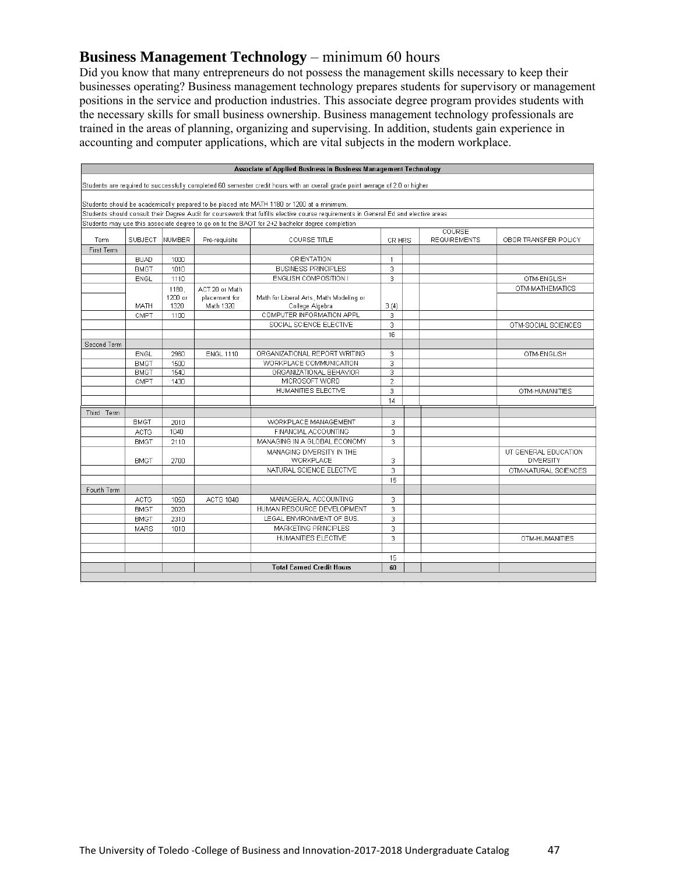# **Business Management Technology** – minimum 60 hours

Did you know that many entrepreneurs do not possess the management skills necessary to keep their businesses operating? Business management technology prepares students for supervisory or management positions in the service and production industries. This associate degree program provides students with the necessary skills for small business ownership. Business management technology professionals are trained in the areas of planning, organizing and supervising. In addition, students gain experience in accounting and computer applications, which are vital subjects in the modern workplace.

| Students are required to successfully completed 60 semester credit hours with an overall grade point average of 2.0 or higher<br>Students should be academically prepared to be placed into MATH 1180 or 1200 at a minimum.<br>Students should consult their Degree Audit for coursework that fulfills elective course requirements in General Ed and elective areas<br>Students may use this associate degree to go on to the BAOT for 2+2 bachelor degree completion<br>COURSE<br><b>NUMBER</b><br>Pre-requisite<br><b>REQUIREMENTS</b><br>Term<br><b>SUBJECT</b><br><b>COURSE TITLE</b><br>CR HRS<br>OBOR TRANSFER POLICY<br>First Term<br><b>ORIENTATION</b><br><b>BUAD</b><br>1000<br>1<br><b>BUSINESS PRINCIPLES</b><br>3<br><b>BMGT</b><br>1010<br>ENGLISH COMPOSITION I<br>1110<br>3<br>OTM-ENGLISH<br><b>ENGL</b><br>OTM-MATHEMATICS<br>1180.<br>ACT 20 or Math<br>1200 or<br>placement for<br>Math for Liberal Arts, Math Modeling or<br>1320<br>Math 1320<br>College Algebra<br>3(4)<br>MATH<br>COMPUTER INFORMATION APPL<br>3<br>1100<br>CMPT<br>SOCIAL SCIENCE ELECTIVE<br>3<br>OTM-SOCIAL SCIENCES<br>16<br>Second Term<br>ORGANIZATIONAL REPORT WRITING<br><b>ENGL</b><br>3<br>2960<br><b>ENGL 1110</b><br>OTM-ENGLISH<br>WORKPLACE COMMUNICATION<br>3<br><b>BMGT</b><br>1500<br><b>BMGT</b><br>1540<br>ORGANIZATIONAL BEHAVIOR<br>3<br>MICROSOFT WORD<br>$\overline{2}$<br>CMPT<br>1430<br>HUMANITIES ELECTIVE<br>3<br>OTM-HUMANITIES<br>14<br>Third Term<br>WORKPLACE MANAGEMENT<br><b>BMGT</b><br>3<br>2010<br>1040<br>FINANCIAL ACCOUNTING<br>3<br>ACTG<br>3<br><b>BMGT</b><br>MANAGING IN A GLOBAL ECONOMY<br>2110<br>MANAGING DIVERSITY IN THE<br>UT GENERAL EDUCATION<br>WORKPLACE<br><b>DIVERSITY</b><br>3<br><b>BMGT</b><br>2700<br>$\overline{3}$<br>NATURAL SCIENCE ELECTIVE<br>OTM-NATURAL SCIENCES<br>15<br>Fourth Term<br>MANAGERIAL ACCOUNTING<br>3<br>ACTG<br>1050<br>ACTG 1040<br>HUMAN RESOURCE DEVELOPMENT<br>3<br><b>BMGT</b><br>2020<br>LEGAL ENVIRONMENT OF BUS.<br>3<br><b>BMGT</b><br>2310<br>MARKETING PRINCIPLES<br>3<br><b>MARS</b><br>1010<br>HUMANITIES ELECTIVE<br>3<br>OTM-HUMANITIES<br>15<br><b>Total Earned Credit Hours</b><br>60 | Associate of Applied Business in Business Management Technology |  |  |  |  |  |  |  |
|-------------------------------------------------------------------------------------------------------------------------------------------------------------------------------------------------------------------------------------------------------------------------------------------------------------------------------------------------------------------------------------------------------------------------------------------------------------------------------------------------------------------------------------------------------------------------------------------------------------------------------------------------------------------------------------------------------------------------------------------------------------------------------------------------------------------------------------------------------------------------------------------------------------------------------------------------------------------------------------------------------------------------------------------------------------------------------------------------------------------------------------------------------------------------------------------------------------------------------------------------------------------------------------------------------------------------------------------------------------------------------------------------------------------------------------------------------------------------------------------------------------------------------------------------------------------------------------------------------------------------------------------------------------------------------------------------------------------------------------------------------------------------------------------------------------------------------------------------------------------------------------------------------------------------------------------------------------------------------------------------------------------------------------------------------------------------------------------------------------------------------------------------------------------------------------|-----------------------------------------------------------------|--|--|--|--|--|--|--|
|                                                                                                                                                                                                                                                                                                                                                                                                                                                                                                                                                                                                                                                                                                                                                                                                                                                                                                                                                                                                                                                                                                                                                                                                                                                                                                                                                                                                                                                                                                                                                                                                                                                                                                                                                                                                                                                                                                                                                                                                                                                                                                                                                                                     |                                                                 |  |  |  |  |  |  |  |
|                                                                                                                                                                                                                                                                                                                                                                                                                                                                                                                                                                                                                                                                                                                                                                                                                                                                                                                                                                                                                                                                                                                                                                                                                                                                                                                                                                                                                                                                                                                                                                                                                                                                                                                                                                                                                                                                                                                                                                                                                                                                                                                                                                                     |                                                                 |  |  |  |  |  |  |  |
|                                                                                                                                                                                                                                                                                                                                                                                                                                                                                                                                                                                                                                                                                                                                                                                                                                                                                                                                                                                                                                                                                                                                                                                                                                                                                                                                                                                                                                                                                                                                                                                                                                                                                                                                                                                                                                                                                                                                                                                                                                                                                                                                                                                     |                                                                 |  |  |  |  |  |  |  |
|                                                                                                                                                                                                                                                                                                                                                                                                                                                                                                                                                                                                                                                                                                                                                                                                                                                                                                                                                                                                                                                                                                                                                                                                                                                                                                                                                                                                                                                                                                                                                                                                                                                                                                                                                                                                                                                                                                                                                                                                                                                                                                                                                                                     |                                                                 |  |  |  |  |  |  |  |
|                                                                                                                                                                                                                                                                                                                                                                                                                                                                                                                                                                                                                                                                                                                                                                                                                                                                                                                                                                                                                                                                                                                                                                                                                                                                                                                                                                                                                                                                                                                                                                                                                                                                                                                                                                                                                                                                                                                                                                                                                                                                                                                                                                                     |                                                                 |  |  |  |  |  |  |  |
|                                                                                                                                                                                                                                                                                                                                                                                                                                                                                                                                                                                                                                                                                                                                                                                                                                                                                                                                                                                                                                                                                                                                                                                                                                                                                                                                                                                                                                                                                                                                                                                                                                                                                                                                                                                                                                                                                                                                                                                                                                                                                                                                                                                     |                                                                 |  |  |  |  |  |  |  |
|                                                                                                                                                                                                                                                                                                                                                                                                                                                                                                                                                                                                                                                                                                                                                                                                                                                                                                                                                                                                                                                                                                                                                                                                                                                                                                                                                                                                                                                                                                                                                                                                                                                                                                                                                                                                                                                                                                                                                                                                                                                                                                                                                                                     |                                                                 |  |  |  |  |  |  |  |
|                                                                                                                                                                                                                                                                                                                                                                                                                                                                                                                                                                                                                                                                                                                                                                                                                                                                                                                                                                                                                                                                                                                                                                                                                                                                                                                                                                                                                                                                                                                                                                                                                                                                                                                                                                                                                                                                                                                                                                                                                                                                                                                                                                                     |                                                                 |  |  |  |  |  |  |  |
|                                                                                                                                                                                                                                                                                                                                                                                                                                                                                                                                                                                                                                                                                                                                                                                                                                                                                                                                                                                                                                                                                                                                                                                                                                                                                                                                                                                                                                                                                                                                                                                                                                                                                                                                                                                                                                                                                                                                                                                                                                                                                                                                                                                     |                                                                 |  |  |  |  |  |  |  |
|                                                                                                                                                                                                                                                                                                                                                                                                                                                                                                                                                                                                                                                                                                                                                                                                                                                                                                                                                                                                                                                                                                                                                                                                                                                                                                                                                                                                                                                                                                                                                                                                                                                                                                                                                                                                                                                                                                                                                                                                                                                                                                                                                                                     |                                                                 |  |  |  |  |  |  |  |
|                                                                                                                                                                                                                                                                                                                                                                                                                                                                                                                                                                                                                                                                                                                                                                                                                                                                                                                                                                                                                                                                                                                                                                                                                                                                                                                                                                                                                                                                                                                                                                                                                                                                                                                                                                                                                                                                                                                                                                                                                                                                                                                                                                                     |                                                                 |  |  |  |  |  |  |  |
|                                                                                                                                                                                                                                                                                                                                                                                                                                                                                                                                                                                                                                                                                                                                                                                                                                                                                                                                                                                                                                                                                                                                                                                                                                                                                                                                                                                                                                                                                                                                                                                                                                                                                                                                                                                                                                                                                                                                                                                                                                                                                                                                                                                     |                                                                 |  |  |  |  |  |  |  |
|                                                                                                                                                                                                                                                                                                                                                                                                                                                                                                                                                                                                                                                                                                                                                                                                                                                                                                                                                                                                                                                                                                                                                                                                                                                                                                                                                                                                                                                                                                                                                                                                                                                                                                                                                                                                                                                                                                                                                                                                                                                                                                                                                                                     |                                                                 |  |  |  |  |  |  |  |
|                                                                                                                                                                                                                                                                                                                                                                                                                                                                                                                                                                                                                                                                                                                                                                                                                                                                                                                                                                                                                                                                                                                                                                                                                                                                                                                                                                                                                                                                                                                                                                                                                                                                                                                                                                                                                                                                                                                                                                                                                                                                                                                                                                                     |                                                                 |  |  |  |  |  |  |  |
|                                                                                                                                                                                                                                                                                                                                                                                                                                                                                                                                                                                                                                                                                                                                                                                                                                                                                                                                                                                                                                                                                                                                                                                                                                                                                                                                                                                                                                                                                                                                                                                                                                                                                                                                                                                                                                                                                                                                                                                                                                                                                                                                                                                     |                                                                 |  |  |  |  |  |  |  |
|                                                                                                                                                                                                                                                                                                                                                                                                                                                                                                                                                                                                                                                                                                                                                                                                                                                                                                                                                                                                                                                                                                                                                                                                                                                                                                                                                                                                                                                                                                                                                                                                                                                                                                                                                                                                                                                                                                                                                                                                                                                                                                                                                                                     |                                                                 |  |  |  |  |  |  |  |
|                                                                                                                                                                                                                                                                                                                                                                                                                                                                                                                                                                                                                                                                                                                                                                                                                                                                                                                                                                                                                                                                                                                                                                                                                                                                                                                                                                                                                                                                                                                                                                                                                                                                                                                                                                                                                                                                                                                                                                                                                                                                                                                                                                                     |                                                                 |  |  |  |  |  |  |  |
|                                                                                                                                                                                                                                                                                                                                                                                                                                                                                                                                                                                                                                                                                                                                                                                                                                                                                                                                                                                                                                                                                                                                                                                                                                                                                                                                                                                                                                                                                                                                                                                                                                                                                                                                                                                                                                                                                                                                                                                                                                                                                                                                                                                     |                                                                 |  |  |  |  |  |  |  |
|                                                                                                                                                                                                                                                                                                                                                                                                                                                                                                                                                                                                                                                                                                                                                                                                                                                                                                                                                                                                                                                                                                                                                                                                                                                                                                                                                                                                                                                                                                                                                                                                                                                                                                                                                                                                                                                                                                                                                                                                                                                                                                                                                                                     |                                                                 |  |  |  |  |  |  |  |
|                                                                                                                                                                                                                                                                                                                                                                                                                                                                                                                                                                                                                                                                                                                                                                                                                                                                                                                                                                                                                                                                                                                                                                                                                                                                                                                                                                                                                                                                                                                                                                                                                                                                                                                                                                                                                                                                                                                                                                                                                                                                                                                                                                                     |                                                                 |  |  |  |  |  |  |  |
|                                                                                                                                                                                                                                                                                                                                                                                                                                                                                                                                                                                                                                                                                                                                                                                                                                                                                                                                                                                                                                                                                                                                                                                                                                                                                                                                                                                                                                                                                                                                                                                                                                                                                                                                                                                                                                                                                                                                                                                                                                                                                                                                                                                     |                                                                 |  |  |  |  |  |  |  |
|                                                                                                                                                                                                                                                                                                                                                                                                                                                                                                                                                                                                                                                                                                                                                                                                                                                                                                                                                                                                                                                                                                                                                                                                                                                                                                                                                                                                                                                                                                                                                                                                                                                                                                                                                                                                                                                                                                                                                                                                                                                                                                                                                                                     |                                                                 |  |  |  |  |  |  |  |
|                                                                                                                                                                                                                                                                                                                                                                                                                                                                                                                                                                                                                                                                                                                                                                                                                                                                                                                                                                                                                                                                                                                                                                                                                                                                                                                                                                                                                                                                                                                                                                                                                                                                                                                                                                                                                                                                                                                                                                                                                                                                                                                                                                                     |                                                                 |  |  |  |  |  |  |  |
|                                                                                                                                                                                                                                                                                                                                                                                                                                                                                                                                                                                                                                                                                                                                                                                                                                                                                                                                                                                                                                                                                                                                                                                                                                                                                                                                                                                                                                                                                                                                                                                                                                                                                                                                                                                                                                                                                                                                                                                                                                                                                                                                                                                     |                                                                 |  |  |  |  |  |  |  |
|                                                                                                                                                                                                                                                                                                                                                                                                                                                                                                                                                                                                                                                                                                                                                                                                                                                                                                                                                                                                                                                                                                                                                                                                                                                                                                                                                                                                                                                                                                                                                                                                                                                                                                                                                                                                                                                                                                                                                                                                                                                                                                                                                                                     |                                                                 |  |  |  |  |  |  |  |
|                                                                                                                                                                                                                                                                                                                                                                                                                                                                                                                                                                                                                                                                                                                                                                                                                                                                                                                                                                                                                                                                                                                                                                                                                                                                                                                                                                                                                                                                                                                                                                                                                                                                                                                                                                                                                                                                                                                                                                                                                                                                                                                                                                                     |                                                                 |  |  |  |  |  |  |  |
|                                                                                                                                                                                                                                                                                                                                                                                                                                                                                                                                                                                                                                                                                                                                                                                                                                                                                                                                                                                                                                                                                                                                                                                                                                                                                                                                                                                                                                                                                                                                                                                                                                                                                                                                                                                                                                                                                                                                                                                                                                                                                                                                                                                     |                                                                 |  |  |  |  |  |  |  |
|                                                                                                                                                                                                                                                                                                                                                                                                                                                                                                                                                                                                                                                                                                                                                                                                                                                                                                                                                                                                                                                                                                                                                                                                                                                                                                                                                                                                                                                                                                                                                                                                                                                                                                                                                                                                                                                                                                                                                                                                                                                                                                                                                                                     |                                                                 |  |  |  |  |  |  |  |
|                                                                                                                                                                                                                                                                                                                                                                                                                                                                                                                                                                                                                                                                                                                                                                                                                                                                                                                                                                                                                                                                                                                                                                                                                                                                                                                                                                                                                                                                                                                                                                                                                                                                                                                                                                                                                                                                                                                                                                                                                                                                                                                                                                                     |                                                                 |  |  |  |  |  |  |  |
|                                                                                                                                                                                                                                                                                                                                                                                                                                                                                                                                                                                                                                                                                                                                                                                                                                                                                                                                                                                                                                                                                                                                                                                                                                                                                                                                                                                                                                                                                                                                                                                                                                                                                                                                                                                                                                                                                                                                                                                                                                                                                                                                                                                     |                                                                 |  |  |  |  |  |  |  |
|                                                                                                                                                                                                                                                                                                                                                                                                                                                                                                                                                                                                                                                                                                                                                                                                                                                                                                                                                                                                                                                                                                                                                                                                                                                                                                                                                                                                                                                                                                                                                                                                                                                                                                                                                                                                                                                                                                                                                                                                                                                                                                                                                                                     |                                                                 |  |  |  |  |  |  |  |
|                                                                                                                                                                                                                                                                                                                                                                                                                                                                                                                                                                                                                                                                                                                                                                                                                                                                                                                                                                                                                                                                                                                                                                                                                                                                                                                                                                                                                                                                                                                                                                                                                                                                                                                                                                                                                                                                                                                                                                                                                                                                                                                                                                                     |                                                                 |  |  |  |  |  |  |  |
|                                                                                                                                                                                                                                                                                                                                                                                                                                                                                                                                                                                                                                                                                                                                                                                                                                                                                                                                                                                                                                                                                                                                                                                                                                                                                                                                                                                                                                                                                                                                                                                                                                                                                                                                                                                                                                                                                                                                                                                                                                                                                                                                                                                     |                                                                 |  |  |  |  |  |  |  |
|                                                                                                                                                                                                                                                                                                                                                                                                                                                                                                                                                                                                                                                                                                                                                                                                                                                                                                                                                                                                                                                                                                                                                                                                                                                                                                                                                                                                                                                                                                                                                                                                                                                                                                                                                                                                                                                                                                                                                                                                                                                                                                                                                                                     |                                                                 |  |  |  |  |  |  |  |
|                                                                                                                                                                                                                                                                                                                                                                                                                                                                                                                                                                                                                                                                                                                                                                                                                                                                                                                                                                                                                                                                                                                                                                                                                                                                                                                                                                                                                                                                                                                                                                                                                                                                                                                                                                                                                                                                                                                                                                                                                                                                                                                                                                                     |                                                                 |  |  |  |  |  |  |  |
|                                                                                                                                                                                                                                                                                                                                                                                                                                                                                                                                                                                                                                                                                                                                                                                                                                                                                                                                                                                                                                                                                                                                                                                                                                                                                                                                                                                                                                                                                                                                                                                                                                                                                                                                                                                                                                                                                                                                                                                                                                                                                                                                                                                     |                                                                 |  |  |  |  |  |  |  |
|                                                                                                                                                                                                                                                                                                                                                                                                                                                                                                                                                                                                                                                                                                                                                                                                                                                                                                                                                                                                                                                                                                                                                                                                                                                                                                                                                                                                                                                                                                                                                                                                                                                                                                                                                                                                                                                                                                                                                                                                                                                                                                                                                                                     |                                                                 |  |  |  |  |  |  |  |
|                                                                                                                                                                                                                                                                                                                                                                                                                                                                                                                                                                                                                                                                                                                                                                                                                                                                                                                                                                                                                                                                                                                                                                                                                                                                                                                                                                                                                                                                                                                                                                                                                                                                                                                                                                                                                                                                                                                                                                                                                                                                                                                                                                                     |                                                                 |  |  |  |  |  |  |  |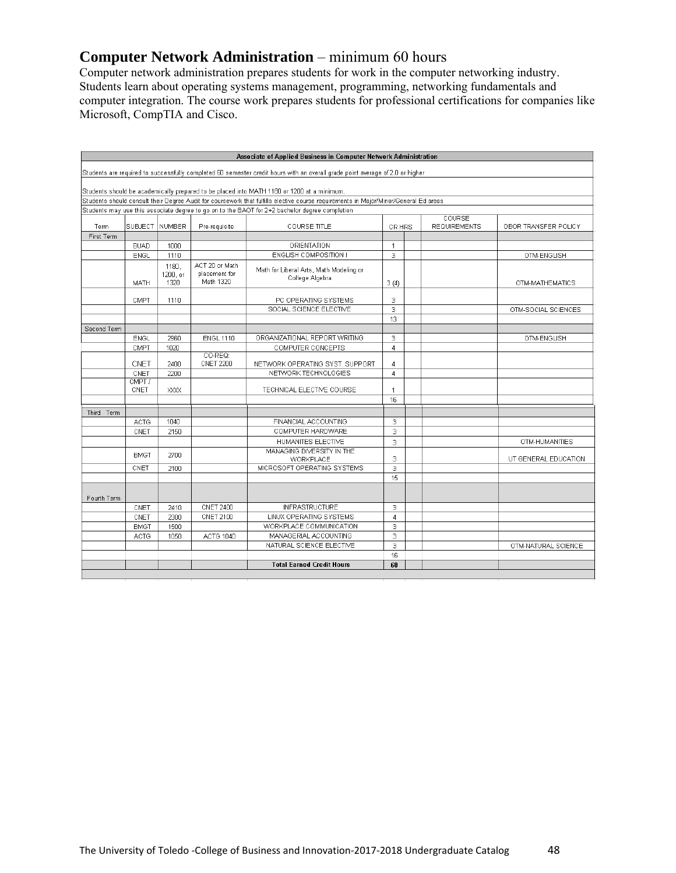# **Computer Network Administration – minimum 60 hours**

Computer network administration prepares students for work in the computer networking industry. Students learn about operating systems management, programming, networking fundamentals and computer integration. The course work prepares students for professional certifications for companies like Microsoft, CompTIA and Cisco.

|             |                |                           |                                              | Associate of Applied Business in Computer Network Administration                                                                     |                |                               |                      |
|-------------|----------------|---------------------------|----------------------------------------------|--------------------------------------------------------------------------------------------------------------------------------------|----------------|-------------------------------|----------------------|
|             |                |                           |                                              | Students are required to successfully completed 60 semester credit hours with an overall grade point average of 2.0 or higher        |                |                               |                      |
|             |                |                           |                                              | Students should be academically prepared to be placed into MATH 1180 or 1200 at a minimum.                                           |                |                               |                      |
|             |                |                           |                                              | Students should consult their Degree Audit for coursework that fulfills elective course requirements in Major/Minor/General Ed areas |                |                               |                      |
|             |                |                           |                                              | Students may use this associate degree to go on to the BAOT for 2+2 bachelor degree completion                                       |                |                               |                      |
| Term        | SUBJECT NUMBER |                           | Pre-requisite                                | <b>COURSE TITLE</b>                                                                                                                  | CR HRS         | COURSE<br><b>REQUIREMENTS</b> | OBOR TRANSFER POLICY |
| First Term  |                |                           |                                              |                                                                                                                                      |                |                               |                      |
|             | <b>BUAD</b>    | 1000                      |                                              | ORIENTATION                                                                                                                          | 1              |                               |                      |
|             | <b>ENGL</b>    | 1110                      |                                              | ENGLISH COMPOSITION I                                                                                                                | 3              |                               | OTM-ENGLISH          |
|             | MATH           | 1180.<br>1200, or<br>1320 | ACT 20 or Math<br>placement for<br>Math 1320 | Math for Liberal Arts, Math Modeling or<br>College Algebra                                                                           | 3(4)           |                               | OTM-MATHEMATICS      |
|             | CMPT           | 1110                      |                                              | PC OPERATING SYSTEMS                                                                                                                 | 3              |                               |                      |
|             |                |                           |                                              | SOCIAL SCIENCE ELECTIVE                                                                                                              | 3              |                               | OTM-SOCIAL SCIENCES  |
|             |                |                           |                                              |                                                                                                                                      | 13             |                               |                      |
| Second Term |                |                           |                                              |                                                                                                                                      |                |                               |                      |
|             | ENGL           | 2960                      | <b>ENGL 1110</b>                             | ORGANIZATIONAL REPORT WRITING                                                                                                        | 3              |                               | OTM-ENGLISH          |
|             | CMPT           | 1020                      |                                              | COMPUTER CONCEPTS                                                                                                                    | $\sqrt{4}$     |                               |                      |
|             |                |                           | CO-REQ:                                      |                                                                                                                                      |                |                               |                      |
|             | <b>CNET</b>    | 2400                      | <b>CNET 2200</b>                             | NETWORK OPERATING SYST. SUPPORT                                                                                                      | $\overline{4}$ |                               |                      |
|             | CNET           | 2200                      |                                              | NETWORK TECHNOLOGIES                                                                                                                 | $\it 4$        |                               |                      |
|             | CMPT/<br>CNET  | XXXX                      |                                              | TECHNICAL ELECTIVE COURSE                                                                                                            | $\mathbf{1}$   |                               |                      |
|             |                |                           |                                              |                                                                                                                                      | 16             |                               |                      |
| Third Term  |                |                           |                                              |                                                                                                                                      |                |                               |                      |
|             | <b>ACTG</b>    | 1040                      |                                              | FINANCIAL ACCOUNTING                                                                                                                 | 3              |                               |                      |
|             | CNET           | 2150                      |                                              | COMPUTER HARDWARE                                                                                                                    | 3              |                               |                      |
|             |                |                           |                                              | HUMANITES ELECTIVE                                                                                                                   | 3              |                               | OTM-HUMANITIES       |
|             |                |                           |                                              | MANAGING DIVERSITY IN THE                                                                                                            |                |                               |                      |
|             | <b>BMGT</b>    | 2700                      |                                              | WORKPLACE                                                                                                                            | 3              |                               | UT GENERAL EDUCATION |
|             | CNET           | 2100                      |                                              | MICROSOFT OPERATING SYSTEMS                                                                                                          | 3              |                               |                      |
|             |                |                           |                                              |                                                                                                                                      | 15             |                               |                      |
| Fourth Term |                |                           |                                              |                                                                                                                                      |                |                               |                      |
|             | CNET           | 2410                      | <b>CNET 2400</b>                             | <b>INFRASTRUCTURE</b>                                                                                                                | 3              |                               |                      |
|             | CNET           | 2300                      | <b>CNET 2100</b>                             | LINUX OPERATING SYSTEMS                                                                                                              | $\overline{4}$ |                               |                      |
|             | <b>BMGT</b>    | 1500                      |                                              | WORKPLACE COMMUNICATION                                                                                                              | 3              |                               |                      |
|             | <b>ACTG</b>    | 1050                      | ACTG 1040                                    | MANAGERIAL ACCOUNTING                                                                                                                | 3              |                               |                      |
|             |                |                           |                                              | NATURAL SCIENCE ELECTIVE                                                                                                             | 3              |                               | OTM-NATURAL SCIENCE  |
|             |                |                           |                                              |                                                                                                                                      | 16             |                               |                      |
|             |                |                           |                                              | <b>Total Earned Credit Hours</b>                                                                                                     | 60             |                               |                      |
|             |                |                           |                                              |                                                                                                                                      |                |                               |                      |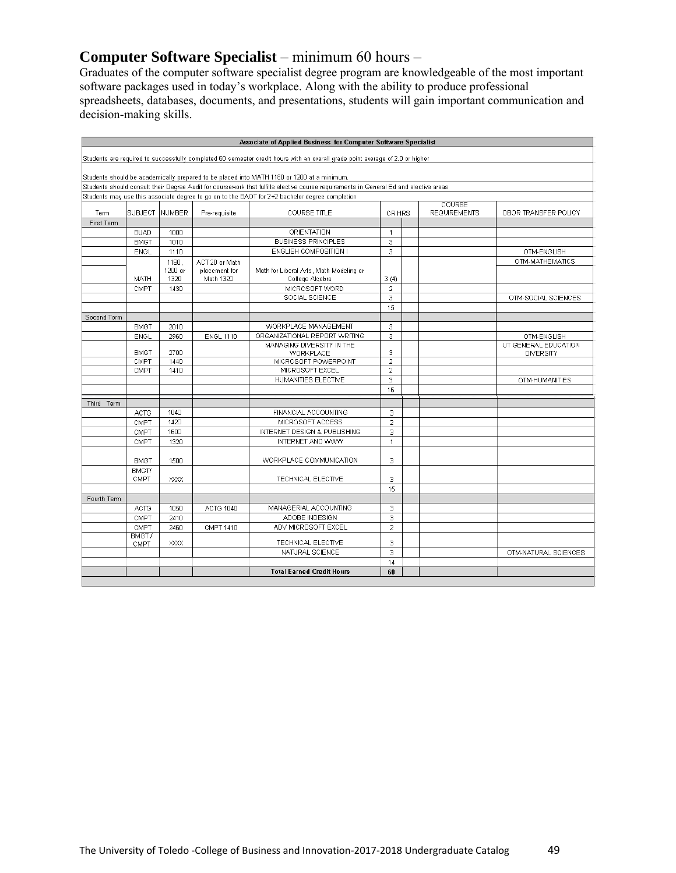# **Computer Software Specialist** – minimum 60 hours –

Graduates of the computer software specialist degree program are knowledgeable of the most important software packages used in today's workplace. Along with the ability to produce professional spreadsheets, databases, documents, and presentations, students will gain important communication and decision-making skills.

| Students are required to successfully completed 60 semester credit hours with an overall grade point average of 2.0 or higher<br>Students should be academically prepared to be placed into MATH 1180 or 1200 at a minimum.<br>Students should consult their Degree Audit for coursework that fulfills elective course requirements in General Ed and elective areas<br>Students may use this associate degree to go on to the BAOT for 2+2 bachelor degree completion<br>COURSE<br>SUBJECT   NUMBER<br>Pre-requisite<br><b>COURSE TITLE</b><br><b>REQUIREMENTS</b><br>Term<br>CR HRS<br>First Term<br>ORIENTATION<br><b>BUAD</b><br>1000<br>$\mathbf{1}$<br><b>BUSINESS PRINCIPLES</b><br>3<br>1010<br><b>BMGT</b><br>3<br>ENGLISH COMPOSITION I<br>ENGL<br>1110<br>1180.<br>ACT 20 or Math<br>1200 or<br>placement for<br>Math for Liberal Arts, Math Modeling or<br>1320<br>Math 1320<br>College Algebra<br>3(4)<br>MATH<br>$\overline{2}$<br>CMPT<br>MICROSOFT WORD<br>1430<br>SOCIAL SCIENCE<br>3<br>OTM-SOCIAL SCIENCES<br>15<br>Second Term<br>WORKPLACE MANAGEMENT<br>3<br>2010<br><b>BMGT</b><br>ORGANIZATIONAL REPORT WRITING<br>3<br>2960<br><b>ENGL 1110</b><br>OTM-ENGLISH<br><b>ENGL</b><br>UT GENERAL EDUCATION<br>MANAGING DIVERSITY IN THE<br>3<br><b>BMGT</b><br>2700<br>WORKPLACE<br><b>DIVERSITY</b><br>CMPT<br>1440<br>MICROSOFT POWERPOINT<br>$\overline{2}$<br>MICROSOFT EXCEL<br>CMPT<br>1410<br>$\overline{2}$<br>HUMANITIES ELECTIVE<br>3<br>16<br>Third Term<br>1040<br>FINANCIAL ACCOUNTING<br><b>ACTG</b><br>3<br>1420<br>$\overline{2}$<br>CMPT<br>MICROSOFT ACCESS<br>1600<br>INTERNET DESIGN & PUBLISHING<br>3<br>CMPT<br>INTERNET AND WWW<br>CMPT<br>1320<br>$\mathbf{1}$<br>3<br>WORKPLACE COMMUNICATION<br>1500<br><b>BMGT</b><br>BMGT/<br>CMPT<br>TECHNICAL ELECTIVE<br>3<br>XXXX<br>15<br>Fourth Term<br>MANAGERIAL ACCOUNTING<br>ACTG 1040<br>3<br><b>ACTG</b><br>1050<br>ADOBE INDESIGN<br>3<br>CMPT<br>2410<br>ADV MICROSOFT EXCEL<br>$\overline{2}$<br>CMPT<br>2460<br>CMPT 1410<br>BMGT/<br>TECHNICAL ELECTIVE<br>3<br>XXXX<br>CMPT<br>NATURAL SCIENCE<br>3 |  |  | Associate of Applied Business for Computer Software Specialist |    |                      |
|-------------------------------------------------------------------------------------------------------------------------------------------------------------------------------------------------------------------------------------------------------------------------------------------------------------------------------------------------------------------------------------------------------------------------------------------------------------------------------------------------------------------------------------------------------------------------------------------------------------------------------------------------------------------------------------------------------------------------------------------------------------------------------------------------------------------------------------------------------------------------------------------------------------------------------------------------------------------------------------------------------------------------------------------------------------------------------------------------------------------------------------------------------------------------------------------------------------------------------------------------------------------------------------------------------------------------------------------------------------------------------------------------------------------------------------------------------------------------------------------------------------------------------------------------------------------------------------------------------------------------------------------------------------------------------------------------------------------------------------------------------------------------------------------------------------------------------------------------------------------------------------------------------------------------------------------------------------------------------------------------------------------------------------------------------------------------------------------------------|--|--|----------------------------------------------------------------|----|----------------------|
|                                                                                                                                                                                                                                                                                                                                                                                                                                                                                                                                                                                                                                                                                                                                                                                                                                                                                                                                                                                                                                                                                                                                                                                                                                                                                                                                                                                                                                                                                                                                                                                                                                                                                                                                                                                                                                                                                                                                                                                                                                                                                                       |  |  |                                                                |    |                      |
|                                                                                                                                                                                                                                                                                                                                                                                                                                                                                                                                                                                                                                                                                                                                                                                                                                                                                                                                                                                                                                                                                                                                                                                                                                                                                                                                                                                                                                                                                                                                                                                                                                                                                                                                                                                                                                                                                                                                                                                                                                                                                                       |  |  |                                                                |    |                      |
|                                                                                                                                                                                                                                                                                                                                                                                                                                                                                                                                                                                                                                                                                                                                                                                                                                                                                                                                                                                                                                                                                                                                                                                                                                                                                                                                                                                                                                                                                                                                                                                                                                                                                                                                                                                                                                                                                                                                                                                                                                                                                                       |  |  |                                                                |    |                      |
|                                                                                                                                                                                                                                                                                                                                                                                                                                                                                                                                                                                                                                                                                                                                                                                                                                                                                                                                                                                                                                                                                                                                                                                                                                                                                                                                                                                                                                                                                                                                                                                                                                                                                                                                                                                                                                                                                                                                                                                                                                                                                                       |  |  |                                                                |    |                      |
|                                                                                                                                                                                                                                                                                                                                                                                                                                                                                                                                                                                                                                                                                                                                                                                                                                                                                                                                                                                                                                                                                                                                                                                                                                                                                                                                                                                                                                                                                                                                                                                                                                                                                                                                                                                                                                                                                                                                                                                                                                                                                                       |  |  |                                                                |    |                      |
|                                                                                                                                                                                                                                                                                                                                                                                                                                                                                                                                                                                                                                                                                                                                                                                                                                                                                                                                                                                                                                                                                                                                                                                                                                                                                                                                                                                                                                                                                                                                                                                                                                                                                                                                                                                                                                                                                                                                                                                                                                                                                                       |  |  |                                                                |    |                      |
|                                                                                                                                                                                                                                                                                                                                                                                                                                                                                                                                                                                                                                                                                                                                                                                                                                                                                                                                                                                                                                                                                                                                                                                                                                                                                                                                                                                                                                                                                                                                                                                                                                                                                                                                                                                                                                                                                                                                                                                                                                                                                                       |  |  |                                                                |    | OBOR TRANSFER POLICY |
|                                                                                                                                                                                                                                                                                                                                                                                                                                                                                                                                                                                                                                                                                                                                                                                                                                                                                                                                                                                                                                                                                                                                                                                                                                                                                                                                                                                                                                                                                                                                                                                                                                                                                                                                                                                                                                                                                                                                                                                                                                                                                                       |  |  |                                                                |    |                      |
|                                                                                                                                                                                                                                                                                                                                                                                                                                                                                                                                                                                                                                                                                                                                                                                                                                                                                                                                                                                                                                                                                                                                                                                                                                                                                                                                                                                                                                                                                                                                                                                                                                                                                                                                                                                                                                                                                                                                                                                                                                                                                                       |  |  |                                                                |    |                      |
|                                                                                                                                                                                                                                                                                                                                                                                                                                                                                                                                                                                                                                                                                                                                                                                                                                                                                                                                                                                                                                                                                                                                                                                                                                                                                                                                                                                                                                                                                                                                                                                                                                                                                                                                                                                                                                                                                                                                                                                                                                                                                                       |  |  |                                                                |    |                      |
|                                                                                                                                                                                                                                                                                                                                                                                                                                                                                                                                                                                                                                                                                                                                                                                                                                                                                                                                                                                                                                                                                                                                                                                                                                                                                                                                                                                                                                                                                                                                                                                                                                                                                                                                                                                                                                                                                                                                                                                                                                                                                                       |  |  |                                                                |    | OTM-ENGLISH          |
|                                                                                                                                                                                                                                                                                                                                                                                                                                                                                                                                                                                                                                                                                                                                                                                                                                                                                                                                                                                                                                                                                                                                                                                                                                                                                                                                                                                                                                                                                                                                                                                                                                                                                                                                                                                                                                                                                                                                                                                                                                                                                                       |  |  |                                                                |    | OTM-MATHEMATICS      |
|                                                                                                                                                                                                                                                                                                                                                                                                                                                                                                                                                                                                                                                                                                                                                                                                                                                                                                                                                                                                                                                                                                                                                                                                                                                                                                                                                                                                                                                                                                                                                                                                                                                                                                                                                                                                                                                                                                                                                                                                                                                                                                       |  |  |                                                                |    |                      |
|                                                                                                                                                                                                                                                                                                                                                                                                                                                                                                                                                                                                                                                                                                                                                                                                                                                                                                                                                                                                                                                                                                                                                                                                                                                                                                                                                                                                                                                                                                                                                                                                                                                                                                                                                                                                                                                                                                                                                                                                                                                                                                       |  |  |                                                                |    |                      |
|                                                                                                                                                                                                                                                                                                                                                                                                                                                                                                                                                                                                                                                                                                                                                                                                                                                                                                                                                                                                                                                                                                                                                                                                                                                                                                                                                                                                                                                                                                                                                                                                                                                                                                                                                                                                                                                                                                                                                                                                                                                                                                       |  |  |                                                                |    |                      |
|                                                                                                                                                                                                                                                                                                                                                                                                                                                                                                                                                                                                                                                                                                                                                                                                                                                                                                                                                                                                                                                                                                                                                                                                                                                                                                                                                                                                                                                                                                                                                                                                                                                                                                                                                                                                                                                                                                                                                                                                                                                                                                       |  |  |                                                                |    |                      |
|                                                                                                                                                                                                                                                                                                                                                                                                                                                                                                                                                                                                                                                                                                                                                                                                                                                                                                                                                                                                                                                                                                                                                                                                                                                                                                                                                                                                                                                                                                                                                                                                                                                                                                                                                                                                                                                                                                                                                                                                                                                                                                       |  |  |                                                                |    |                      |
|                                                                                                                                                                                                                                                                                                                                                                                                                                                                                                                                                                                                                                                                                                                                                                                                                                                                                                                                                                                                                                                                                                                                                                                                                                                                                                                                                                                                                                                                                                                                                                                                                                                                                                                                                                                                                                                                                                                                                                                                                                                                                                       |  |  |                                                                |    |                      |
|                                                                                                                                                                                                                                                                                                                                                                                                                                                                                                                                                                                                                                                                                                                                                                                                                                                                                                                                                                                                                                                                                                                                                                                                                                                                                                                                                                                                                                                                                                                                                                                                                                                                                                                                                                                                                                                                                                                                                                                                                                                                                                       |  |  |                                                                |    |                      |
|                                                                                                                                                                                                                                                                                                                                                                                                                                                                                                                                                                                                                                                                                                                                                                                                                                                                                                                                                                                                                                                                                                                                                                                                                                                                                                                                                                                                                                                                                                                                                                                                                                                                                                                                                                                                                                                                                                                                                                                                                                                                                                       |  |  |                                                                |    |                      |
|                                                                                                                                                                                                                                                                                                                                                                                                                                                                                                                                                                                                                                                                                                                                                                                                                                                                                                                                                                                                                                                                                                                                                                                                                                                                                                                                                                                                                                                                                                                                                                                                                                                                                                                                                                                                                                                                                                                                                                                                                                                                                                       |  |  |                                                                |    |                      |
|                                                                                                                                                                                                                                                                                                                                                                                                                                                                                                                                                                                                                                                                                                                                                                                                                                                                                                                                                                                                                                                                                                                                                                                                                                                                                                                                                                                                                                                                                                                                                                                                                                                                                                                                                                                                                                                                                                                                                                                                                                                                                                       |  |  |                                                                |    |                      |
|                                                                                                                                                                                                                                                                                                                                                                                                                                                                                                                                                                                                                                                                                                                                                                                                                                                                                                                                                                                                                                                                                                                                                                                                                                                                                                                                                                                                                                                                                                                                                                                                                                                                                                                                                                                                                                                                                                                                                                                                                                                                                                       |  |  |                                                                |    |                      |
|                                                                                                                                                                                                                                                                                                                                                                                                                                                                                                                                                                                                                                                                                                                                                                                                                                                                                                                                                                                                                                                                                                                                                                                                                                                                                                                                                                                                                                                                                                                                                                                                                                                                                                                                                                                                                                                                                                                                                                                                                                                                                                       |  |  |                                                                |    | OTM-HUMANITIES       |
|                                                                                                                                                                                                                                                                                                                                                                                                                                                                                                                                                                                                                                                                                                                                                                                                                                                                                                                                                                                                                                                                                                                                                                                                                                                                                                                                                                                                                                                                                                                                                                                                                                                                                                                                                                                                                                                                                                                                                                                                                                                                                                       |  |  |                                                                |    |                      |
|                                                                                                                                                                                                                                                                                                                                                                                                                                                                                                                                                                                                                                                                                                                                                                                                                                                                                                                                                                                                                                                                                                                                                                                                                                                                                                                                                                                                                                                                                                                                                                                                                                                                                                                                                                                                                                                                                                                                                                                                                                                                                                       |  |  |                                                                |    |                      |
|                                                                                                                                                                                                                                                                                                                                                                                                                                                                                                                                                                                                                                                                                                                                                                                                                                                                                                                                                                                                                                                                                                                                                                                                                                                                                                                                                                                                                                                                                                                                                                                                                                                                                                                                                                                                                                                                                                                                                                                                                                                                                                       |  |  |                                                                |    |                      |
|                                                                                                                                                                                                                                                                                                                                                                                                                                                                                                                                                                                                                                                                                                                                                                                                                                                                                                                                                                                                                                                                                                                                                                                                                                                                                                                                                                                                                                                                                                                                                                                                                                                                                                                                                                                                                                                                                                                                                                                                                                                                                                       |  |  |                                                                |    |                      |
|                                                                                                                                                                                                                                                                                                                                                                                                                                                                                                                                                                                                                                                                                                                                                                                                                                                                                                                                                                                                                                                                                                                                                                                                                                                                                                                                                                                                                                                                                                                                                                                                                                                                                                                                                                                                                                                                                                                                                                                                                                                                                                       |  |  |                                                                |    |                      |
|                                                                                                                                                                                                                                                                                                                                                                                                                                                                                                                                                                                                                                                                                                                                                                                                                                                                                                                                                                                                                                                                                                                                                                                                                                                                                                                                                                                                                                                                                                                                                                                                                                                                                                                                                                                                                                                                                                                                                                                                                                                                                                       |  |  |                                                                |    |                      |
|                                                                                                                                                                                                                                                                                                                                                                                                                                                                                                                                                                                                                                                                                                                                                                                                                                                                                                                                                                                                                                                                                                                                                                                                                                                                                                                                                                                                                                                                                                                                                                                                                                                                                                                                                                                                                                                                                                                                                                                                                                                                                                       |  |  |                                                                |    |                      |
|                                                                                                                                                                                                                                                                                                                                                                                                                                                                                                                                                                                                                                                                                                                                                                                                                                                                                                                                                                                                                                                                                                                                                                                                                                                                                                                                                                                                                                                                                                                                                                                                                                                                                                                                                                                                                                                                                                                                                                                                                                                                                                       |  |  |                                                                |    |                      |
|                                                                                                                                                                                                                                                                                                                                                                                                                                                                                                                                                                                                                                                                                                                                                                                                                                                                                                                                                                                                                                                                                                                                                                                                                                                                                                                                                                                                                                                                                                                                                                                                                                                                                                                                                                                                                                                                                                                                                                                                                                                                                                       |  |  |                                                                |    |                      |
|                                                                                                                                                                                                                                                                                                                                                                                                                                                                                                                                                                                                                                                                                                                                                                                                                                                                                                                                                                                                                                                                                                                                                                                                                                                                                                                                                                                                                                                                                                                                                                                                                                                                                                                                                                                                                                                                                                                                                                                                                                                                                                       |  |  |                                                                |    |                      |
|                                                                                                                                                                                                                                                                                                                                                                                                                                                                                                                                                                                                                                                                                                                                                                                                                                                                                                                                                                                                                                                                                                                                                                                                                                                                                                                                                                                                                                                                                                                                                                                                                                                                                                                                                                                                                                                                                                                                                                                                                                                                                                       |  |  |                                                                |    |                      |
|                                                                                                                                                                                                                                                                                                                                                                                                                                                                                                                                                                                                                                                                                                                                                                                                                                                                                                                                                                                                                                                                                                                                                                                                                                                                                                                                                                                                                                                                                                                                                                                                                                                                                                                                                                                                                                                                                                                                                                                                                                                                                                       |  |  |                                                                |    |                      |
|                                                                                                                                                                                                                                                                                                                                                                                                                                                                                                                                                                                                                                                                                                                                                                                                                                                                                                                                                                                                                                                                                                                                                                                                                                                                                                                                                                                                                                                                                                                                                                                                                                                                                                                                                                                                                                                                                                                                                                                                                                                                                                       |  |  |                                                                |    |                      |
|                                                                                                                                                                                                                                                                                                                                                                                                                                                                                                                                                                                                                                                                                                                                                                                                                                                                                                                                                                                                                                                                                                                                                                                                                                                                                                                                                                                                                                                                                                                                                                                                                                                                                                                                                                                                                                                                                                                                                                                                                                                                                                       |  |  |                                                                |    |                      |
|                                                                                                                                                                                                                                                                                                                                                                                                                                                                                                                                                                                                                                                                                                                                                                                                                                                                                                                                                                                                                                                                                                                                                                                                                                                                                                                                                                                                                                                                                                                                                                                                                                                                                                                                                                                                                                                                                                                                                                                                                                                                                                       |  |  |                                                                |    |                      |
|                                                                                                                                                                                                                                                                                                                                                                                                                                                                                                                                                                                                                                                                                                                                                                                                                                                                                                                                                                                                                                                                                                                                                                                                                                                                                                                                                                                                                                                                                                                                                                                                                                                                                                                                                                                                                                                                                                                                                                                                                                                                                                       |  |  |                                                                |    |                      |
|                                                                                                                                                                                                                                                                                                                                                                                                                                                                                                                                                                                                                                                                                                                                                                                                                                                                                                                                                                                                                                                                                                                                                                                                                                                                                                                                                                                                                                                                                                                                                                                                                                                                                                                                                                                                                                                                                                                                                                                                                                                                                                       |  |  |                                                                |    |                      |
|                                                                                                                                                                                                                                                                                                                                                                                                                                                                                                                                                                                                                                                                                                                                                                                                                                                                                                                                                                                                                                                                                                                                                                                                                                                                                                                                                                                                                                                                                                                                                                                                                                                                                                                                                                                                                                                                                                                                                                                                                                                                                                       |  |  |                                                                |    | OTM-NATURAL SCIENCES |
|                                                                                                                                                                                                                                                                                                                                                                                                                                                                                                                                                                                                                                                                                                                                                                                                                                                                                                                                                                                                                                                                                                                                                                                                                                                                                                                                                                                                                                                                                                                                                                                                                                                                                                                                                                                                                                                                                                                                                                                                                                                                                                       |  |  |                                                                | 14 |                      |
| <b>Total Earned Credit Hours</b><br>60                                                                                                                                                                                                                                                                                                                                                                                                                                                                                                                                                                                                                                                                                                                                                                                                                                                                                                                                                                                                                                                                                                                                                                                                                                                                                                                                                                                                                                                                                                                                                                                                                                                                                                                                                                                                                                                                                                                                                                                                                                                                |  |  |                                                                |    |                      |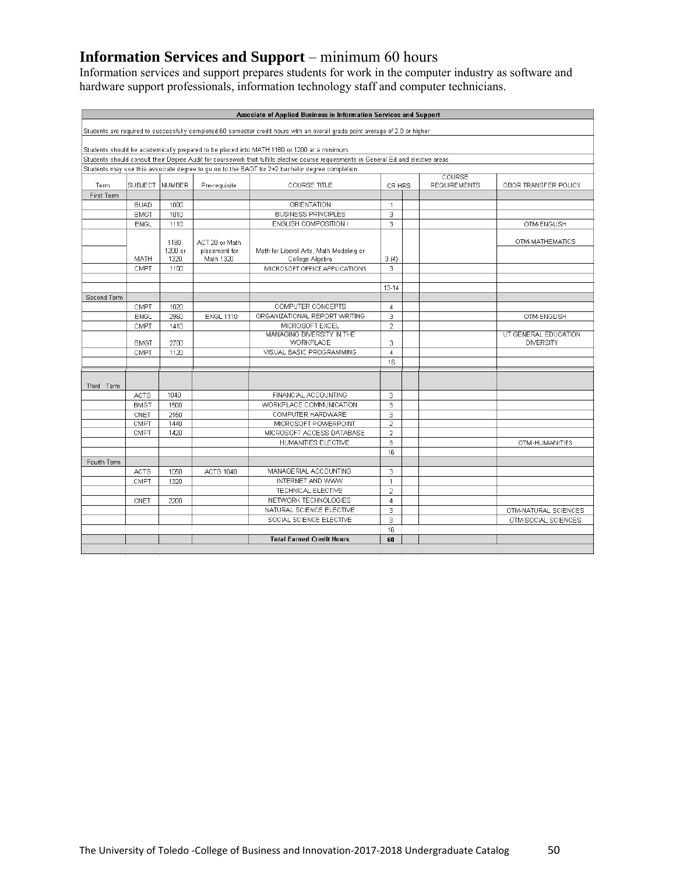# **Information Services and Support** – minimum 60 hours

Information services and support prepares students for work in the computer industry as software and hardware support professionals, information technology staff and computer technicians.

|             |                                                                                                                               |         |                  | Associate of Applied Business in Information Services and Support                                                                     |                     |  |                               |                      |
|-------------|-------------------------------------------------------------------------------------------------------------------------------|---------|------------------|---------------------------------------------------------------------------------------------------------------------------------------|---------------------|--|-------------------------------|----------------------|
|             | Students are required to successfully completed 60 semester credit hours with an overall grade point average of 2.0 or higher |         |                  |                                                                                                                                       |                     |  |                               |                      |
|             |                                                                                                                               |         |                  | Students should be academically prepared to be placed into MATH 1180 or 1200 at a minimum.                                            |                     |  |                               |                      |
|             |                                                                                                                               |         |                  | Students should consult their Degree Audit for coursework that fulfills elective course requirements in General Ed and elective areas |                     |  |                               |                      |
|             |                                                                                                                               |         |                  | Students may use this associate degree to go on to the BAOT for 2+2 bachelor degree completion                                        |                     |  |                               |                      |
| Term        | SUBJECT                                                                                                                       | NUMBER  | Pre-requisite    | <b>COURSE TITLE</b>                                                                                                                   | CR HRS              |  | COURSE<br><b>REQUIREMENTS</b> | OBOR TRANSFER POLICY |
| First Term  |                                                                                                                               |         |                  |                                                                                                                                       |                     |  |                               |                      |
|             | <b>BUAD</b>                                                                                                                   | 1000    |                  | ORIENTATION                                                                                                                           | $\mathbf{1}$        |  |                               |                      |
|             | <b>BMGT</b>                                                                                                                   | 1010    |                  | <b>BUSINESS PRINCIPLES</b>                                                                                                            | 3                   |  |                               |                      |
|             | ENGL                                                                                                                          | 1110    |                  | ENGLISH COMPOSITION I                                                                                                                 | 3                   |  |                               | OTM-ENGLISH          |
|             |                                                                                                                               | 1180.   | ACT 20 or Math   |                                                                                                                                       |                     |  |                               | OTM-MATHEMATICS      |
|             |                                                                                                                               | 1200 or | placement for    | Math for Liberal Arts, Math Modeling or                                                                                               |                     |  |                               |                      |
|             | MATH                                                                                                                          | 1320    | Math 1320        | College Algebra                                                                                                                       | 3(4)<br>3           |  |                               |                      |
|             | CMPT                                                                                                                          | 1100    |                  | MICROSOFT OFFICE APPLICATIONS                                                                                                         |                     |  |                               |                      |
|             |                                                                                                                               |         |                  |                                                                                                                                       | $13 - 14$           |  |                               |                      |
| Second Term |                                                                                                                               |         |                  |                                                                                                                                       |                     |  |                               |                      |
|             | CMPT                                                                                                                          | 1020    |                  | COMPUTER CONCEPTS                                                                                                                     | $\overline{4}$      |  |                               |                      |
|             | ENGL                                                                                                                          | 2960    | <b>ENGL 1110</b> | ORGANIZATIONAL REPORT WRITING                                                                                                         | 3                   |  |                               | OTM-ENGLISH          |
|             | CMPT                                                                                                                          | 1410    |                  | MICROSOFT EXCEL                                                                                                                       | $\overline{2}$      |  |                               |                      |
|             |                                                                                                                               |         |                  | MANAGING DIVERSITY IN THE                                                                                                             |                     |  |                               | UT GENERAL EDUCATION |
|             | <b>BMGT</b>                                                                                                                   | 2700    |                  | WORKPLACE                                                                                                                             | 3                   |  |                               | <b>DIVERSITY</b>     |
|             | CMPT                                                                                                                          | 1120    |                  | VISUAL BASIC PROGRAMMING                                                                                                              | $\overline{4}$      |  |                               |                      |
|             |                                                                                                                               |         |                  |                                                                                                                                       | 16                  |  |                               |                      |
|             |                                                                                                                               |         |                  |                                                                                                                                       |                     |  |                               |                      |
| Third Term  |                                                                                                                               |         |                  |                                                                                                                                       |                     |  |                               |                      |
|             | <b>ACTG</b>                                                                                                                   | 1040    |                  | FINANCIAL ACCOUNTING                                                                                                                  | 3                   |  |                               |                      |
|             | <b>BMGT</b>                                                                                                                   | 1500    |                  | WORKPLACE COMMUNICATION                                                                                                               | 3                   |  |                               |                      |
|             | CNET                                                                                                                          | 2150    |                  | COMPUTER HARDWARE                                                                                                                     | 3                   |  |                               |                      |
|             | CMPT                                                                                                                          | 1440    |                  | MICROSOFT POWERPOINT                                                                                                                  | $\overline{2}$      |  |                               |                      |
|             | CMPT                                                                                                                          | 1420    |                  | MICROSOFT ACCESS DATABASE                                                                                                             | $\overline{2}$      |  |                               |                      |
|             |                                                                                                                               |         |                  | HUMANITIES ELECTIVE                                                                                                                   | 3                   |  |                               | OTM-HUMANITIES       |
|             |                                                                                                                               |         |                  |                                                                                                                                       | 16                  |  |                               |                      |
| Fourth Term |                                                                                                                               |         |                  | MANAGERIAL ACCOUNTING                                                                                                                 |                     |  |                               |                      |
|             | <b>ACTG</b>                                                                                                                   | 1050    | <b>ACTG 1040</b> |                                                                                                                                       | 3                   |  |                               |                      |
|             | CMPT                                                                                                                          | 1320    |                  | INTERNET AND WWW<br>TECHNICAL ELECTIVE                                                                                                | $\mathbf{1}$        |  |                               |                      |
|             |                                                                                                                               |         |                  | NETWORK TECHNOLOGIES                                                                                                                  | $\overline{2}$      |  |                               |                      |
|             | CNET                                                                                                                          | 2200    |                  | NATURAL SCIENCE ELECTIVE                                                                                                              | $\overline{4}$<br>3 |  |                               |                      |
|             |                                                                                                                               |         |                  | SOCIAL SCIENCE ELECTIVE                                                                                                               | 3                   |  |                               | OTM-NATURAL SCIENCES |
|             |                                                                                                                               |         |                  |                                                                                                                                       | 16                  |  |                               | OTM-SOCIAL SCIENCES  |
|             |                                                                                                                               |         |                  | <b>Total Earned Credit Hours</b>                                                                                                      | 60                  |  |                               |                      |
|             |                                                                                                                               |         |                  |                                                                                                                                       |                     |  |                               |                      |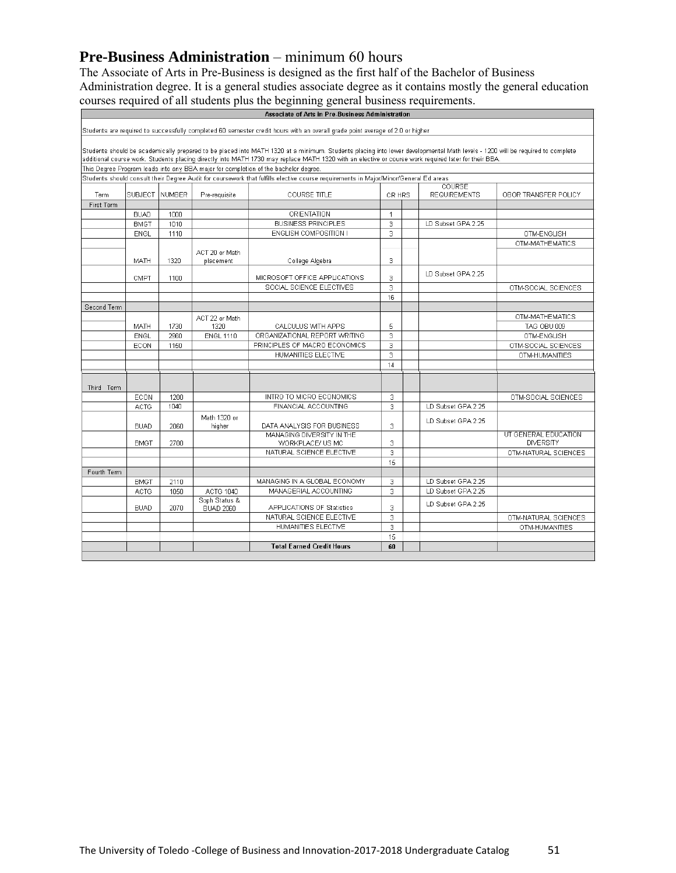# **Pre-Business Administration** – minimum 60 hours

The Associate of Arts in Pre-Business is designed as the first half of the Bachelor of Business Administration degree. It is a general studies associate degree as it contains mostly the general education courses required of all students plus the beginning general business requirements.

|             |               |                 |                             | Associate of Arts in Pre-Business Administration                                                                                                                                                                                                                                                                                     |                |  |                     |                      |
|-------------|---------------|-----------------|-----------------------------|--------------------------------------------------------------------------------------------------------------------------------------------------------------------------------------------------------------------------------------------------------------------------------------------------------------------------------------|----------------|--|---------------------|----------------------|
|             |               |                 |                             | Students are required to successfully completed 60 semester credit hours with an overall grade point average of 2.0 or higher                                                                                                                                                                                                        |                |  |                     |                      |
|             |               |                 |                             |                                                                                                                                                                                                                                                                                                                                      |                |  |                     |                      |
|             |               |                 |                             | Students should be academically prepared to be placed into MATH 1320 at a minimum. Students placing into lower developmental Math levels - 1200 will be required to complete<br>additional course work. Students placing directly into MATH 1730 may replace MATH 1320 with an elective or course work required later for their BBA. |                |  |                     |                      |
|             |               |                 |                             | This Degree Program leads into any BBA major for completion of the bachelor degree.                                                                                                                                                                                                                                                  |                |  |                     |                      |
|             |               |                 |                             | Students should consult their Degree Audit for coursework that fulfills elective course requirements in Major/Minor/General Ed areas                                                                                                                                                                                                 |                |  |                     |                      |
|             | <b>COURSE</b> |                 |                             |                                                                                                                                                                                                                                                                                                                                      |                |  |                     |                      |
| Term        |               | SUBJECT INUMBER | Pre-requisite               | <b>COURSE TITLE</b>                                                                                                                                                                                                                                                                                                                  | CR HRS         |  | <b>REQUIREMENTS</b> | OBOR TRANSFER POLICY |
| First Term  |               |                 |                             |                                                                                                                                                                                                                                                                                                                                      |                |  |                     |                      |
|             | <b>BUAD</b>   | 1000            |                             | ORIENTATION                                                                                                                                                                                                                                                                                                                          | $\overline{1}$ |  |                     |                      |
|             | <b>BMGT</b>   | 1010            |                             | <b>BUSINESS PRINCIPLES</b>                                                                                                                                                                                                                                                                                                           | 3              |  | LD Subset GPA 2.25  |                      |
|             | <b>ENGL</b>   | 1110            |                             | ENGLISH COMPOSITION I                                                                                                                                                                                                                                                                                                                | 3              |  |                     | OTM-ENGLISH          |
|             |               |                 |                             |                                                                                                                                                                                                                                                                                                                                      |                |  |                     | OTM-MATHEMATICS      |
|             | MATH          | 1320            | ACT 20 or Math<br>placement | College Algebra                                                                                                                                                                                                                                                                                                                      | 3              |  |                     |                      |
|             | CMPT          | 1100            |                             | MICROSOFT OFFICE APPLICATIONS                                                                                                                                                                                                                                                                                                        | 3              |  | LD Subset GPA 2.25  |                      |
|             |               |                 |                             | SOCIAL SCIENCE ELECTIVES                                                                                                                                                                                                                                                                                                             | 3              |  |                     | OTM-SOCIAL SCIENCES  |
|             |               |                 |                             |                                                                                                                                                                                                                                                                                                                                      | 16             |  |                     |                      |
| Second Term |               |                 |                             |                                                                                                                                                                                                                                                                                                                                      |                |  |                     |                      |
|             |               |                 | ACT 22 or Math              |                                                                                                                                                                                                                                                                                                                                      |                |  |                     | OTM-MATHEMATICS      |
|             | <b>MATH</b>   | 1730            | 1320                        | CALCULUS WITH APPS                                                                                                                                                                                                                                                                                                                   | 5              |  |                     | TAG OBU 009          |
|             | <b>ENGL</b>   | 2960            | <b>ENGL 1110</b>            | ORGANIZATIONAL REPORT WRITING                                                                                                                                                                                                                                                                                                        | 3              |  |                     | OTM-ENGLISH          |
|             | ECON          | 1150            |                             | PRINCIPLES OF MACRO ECONOMICS                                                                                                                                                                                                                                                                                                        | 3              |  |                     | OTM-SOCIAL SCIENCES  |
|             |               |                 |                             | HUMANITIES ELECTIVE                                                                                                                                                                                                                                                                                                                  | 3              |  |                     | OTM-HUMANITIES       |
|             |               |                 |                             |                                                                                                                                                                                                                                                                                                                                      | 14             |  |                     |                      |
|             |               |                 |                             |                                                                                                                                                                                                                                                                                                                                      |                |  |                     |                      |
| Third Term  |               |                 |                             |                                                                                                                                                                                                                                                                                                                                      |                |  |                     |                      |
|             | ECON          | 1200            |                             | INTRO TO MICRO ECONOMICS                                                                                                                                                                                                                                                                                                             | 3              |  |                     | OTM-SOCIAL SCIENCES  |
|             | <b>ACTG</b>   | 1040            |                             | FINANCIAL ACCOUNTING                                                                                                                                                                                                                                                                                                                 | 3              |  | LD Subset GPA 2.25  |                      |
|             | <b>BUAD</b>   | 2060            | Math 1320 or<br>higher      | DATA ANALYSIS FOR BUSINESS                                                                                                                                                                                                                                                                                                           | 3              |  | LD Subset GPA 2.25  |                      |
|             |               |                 |                             | MANAGING DIVERSITY IN THE                                                                                                                                                                                                                                                                                                            |                |  |                     | UT GENERAL EDUCATION |
|             | <b>BMGT</b>   | 2700            |                             | WORKPLACE/ US MC                                                                                                                                                                                                                                                                                                                     | 3              |  |                     | <b>DIVERSITY</b>     |
|             |               |                 |                             | NATURAL SCIENCE ELECTIVE                                                                                                                                                                                                                                                                                                             | 3              |  |                     | OTM-NATURAL SCIENCES |
|             |               |                 |                             |                                                                                                                                                                                                                                                                                                                                      | 15             |  |                     |                      |
| Fourth Term |               |                 |                             |                                                                                                                                                                                                                                                                                                                                      |                |  |                     |                      |
|             | <b>BMGT</b>   | 2110            |                             | MANAGING IN A GLOBAL ECONOMY                                                                                                                                                                                                                                                                                                         | 3              |  | LD Subset GPA 2.25  |                      |
|             | <b>ACTG</b>   | 1050            | <b>ACTG 1040</b>            | MANAGERIAL ACCOUNTING                                                                                                                                                                                                                                                                                                                | 3              |  | LD Subset GPA 2.25  |                      |
|             |               |                 | Soph Status &               |                                                                                                                                                                                                                                                                                                                                      |                |  |                     |                      |
|             | <b>BUAD</b>   | 2070            | <b>BUAD 2060</b>            | APPLICATIONS OF Statistics                                                                                                                                                                                                                                                                                                           | 3              |  | LD Subset GPA 2.25  |                      |
|             |               |                 |                             | NATURAL SCIENCE ELECTIVE                                                                                                                                                                                                                                                                                                             | 3              |  |                     | OTM-NATURAL SCIENCES |
|             |               |                 |                             | HUMANITIES ELECTIVE                                                                                                                                                                                                                                                                                                                  | 3              |  |                     | OTM-HUMANITIES       |
|             |               |                 |                             |                                                                                                                                                                                                                                                                                                                                      | 15             |  |                     |                      |
|             |               |                 |                             | <b>Total Earned Credit Hours</b>                                                                                                                                                                                                                                                                                                     | 60             |  |                     |                      |
|             |               |                 |                             |                                                                                                                                                                                                                                                                                                                                      |                |  |                     |                      |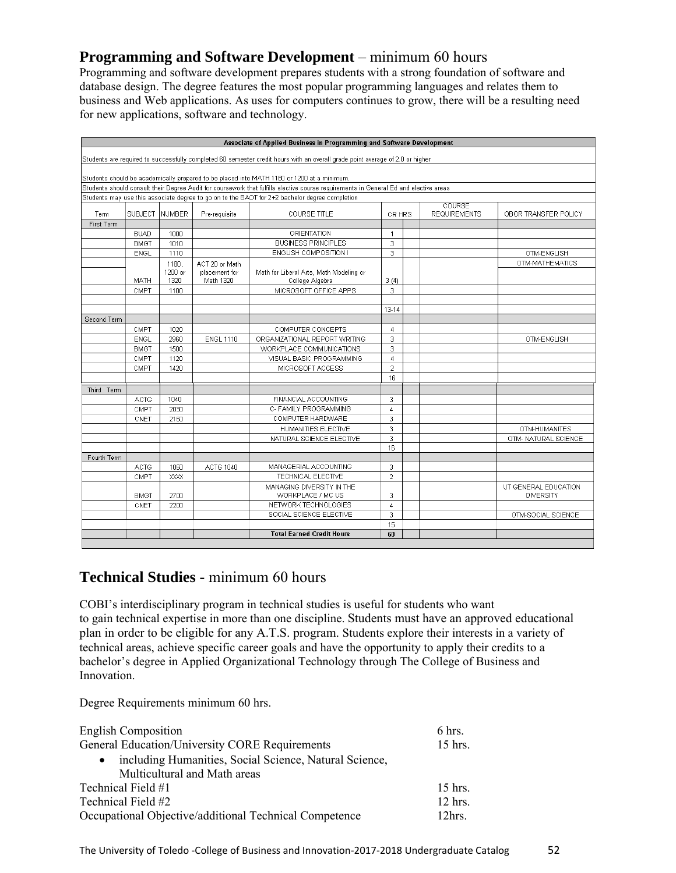# **Programming and Software Development** – minimum 60 hours

Programming and software development prepares students with a strong foundation of software and database design. The degree features the most popular programming languages and relates them to business and Web applications. As uses for computers continues to grow, there will be a resulting need for new applications, software and technology.

|             |             |                 |                            | Associate of Applied Business in Programming and Software Development                                                                 |                |                               |                                          |
|-------------|-------------|-----------------|----------------------------|---------------------------------------------------------------------------------------------------------------------------------------|----------------|-------------------------------|------------------------------------------|
|             |             |                 |                            | Students are required to successfully completed 60 semester credit hours with an overall grade point average of 2.0 or higher         |                |                               |                                          |
|             |             |                 |                            | Students should be academically prepared to be placed into MATH 1180 or 1200 at a minimum.                                            |                |                               |                                          |
|             |             |                 |                            | Students should consult their Degree Audit for coursework that fulfills elective course requirements in General Ed and elective areas |                |                               |                                          |
|             |             |                 |                            | Students may use this associate degree to go on to the BAOT for 2+2 bachelor degree completion                                        |                |                               |                                          |
| <b>Term</b> |             | SUBJECT NUMBER  | Pre-requisite              | <b>COURSE TITLE</b>                                                                                                                   | CR HRS         | COURSE<br><b>REQUIREMENTS</b> | OBOR TRANSFER POLICY                     |
| First Term  |             |                 |                            |                                                                                                                                       |                |                               |                                          |
|             | <b>BUAD</b> | 1000            |                            | <b>ORIENTATION</b>                                                                                                                    | $\mathbf{1}$   |                               |                                          |
|             | <b>BMGT</b> | 1010            |                            | <b>BUSINESS PRINCIPLES</b>                                                                                                            | 3              |                               |                                          |
|             | ENGL        | 1110            |                            | ENGLISH COMPOSITION I                                                                                                                 | 3              |                               | OTM-ENGLISH                              |
|             |             | 1180,           | ACT 20 or Math             |                                                                                                                                       |                |                               | OTM-MATHEMATICS                          |
|             | MATH        | 1200 or<br>1320 | placement for<br>Math 1320 | Math for Liberal Arts, Math Modeling or<br>College Algebra                                                                            | 3(4)           |                               |                                          |
|             | CMPT        | 1100            |                            | MICROSOFT OFFICE APPS                                                                                                                 | $\overline{3}$ |                               |                                          |
|             |             |                 |                            |                                                                                                                                       |                |                               |                                          |
|             |             |                 |                            |                                                                                                                                       | $13 - 14$      |                               |                                          |
| Second Term |             |                 |                            |                                                                                                                                       |                |                               |                                          |
|             | CMPT        | 1020            |                            | COMPUTER CONCEPTS                                                                                                                     | 4              |                               |                                          |
|             | <b>ENGL</b> | 2960            | <b>ENGL 1110</b>           | ORGANIZATIONAL REPORT WRITING                                                                                                         | 3              |                               | OTM-ENGLISH                              |
|             | <b>BMGT</b> | 1500            |                            | WORKPLACE COMMUNICATIONS                                                                                                              | 3              |                               |                                          |
|             | CMPT        | 1120            |                            | VISUAL BASIC PROGRAMMING                                                                                                              | $\overline{4}$ |                               |                                          |
|             | CMPT        | 1420            |                            | MICROSOFT ACCESS                                                                                                                      | $\overline{2}$ |                               |                                          |
|             |             |                 |                            |                                                                                                                                       | 16             |                               |                                          |
| Third Term  |             |                 |                            |                                                                                                                                       |                |                               |                                          |
|             | <b>ACTG</b> | 1040            |                            | FINANCIAL ACCOUNTING                                                                                                                  | 3              |                               |                                          |
|             | CMPT        | 2030            |                            | C- FAMILY PROGRAMMING                                                                                                                 | $\overline{4}$ |                               |                                          |
|             | CNET        | 2150            |                            | COMPUTER HARDWARE                                                                                                                     | 3              |                               |                                          |
|             |             |                 |                            | HUMANITIES ELECTIVE                                                                                                                   | 3              |                               | OTM-HUMANITES                            |
|             |             |                 |                            | NATURAL SCIENCE ELECTIVE                                                                                                              | 3              |                               | OTM- NATURAL SCIENCE                     |
|             |             |                 |                            |                                                                                                                                       | 16             |                               |                                          |
| Fourth Term |             |                 |                            |                                                                                                                                       |                |                               |                                          |
|             | <b>ACTG</b> | 1050            | <b>ACTG 1040</b>           | MANAGERIAL ACCOUNTING                                                                                                                 | 3              |                               |                                          |
|             | CMPT        | XXXX            |                            | TECHNICAL ELECTIVE                                                                                                                    | $\overline{2}$ |                               |                                          |
|             | <b>BMGT</b> | 2700            |                            | MANAGING DIVERSITY IN THE<br>WORKPLACE / MC US                                                                                        | 3              |                               | UT GENERAL EDUCATION<br><b>DIVERSITY</b> |
|             | CNET        | 2200            |                            | NETWORK TECHNOLOGIES                                                                                                                  | $\sqrt{4}$     |                               |                                          |
|             |             |                 |                            | SOCIAL SCIENCE ELECTIVE                                                                                                               | 3              |                               | OTM-SOCIAL SCIENCE                       |
|             |             |                 |                            |                                                                                                                                       | 15             |                               |                                          |
|             |             |                 |                            | <b>Total Earned Credit Hours</b>                                                                                                      | 60             |                               |                                          |
|             |             |                 |                            |                                                                                                                                       |                |                               |                                          |

# **Technical Studies -** minimum 60 hours

COBI's interdisciplinary program in technical studies is useful for students who want to gain technical expertise in more than one discipline. Students must have an approved educational plan in order to be eligible for any A.T.S. program. Students explore their interests in a variety of technical areas, achieve specific career goals and have the opportunity to apply their credits to a bachelor's degree in Applied Organizational Technology through The College of Business and Innovation.

Degree Requirements minimum 60 hrs.

| <b>English Composition</b>                                          | 6 hrs.            |
|---------------------------------------------------------------------|-------------------|
| <b>General Education/University CORE Requirements</b>               | $15$ hrs.         |
| including Humanities, Social Science, Natural Science,<br>$\bullet$ |                   |
| Multicultural and Math areas                                        |                   |
| Technical Field #1                                                  | $15$ hrs.         |
| Technical Field #2                                                  | $12$ hrs.         |
| Occupational Objective/additional Technical Competence              | 12 <sub>hrs</sub> |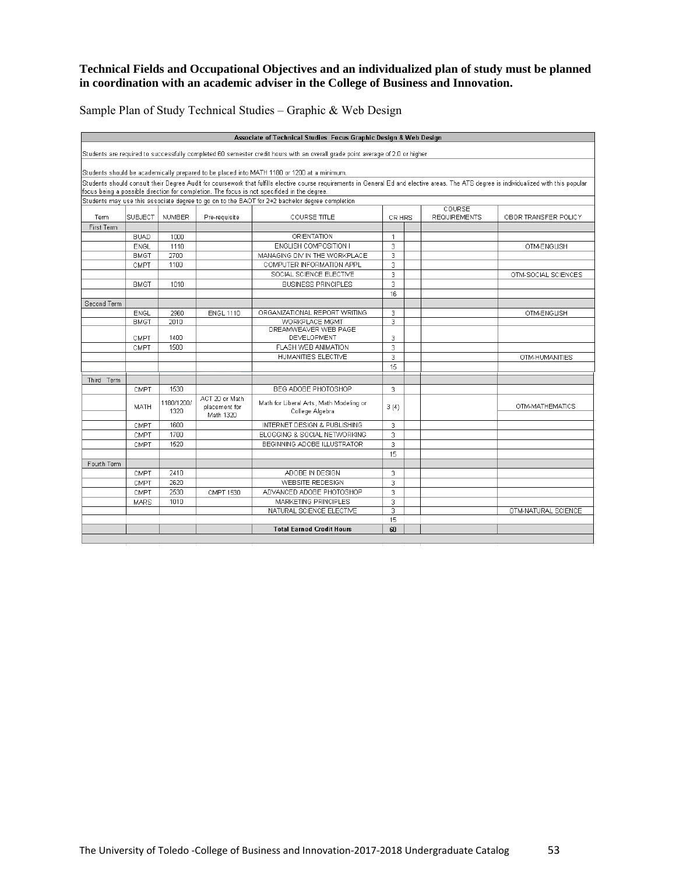#### **Technical Fields and Occupational Objectives and an individualized plan of study must be planned in coordination with an academic adviser in the College of Business and Innovation.**

Sample Plan of Study Technical Studies – Graphic & Web Design

| Associate of Technical Studies Focus Graphic Design & Web Design |             |                    |                                              |                                                                                                                                                                                                                                                                                          |                |  |                               |                      |
|------------------------------------------------------------------|-------------|--------------------|----------------------------------------------|------------------------------------------------------------------------------------------------------------------------------------------------------------------------------------------------------------------------------------------------------------------------------------------|----------------|--|-------------------------------|----------------------|
|                                                                  |             |                    |                                              | Students are required to successfully completed 60 semester credit hours with an overall grade point average of 2.0 or higher                                                                                                                                                            |                |  |                               |                      |
|                                                                  |             |                    |                                              | Students should be academically prepared to be placed into MATH 1180 or 1200 at a minimum.                                                                                                                                                                                               |                |  |                               |                      |
|                                                                  |             |                    |                                              | Students should consult their Degree Audit for coursework that fulfills elective course requirements in General Ed and elective areas. The ATS degree is individualized with this popular<br>focus being a possible direction for completion. The focus is not specifided in the degree. |                |  |                               |                      |
|                                                                  |             |                    |                                              | Students may use this associate degree to go on to the BAOT for 2+2 bachelor degree completion                                                                                                                                                                                           |                |  |                               |                      |
| Term                                                             | SUBJECT     | <b>NUMBER</b>      | Pre-requisite                                | COURSE TITLE                                                                                                                                                                                                                                                                             | CR HRS         |  | COURSE<br><b>REQUIREMENTS</b> | OBOR TRANSFER POLICY |
| First Term                                                       |             |                    |                                              |                                                                                                                                                                                                                                                                                          |                |  |                               |                      |
|                                                                  | <b>BUAD</b> | 1000               |                                              | ORIENTATION                                                                                                                                                                                                                                                                              | 1              |  |                               |                      |
|                                                                  | ENGL        | 1110               |                                              | ENGLISH COMPOSITION I                                                                                                                                                                                                                                                                    | 3              |  |                               | OTM-ENGLISH          |
|                                                                  | <b>BMGT</b> | 2700               |                                              | MANAGING DIV IN THE WORKPLACE                                                                                                                                                                                                                                                            | 3              |  |                               |                      |
|                                                                  | CMPT        | 1100               |                                              | COMPUTER INFORMATION APPL                                                                                                                                                                                                                                                                | 3              |  |                               |                      |
|                                                                  |             |                    |                                              | SOCIAL SCIENCE ELECTIVE                                                                                                                                                                                                                                                                  | 3              |  |                               | OTM-SOCIAL SCIENCES  |
|                                                                  | <b>BMGT</b> | 1010               |                                              | <b>BUSINESS PRINCIPLES</b>                                                                                                                                                                                                                                                               | $\overline{3}$ |  |                               |                      |
|                                                                  |             |                    |                                              |                                                                                                                                                                                                                                                                                          | 16             |  |                               |                      |
| Second Term                                                      |             |                    |                                              |                                                                                                                                                                                                                                                                                          |                |  |                               |                      |
|                                                                  | <b>ENGL</b> | 2960               | <b>ENGL 1110</b>                             | ORGANIZATIONAL REPORT WRITING                                                                                                                                                                                                                                                            | 3              |  |                               | OTM-ENGLISH          |
|                                                                  | <b>BMGT</b> | 2010               |                                              | WORKPLACE MGMT                                                                                                                                                                                                                                                                           | 3              |  |                               |                      |
|                                                                  |             |                    |                                              | DREAMWEAVER WEB PAGE                                                                                                                                                                                                                                                                     |                |  |                               |                      |
|                                                                  | CMPT        | 1400               |                                              | DEVELOPMENT                                                                                                                                                                                                                                                                              | 3              |  |                               |                      |
|                                                                  | CMPT        | 1500               |                                              | <b>FLASH WEB ANIMATION</b>                                                                                                                                                                                                                                                               | 3              |  |                               |                      |
|                                                                  |             |                    |                                              | HUMANITIES ELECTIVE                                                                                                                                                                                                                                                                      | 3              |  |                               | OTM-HUMANITIES       |
|                                                                  |             |                    |                                              |                                                                                                                                                                                                                                                                                          | 15             |  |                               |                      |
| Third Term                                                       |             |                    |                                              |                                                                                                                                                                                                                                                                                          |                |  |                               |                      |
|                                                                  | CMPT        | 1530               |                                              | BEG ADOBE PHOTOSHOP                                                                                                                                                                                                                                                                      | 3              |  |                               |                      |
|                                                                  | MATH        | 1180/1200/<br>1320 | ACT 20 or Math<br>placement for<br>Math 1320 | Math for Liberal Arts, Math Modeling or<br>College Algebra                                                                                                                                                                                                                               | 3(4)           |  |                               | OTM-MATHEMATICS      |
|                                                                  | CMPT        | 1600               |                                              | INTERNET DESIGN & PUBLISHING                                                                                                                                                                                                                                                             | 3              |  |                               |                      |
|                                                                  | CMPT        | 1700               |                                              | BLOGGING & SOCIAL NETWORKING                                                                                                                                                                                                                                                             | 3              |  |                               |                      |
|                                                                  | CMPT        | 1520               |                                              | BEGINNING ADOBE ILLUSTRATOR                                                                                                                                                                                                                                                              | 3              |  |                               |                      |
|                                                                  |             |                    |                                              |                                                                                                                                                                                                                                                                                          | 15             |  |                               |                      |
| Fourth Term                                                      |             |                    |                                              |                                                                                                                                                                                                                                                                                          |                |  |                               |                      |
|                                                                  | CMPT        | 2410               |                                              | ADOBE IN DESIGN                                                                                                                                                                                                                                                                          | 3              |  |                               |                      |
|                                                                  | CMPT        | 2620               |                                              | WEBSITE REDESIGN                                                                                                                                                                                                                                                                         | 3              |  |                               |                      |
|                                                                  | CMPT        | 2530               | <b>CMPT 1530</b>                             | ADVANCED ADOBE PHOTOSHOP                                                                                                                                                                                                                                                                 | 3              |  |                               |                      |
|                                                                  | <b>MARS</b> | 1010               |                                              | MARKETING PRINCIPLES                                                                                                                                                                                                                                                                     | 3              |  |                               |                      |
|                                                                  |             |                    |                                              | NATURAL SCIENCE ELECTIVE                                                                                                                                                                                                                                                                 | 3              |  |                               | OTM-NATURAL SCIENCE  |
|                                                                  |             |                    |                                              |                                                                                                                                                                                                                                                                                          | 15             |  |                               |                      |
|                                                                  |             |                    |                                              | <b>Total Earned Credit Hours</b>                                                                                                                                                                                                                                                         | 60             |  |                               |                      |
|                                                                  |             |                    |                                              |                                                                                                                                                                                                                                                                                          |                |  |                               |                      |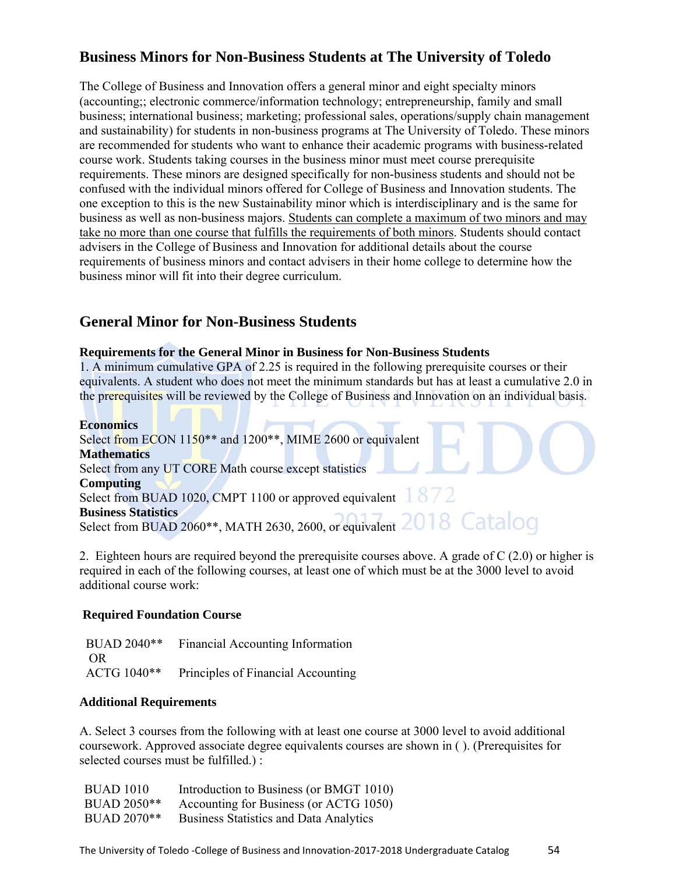# **Business Minors for Non-Business Students at The University of Toledo**

The College of Business and Innovation offers a general minor and eight specialty minors (accounting;; electronic commerce/information technology; entrepreneurship, family and small business; international business; marketing; professional sales, operations/supply chain management and sustainability) for students in non-business programs at The University of Toledo. These minors are recommended for students who want to enhance their academic programs with business-related course work. Students taking courses in the business minor must meet course prerequisite requirements. These minors are designed specifically for non-business students and should not be confused with the individual minors offered for College of Business and Innovation students. The one exception to this is the new Sustainability minor which is interdisciplinary and is the same for business as well as non-business majors. Students can complete a maximum of two minors and may take no more than one course that fulfills the requirements of both minors. Students should contact advisers in the College of Business and Innovation for additional details about the course requirements of business minors and contact advisers in their home college to determine how the business minor will fit into their degree curriculum.

### **General Minor for Non-Business Students**

#### **Requirements for the General Minor in Business for Non-Business Students**

1. A minimum cumulative GPA of 2.25 is required in the following prerequisite courses or their equivalents. A student who does not meet the minimum standards but has at least a cumulative 2.0 in the prerequisites will be reviewed by the College of Business and Innovation on an individual basis.

#### **Economics**

Select from ECON 1150<sup>\*\*</sup> and 1200<sup>\*\*</sup>, MIME 2600 or equivalent **Mathematics**  Select from any UT CORE Math course except statistics **Computing**  Select from BUAD 1020, CMPT 1100 or approved equivalent  $1872$ **Business Statistics**  Select from BUAD 2060\*\*, MATH 2630, 2600, or equivalent

2. Eighteen hours are required beyond the prerequisite courses above. A grade of C (2.0) or higher is required in each of the following courses, at least one of which must be at the 3000 level to avoid additional course work:

#### **Required Foundation Course**

 BUAD 2040\*\* Financial Accounting Information OR ACTG 1040\*\* Principles of Financial Accounting

#### **Additional Requirements**

A. Select 3 courses from the following with at least one course at 3000 level to avoid additional coursework. Approved associate degree equivalents courses are shown in ( ). (Prerequisites for selected courses must be fulfilled.) :

| <b>BUAD 1010</b> | Introduction to Business (or BMGT 1010)       |
|------------------|-----------------------------------------------|
| BUAD 2050**      | Accounting for Business (or ACTG 1050)        |
| BUAD 2070**      | <b>Business Statistics and Data Analytics</b> |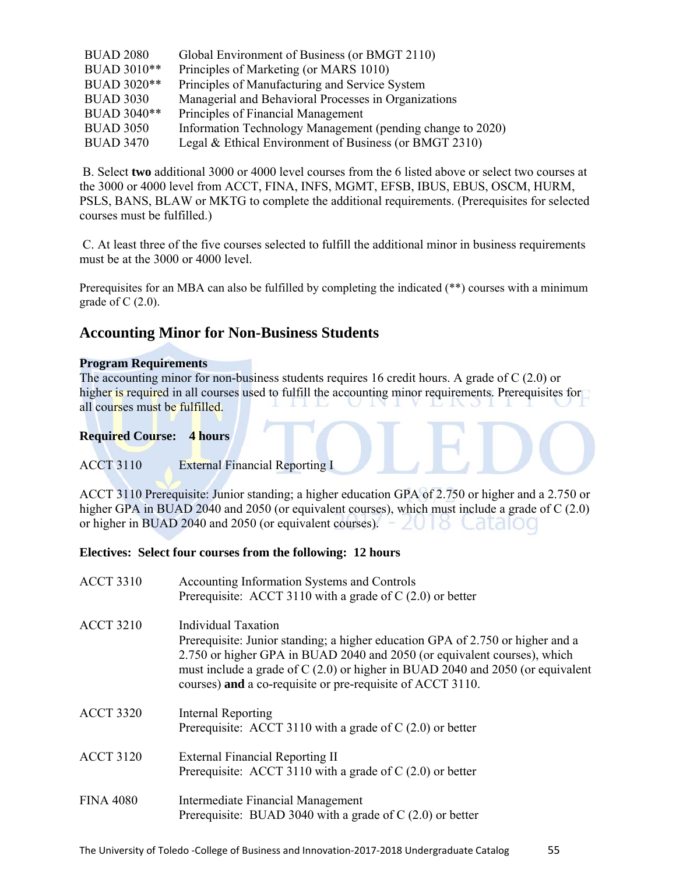| <b>BUAD 2080</b> | Global Environment of Business (or BMGT 2110)              |
|------------------|------------------------------------------------------------|
| BUAD 3010**      | Principles of Marketing (or MARS 1010)                     |
| BUAD 3020**      | Principles of Manufacturing and Service System             |
| <b>BUAD 3030</b> | Managerial and Behavioral Processes in Organizations       |
| BUAD 3040**      | Principles of Financial Management                         |
| <b>BUAD 3050</b> | Information Technology Management (pending change to 2020) |
| <b>BUAD 3470</b> | Legal & Ethical Environment of Business (or BMGT 2310)     |

 B. Select **two** additional 3000 or 4000 level courses from the 6 listed above or select two courses at the 3000 or 4000 level from ACCT, FINA, INFS, MGMT, EFSB, IBUS, EBUS, OSCM, HURM, PSLS, BANS, BLAW or MKTG to complete the additional requirements. (Prerequisites for selected courses must be fulfilled.)

 C. At least three of the five courses selected to fulfill the additional minor in business requirements must be at the 3000 or 4000 level.

Prerequisites for an MBA can also be fulfilled by completing the indicated (\*\*) courses with a minimum grade of  $C(2.0)$ .

# **Accounting Minor for Non-Business Students**

#### **Program Requirements**

The accounting minor for non-business students requires 16 credit hours. A grade of C (2.0) or higher is required in all courses used to fulfill the accounting minor requirements. Prerequisites for all courses must be fulfilled.

#### **Required Course: 4 hours**

#### ACCT 3110 External Financial Reporting I

ACCT 3110 Prerequisite: Junior standing; a higher education GPA of 2.750 or higher and a 2.750 or higher GPA in BUAD 2040 and 2050 (or equivalent courses), which must include a grade of C (2.0) or higher in BUAD 2040 and 2050 (or equivalent courses).  $-\angle U \,|\, S$  Catalog

#### **Electives: Select four courses from the following: 12 hours**

| <b>ACCT 3310</b> | Accounting Information Systems and Controls<br>Prerequisite: ACCT 3110 with a grade of $C(2.0)$ or better                                                                                                                                                                                                                                 |
|------------------|-------------------------------------------------------------------------------------------------------------------------------------------------------------------------------------------------------------------------------------------------------------------------------------------------------------------------------------------|
| <b>ACCT 3210</b> | <b>Individual Taxation</b><br>Prerequisite: Junior standing; a higher education GPA of 2.750 or higher and a<br>2.750 or higher GPA in BUAD 2040 and 2050 (or equivalent courses), which<br>must include a grade of $C(2.0)$ or higher in BUAD 2040 and 2050 (or equivalent<br>courses) and a co-requisite or pre-requisite of ACCT 3110. |
| <b>ACCT 3320</b> | Internal Reporting<br>Prerequisite: ACCT 3110 with a grade of $C(2.0)$ or better                                                                                                                                                                                                                                                          |
| <b>ACCT 3120</b> | External Financial Reporting II<br>Prerequisite: ACCT 3110 with a grade of $C(2.0)$ or better                                                                                                                                                                                                                                             |
| <b>FINA 4080</b> | Intermediate Financial Management<br>Prerequisite: BUAD 3040 with a grade of $C(2.0)$ or better                                                                                                                                                                                                                                           |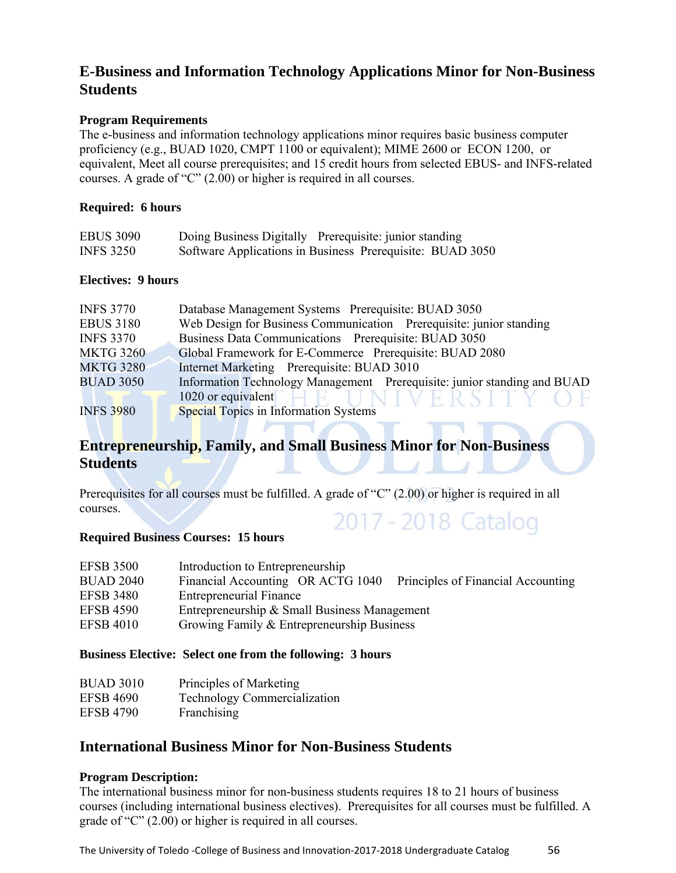# **E-Business and Information Technology Applications Minor for Non-Business Students**

#### **Program Requirements**

The e-business and information technology applications minor requires basic business computer proficiency (e.g., BUAD 1020, CMPT 1100 or equivalent); MIME 2600 or ECON 1200, or equivalent, Meet all course prerequisites; and 15 credit hours from selected EBUS- and INFS-related courses. A grade of "C" (2.00) or higher is required in all courses.

#### **Required: 6 hours**

| <b>EBUS 3090</b> | Doing Business Digitally Prerequisite: junior standing    |
|------------------|-----------------------------------------------------------|
| <b>INFS 3250</b> | Software Applications in Business Prerequisite: BUAD 3050 |

#### **Electives: 9 hours**

| <b>INFS 3770</b> | Database Management Systems Prerequisite: BUAD 3050                      |  |
|------------------|--------------------------------------------------------------------------|--|
| <b>EBUS 3180</b> | Web Design for Business Communication Prerequisite: junior standing      |  |
| <b>INFS 3370</b> | Business Data Communications Prerequisite: BUAD 3050                     |  |
| <b>MKTG 3260</b> | Global Framework for E-Commerce Prerequisite: BUAD 2080                  |  |
| <b>MKTG 3280</b> | Internet Marketing Prerequisite: BUAD 3010                               |  |
| <b>BUAD 3050</b> | Information Technology Management Prerequisite: junior standing and BUAD |  |
|                  | 1020 or equivalent<br>JNIVERSITY OF                                      |  |
| <b>INFS 3980</b> | Special Topics in Information Systems                                    |  |

# **Entrepreneurship, Family, and Small Business Minor for Non-Business Students**

Prerequisites for all courses must be fulfilled. A grade of "C" (2.00) or higher is required in all courses. 2017 - 2018 Catalog

#### **Required Business Courses: 15 hours**

| <b>EFSB 3500</b> | Introduction to Entrepreneurship                                        |
|------------------|-------------------------------------------------------------------------|
| <b>BUAD 2040</b> | Financial Accounting OR ACTG 1040<br>Principles of Financial Accounting |
| <b>EFSB 3480</b> | <b>Entrepreneurial Finance</b>                                          |
| <b>EFSB 4590</b> | Entrepreneurship & Small Business Management                            |
| <b>EFSB 4010</b> | Growing Family & Entrepreneurship Business                              |

#### **Business Elective: Select one from the following: 3 hours**

| <b>BUAD 3010</b> | Principles of Marketing             |
|------------------|-------------------------------------|
| <b>EFSB 4690</b> | <b>Technology Commercialization</b> |
| <b>EFSB 4790</b> | Franchising                         |

#### **International Business Minor for Non-Business Students**

#### **Program Description:**

The international business minor for non-business students requires 18 to 21 hours of business courses (including international business electives). Prerequisites for all courses must be fulfilled. A grade of "C" (2.00) or higher is required in all courses.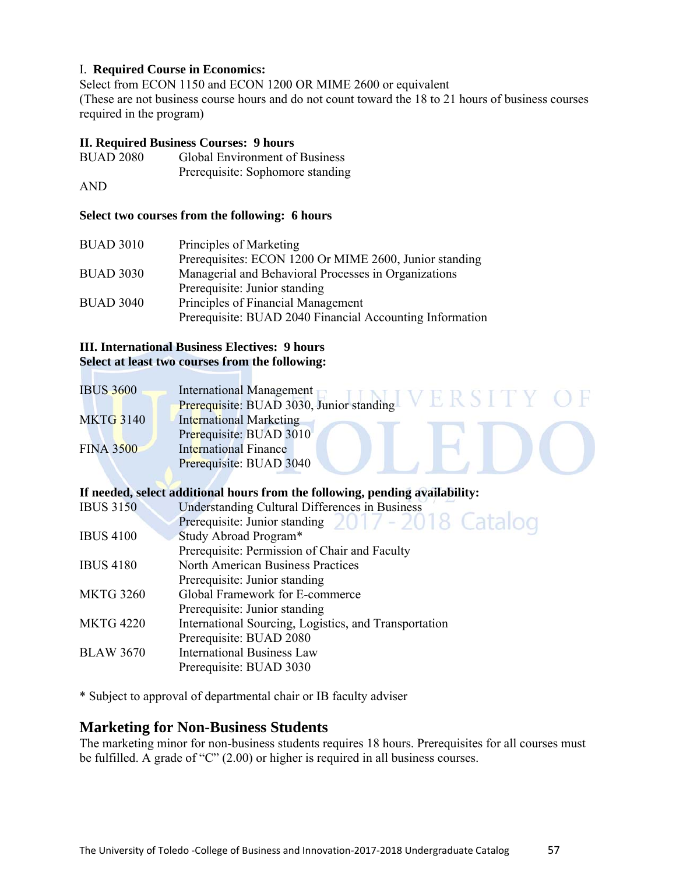#### I. **Required Course in Economics:**

Select from ECON 1150 and ECON 1200 OR MIME 2600 or equivalent (These are not business course hours and do not count toward the 18 to 21 hours of business courses required in the program)

#### **II. Required Business Courses: 9 hours**

| <b>BUAD 2080</b> | Global Environment of Business   |
|------------------|----------------------------------|
|                  | Prerequisite: Sophomore standing |

AND

#### **Select two courses from the following: 6 hours**

| <b>BUAD 3010</b> | Principles of Marketing                                  |
|------------------|----------------------------------------------------------|
|                  | Prerequisites: ECON 1200 Or MIME 2600, Junior standing   |
| <b>BUAD 3030</b> | Managerial and Behavioral Processes in Organizations     |
|                  | Prerequisite: Junior standing                            |
| <b>BUAD 3040</b> | Principles of Financial Management                       |
|                  | Prerequisite: BUAD 2040 Financial Accounting Information |

#### **III. International Business Electives: 9 hours Select at least two courses from the following:**

| <b>IBUS 3600</b> | International Management<br>VEKSIL       |
|------------------|------------------------------------------|
|                  | Prerequisite: BUAD 3030, Junior standing |
| <b>MKTG 3140</b> | <b>International Marketing</b>           |
|                  | Prerequisite: BUAD 3010                  |
| <b>FINA 3500</b> | <b>International Finance</b>             |
|                  | Prerequisite: BUAD 3040                  |

#### **If needed, select additional hours from the following, pending availability:**

| <b>IBUS 3150</b> | <b>Understanding Cultural Differences in Business</b> |
|------------------|-------------------------------------------------------|
|                  | Prerequisite: Junior standing 2017 - 2018 Catalog     |
| <b>IBUS 4100</b> | Study Abroad Program*                                 |
|                  | Prerequisite: Permission of Chair and Faculty         |
| <b>IBUS 4180</b> | <b>North American Business Practices</b>              |
|                  | Prerequisite: Junior standing                         |
| <b>MKTG 3260</b> | Global Framework for E-commerce                       |
|                  | Prerequisite: Junior standing                         |
| <b>MKTG 4220</b> | International Sourcing, Logistics, and Transportation |
|                  | Prerequisite: BUAD 2080                               |
| <b>BLAW 3670</b> | <b>International Business Law</b>                     |
|                  | Prerequisite: BUAD 3030                               |
|                  |                                                       |

\* Subject to approval of departmental chair or IB faculty adviser

#### **Marketing for Non-Business Students**

The marketing minor for non-business students requires 18 hours. Prerequisites for all courses must be fulfilled. A grade of "C" (2.00) or higher is required in all business courses.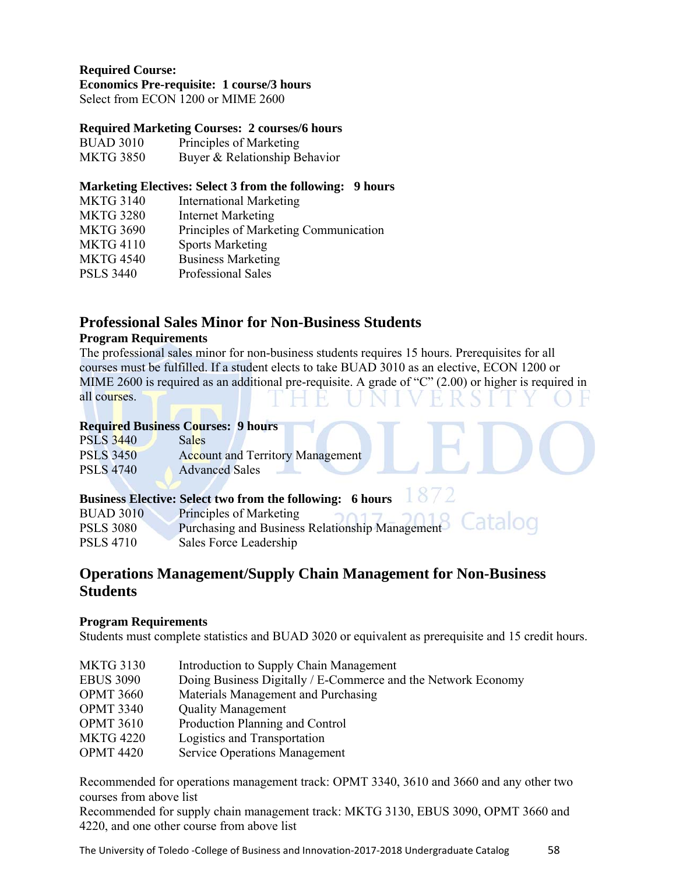# **Required Course:**

**Economics Pre-requisite: 1 course/3 hours** 

Select from ECON 1200 or MIME 2600

#### **Required Marketing Courses: 2 courses/6 hours**

| <b>BUAD 3010</b> | Principles of Marketing       |
|------------------|-------------------------------|
| <b>MKTG 3850</b> | Buyer & Relationship Behavior |

#### **Marketing Electives: Select 3 from the following: 9 hours**

| <b>MKTG 3140</b> | <b>International Marketing</b>        |
|------------------|---------------------------------------|
| <b>MKTG 3280</b> | <b>Internet Marketing</b>             |
| <b>MKTG 3690</b> | Principles of Marketing Communication |
| <b>MKTG 4110</b> | <b>Sports Marketing</b>               |
| <b>MKTG 4540</b> | <b>Business Marketing</b>             |
| <b>PSLS 3440</b> | Professional Sales                    |
|                  |                                       |

### **Professional Sales Minor for Non-Business Students**

#### **Program Requirements**

The professional sales minor for non-business students requires 15 hours. Prerequisites for all courses must be fulfilled. If a student elects to take BUAD 3010 as an elective, ECON 1200 or MIME 2600 is required as an additional pre-requisite. A grade of "C" (2.00) or higher is required in all courses.

#### **Required Business Courses: 9 hours**

| <b>PSLS 3440</b> | <b>Sales</b>                            |
|------------------|-----------------------------------------|
| <b>PSLS 3450</b> | <b>Account and Territory Management</b> |
| <b>PSLS 4740</b> | <b>Advanced Sales</b>                   |

#### 1872 **Business Elective: Select two from the following: 6 hours**

| <b>BUAD 3010</b> | Principles of Marketing                                    |
|------------------|------------------------------------------------------------|
| <b>PSLS 3080</b> | Purchasing and Business Relationship Management<br>ediarod |
| <b>PSLS 4710</b> | Sales Force Leadership                                     |

# **Operations Management/Supply Chain Management for Non-Business Students**

#### **Program Requirements**

Students must complete statistics and BUAD 3020 or equivalent as prerequisite and 15 credit hours.

| <b>MKTG 3130</b> | Introduction to Supply Chain Management                       |
|------------------|---------------------------------------------------------------|
| <b>EBUS 3090</b> | Doing Business Digitally / E-Commerce and the Network Economy |
| <b>OPMT 3660</b> | Materials Management and Purchasing                           |
| <b>OPMT 3340</b> | <b>Quality Management</b>                                     |
| <b>OPMT 3610</b> | Production Planning and Control                               |
| <b>MKTG 4220</b> | Logistics and Transportation                                  |
| <b>OPMT 4420</b> | <b>Service Operations Management</b>                          |

Recommended for operations management track: OPMT 3340, 3610 and 3660 and any other two courses from above list

Recommended for supply chain management track: MKTG 3130, EBUS 3090, OPMT 3660 and 4220, and one other course from above list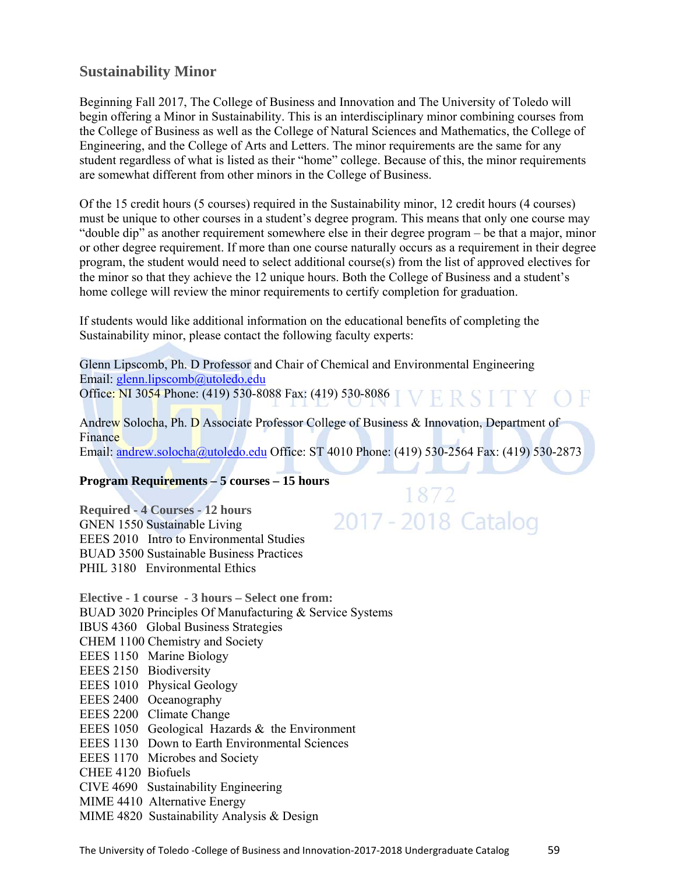### **Sustainability Minor**

Beginning Fall 2017, The College of Business and Innovation and The University of Toledo will begin offering a Minor in Sustainability. This is an interdisciplinary minor combining courses from the College of Business as well as the College of Natural Sciences and Mathematics, the College of Engineering, and the College of Arts and Letters. The minor requirements are the same for any student regardless of what is listed as their "home" college. Because of this, the minor requirements are somewhat different from other minors in the College of Business.

Of the 15 credit hours (5 courses) required in the Sustainability minor, 12 credit hours (4 courses) must be unique to other courses in a student's degree program. This means that only one course may "double dip" as another requirement somewhere else in their degree program – be that a major, minor or other degree requirement. If more than one course naturally occurs as a requirement in their degree program, the student would need to select additional course(s) from the list of approved electives for the minor so that they achieve the 12 unique hours. Both the College of Business and a student's home college will review the minor requirements to certify completion for graduation.

If students would like additional information on the educational benefits of completing the Sustainability minor, please contact the following faculty experts:

Glenn Lipscomb, Ph. D Professor and Chair of Chemical and Environmental Engineering Email: glenn.lipscomb@utoledo.edu Office: NI 3054 Phone: (419) 530-8088 Fax: (419) 530-8086 VERSITY OF

Andrew Solocha, Ph. D Associate Professor College of Business & Innovation, Department of Finance

Email: andrew.solocha@utoledo.edu Office: ST 4010 Phone: (419) 530-2564 Fax: (419) 530-2873

1872

2017 - 2018 Catalog

#### **Program Requirements – 5 courses – 15 hours**

**Required - 4 Courses - 12 hours**  GNEN 1550 Sustainable Living EEES 2010 Intro to Environmental Studies BUAD 3500 Sustainable Business Practices PHIL 3180 Environmental Ethics

**Elective - 1 course - 3 hours – Select one from:** BUAD 3020 Principles Of Manufacturing & Service Systems IBUS 4360 Global Business Strategies CHEM 1100 Chemistry and Society EEES 1150 Marine Biology EEES 2150 Biodiversity EEES 1010 Physical Geology EEES 2400 Oceanography EEES 2200 Climate Change EEES 1050 Geological Hazards & the Environment EEES 1130 Down to Earth Environmental Sciences EEES 1170 Microbes and Society CHEE 4120 Biofuels CIVE 4690 Sustainability Engineering MIME 4410 Alternative Energy MIME 4820 Sustainability Analysis & Design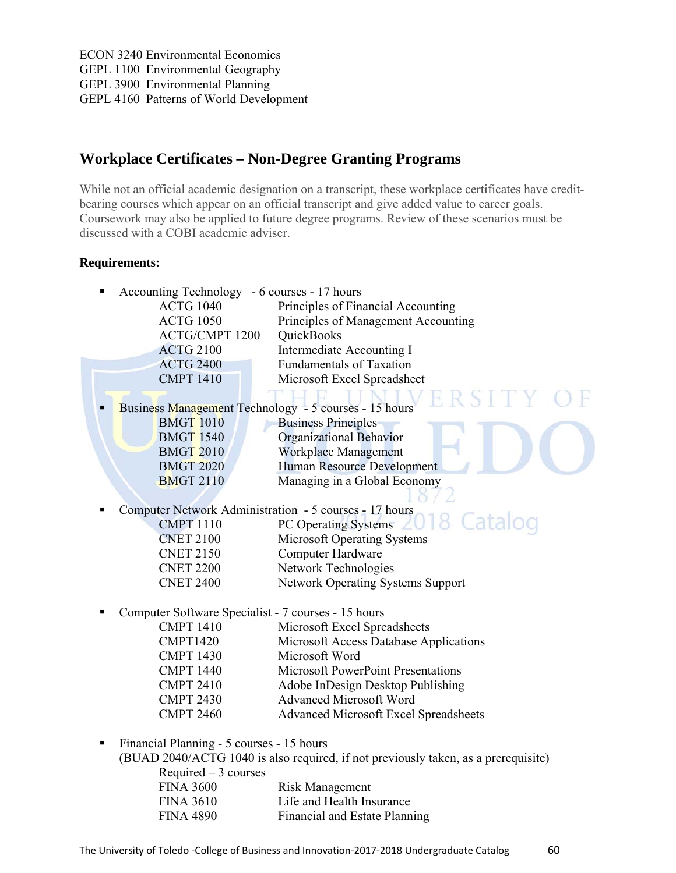ECON 3240 Environmental Economics GEPL 1100 Environmental Geography GEPL 3900 Environmental Planning GEPL 4160 Patterns of World Development

# **Workplace Certificates – Non-Degree Granting Programs**

While not an official academic designation on a transcript, these workplace certificates have creditbearing courses which appear on an official transcript and give added value to career goals. Coursework may also be applied to future degree programs. Review of these scenarios must be discussed with a COBI academic adviser.

#### **Requirements:**

| Accounting Technology - 6 courses - 17 hours<br>п      |                                                                                    |  |
|--------------------------------------------------------|------------------------------------------------------------------------------------|--|
| <b>ACTG 1040</b>                                       | Principles of Financial Accounting                                                 |  |
| <b>ACTG 1050</b>                                       | Principles of Management Accounting                                                |  |
| <b>ACTG/CMPT 1200</b>                                  | QuickBooks                                                                         |  |
| <b>ACTG 2100</b>                                       | Intermediate Accounting I                                                          |  |
| <b>ACTG 2400</b>                                       | <b>Fundamentals of Taxation</b>                                                    |  |
| <b>CMPT 1410</b>                                       | Microsoft Excel Spreadsheet                                                        |  |
|                                                        |                                                                                    |  |
| Business Management Technology - 5 courses - 15 hours  |                                                                                    |  |
| <b>BMGT 1010</b>                                       | <b>Business Principles</b>                                                         |  |
| <b>BMGT 1540</b>                                       | <b>Organizational Behavior</b>                                                     |  |
| <b>BMGT 2010</b>                                       | <b>Workplace Management</b>                                                        |  |
| <b>BMGT 2020</b>                                       | <b>Human Resource Development</b>                                                  |  |
| <b>BMGT 2110</b>                                       | Managing in a Global Economy                                                       |  |
|                                                        |                                                                                    |  |
| Computer Network Administration - 5 courses - 17 hours |                                                                                    |  |
| <b>CMPT 1110</b>                                       | 2018 Catalog<br>PC Operating Systems                                               |  |
| <b>CNET 2100</b>                                       | <b>Microsoft Operating Systems</b>                                                 |  |
| <b>CNET 2150</b>                                       | Computer Hardware                                                                  |  |
| <b>CNET 2200</b>                                       | Network Technologies                                                               |  |
| <b>CNET 2400</b>                                       | Network Operating Systems Support                                                  |  |
| Computer Software Specialist - 7 courses - 15 hours    |                                                                                    |  |
| <b>CMPT 1410</b>                                       | Microsoft Excel Spreadsheets                                                       |  |
| <b>CMPT1420</b>                                        | Microsoft Access Database Applications                                             |  |
| <b>CMPT 1430</b>                                       | Microsoft Word                                                                     |  |
| <b>CMPT 1440</b>                                       | Microsoft PowerPoint Presentations                                                 |  |
| <b>CMPT 2410</b>                                       | Adobe InDesign Desktop Publishing                                                  |  |
| <b>CMPT 2430</b>                                       | <b>Advanced Microsoft Word</b>                                                     |  |
| <b>CMPT 2460</b>                                       | <b>Advanced Microsoft Excel Spreadsheets</b>                                       |  |
|                                                        |                                                                                    |  |
| Financial Planning - 5 courses - 15 hours<br>٠         |                                                                                    |  |
|                                                        | (BUAD 2040/ACTG 1040 is also required, if not previously taken, as a prerequisite) |  |
| Required $-3$ courses                                  |                                                                                    |  |
| <b>FINA 3600</b>                                       | <b>Risk Management</b>                                                             |  |

| <b>FINA 3000</b> | KISK Management               |
|------------------|-------------------------------|
| <b>FINA 3610</b> | Life and Health Insurance     |
| <b>FINA 4890</b> | Financial and Estate Planning |